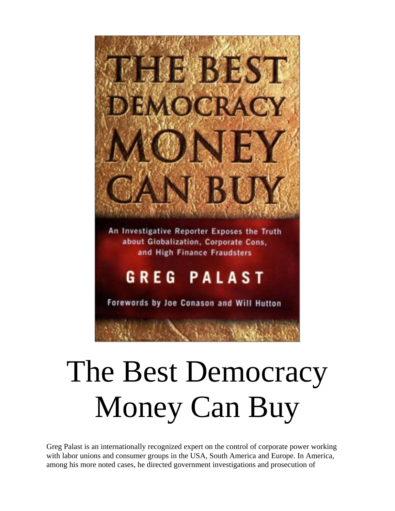

## The Best Democracy Money Can Buy

Greg Palast is an internationally recognized expert on the control of corporate power working with labor unions and consumer groups in the USA, South America and Europe. In America, among his more noted cases, he directed government investigations and prosecution of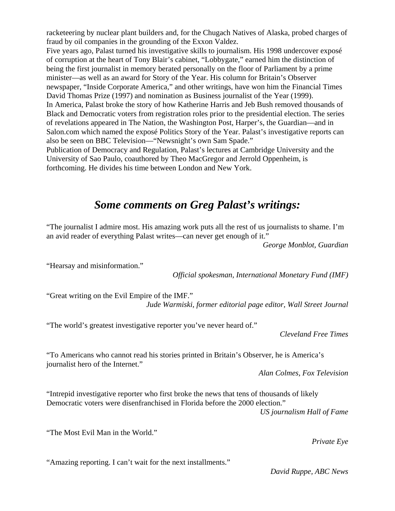racketeering by nuclear plant builders and, for the Chugach Natives of Alaska, probed charges of fraud by oil companies in the grounding of the Exxon Valdez.

Five years ago, Palast turned his investigative skills to journalism. His 1998 undercover exposé of corruption at the heart of Tony Blair's cabinet, "Lobbygate," earned him the distinction of being the first journalist in memory berated personally on the floor of Parliament by a prime minister—as well as an award for Story of the Year. His column for Britain's Observer newspaper, "Inside Corporate America," and other writings, have won him the Financial Times David Thomas Prize (1997) and nomination as Business journalist of the Year (1999). In America, Palast broke the story of how Katherine Harris and Jeb Bush removed thousands of Black and Democratic voters from registration roles prior to the presidential election. The series of revelations appeared in The Nation, the Washington Post, Harper's, the Guardian—and in Salon.com which named the exposé Politics Story of the Year. Palast's investigative reports can also be seen on BBC Television—"Newsnight's own Sam Spade." Publication of Democracy and Regulation, Palast's lectures at Cambridge University and the University of Sao Paulo, coauthored by Theo MacGregor and Jerrold Oppenheim, is forthcoming. He divides his time between London and New York.

#### *Some comments on Greg Palast's writings:*

"The journalist I admire most. His amazing work puts all the rest of us journalists to shame. I'm an avid reader of everything Palast writes—can never get enough of it."

*George Monblot, Guardian* 

"Hearsay and misinformation."

*Official spokesman, International Monetary Fund (IMF)* 

"Great writing on the Evil Empire of the IMF." *Jude Warmiski, former editorial page editor, Wall Street Journal* 

"The world's greatest investigative reporter you've never heard of."

*Cleveland Free Times* 

"To Americans who cannot read his stories printed in Britain's Observer, he is America's journalist hero of the Internet."

*Alan Colmes, Fox Television* 

"Intrepid investigative reporter who first broke the news that tens of thousands of likely Democratic voters were disenfranchised in Florida before the 2000 election." *US journalism Hall of Fame* 

"The Most Evil Man in the World."

*Private Eye* 

"Amazing reporting. I can't wait for the next installments."

*David Ruppe, ABC News*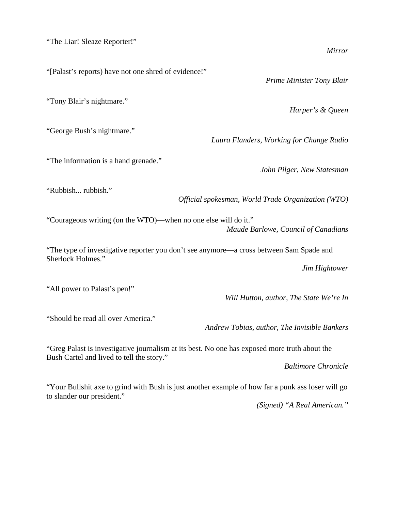"The Liar! Sleaze Reporter!"

"[Palast's reports) have not one shred of evidence!"

"Tony Blair's nightmare."

"George Bush's nightmare."

"The information is a hand grenade."

*John Pilger, New Statesman* 

"Rubbish... rubbish."

*Official spokesman, World Trade Organization (WTO)* 

"Courageous writing (on the WTO)—when no one else will do it." *Maude Barlowe, Council of Canadians* 

"The type of investigative reporter you don't see anymore—a cross between Sam Spade and Sherlock Holmes."

*Jim Hightower* 

"All power to Palast's pen!"

"Should be read all over America."

*Andrew Tobias, author, The Invisible Bankers* 

*Will Hutton, author, The State We're In* 

"Greg Palast is investigative journalism at its best. No one has exposed more truth about the Bush Cartel and lived to tell the story."

*Baltimore Chronicle* 

"Your Bullshit axe to grind with Bush is just another example of how far a punk ass loser will go to slander our president."

*(Signed) "A Real American."* 

*Mirror* 

*Prime Minister Tony Blair* 

*Harper's & Queen* 

*Laura Flanders, Working for Change Radio*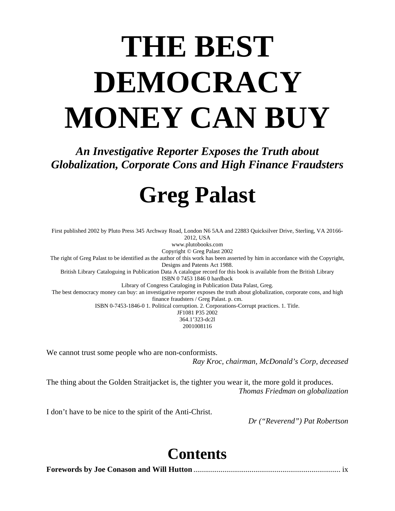# **THE BEST DEMOCRACY MONEY CAN BUY**

*An Investigative Reporter Exposes the Truth about Globalization, Corporate Cons and High Finance Fraudsters* 

## **Greg Palast**

First published 2002 by Pluto Press 345 Archway Road, London N6 5AA and 22883 Quicksilver Drive, Sterling, VA 20166- 2012, USA www.plutobooks.com Copyright © Greg Palast 2002 The right of Greg Palast to be identified as the author of this work has been asserted by him in accordance with the Copyright, Designs and Patents Act 1988. British Library Cataloguing in Publication Data A catalogue record for this book is available from the British Library ISBN 0 7453 1846 0 hardback Library of Congress Cataloging in Publication Data Palast, Greg. The best democracy money can buy: an investigative reporter exposes the truth about globalization, corporate cons, and high finance fraudsters / Greg Palast. p. cm. ISBN 0-7453-1846-0 1. Political corruption. 2. Corporations-Corrupt practices. 1. Title. JF1081 P35 2002 364.1'323-dc2l 2001008116

We cannot trust some people who are non-conformists. *Ray Kroc, chairman, McDonald's Corp, deceased* 

The thing about the Golden Straitjacket is, the tighter you wear it, the more gold it produces. *Thomas Friedman on globalization* 

I don't have to be nice to the spirit of the Anti-Christ.

*Dr ("Reverend") Pat Robertson* 

### **Contents**

**Forewords by Joe Conason and Will Hutton** ............................................................................ ix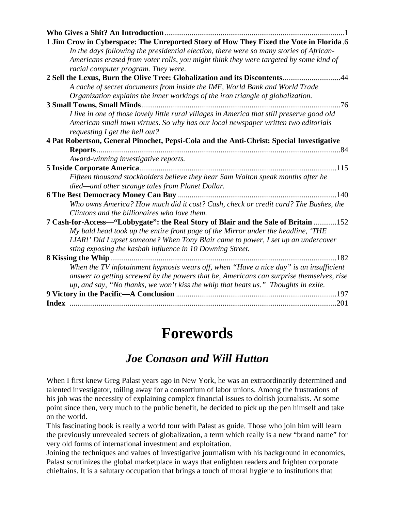| 1 Jim Crow in Cyberspace: The Unreported Story of How They Fixed the Vote in Florida.6      |
|---------------------------------------------------------------------------------------------|
| In the days following the presidential election, there were so many stories of African-     |
| Americans erased from voter rolls, you might think they were targeted by some kind of       |
| racial computer program. They were.                                                         |
| 2 Sell the Lexus, Burn the Olive Tree: Globalization and its Discontents<br>.44             |
| A cache of secret documents from inside the IMF, World Bank and World Trade                 |
| Organization explains the inner workings of the iron triangle of globalization.             |
| <b>3 Small Towns, Small Minds.</b><br>.76                                                   |
| I live in one of those lovely little rural villages in America that still preserve good old |
| American small town virtues. So why has our local newspaper written two editorials          |
| requesting I get the hell out?                                                              |
| 4 Pat Robertson, General Pinochet, Pepsi-Cola and the Anti-Christ: Special Investigative    |
|                                                                                             |
| Award-winning investigative reports.                                                        |
| .115                                                                                        |
| Fifteen thousand stockholders believe they hear Sam Walton speak months after he            |
| died—and other strange tales from Planet Dollar.                                            |
| .140                                                                                        |
| Who owns America? How much did it cost? Cash, check or credit card? The Bushes, the         |
| Clintons and the billionaires who love them.                                                |
| 7 Cash-for-Access—"Lobbygate": the Real Story of Blair and the Sale of Britain 152          |
| My bald head took up the entire front page of the Mirror under the headline, 'THE           |
| LIAR!' Did I upset someone? When Tony Blair came to power, I set up an undercover           |
| sting exposing the kasbah influence in 10 Downing Street.                                   |
| 182                                                                                         |
| When the TV infotainment hypnosis wears off, when "Have a nice day" is an insufficient      |
| answer to getting screwed by the powers that be, Americans can surprise themselves, rise    |
| up, and say, "No thanks, we won't kiss the whip that beats us." Thoughts in exile.          |
| .197                                                                                        |
| <b>Index</b>                                                                                |

#### **Forewords**

#### *Joe Conason and Will Hutton*

When I first knew Greg Palast years ago in New York, he was an extraordinarily determined and talented investigator, toiling away for a consortium of labor unions. Among the frustrations of his job was the necessity of explaining complex financial issues to doltish journalists. At some point since then, very much to the public benefit, he decided to pick up the pen himself and take on the world.

This fascinating book is really a world tour with Palast as guide. Those who join him will learn the previously unrevealed secrets of globalization, a term which really is a new "brand name" for very old forms of international investment and exploitation.

Joining the techniques and values of investigative journalism with his background in economics, Palast scrutinizes the global marketplace in ways that enlighten readers and frighten corporate chieftains. It is a salutary occupation that brings a touch of moral hygiene to institutions that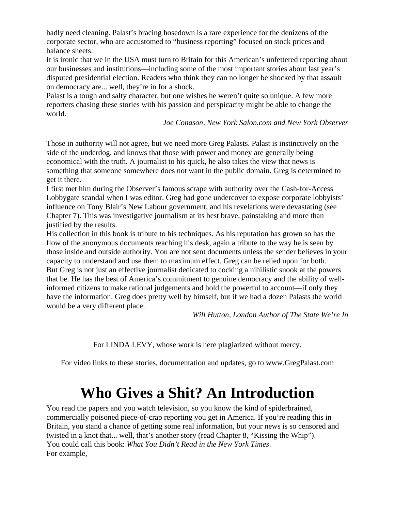badly need cleaning. Palast's bracing hosedown is a rare experience for the denizens of the corporate sector, who are accustomed to "business reporting" focused on stock prices and balance sheets.

It is ironic that we in the USA must turn to Britain for this American's unfettered reporting about our businesses and institutions—including some of the most important stories about last year's disputed presidential election. Readers who think they can no longer be shocked by that assault on democracy are... well, they're in for a shock.

Palast is a tough and salty character, but one wishes he weren't quite so unique. A few more reporters chasing these stories with his passion and perspicacity might be able to change the world.

*Joe Conason, New York Salon.com and New York Observer* 

Those in authority will not agree, but we need more Greg Palasts. Palast is instinctively on the side of the underdog, and knows that those with power and money are generally being economical with the truth. A journalist to his quick, he also takes the view that news is something that someone somewhere does not want in the public domain. Greg is determined to get it there.

I first met him during the Observer's famous scrape with authority over the Cash-for-Access Lobbygate scandal when I was editor. Greg had gone undercover to expose corporate lobbyists' influence on Tony Blair's New Labour government, and his revelations were devastating (see Chapter 7). This was investigative journalism at its best brave, painstaking and more than justified by the results.

His collection in this book is tribute to his techniques. As his reputation has grown so has the flow of the anonymous documents reaching his desk, again a tribute to the way he is seen by those inside and outside authority. You are not sent documents unless the sender believes in your capacity to understand and use them to maximum effect. Greg can be relied upon for both. But Greg is not just an effective journalist dedicated to cocking a nihilistic snook at the powers that be. He has the best of America's commitment to genuine democracy and the ability of wellinformed citizens to make rational judgements and hold the powerful to account—if only they have the information. Greg does pretty well by himself, but if we had a dozen Palasts the world would be a very different place.

*Will Hutton, London Author of The State We're In* 

For LINDA LEVY, whose work is here plagiarized without mercy.

For video links to these stories, documentation and updates, go to www.GregPalast.com

### **Who Gives a Shit? An Introduction**

You read the papers and you watch television, so you know the kind of spiderbrained, commercially poisoned piece-of-crap reporting you get in America. If you're reading this in Britain, you stand a chance of getting some real information, but your news is so censored and twisted in a knot that... well, that's another story (read Chapter 8, "Kissing the Whip"). You could call this book: *What You Didn't Read in the New York Times*. For example,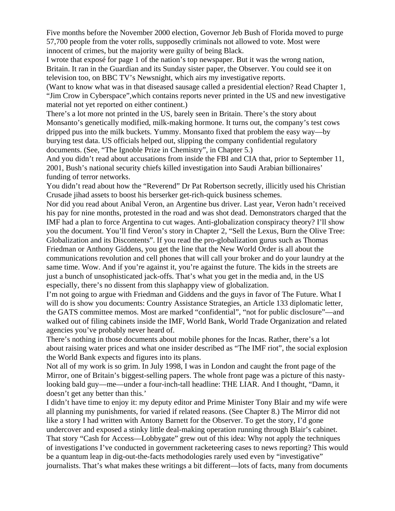Five months before the November 2000 election, Governor Jeb Bush of Florida moved to purge 57,700 people from the voter rolls, supposedly criminals not allowed to vote. Most were innocent of crimes, but the majority were guilty of being Black.

I wrote that exposé for page 1 of the nation's top newspaper. But it was the wrong nation, Britain. It ran in the Guardian and its Sunday sister paper, the Observer. You could see it on television too, on BBC TV's Newsnight, which airs my investigative reports.

(Want to know what was in that diseased sausage called a presidential election? Read Chapter 1, "Jim Crow in Cyberspace",which contains reports never printed in the US and new investigative material not yet reported on either continent.)

There's a lot more not printed in the US, barely seen in Britain. There's the story about Monsanto's genetically modified, milk-making hormone. It turns out, the company's test cows dripped pus into the milk buckets. Yummy. Monsanto fixed that problem the easy way—by burying test data. US officials helped out, slipping the company confidential regulatory documents. (See, "The Ignoble Prize in Chemistry", in Chapter 5.)

And you didn't read about accusations from inside the FBI and CIA that, prior to September 11, 2001, Bush's national security chiefs killed investigation into Saudi Arabian billionaires' funding of terror networks.

You didn't read about how the "Reverend" Dr Pat Robertson secretly, illicitly used his Christian Crusade jihad assets to boost his berserker get-rich-quick business schemes.

Nor did you read about Anibal Veron, an Argentine bus driver. Last year, Veron hadn't received his pay for nine months, protested in the road and was shot dead. Demonstrators charged that the IMF had a plan to force Argentina to cut wages. Anti-globalization conspiracy theory? I'll show you the document. You'll find Veron's story in Chapter 2, "Sell the Lexus, Burn the Olive Tree: Globalization and its Discontents". If you read the pro-globalization gurus such as Thomas Friedman or Anthony Giddens, you get the line that the New World Order is all about the communications revolution and cell phones that will call your broker and do your laundry at the same time. Wow. And if you're against it, you're against the future. The kids in the streets are just a bunch of unsophisticated jack-offs. That's what you get in the media and, in the US especially, there's no dissent from this slaphappy view of globalization.

I'm not going to argue with Friedman and Giddens and the guys in favor of The Future. What I will do is show you documents: Country Assistance Strategies, an Article 133 diplomatic letter, the GATS committee memos. Most are marked "confidential", "not for public disclosure"—and walked out of filing cabinets inside the IMF, World Bank, World Trade Organization and related agencies you've probably never heard of.

There's nothing in those documents about mobile phones for the Incas. Rather, there's a lot about raising water prices and what one insider described as "The IMF riot", the social explosion the World Bank expects and figures into its plans.

Not all of my work is so grim. In July 1998, I was in London and caught the front page of the Mirror, one of Britain's biggest-selling papers. The whole front page was a picture of this nastylooking bald guy—me—under a four-inch-tall headline: THE LIAR. And I thought, "Damn, it doesn't get any better than this.'

I didn't have time to enjoy it: my deputy editor and Prime Minister Tony Blair and my wife were all planning my punishments, for varied if related reasons. (See Chapter 8.) The Mirror did not like a story I had written with Antony Barnett for the Observer. To get the story, I'd gone undercover and exposed a stinky little deal-making operation running through Blair's cabinet. That story "Cash for Access—Lobbygate" grew out of this idea: Why not apply the techniques of investigations I've conducted in government racketeering cases to news reporting? This would be a quantum leap in dig-out-the-facts methodologies rarely used even by "investigative" journalists. That's what makes these writings a bit different—lots of facts, many from documents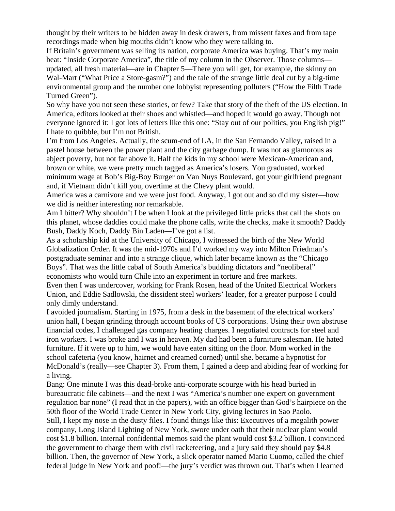thought by their writers to be hidden away in desk drawers, from missent faxes and from tape recordings made when big mouths didn't know who they were talking to.

If Britain's government was selling its nation, corporate America was buying. That's my main beat: "Inside Corporate America", the title of my column in the Observer. Those columns updated, all fresh material—are in Chapter 5—There you will get, for example, the skinny on Wal-Mart ("What Price a Store-gasm?") and the tale of the strange little deal cut by a big-time environmental group and the number one lobbyist representing polluters ("How the Filth Trade Turned Green").

So why have you not seen these stories, or few? Take that story of the theft of the US election. In America, editors looked at their shoes and whistled—and hoped it would go away. Though not everyone ignored it: I got lots of letters like this one: "Stay out of our politics, you English pig!" I hate to quibble, but I'm not British.

I'm from Los Angeles. Actually, the scum-end of LA, in the San Fernando Valley, raised in a pastel house between the power plant and the city garbage dump. It was not as glamorous as abject poverty, but not far above it. Half the kids in my school were Mexican-American and, brown or white, we were pretty much tagged as America's losers. You graduated, worked minimum wage at Bob's Big-Boy Burger on Van Nuys Boulevard, got your girlfriend pregnant and, if Vietnam didn't kill you, overtime at the Chevy plant would.

America was a carnivore and we were just food. Anyway, I got out and so did my sister—how we did is neither interesting nor remarkable.

Am I bitter? Why shouldn't I be when I look at the privileged little pricks that call the shots on this planet, whose daddies could make the phone calls, write the checks, make it smooth? Daddy Bush, Daddy Koch, Daddy Bin Laden—I've got a list.

As a scholarship kid at the University of Chicago, I witnessed the birth of the New World Globalization Order. It was the mid-1970s and I'd worked my way into Milton Friedman's postgraduate seminar and into a strange clique, which later became known as the "Chicago Boys". That was the little cabal of South America's budding dictators and "neoliberal" economists who would turn Chile into an experiment in torture and free markets.

Even then I was undercover, working for Frank Rosen, head of the United Electrical Workers Union, and Eddie Sadlowski, the dissident steel workers' leader, for a greater purpose I could only dimly understand.

I avoided journalism. Starting in 1975, from a desk in the basement of the electrical workers' union hall, I began grinding through account books of US corporations. Using their own abstruse financial codes, I challenged gas company heating charges. I negotiated contracts for steel and iron workers. I was broke and I was in heaven. My dad had been a furniture salesman. He hated furniture. If it were up to him, we would have eaten sitting on the floor. Mom worked in the school cafeteria (you know, hairnet and creamed corned) until she. became a hypnotist for McDonald's (really—see Chapter 3). From them, I gained a deep and abiding fear of working for a living.

Bang: One minute I was this dead-broke anti-corporate scourge with his head buried in bureaucratic file cabinets—and the next I was "America's number one expert on government regulation bar none" (I read that in the papers), with an office bigger than God's hairpiece on the 50th floor of the World Trade Center in New York City, giving lectures in Sao Paolo. Still, I kept my nose in the dusty files. I found things like this: Executives of a megalith power company, Long Island Lighting of New York, swore under oath that their nuclear plant would cost \$1.8 billion. Internal confidential memos said the plant would cost \$3.2 billion. I convinced the government to charge them with civil racketeering, and a jury said they should pay \$4.8 billion. Then, the governor of New York, a slick operator named Mario Cuomo, called the chief federal judge in New York and poof!—the jury's verdict was thrown out. That's when I learned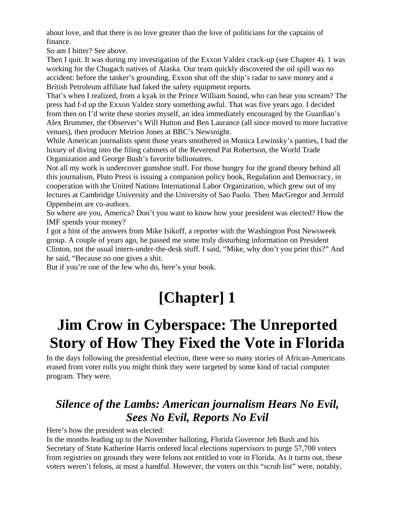about love, and that there is no love greater than the love of politicians for the captains of finance.

So am I bitter? See above.

Then I quit. It was during my investigation of the Exxon Valdez crack-up (see Chapter 4). 1 was working for the Chugach natives of Alaska. Our team quickly discovered the oil spill was no accident: before the tanker's grounding, Exxon shut off the ship's radar to save money and a British Petroleum affiliate had faked the safety equipment reports.

That's when I realized, from a kyak in the Prince William Sound, who can hear you scream? The press had f-d up the Exxon Valdez story something awful. That was five years ago. I decided from then on I'd write these stories myself, an idea immediately encouraged by the Guardian's Alex Brummer, the Observer's Will Hutton and Ben Laurance (all since moved to more lucrative venues), then producer Meirion Jones at BBC's Newsnight.

While American journalists spent those years smothered in Monica Lewinsky's panties, I had the luxury of diving into the filing cabinets of the Reverend Pat Robertson, the World Trade Organization and George Bush's favorite billionaires.

Not all my work is undercover gumshoe stuff. For those hungry for the grand theory behind all this journalism, Pluto Press is issuing a companion policy book, Regulation and Democracy, in cooperation with the United Nations International Labor Organization, which grew out of my lectures at Cambridge University and the University of Sao Paolo. Theo MacGregor and Jerrold Oppenheim are co-authors.

So where are you, America? Don't you want to know how your president was elected? How the IMF spends your money?

I got a hint of the answers from Mike Isikoff, a reporter with the Washington Post Newsweek group. A couple of years ago, he passed me some truly disturbing information on President Clinton, not the usual intern-under-the-desk stuff. I said, "Mike, why don't you print this?" And he said, "Because no one gives a shit.

But if you're one of the few who do, here's your book.

## **[Chapter] 1**

## **Jim Crow in Cyberspace: The Unreported Story of How They Fixed the Vote in Florida**

In the days following the presidential election, there were so many stories of African-Americans erased from voter rolls you might think they were targeted by some kind of racial computer program. They were.

#### *Silence of the Lambs: American journalism Hears No Evil, Sees No Evil, Reports No Evil*

Here's how the president was elected:

In the months leading up to the November balloting, Florida Governor Jeb Bush and his Secretary of State Katherine Harris ordered local elections supervisors to purge 57,700 voters from registries on grounds they were felons not entitled to vote in Florida. As it turns out, these voters weren't felons, at most a handful. However, the voters on this "scrub list" were, notably,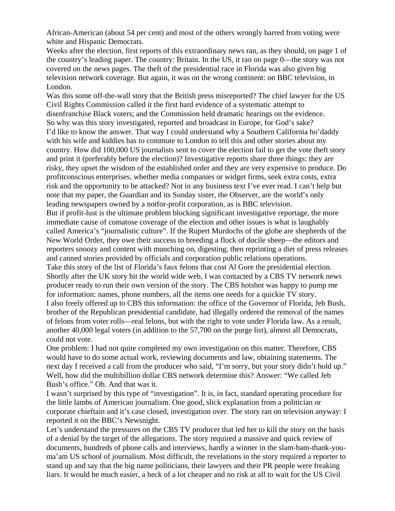African-American (about 54 per cent) and most of the others wrongly barred from voting were white and Hispanic Democrats.

Weeks after the election, first reports of this extraordinary news ran, as they should, on page 1 of the country's leading paper. The country: Britain. In the US, it ran on page 0—the story was not covered on the news pages. The theft of the presidential race in Florida was also given big television network coverage. But again, it was on the wrong continent: on BBC television, in London.

Was this some off-the-wall story that the British press misreported? The chief lawyer for the US Civil Rights Commission called it the first hard evidence of a systematic attempt to disenfranchise Black voters; and the Commission held dramatic hearings on the evidence. So why was this story investigated, reported and broadcast in Europe, for God's sake? I'd like to know the answer. That way I could understand why a Southern California ho'daddy with his wife and kiddies has to commute to London to tell this and other stories about my country. How did 100,000 US journalists sent to cover the election fail to get the vote theft story and print it (preferably before the election)? Investigative reports share three things: they are risky, they upset the wisdom of the established order and they are very expensive to produce. Do profitconscious enterprises, whether media companies or widget firms, seek extra costs, extra risk and the opportunity to be attacked? Not in any business text I've ever read. I can't help but note that my paper, the Guardian and its Sunday sister, the Observer, are the world's only leading newspapers owned by a notfor-profit corporation, as is BBC television.

But if profit-lust is the ultimate problem blocking significant investigative reportage, the more immediate cause of comatose coverage of the election and other issues is what is laughably called America's "journalistic culture". If the Rupert Murdochs of the globe are shepherds of the New World Order, they owe their success to breeding a flock of docile sheep—the editors and reporters snoozy and content with munching on, digesting, then reprinting a diet of press releases and canned stories provided by officials and corporation public relations operations.

Take this story of the list of Florida's faux felons that cost Al Gore the presidential election. Shortly after the UK story hit the world wide web, I was contacted by a CBS TV network news producer ready to run their own version of the story. The CBS hotshot was happy to pump me for information: names, phone numbers, all the items one needs for a quickie TV story. I also freely offered up to CBS this information: the office of the Governor of Florida, Jeb Bush,

brother of the Republican presidential candidate, had illegally ordered the removal of the names of felons from voter rolls—real felons, but with the right to vote under Florida law. As a result, another 40,000 legal voters (in addition to the 57,700 on the purge list), almost all Democrats, could not vote.

One problem: I had not quite completed my own investigation on this matter. Therefore, CBS would have to do some actual work, reviewing documents and law, obtaining statements. The next day I received a call from the producer who said, "I'm sorry, but your story didn't hold up." Well, how did the multibillion dollar CBS network determine this? Answer: "We called Jeb Bush's office." Oh. And that was it.

I wasn't surprised by this type of "investigation". It is, in fact, standard operating procedure for the little lambs of American journalism. One good, slick explanation from a politician or corporate chieftain and it's case closed, investigation over. The story ran on television anyway: I reported it on the BBC's Newsnight.

Let's understand the pressures on the CBS TV producer that led her to kill the story on the basis of a denial by the target of the allegations. The story required a massive and quick review of documents, hundreds of phone calls and interviews, hardly a winner in the slam-bam-thank-youma'am US school of journalism. Most difficult, the revelations in the story required a reporter to stand up and say that the big name politicians, their lawyers and their PR people were freaking liars. It would be much easier, a heck of a lot cheaper and no risk at all to wait for the US Civil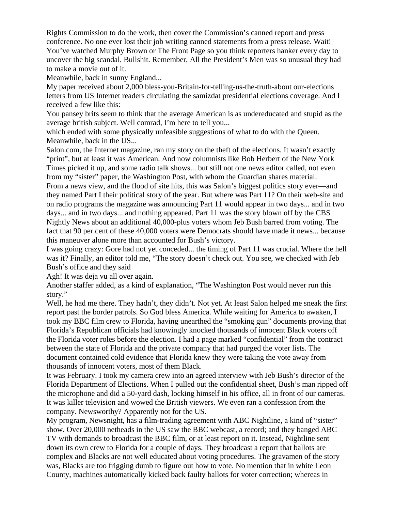Rights Commission to do the work, then cover the Commission's canned report and press conference. No one ever lost their job writing canned statements from a press release. Wait! You've watched Murphy Brown or The Front Page so you think reporters hanker every day to uncover the big scandal. Bullshit. Remember, All the President's Men was so unusual they had to make a movie out of it.

Meanwhile, back in sunny England...

My paper received about 2,000 bless-you-Britain-for-telling-us-the-truth-about our-elections letters from US Internet readers circulating the samizdat presidential elections coverage. And I received a few like this:

You pansey brits seem to think that the average American is as undereducated and stupid as the average british subject. Well comrad, I'm here to tell you...

which ended with some physically unfeasible suggestions of what to do with the Queen. Meanwhile, back in the US...

Salon.com, the Internet magazine, ran my story on the theft of the elections. It wasn't exactly "print", but at least it was American. And now columnists like Bob Herbert of the New York Times picked it up, and some radio talk shows... but still not one news editor called, not even from my "sister" paper, the Washington Post, with whom the Guardian shares material.

From a news view, and the flood of site hits, this was Salon's biggest politics story ever—and they named Part I their political story of the year. But where was Part 11? On their web-site and on radio programs the magazine was announcing Part 11 would appear in two days... and in two days... and in two days... and nothing appeared. Part 11 was the story blown off by the CBS Nightly News about an additional 40,000-plus voters whom Jeb Bush barred from voting. The fact that 90 per cent of these 40,000 voters were Democrats should have made it news... because this maneuver alone more than accounted for Bush's victory.

I was going crazy: Gore had not yet conceded... the timing of Part 11 was crucial. Where the hell was it? Finally, an editor told me, "The story doesn't check out. You see, we checked with Jeb Bush's office and they said

Agh! It was deja vu all over again.

Another staffer added, as a kind of explanation, "The Washington Post would never run this story."

Well, he had me there. They hadn't, they didn't. Not yet. At least Salon helped me sneak the first report past the border patrols. So God bless America. While waiting for America to awaken, I took my BBC film crew to Florida, having unearthed the "smoking gun" documents proving that Florida's Republican officials had knowingly knocked thousands of innocent Black voters off the Florida voter roles before the election. I had a page marked "confidential" from the contract between the state of Florida and the private company that had purged the voter lists. The document contained cold evidence that Florida knew they were taking the vote away from thousands of innocent voters, most of them Black.

It was February. I took my camera crew into an agreed interview with Jeb Bush's director of the Florida Department of Elections. When I pulled out the confidential sheet, Bush's man ripped off the microphone and did a 50-yard dash, locking himself in his office, all in front of our cameras. It was killer television and wowed the British viewers. We even ran a confession from the company. Newsworthy? Apparently not for the US.

My program, Newsnight, has a film-trading agreement with ABC Nightline, a kind of "sister" show. Over 20,000 netheads in the US saw the BBC webcast, a record; and they banged ABC TV with demands to broadcast the BBC film, or at least report on it. Instead, Nightline sent down its own crew to Florida for a couple of days. They broadcast a report that ballots are complex and Blacks are not well educated about voting procedures. The gravamen of the story was, Blacks are too frigging dumb to figure out how to vote. No mention that in white Leon County, machines automatically kicked back faulty ballots for voter correction; whereas in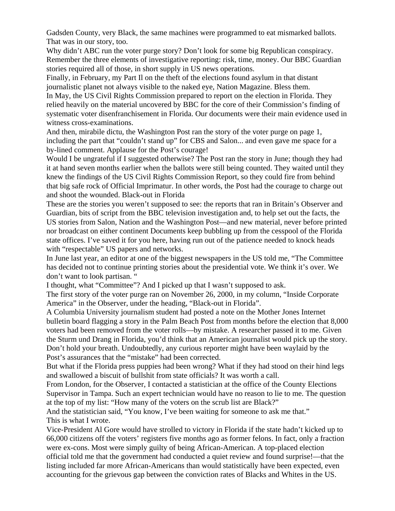Gadsden County, very Black, the same machines were programmed to eat mismarked ballots. That was in our story, too.

Why didn't ABC run the voter purge story? Don't look for some big Republican conspiracy. Remember the three elements of investigative reporting: risk, time, money. Our BBC Guardian stories required all of those, in short supply in US news operations.

Finally, in February, my Part Il on the theft of the elections found asylum in that distant journalistic planet not always visible to the naked eye, Nation Magazine. Bless them.

In May, the US Civil Rights Commission prepared to report on the election in Florida. They relied heavily on the material uncovered by BBC for the core of their Commission's finding of systematic voter disenfranchisement in Florida. Our documents were their main evidence used in witness cross-examinations.

And then, mirabile dictu, the Washington Post ran the story of the voter purge on page 1, including the part that "couldn't stand up" for CBS and Salon... and even gave me space for a by-lined comment. Applause for the Post's courage!

Would I be ungrateful if I suggested otherwise? The Post ran the story in June; though they had it at hand seven months earlier when the ballots were still being counted. They waited until they knew the findings of the US Civil Rights Commission Report, so they could fire from behind that big safe rock of Official Imprimatur. In other words, the Post had the courage to charge out and shoot the wounded. Black-out in Florida

These are the stories you weren't supposed to see: the reports that ran in Britain's Observer and Guardian, bits of script from the BBC television investigation and, to help set out the facts, the US stories from Salon, Nation and the Washington Post—and new material, never before printed nor broadcast on either continent Documents keep bubbling up from the cesspool of the Florida state offices. I've saved it for you here, having run out of the patience needed to knock heads with "respectable" US papers and networks.

In June last year, an editor at one of the biggest newspapers in the US told me, "The Committee has decided not to continue printing stories about the presidential vote. We think it's over. We don't want to look partisan. "

I thought, what "Committee"? And I picked up that I wasn't supposed to ask.

The first story of the voter purge ran on November 26, 2000, in my column, "Inside Corporate America" in the Observer, under the heading, "Black-out in Florida".

A Columbia University journalism student had posted a note on the Mother Jones Internet bulletin board flagging a story in the Palm Beach Post from months before the election that 8,000 voters had been removed from the voter rolls—by mistake. A researcher passed it to me. Given the Sturm und Drang in Florida, you'd think that an American journalist would pick up the story. Don't hold your breath. Undoubtedly, any curious reporter might have been waylaid by the Post's assurances that the "mistake" had been corrected.

But what if the Florida press puppies had been wrong? What if they had stood on their hind legs and swallowed a biscuit of bullshit from state officials? It was worth a call.

From London, for the Observer, I contacted a statistician at the office of the County Elections Supervisor in Tampa. Such an expert technician would have no reason to lie to me. The question at the top of my list: "How many of the voters on the scrub list are Black?"

And the statistician said, "You know, I've been waiting for someone to ask me that." This is what I wrote.

Vice-President Al Gore would have strolled to victory in Florida if the state hadn't kicked up to 66,000 citizens off the voters' registers five months ago as former felons. In fact, only a fraction were ex-cons. Most were simply guilty of being African-American. A top-placed election official told me that the government had conducted a quiet review and found surprise!—that the listing included far more African-Americans than would statistically have been expected, even accounting for the grievous gap between the conviction rates of Blacks and Whites in the US.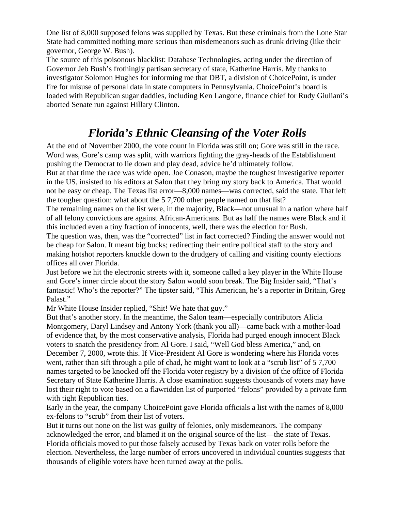One list of 8,000 supposed felons was supplied by Texas. But these criminals from the Lone Star State had committed nothing more serious than misdemeanors such as drunk driving (like their governor, George W. Bush).

The source of this poisonous blacklist: Database Technologies, acting under the direction of Governor Jeb Bush's frothingly partisan secretary of state, Katherine Harris. My thanks to investigator Solomon Hughes for informing me that DBT, a division of ChoicePoint, is under fire for misuse of personal data in state computers in Pennsylvania. ChoicePoint's board is loaded with Republican sugar daddies, including Ken Langone, finance chief for Rudy Giuliani's aborted Senate run against Hillary Clinton.

#### *Florida's Ethnic Cleansing of the Voter Rolls*

At the end of November 2000, the vote count in Florida was still on; Gore was still in the race. Word was, Gore's camp was split, with warriors fighting the gray-heads of the Establishment pushing the Democrat to lie down and play dead, advice he'd ultimately follow.

But at that time the race was wide open. Joe Conason, maybe the toughest investigative reporter in the US, insisted to his editors at Salon that they bring my story back to America. That would not be easy or cheap. The Texas list error—8,000 names—was corrected, said the state. That left the tougher question: what about the 5 7,700 other people named on that list?

The remaining names on the list were, in the majority, Black—not unusual in a nation where half of all felony convictions are against African-Americans. But as half the names were Black and if this included even a tiny fraction of innocents, well, there was the election for Bush.

The question was, then, was the "corrected" list in fact corrected? Finding the answer would not be cheap for Salon. It meant big bucks; redirecting their entire political staff to the story and making hotshot reporters knuckle down to the drudgery of calling and visiting county elections offices all over Florida.

Just before we hit the electronic streets with it, someone called a key player in the White House and Gore's inner circle about the story Salon would soon break. The Big Insider said, "That's fantastic! Who's the reporter?" The tipster said, "This American, he's a reporter in Britain, Greg Palast."

Mr White House Insider replied, "Shit! We hate that guy."

But that's another story. In the meantime, the Salon team—especially contributors Alicia Montgomery, Daryl Lindsey and Antony York (thank you all)—came back with a mother-load of evidence that, by the most conservative analysis, Florida had purged enough innocent Black voters to snatch the presidency from Al Gore. I said, "Well God bless America," and, on December 7, 2000, wrote this. If Vice-President Al Gore is wondering where his Florida votes went, rather than sift through a pile of chad, he might want to look at a "scrub list" of 5 7,700 names targeted to be knocked off the Florida voter registry by a division of the office of Florida Secretary of State Katherine Harris. A close examination suggests thousands of voters may have lost their right to vote based on a flawridden list of purported "felons" provided by a private firm with tight Republican ties.

Early in the year, the company ChoicePoint gave Florida officials a list with the names of 8,000 ex-felons to "scrub" from their list of voters.

But it turns out none on the list was guilty of felonies, only misdemeanors. The company acknowledged the error, and blamed it on the original source of the list—the state of Texas. Florida officials moved to put those falsely accused by Texas back on voter rolls before the election. Nevertheless, the large number of errors uncovered in individual counties suggests that thousands of eligible voters have been turned away at the polls.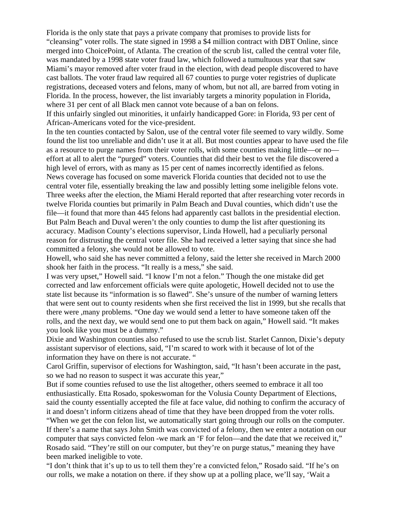Florida is the only state that pays a private company that promises to provide lists for "cleansing" voter rolls. The state signed in 1998 a \$4 million contract with DBT Online, since merged into ChoicePoint, of Atlanta. The creation of the scrub list, called the central voter file, was mandated by a 1998 state voter fraud law, which followed a tumultuous year that saw Miami's mayor removed after voter fraud in the election, with dead people discovered to have cast ballots. The voter fraud law required all 67 counties to purge voter registries of duplicate registrations, deceased voters and felons, many of whom, but not all, are barred from voting in Florida. In the process, however, the list invariably targets a minority population in Florida, where 31 per cent of all Black men cannot vote because of a ban on felons. If this unfairly singled out minorities, it unfairly handicapped Gore: in Florida, 93 per cent of African-Americans voted for the vice-president.

In the ten counties contacted by Salon, use of the central voter file seemed to vary wildly. Some found the list too unreliable and didn't use it at all. But most counties appear to have used the file as a resource to purge names from their voter rolls, with some counties making little—or no effort at all to alert the "purged" voters. Counties that did their best to vet the file discovered a high level of errors, with as many as 15 per cent of names incorrectly identified as felons. News coverage has focused on some maverick Florida counties that decided not to use the central voter file, essentially breaking the law and possibly letting some ineligible felons vote. Three weeks after the election, the Miami Herald reported that after researching voter records in twelve Florida counties but primarily in Palm Beach and Duval counties, which didn't use the file—it found that more than 445 felons had apparently cast ballots in the presidential election. But Palm Beach and Duval weren't the only counties to dump the list after questioning its accuracy. Madison County's elections supervisor, Linda Howell, had a peculiarly personal reason for distrusting the central voter file. She had received a letter saying that since she had committed a felony, she would not be allowed to vote.

Howell, who said she has never committed a felony, said the letter she received in March 2000 shook her faith in the process. "It really is a mess," she said.

I was very upset," Howell said. "I know I'm not a felon." Though the one mistake did get corrected and law enforcement officials were quite apologetic, Howell decided not to use the state list because its "information is so flawed". She's unsure of the number of warning letters that were sent out to county residents when she first received the list in 1999, but she recalls that there were ,many problems. "One day we would send a letter to have someone taken off the rolls, and the next day, we would send one to put them back on again," Howell said. "It makes you look like you must be a dummy."

Dixie and Washington counties also refused to use the scrub list. Starlet Cannon, Dixie's deputy assistant supervisor of elections, said, "I'm scared to work with it because of lot of the information they have on there is not accurate. "

Carol Griffin, supervisor of elections for Washington, said, "It hasn't been accurate in the past, so we had no reason to suspect it was accurate this year,"

But if some counties refused to use the list altogether, others seemed to embrace it all too enthusiastically. Etta Rosado, spokeswoman for the Volusia County Department of Elections, said the county essentially accepted the file at face value, did nothing to confirm the accuracy of it and doesn't inform citizens ahead of time that they have been dropped from the voter rolls.

"When we get the con felon list, we automatically start going through our rolls on the computer. If there's a name that says John Smith was convicted of a felony, then we enter a notation on our computer that says convicted felon -we mark an 'F for felon—and the date that we received it," Rosado said. "They're still on our computer, but they're on purge status," meaning they have been marked ineligible to vote.

"I don't think that it's up to us to tell them they're a convicted felon," Rosado said. "If he's on our rolls, we make a notation on there. if they show up at a polling place, we'll say, 'Wait a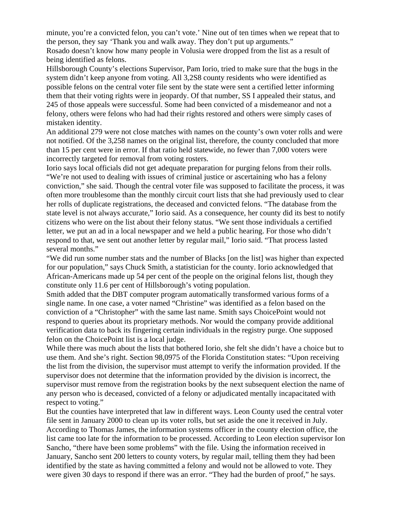minute, you're a convicted felon, you can't vote.' Nine out of ten times when we repeat that to the person, they say 'Thank you and walk away. They don't put up arguments." Rosado doesn't know how many people in Volusia were dropped from the list as a result of

being identified as felons. Hillsborough County's elections Supervisor, Pam Iorio, tried to make sure that the bugs in the system didn't keep anyone from voting. All 3,2S8 county residents who were identified as possible felons on the central voter file sent by the state were sent a certified letter informing them that their voting rights were in jeopardy. Of that number, SS I appealed their status, and

245 of those appeals were successful. Some had been convicted of a misdemeanor and not a felony, others were felons who had had their rights restored and others were simply cases of mistaken identity.

An additional 279 were not close matches with names on the county's own voter rolls and were not notified. Of the 3,258 names on the original list, therefore, the county concluded that more than 15 per cent were in error. If that ratio held statewide, no fewer than 7,000 voters were incorrectly targeted for removal from voting rosters.

Iorio says local officials did not get adequate preparation for purging felons from their rolls. "We're not used to dealing with issues of criminal justice or ascertaining who has a felony conviction," she said. Though the central voter file was supposed to facilitate the process, it was often more troublesome than the monthly circuit court lists that she had previously used to clear her rolls of duplicate registrations, the deceased and convicted felons. "The database from the state level is not always accurate," Iorio said. As a consequence, her county did its best to notify citizens who were on the list about their felony status. "We sent those individuals a certified letter, we put an ad in a local newspaper and we held a public hearing. For those who didn't respond to that, we sent out another letter by regular mail," Iorio said. "That process lasted several months."

"We did run some number stats and the number of Blacks [on the list] was higher than expected for our population," says Chuck Smith, a statistician for the county. Iorio acknowledged that African-Americans made up 54 per cent of the people on the original felons list, though they constitute only 11.6 per cent of Hillsborough's voting population.

Smith added that the DBT computer program automatically transformed various forms of a single name. In one case, a voter named "Christine" was identified as a felon based on the conviction of a "Christopher" with the same last name. Smith says ChoicePoint would not respond to queries about its proprietary methods. Nor would the company provide additional verification data to back its fingering certain individuals in the registry purge. One supposed felon on the ChoicePoint list is a local judge.

While there was much about the lists that bothered Iorio, she felt she didn't have a choice but to use them. And she's right. Section 98,0975 of the Florida Constitution states: "Upon receiving the list from the division, the supervisor must attempt to verify the information provided. If the supervisor does not determine that the information provided by the division is incorrect, the supervisor must remove from the registration books by the next subsequent election the name of any person who is deceased, convicted of a felony or adjudicated mentally incapacitated with respect to voting."

But the counties have interpreted that law in different ways. Leon County used the central voter file sent in January 2000 to clean up its voter rolls, but set aside the one it received in July. According to Thomas James, the information systems officer in the county election office, the list came too late for the information to be processed. According to Leon election supervisor Ion Sancho, "there have been some problems" with the file. Using the information received in January, Sancho sent 200 letters to county voters, by regular mail, telling them they had been identified by the state as having committed a felony and would not be allowed to vote. They were given 30 days to respond if there was an error. "They had the burden of proof," he says.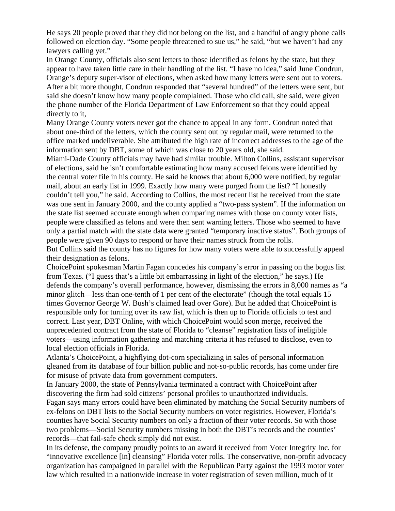He says 20 people proved that they did not belong on the list, and a handful of angry phone calls followed on election day. "Some people threatened to sue us," he said, "but we haven't had any lawyers calling yet."

In Orange County, officials also sent letters to those identified as felons by the state, but they appear to have taken little care in their handling of the list. "I have no idea," said June Condrun, Orange's deputy super-visor of elections, when asked how many letters were sent out to voters. After a bit more thought, Condrun responded that "several hundred" of the letters were sent, but said she doesn't know how many people complained. Those who did call, she said, were given the phone number of the Florida Department of Law Enforcement so that they could appeal directly to it,

Many Orange County voters never got the chance to appeal in any form. Condrun noted that about one-third of the letters, which the county sent out by regular mail, were returned to the office marked undeliverable. She attributed the high rate of incorrect addresses to the age of the information sent by DBT, some of which was close to 20 years old, she said.

Miami-Dade County officials may have had similar trouble. Milton Collins, assistant supervisor of elections, said he isn't comfortable estimating how many accused felons were identified by the central voter file in his county. He said he knows that about 6,000 were notified, by regular mail, about an early list in 1999. Exactly how many were purged from the list? "I honestly couldn't tell you," he said. According to Collins, the most recent list he received from the state was one sent in January 2000, and the county applied a "two-pass system". If the information on the state list seemed accurate enough when comparing names with those on county voter lists, people were classified as felons and were then sent warning letters. Those who seemed to have only a partial match with the state data were granted "temporary inactive status". Both groups of people were given 90 days to respond or have their names struck from the rolls.

But Collins said the county has no figures for how many voters were able to successfully appeal their designation as felons.

ChoicePoint spokesman Martin Fagan concedes his company's error in passing on the bogus list from Texas. ("I guess that's a little bit embarrassing in light of the election," he says.) He defends the company's overall performance, however, dismissing the errors in 8,000 names as "a minor glitch—less than one-tenth of 1 per cent of the electorate" (though the total equals 15 times Governor George W. Bush's claimed lead over Gore). But he added that ChoicePoint is responsible only for turning over its raw list, which is then up to Florida officials to test and correct. Last year, DBT Online, with which ChoicePoint would soon merge, received the unprecedented contract from the state of Florida to "cleanse" registration lists of ineligible voters—using information gathering and matching criteria it has refused to disclose, even to local election officials in Florida.

Atlanta's ChoicePoint, a highflying dot-corn specializing in sales of personal information gleaned from its database of four billion public and not-so-public records, has come under fire for misuse of private data from government computers.

In January 2000, the state of Pennsylvania terminated a contract with ChoicePoint after discovering the firm had sold citizens' personal profiles to unauthorized individuals. Fagan says many errors could have been eliminated by matching the Social Security numbers of ex-felons on DBT lists to the Social Security numbers on voter registries. However, Florida's counties have Social Security numbers on only a fraction of their voter records. So with those two problems—Social Security numbers missing in both the DBT's records and the counties' records—that fail-safe check simply did not exist.

In its defense, the company proudly points to an award it received from Voter Integrity Inc. for "innovative excellence [in] cleansing" Florida voter rolls. The conservative, non-profit advocacy organization has campaigned in parallel with the Republican Party against the 1993 motor voter law which resulted in a nationwide increase in voter registration of seven million, much of it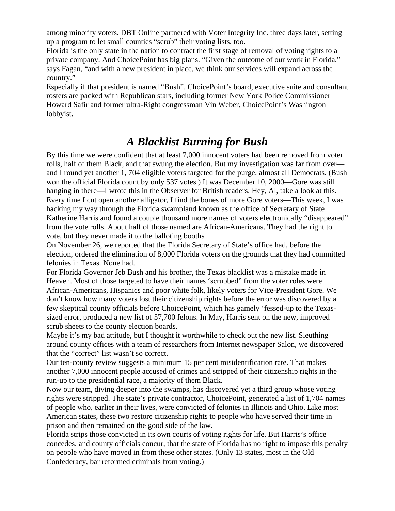among minority voters. DBT Online partnered with Voter Integrity Inc. three days later, setting up a program to let small counties "scrub" their voting lists, too.

Florida is the only state in the nation to contract the first stage of removal of voting rights to a private company. And ChoicePoint has big plans. "Given the outcome of our work in Florida," says Fagan, "and with a new president in place, we think our services will expand across the country."

Especially if that president is named "Bush". ChoicePoint's board, executive suite and consultant rosters are packed with Republican stars, including former New York Police Commissioner Howard Safir and former ultra-Right congressman Vin Weber, ChoicePoint's Washington lobbyist.

#### *A Blacklist Burning for Bush*

By this time we were confident that at least 7,000 innocent voters had been removed from voter rolls, half of them Black, and that swung the election. But my investigation was far from over and I round yet another 1, 704 eligible voters targeted for the purge, almost all Democrats. (Bush won the official Florida count by only 537 votes.) It was December 10, 2000—Gore was still hanging in there—I wrote this in the Observer for British readers. Hey, Al, take a look at this. Every time I cut open another alligator, I find the bones of more Gore voters—This week, I was hacking my way through the Florida swampland known as the office of Secretary of State Katherine Harris and found a couple thousand more names of voters electronically "disappeared" from the vote rolls. About half of those named are African-Americans. They had the right to vote, but they never made it to the balloting booths

On November 26, we reported that the Florida Secretary of State's office had, before the election, ordered the elimination of 8,000 Florida voters on the grounds that they had committed felonies in Texas. None had.

For Florida Governor Jeb Bush and his brother, the Texas blacklist was a mistake made in Heaven. Most of those targeted to have their names 'scrubbed" from the voter roles were African-Americans, Hispanics and poor white folk, likely voters for Vice-President Gore. We don't know how many voters lost their citizenship rights before the error was discovered by a few skeptical county officials before ChoicePoint, which has gamely 'fessed-up to the Texassized error, produced a new list of 57,700 felons. In May, Harris sent on the new, improved scrub sheets to the county election boards.

Maybe it's my bad attitude, but I thought it worthwhile to check out the new list. Sleuthing around county offices with a team of researchers from Internet newspaper Salon, we discovered that the "correct" list wasn't so correct.

Our ten-county review suggests a minimum 15 per cent misidentification rate. That makes another 7,000 innocent people accused of crimes and stripped of their citizenship rights in the run-up to the presidential race, a majority of them Black.

Now our team, diving deeper into the swamps, has discovered yet a third group whose voting rights were stripped. The state's private contractor, ChoicePoint, generated a list of 1,704 names of people who, earlier in their lives, were convicted of felonies in Illinois and Ohio. Like most American states, these two restore citizenship rights to people who have served their time in prison and then remained on the good side of the law.

Florida strips those convicted in its own courts of voting rights for life. But Harris's office concedes, and county officials concur, that the state of Florida has no right to impose this penalty on people who have moved in from these other states. (Only 13 states, most in the Old Confederacy, bar reformed criminals from voting.)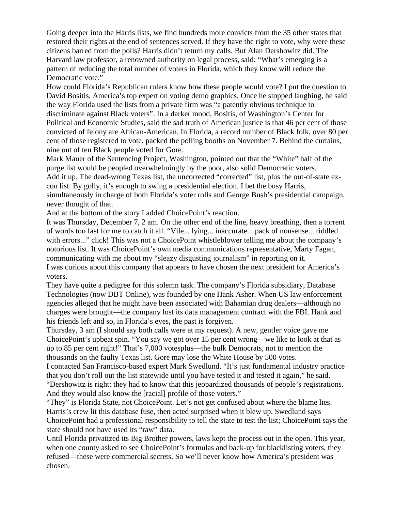Going deeper into the Harris lists, we find hundreds more convicts from the 35 other states that restored their rights at the end of sentences served. If they have the right to vote, why were these citizens barred from the polls? Harris didn't return my calls. But Alan Dershowitz did. The Harvard law professor, a renowned authority on legal process, said: "What's emerging is a pattern of reducing the total number of voters in Florida, which they know will reduce the Democratic vote."

How could Florida's Republican rulers know how these people would vote? I put the question to David Bositis, America's top expert on voting demo graphics. Once he stopped laughing, he said the way Florida used the lists from a private firm was "a patently obvious technique to discriminate against Black voters". In a darker mood, Bositis, of Washington's Center for Political and Economic Studies, said the sad truth of American justice is that 46 per cent of those convicted of felony are African-American. In Florida, a record number of Black folk, over 80 per cent of those registered to vote, packed the polling booths on November 7. Behind the curtains, nine out of ten Black people voted for Gore.

Mark Mauer of the Sentencing Project, Washington, pointed out that the "White" half of the purge list would be peopled overwhelmingly by the poor, also solid Democratic voters. Add it up. The dead-wrong Texas list, the uncorrected "corrected" list, plus the out-of-state excon list. By golly, it's enough to swing a presidential election. I bet the busy Harris, simultaneously in charge of both Florida's voter rolls and George Bush's presidential campaign, never thought of that.

And at the bottom of the story I added ChoicePoint's reaction.

It was Thursday, December 7, 2 am. On the other end of the line, heavy breathing, then a torrent of words too fast for me to catch it all. "Vile... lying... inaccurate... pack of nonsense... riddled with errors..." click! This was not a ChoicePoint whistleblower telling me about the company's notorious list. It was ChoicePoint's own media communications representative, Marty Fagan, communicating with me about my "sleazy disgusting journalism" in reporting on it. I was curious about this company that appears to have chosen the next president for America's voters.

They have quite a pedigree for this solemn task. The company's Florida subsidiary, Database Technologies (now DBT Online), was founded by one Hank Asher. When US law enforcement agencies alleged that he might have been associated with Bahamian drug dealers—although no charges were brought—the company lost its data management contract with the FBI. Hank and his friends left and so, in Florida's eyes, the past is forgiven.

Thursday, 3 am (I should say both calls were at my request). A new, gentler voice gave me ChoicePoint's upbeat spin. "You say we got over 15 per cent wrong—we like to look at that as up to 85 per cent right!" That's 7,000 votesplus—the bulk Democrats, not to mention the thousands on the faulty Texas list. Gore may lose the White House by 500 votes.

I contacted San Francisco-based expert Mark Swedlund. "It's just fundamental industry practice that you don't roll out the list statewide until you have tested it and tested it again," he said. "Dershowitz is right: they had to know that this jeopardized thousands of people's registrations. And they would also know the [racial] profile of those voters."

"They" is Florida State, not ChoicePoint. Let's not get confused about where the blame lies. Harris's crew lit this database fuse, then acted surprised when it blew up. Swedlund says ChoicePoint had a professional responsibility to tell the state to test the list; ChoicePoint says the state should not have used its "raw" data.

Until Florida privatized its Big Brother powers, laws kept the process out in the open. This year, when one county asked to see ChoicePoint's formulas and back-up for blacklisting voters, they refused—these were commercial secrets. So we'll never know how America's president was chosen.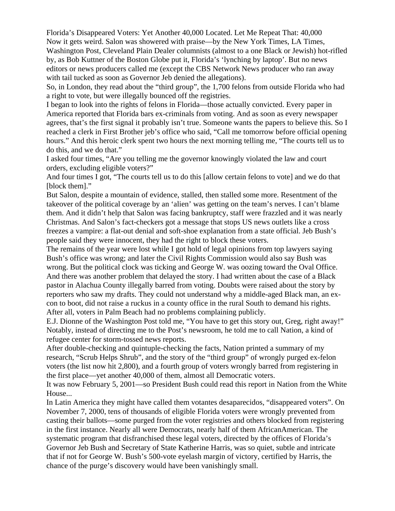Florida's Disappeared Voters: Yet Another 40,000 Located. Let Me Repeat That: 40,000 Now it gets weird. Salon was showered with praise—by the New York Times, LA Times, Washington Post, Cleveland Plain Dealer columnists (almost to a one Black or Jewish) hot-rifled by, as Bob Kuttner of the Boston Globe put it, Florida's 'lynching by laptop'. But no news editors or news producers called me (except the CBS Network News producer who ran away with tail tucked as soon as Governor Jeb denied the allegations).

So, in London, they read about the "third group", the 1,700 felons from outside Florida who had a right to vote, but were illegally bounced off the registries.

I began to look into the rights of felons in Florida—those actually convicted. Every paper in America reported that Florida bars ex-criminals from voting. And as soon as every newspaper agrees, that's the first signal it probably isn't true. Someone wants the papers to believe this. So I reached a clerk in First Brother jeb's office who said, "Call me tomorrow before official opening hours." And this heroic clerk spent two hours the next morning telling me, "The courts tell us to do this, and we do that."

I asked four times, "Are you telling me the governor knowingly violated the law and court orders, excluding eligible voters?"

And four times I got, "The courts tell us to do this [allow certain felons to vote] and we do that [block them]."

But Salon, despite a mountain of evidence, stalled, then stalled some more. Resentment of the takeover of the political coverage by an 'alien' was getting on the team's nerves. I can't blame them. And it didn't help that Salon was facing bankruptcy, staff were frazzled and it was nearly Christmas. And Salon's fact-checkers got a message that stops US news outlets like a cross freezes a vampire: a flat-out denial and soft-shoe explanation from a state official. Jeb Bush's people said they were innocent, they had the right to block these voters.

The remains of the year were lost while I got hold of legal opinions from top lawyers saying Bush's office was wrong; and later the Civil Rights Commission would also say Bush was wrong. But the political clock was ticking and George W. was oozing toward the Oval Office. And there was another problem that delayed the story. I had written about the case of a Black pastor in Alachua County illegally barred from voting. Doubts were raised about the story by reporters who saw my drafts. They could not understand why a middle-aged Black man, an excon to boot, did not raise a ruckus in a county office in the rural South to demand his rights. After all, voters in Palm Beach had no problems complaining publicly.

E.J. Dionne of the Washington Post told me, "You have to get this story out, Greg, right away!" Notably, instead of directing me to the Post's newsroom, he told me to call Nation, a kind of refugee center for storm-tossed news reports.

After double-checking and quintuple-checking the facts, Nation printed a summary of my research, "Scrub Helps Shrub", and the story of the "third group" of wrongly purged ex-felon voters (the list now hit 2,800), and a fourth group of voters wrongly barred from registering in the first place—yet another 40,000 of them, almost all Democratic voters.

It was now February 5, 2001—so President Bush could read this report in Nation from the White House...

In Latin America they might have called them votantes desaparecidos, "disappeared voters". On November 7, 2000, tens of thousands of eligible Florida voters were wrongly prevented from casting their ballots—some purged from the voter registries and others blocked from registering in the first instance. Nearly all were Democrats, nearly half of them AfricanAmerican. The systematic program that disfranchised these legal voters, directed by the offices of Florida's Governor Jeb Bush and Secretary of State Katherine Harris, was so quiet, subtle and intricate that if not for George W. Bush's 500-vote eyelash margin of victory, certified by Harris, the chance of the purge's discovery would have been vanishingly small.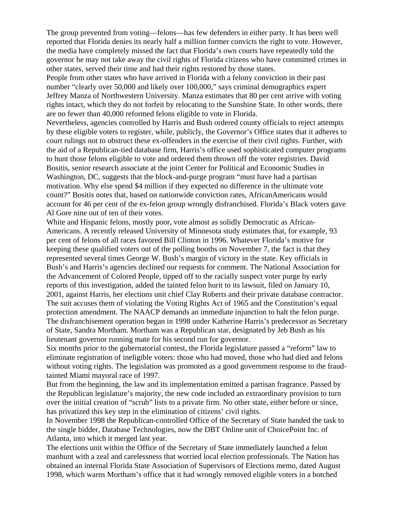The group prevented from voting—felons—has few defenders in either party. It has been well reported that Florida denies its nearly half a million former convicts the right to vote. However, the media have completely missed the fact that Florida's own courts have repeatedly told the governor he may not take away the civil rights of Florida citizens who have committed crimes in other states, served their time and had their rights restored by those states.

People from other states who have arrived in Florida with a felony conviction in their past number "clearly over 50,000 and likely over 100,000," says criminal demographics expert Jeffrey Manza of Northwestern University. Manza estimates that 80 per cent arrive with voting rights intact, which they do not forfeit by relocating to the Sunshine State. In other words, there are no fewer than 40,000 reformed felons eligible to vote in Florida.

Nevertheless, agencies controlled by Harris and Bush ordered county officials to reject attempts by these eligible voters to register, while, publicly, the Governor's Office states that it adheres to court rulings not to obstruct these ex-offenders in the exercise of their civil rights. Further, with the aid of a Republican-tied database firm, Harris's office used sophisticated computer programs to hunt those felons eligible to vote and ordered them thrown off the voter registries. David Bositis, senior research associate at the joint Center for Political and Economic Studies in Washington, DC, suggests that the block-and-purge program "must have had a partisan motivation. Why else spend \$4 million if they expected no difference in the ultimate vote count?" Bositis notes that, based on nationwide conviction rates, AfricanAmericans would account for 46 per cent of the ex-felon group wrongly disfranchised. Florida's Black voters gave Al Gore nine out of ten of their votes.

White and Hispanic felons, mostly poor, vote almost as solidly Democratic as African-Americans. A recently released University of Minnesota study estimates that, for example, 93 per cent of felons of all races favored Bill Clinton in 1996. Whatever Florida's motive for keeping these qualified voters out of the polling booths on November 7, the fact is that they represented several times George W. Bush's margin of victory in the state. Key officials in Bush's and Harris's agencies declined our requests for comment. The National Association for the Advancement of Colored People, tipped off to the racially suspect voter purge by early reports of this investigation, added the tainted felon hurit to its lawsuit, filed on January 10, 2001, against Harris, her elections unit chief Clay Roberts and their private database contractor. The suit accuses them of violating the Voting Rights Act of 1965 and the Constitution's equal protection amendment. The NAACP demands an immediate injunction to halt the felon purge. The disfranchisement operation began in 1998 under Katherine Harris's predecessor as Secretary of State, Sandra Mortham. Mortham was a Republican star, designated by Jeb Bush as his lieutenant governor running mate for his second run for governor.

Six months prior to the gubernatorial contest, the Florida legislature passed a "reform" law to eliminate registration of ineligible voters: those who had moved, those who had died and felons without voting rights. The legislation was promoted as a good government response to the fraudtainted Miami mayoral race of 1997.

But from the beginning, the law and its implementation emitted a partisan fragrance. Passed by the Republican legislature's majority, the new code included an extraordinary provision to turn over the initial creation of "scrub" lists to a private firm. No other state, either before or since, has privatized this key step in the elimination of citizens' civil rights.

In November 1998 the Republican-controlled Office of the Secretary of State handed the task to the single bidder, Database Technologies, now the DBT Online unit of ChoicePoint Inc. of Atlanta, into which it merged last year.

The elections unit within the Office of the Secretary of State immediately launched a felon manhunt with a zeal and carelessness that worried local election professionals. The Nation has obtained an internal Florida State Association of Supervisors of Elections memo, dated August 1998, which warns Mortham's office that it had wrongly removed eligible voters in a botched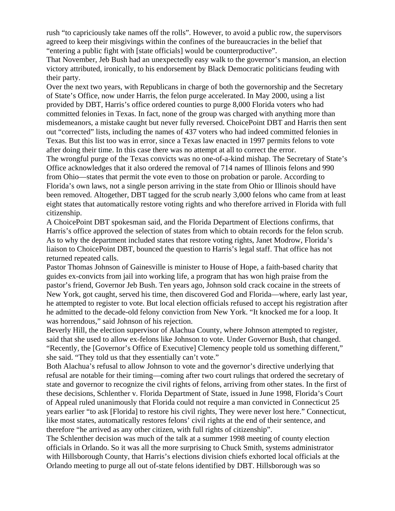rush "to capriciously take names off the rolls". However, to avoid a public row, the supervisors agreed to keep their misgivings within the confines of the bureaucracies in the belief that "entering a public fight with [state officials] would be counterproductive".

That November, Jeb Bush had an unexpectedly easy walk to the governor's mansion, an election victory attributed, ironically, to his endorsement by Black Democratic politicians feuding with their party.

Over the next two years, with Republicans in charge of both the governorship and the Secretary of State's Office, now under Harris, the felon purge accelerated. In May 2000, using a list provided by DBT, Harris's office ordered counties to purge 8,000 Florida voters who had committed felonies in Texas. In fact, none of the group was charged with anything more than misdemeanors, a mistake caught but never fully reversed. ChoicePoint DBT and Harris then sent out "corrected" lists, including the names of 437 voters who had indeed committed felonies in Texas. But this list too was in error, since a Texas law enacted in 1997 permits felons to vote after doing their time. In this case there was no attempt at all to correct the error.

The wrongful purge of the Texas convicts was no one-of-a-kind mishap. The Secretary of State's Office acknowledges that it also ordered the removal of 714 names of Illinois felons and 990 from Ohio—states that permit the vote even to those on probation or parole. According to Florida's own laws, not a single person arriving in the state from Ohio or Illinois should have been removed. Altogether, DBT tagged for the scrub nearly 3,000 felons who came from at least eight states that automatically restore voting rights and who therefore arrived in Florida with full citizenship.

A ChoicePoint DBT spokesman said, and the Florida Department of Elections confirms, that Harris's office approved the selection of states from which to obtain records for the felon scrub. As to why the department included states that restore voting rights, Janet Modrow, Florida's liaison to ChoicePoint DBT, bounced the question to Harris's legal staff. That office has not returned repeated calls.

Pastor Thomas Johnson of Gainesville is minister to House of Hope, a faith-based charity that guides ex-convicts from jail into working life, a program that has won high praise from the pastor's friend, Governor Jeb Bush. Ten years ago, Johnson sold crack cocaine in the streets of New York, got caught, served his time, then discovered God and Florida—where, early last year, he attempted to register to vote. But local election officials refused to accept his registration after he admitted to the decade-old felony conviction from New York. "It knocked me for a loop. It was horrendous," said Johnson of his rejection.

Beverly Hill, the election supervisor of Alachua County, where Johnson attempted to register, said that she used to allow ex-felons like Johnson to vote. Under Governor Bush, that changed. "Recently, the [Governor's Office of Executive] Clemency people told us something different," she said. "They told us that they essentially can't vote."

Both Alachua's refusal to allow Johnson to vote and the governor's directive underlying that refusal are notable for their timing—coming after two court rulings that ordered the secretary of state and governor to recognize the civil rights of felons, arriving from other states. In the first of these decisions, Schlenther v. Florida Department of State, issued in June 1998, Florida's Court of Appeal ruled unanimously that Florida could not require a man convicted in Connecticut 25 years earlier "to ask [Florida] to restore his civil rights, They were never lost here." Connecticut, like most states, automatically restores felons' civil rights at the end of their sentence, and therefore "he arrived as any other citizen, with full rights of citizenship".

The Schlenther decision was much of the talk at a summer 1998 meeting of county election officials in Orlando. So it was all the more surprising to Chuck Smith, systems administrator with Hillsborough County, that Harris's elections division chiefs exhorted local officials at the Orlando meeting to purge all out of-state felons identified by DBT. Hillsborough was so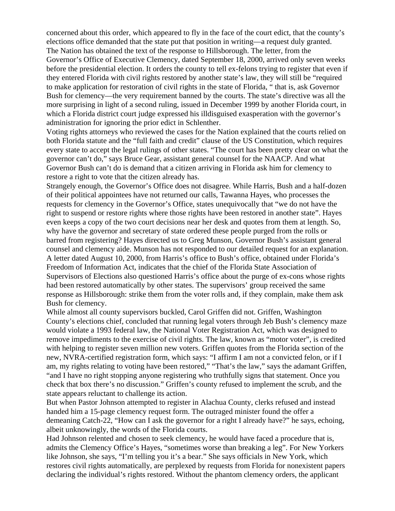concerned about this order, which appeared to fly in the face of the court edict, that the county's elections office demanded that the state put that position in writing—a request duly granted. The Nation has obtained the text of the response to Hillsborough. The letter, from the Governor's Office of Executive Clemency, dated September 18, 2000, arrived only seven weeks before the presidential election. It orders the county to tell ex-felons trying to register that even if they entered Florida with civil rights restored by another state's law, they will still be "required to make application for restoration of civil rights in the state of Florida, " that is, ask Governor Bush for clemency—the very requirement banned by the courts. The state's directive was all the more surprising in light of a second ruling, issued in December 1999 by another Florida court, in which a Florida district court judge expressed his illdisguised exasperation with the governor's administration for ignoring the prior edict in Schlenther.

Voting rights attorneys who reviewed the cases for the Nation explained that the courts relied on both Florida statute and the "full faith and credit" clause of the US Constitution, which requires every state to accept the legal rulings of other states. "The court has been pretty clear on what the governor can't do," says Bruce Gear, assistant general counsel for the NAACP. And what Governor Bush can't do is demand that a citizen arriving in Florida ask him for clemency to restore a right to vote that the citizen already has.

Strangely enough, the Governor's Office does not disagree. While Harris, Bush and a half-dozen of their political appointees have not returned our calls, Tawanna Hayes, who processes the requests for clemency in the Governor's Office, states unequivocally that "we do not have the right to suspend or restore rights where those rights have been restored in another state". Hayes even keeps a copy of the two court decisions near her desk and quotes from them at length. So, why have the governor and secretary of state ordered these people purged from the rolls or barred from registering? Hayes directed us to Greg Munson, Governor Bush's assistant general counsel and clemency aide. Munson has not responded to our detailed request for an explanation. A letter dated August 10, 2000, from Harris's office to Bush's office, obtained under Florida's Freedom of Information Act, indicates that the chief of the Florida State Association of Supervisors of Elections also questioned Harris's office about the purge of ex-cons whose rights had been restored automatically by other states. The supervisors' group received the same response as Hillsborough: strike them from the voter rolls and, if they complain, make them ask Bush for clemency.

While almost all county supervisors buckled, Carol Griffen did not. Griffen, Washington County's elections chief, concluded that running legal voters through Jeb Bush's clemency maze would violate a 1993 federal law, the National Voter Registration Act, which was designed to remove impediments to the exercise of civil rights. The law, known as "motor voter", is credited with helping to register seven million new voters. Griffen quotes from the Florida section of the new, NVRA-certified registration form, which says: "I affirm I am not a convicted felon, or if I am, my rights relating to voting have been restored," "That's the law," says the adamant Griffen, "and I have no right stopping anyone registering who truthfully signs that statement. Once you check that box there's no discussion." Griffen's county refused to implement the scrub, and the state appears reluctant to challenge its action.

But when Pastor Johnson attempted to register in Alachua County, clerks refused and instead handed him a 15-page clemency request form. The outraged minister found the offer a demeaning Catch-22, "How can I ask the governor for a right I already have?" he says, echoing, albeit unknowingly, the words of the Florida courts.

Had Johnson relented and chosen to seek clemency, he would have faced a procedure that is, admits the Clemency Office's Hayes, "sometimes worse than breaking a leg". For New Yorkers like Johnson, she says, "I'm telling you it's a bear." She says officials in New York, which restores civil rights automatically, are perplexed by requests from Florida for nonexistent papers declaring the individual's rights restored. Without the phantom clemency orders, the applicant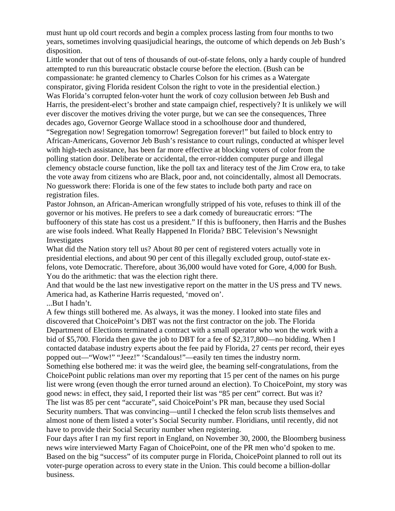must hunt up old court records and begin a complex process lasting from four months to two years, sometimes involving quasijudicial hearings, the outcome of which depends on Jeb Bush's disposition.

Little wonder that out of tens of thousands of out-of-state felons, only a hardy couple of hundred attempted to run this bureaucratic obstacle course before the election. (Bush can be compassionate: he granted clemency to Charles Colson for his crimes as a Watergate conspirator, giving Florida resident Colson the right to vote in the presidential election.) Was Florida's corrupted felon-voter hunt the work of cozy collusion between Jeb Bush and Harris, the president-elect's brother and state campaign chief, respectively? It is unlikely we will ever discover the motives driving the voter purge, but we can see the consequences, Three decades ago, Governor George Wallace stood in a schoolhouse door and thundered, "Segregation now! Segregation tomorrow! Segregation forever!" but failed to block entry to African-Americans, Governor Jeb Bush's resistance to court rulings, conducted at whisper level with high-tech assistance, has been far more effective at blocking voters of color from the polling station door. Deliberate or accidental, the error-ridden computer purge and illegal clemency obstacle course function, like the poll tax and literacy test of the Jim Crow era, to take the vote away from citizens who are Black, poor and, not coincidentally, almost all Democrats. No guesswork there: Florida is one of the few states to include both party and race on registration files.

Pastor Johnson, an African-American wrongfully stripped of his vote, refuses to think ill of the governor or his motives. He prefers to see a dark comedy of bureaucratic errors: "The buffoonery of this state has cost us a president." If this is buffoonery, then Harris and the Bushes are wise fools indeed. What Really Happened In Florida? BBC Television's Newsnight Investigates

What did the Nation story tell us? About 80 per cent of registered voters actually vote in presidential elections, and about 90 per cent of this illegally excluded group, outof-state exfelons, vote Democratic. Therefore, about 36,000 would have voted for Gore, 4,000 for Bush. You do the arithmetic: that was the election right there.

And that would be the last new investigative report on the matter in the US press and TV news. America had, as Katherine Harris requested, 'moved on'.

...But I hadn't.

A few things still bothered me. As always, it was the money. I looked into state files and discovered that ChoicePoint's DBT was not the first contractor on the job. The Florida Department of Elections terminated a contract with a small operator who won the work with a bid of \$5,700. Florida then gave the job to DBT for a fee of \$2,317,800—no bidding. When I contacted database industry experts about the fee paid by Florida, 27 cents per record, their eyes popped out—"Wow!" "Jeez!" 'Scandalous!"—easily ten times the industry norm.

Something else bothered me: it was the weird glee, the beaming self-congratulations, from the ChoicePoint public relations man over my reporting that 15 per cent of the names on his purge list were wrong (even though the error turned around an election). To ChoicePoint, my story was good news: in effect, they said, I reported their list was "85 per cent" correct. But was it? The list was 85 per cent "accurate", said ChoicePoint's PR man, because they used Social Security numbers. That was convincing—until I checked the felon scrub lists themselves and almost none of them listed a voter's Social Security number. Floridians, until recently, did not have to provide their Social Security number when registering.

Four days after I ran my first report in England, on November 30, 2000, the Bloomberg business news wire interviewed Marty Fagan of ChoicePoint, one of the PR men who'd spoken to me. Based on the big "success" of its computer purge in Florida, ChoicePoint planned to roll out its voter-purge operation across to every state in the Union. This could become a billion-dollar business.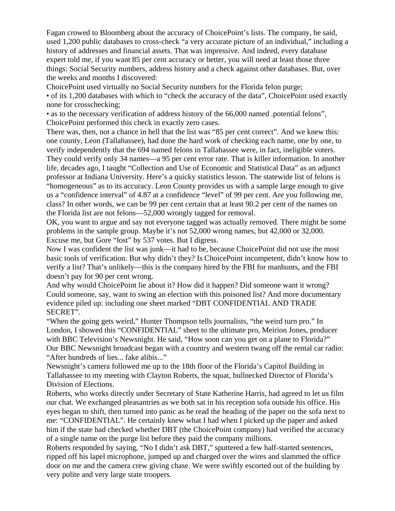Fagan crowed to Bloomberg about the accuracy of ChoicePoint's lists. The company, he said, used 1,200 public databases to cross-check "a very accurate picture of an individual," including a history of addresses and financial assets. That was impressive. And indeed, every database expert told me, if you want 85 per cent accuracy or better, you will need at least those three things: Social Security numbers, address history and a check against other databases. But, over the weeks and months I discovered:

ChoicePoint used virtually no Social Security numbers for the Florida felon purge; • of its 1,200 databases with which to "check the accuracy of the data", ChoicePoint used exactly none for crosschecking;

• as to the necessary verification of address history of the 66,000 named .potential felons", ChoicePoint performed this check in exactly zero cases.

There was, then, not a chance in hell that the list was "85 per cent correct". And we knew this: one county, Leon (Tallahassee), had done the hard work of checking each name, one by one, to verify independently that the 694 named felons in Tallahassee were, in fact, ineligible voters. They could verify only 34 names—a 95 per cent error rate. That is killer information. In another life, decades ago, I taught "Collection and Use of Economic and Statistical Data" as an adjunct professor at Indiana University. Here's a quicky statistics lesson. The statewide list of felons is "homogeneous" as to its accuracy. Leon County provides us with a sample large enough to give us a "confidence interval" of 4.87 at a confidence "level" of 99 per cent. Are you following me, class? In other words, we can be 99 per cent certain that at least 90.2 per cent of the names on the Florida list are not felons—52,000 wrongly tagged for removal.

OK, you want to argue and say not everyone tagged was actually removed. There might be some problems in the sample group. Maybe it's not 52,000 wrong names, but 42,000 or 32,000. Excuse me, but Gore "lost" by 537 votes. But I digress.

Now I was confident the list was junk—it had to be, because ChoicePoint did not use the most basic tools of verification. But why didn't they? Is ChoicePoint incompetent, didn't know how to verify a list? That's unlikely—this is the company hired by the FBI for manhunts, and the FBI doesn't pay for 90 per cent wrong.

And why would ChoicePoint lie about it? How did it happen? Did someone want it wrong? Could someone, say, want to swing an election with this poisoned list? And more documentary evidence piled up: including one sheet marked "DBT CONFIDENTIAL AND TRADE SECRET".

"When the going gets weird," Hunter Thompson tells journalists, "the weird turn pro." In London, I showed this "CONFIDENTIAL" sheet to the ultimate pro, Meirion Jones, producer with BBC Television's Newsnight. He said, "How soon can you get on a plane to Florida?" Our BBC Newsnight broadcast began with a country and western twang off the rental car radio: "After hundreds of lies... fake alibis..."

Newsnight's camera followed me up to the 18th floor of the Florida's Capitol Building in Tallahassee to my meeting with Clayton Roberts, the squat, bullnecked Director of Florida's Division of Elections.

Roberts, who works directly under Secretary of State Katherine Harris, had agreed to let us film our chat. We exchanged pleasantries as we both sat in his reception sofa outside his office. His eyes began to shift, then turned into panic as he read the heading of the paper on the sofa next to me: "CONFIDENTIAL". He certainly knew what I had when I picked up the paper and asked him if the state had checked whether DBT (the ChoicePoint company) had verified the accuracy of a single name on the purge list before they paid the company millions.

Roberts responded by saying, "No I didn't ask DBT," sputtered a few half-started sentences, ripped off his lapel microphone, jumped up and charged over the wires and slammed the office door on me and the camera crew giving chase. We were swiftly escorted out of the building by very polite and very large state troopers.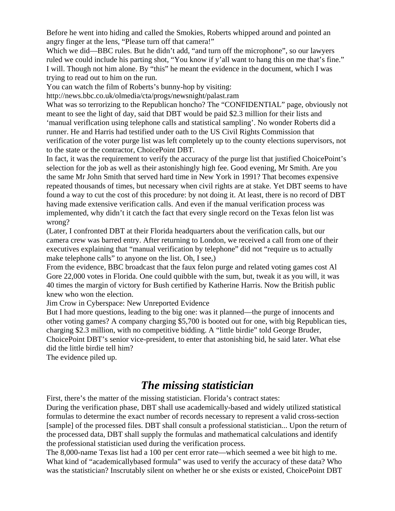Before he went into hiding and called the Smokies, Roberts whipped around and pointed an angry finger at the lens, "Please turn off that camera!"

Which we did—BBC rules. But he didn't add, "and turn off the microphone", so our lawyers ruled we could include his parting shot, "You know if y'all want to hang this on me that's fine." I will. Though not him alone. By "this" he meant the evidence in the document, which I was trying to read out to him on the run.

You can watch the film of Roberts's bunny-hop by visiting:

http://news.bbc.co.uk/olmedia/cta/progs/newsnight/palast.ram

What was so terrorizing to the Republican honcho? The "CONFIDENTIAL" page, obviously not meant to see the light of day, said that DBT would be paid \$2.3 million for their lists and 'manual veriflcation using telephone calls and statistical sampling'. No wonder Roberts did a runner. He and Harris had testified under oath to the US Civil Rights Commission that verification of the voter purge list was left completely up to the county elections supervisors, not to the state or the contractor, ChoicePoint DBT.

In fact, it was the requirement to verify the accuracy of the purge list that justified ChoicePoint's selection for the job as well as their astonishingly high fee. Good evening, Mr Smith. Are you the same Mr John Smith that served hard time in New York in 1991? That becomes expensive repeated thousands of times, but necessary when civil rights are at stake. Yet DBT seems to have found a way to cut the cost of this procedure: by not doing it. At least, there is no record of DBT having made extensive verification calls. And even if the manual verification process was implemented, why didn't it catch the fact that every single record on the Texas felon list was wrong?

(Later, I confronted DBT at their Florida headquarters about the verification calls, but our camera crew was barred entry. After returning to London, we received a call from one of their executives explaining that "manual verification by telephone" did not "require us to actually make telephone calls" to anyone on the list. Oh, I see,)

From the evidence, BBC broadcast that the faux felon purge and related voting games cost Al Gore 22,000 votes in Florida. One could quibble with the sum, but, tweak it as you will, it was 40 times the margin of victory for Bush certified by Katherine Harris. Now the British public knew who won the election.

Jim Crow in Cyberspace: New Unreported Evidence

But I had more questions, leading to the big one: was it planned—the purge of innocents and other voting games? A company charging \$5,700 is booted out for one, with big Republican ties, charging \$2.3 million, with no competitive bidding. A "little birdie" told George Bruder, ChoicePoint DBT's senior vice-president, to enter that astonishing bid, he said later. What else did the little birdie tell him?

The evidence piled up.

#### *The missing statistician*

First, there's the matter of the missing statistician. Florida's contract states:

During the verification phase, DBT shall use academically-based and widely utilized statistical formulas to determine the exact number of records necessary to represent a valid cross-section [sample] of the processed files. DBT shall consult a professional statistician... Upon the return of the processed data, DBT shall supply the formulas and mathematical calculations and identify the professional statistician used during the verification process.

The 8,000-name Texas list had a 100 per cent error rate—which seemed a wee bit high to me. What kind of "academicallybased formula" was used to verify the accuracy of these data? Who was the statistician? Inscrutably silent on whether he or she exists or existed, ChoicePoint DBT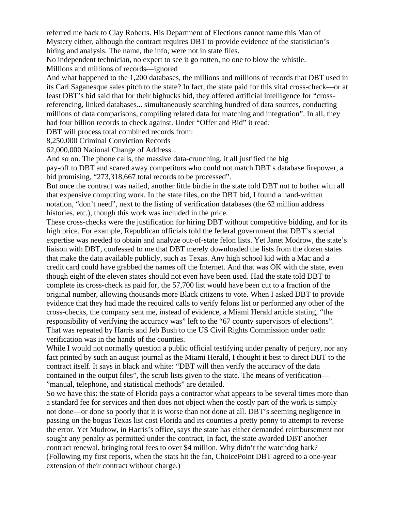referred me back to Clay Roberts. His Department of Elections cannot name this Man of Mystery either, although the contract requires DBT to provide evidence of the statistician's hiring and analysis. The name, the info, were not in state files.

No independent technician, no expert to see it go rotten, no one to blow the whistle. Millions and millions of records—ignored

And what happened to the 1,200 databases, the millions and millions of records that DBT used in its Carl Saganesque sales pitch to the state? In fact, the state paid for this vital cross-check—or at least DBT's bid said that for their bigbucks bid, they offered artificial intelligence for "crossreferencing, linked databases... simultaneously searching hundred of data sources, conducting millions of data comparisons, compiling related data for matching and integration". In all, they had four billion records to check against. Under "Offer and Bid" it read:

DBT will process total combined records from:

8,250,000 Criminal Conviction Records

62,000,000 National Change of Address...

And so on. The phone calls, the massive data-crunching, it all justified the big

pay-off to DBT and scared away competitors who could not match DBT s database firepower, a bid promising, "273,318,667 total records to be processed".

But once the contract was nailed, another little birdie in the state told DBT not to bother with all that expensive computing work. In the state files, on the DBT bid, I found a hand-written notation, "don't need", next to the listing of verification databases (the 62 million address histories, etc.), though this work was included in the price.

These cross-checks were the justification for hiring DBT without competitive bidding, and for its high price. For example, Republican officials told the federal government that DBT's special expertise was needed to obtain and analyze out-of-state felon lists. Yet Janet Modrow, the state's liaison with DBT, confessed to me that DBT merely downloaded the lists from the dozen states that make the data available publicly, such as Texas. Any high school kid with a Mac and a credit card could have grabbed the names off the Internet. And that was OK with the state, even though eight of the eleven states should not even have been used. Had the state told DBT to complete its cross-check as paid for, the 57,700 list would have been cut to a fraction of the original number, allowing thousands more Black citizens to vote. When I asked DBT to provide evidence that they had made the required calls to verify felons list or performed any other of the cross-checks, the company sent me, instead of evidence, a Miami Herald article stating, "the responsibility of verifying the accuracy was" left to the "67 county supervisors of elections". That was repeated by Harris and Jeb Bush to the US Civil Rights Commission under oath: verification was in the hands of the counties.

While I would not normally question a public official testifying under penalty of perjury, nor any fact printed by such an august journal as the Miami Herald, I thought it best to direct DBT to the contract itself. It says in black and white: "DBT will then verify the accuracy of the data contained in the output files", the scrub lists given to the state. The means of verification— "manual, telephone, and statistical methods" are detailed.

So we have this: the state of Florida pays a contractor what appears to be several times more than a standard fee for services and then does not object when the costly part of the work is simply not done—or done so poorly that it is worse than not done at all. DBT's seeming negligence in passing on the bogus Texas list cost Florida and its counties a pretty penny to attempt to reverse the error. Yet Mudrow, in Harris's office, says the state has either demanded reimbursement nor sought any penalty as permitted under the contract, In fact, the state awarded DBT another contract renewal, bringing total fees to over \$4 million. Why didn't the watchdog bark? (Following my first reports, when the stats hit the fan, ChoicePoint DBT agreed to a one-year extension of their contract without charge.)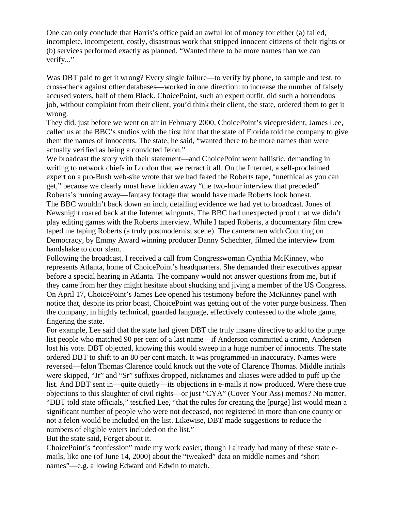One can only conclude that Harris's office paid an awful lot of money for either (a) failed, incomplete, incompetent, costly, disastrous work that stripped innocent citizens of their rights or (b) services performed exactly as planned. "Wanted there to be more names than we can verify..."

Was DBT paid to get it wrong? Every single failure—to verify by phone, to sample and test, to cross-check against other databases—worked in one direction: to increase the number of falsely accused voters, half of them Black. ChoicePoint, such an expert outfit, did such a horrendous job, without complaint from their client, you'd think their client, the state, ordered them to get it wrong.

They did. just before we went on air in February 2000, ChoicePoint's vicepresident, James Lee, called us at the BBC's studios with the first hint that the state of Florida told the company to give them the names of innocents. The state, he said, "wanted there to be more names than were actually verified as being a convicted felon."

We broadcast the story with their statement—and ChoicePoint went ballistic, demanding in writing to network chiefs in London that we retract it all. On the Internet, a self-proclaimed expert on a pro-Bush web-site wrote that we had faked the Roberts tape, "unethical as you can get," because we clearly must have hidden away "the two-hour interview that preceded" Roberts's running away—fantasy footage that would have made Roberts look honest. The BBC wouldn't back down an inch, detailing evidence we had yet to broadcast. Jones of Newsnight roared back at the Internet wingnuts. The BBC had unexpected proof that we didn't play editing games with the Roberts interview. While I taped Roberts, a documentary film crew taped me taping Roberts (a truly postmodernist scene). The cameramen with Counting on Democracy, by Emmy Award winning producer Danny Schechter, filmed the interview from handshake to door slam.

Following the broadcast, I received a call from Congresswoman Cynthia McKinney, who represents Atlanta, home of ChoicePoint's headquarters. She demanded their executives appear before a special hearing in Atlanta. The company would not answer questions from me, but if they came from her they might hesitate about shucking and jiving a member of the US Congress. On April 17, ChoicePoint's James Lee opened his testimony before the McKinney panel with notice that, despite its prior boast, ChoicePoint was getting out of the voter purge business. Then the company, in highly technical, guarded language, effectively confessed to the whole game, fingering the state.

For example, Lee said that the state had given DBT the truly insane directive to add to the purge list people who matched 90 per cent of a last name—if Anderson committed a crime, Andersen lost his vote. DBT objected, knowing this would sweep in a huge number of innocents. The state ordered DBT to shift to an 80 per cent match. It was programmed-in inaccuracy. Names were reversed—felon Thomas Clarence could knock out the vote of Clarence Thomas. Middle initials were skipped, "Jr" and "Sr" suffixes dropped, nicknames and aliases were added to puff up the list. And DBT sent in—quite quietly—its objections in e-mails it now produced. Were these true objections to this slaughter of civil rights—or just "CYA" (Cover Your Ass) memos? No matter. "DBT told state officials," testified Lee, "that the rules for creating the [purge] list would mean a significant number of people who were not deceased, not registered in more than one county or not a felon would be included on the list. Likewise, DBT made suggestions to reduce the numbers of eligible voters included on the list."

But the state said, Forget about it.

ChoicePoint's "confession" made my work easier, though I already had many of these state emails, like one (of June 14, 2000) about the "tweaked" data on middle names and "short names"—e.g. allowing Edward and Edwin to match.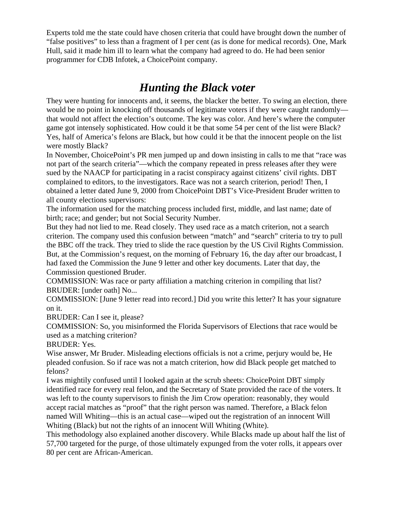Experts told me the state could have chosen criteria that could have brought down the number of "false positives" to less than a fragment of I per cent (as is done for medical records). One, Mark Hull, said it made him ill to learn what the company had agreed to do. He had been senior programmer for CDB Infotek, a ChoicePoint company.

#### *Hunting the Black voter*

They were hunting for innocents and, it seems, the blacker the better. To swing an election, there would be no point in knocking off thousands of legitimate voters if they were caught randomly that would not affect the election's outcome. The key was color. And here's where the computer game got intensely sophisticated. How could it be that some 54 per cent of the list were Black? Yes, half of America's felons are Black, but how could it be that the innocent people on the list were mostly Black?

In November, ChoicePoint's PR men jumped up and down insisting in calls to me that "race was not part of the search criteria"—which the company repeated in press releases after they were sued by the NAACP for participating in a racist conspiracy against citizens' civil rights. DBT complained to editors, to the investigators. Race was not a search criterion, period! Then, I obtained a letter dated June 9, 2000 from ChoicePoint DBT's Vice-President Bruder written to all county elections supervisors:

The information used for the matching process included first, middle, and last name; date of birth; race; and gender; but not Social Security Number.

But they had not lied to me. Read closely. They used race as a match criterion, not a search criterion. The company used this confusion between "match" and "search" criteria to try to pull the BBC off the track. They tried to slide the race question by the US Civil Rights Commission. But, at the Commission's request, on the morning of February 16, the day after our broadcast, I had faxed the Commission the June 9 letter and other key documents. Later that day, the Commission questioned Bruder.

COMMISSION: Was race or party affiliation a matching criterion in compiling that list? BRUDER: [under oath] No...

COMMISSION: [June 9 letter read into record.] Did you write this letter? It has your signature on it.

BRUDER: Can I see it, please?

COMMISSION: So, you misinformed the Florida Supervisors of Elections that race would be used as a matching criterion?

BRUDER: Yes.

Wise answer, Mr Bruder. Misleading elections officials is not a crime, perjury would be, He pleaded confusion. So if race was not a match criterion, how did Black people get matched to felons?

I was mightily confused until I looked again at the scrub sheets: ChoicePoint DBT simply identified race for every real felon, and the Secretary of State provided the race of the voters. It was left to the county supervisors to finish the Jim Crow operation: reasonably, they would accept racial matches as "proof" that the right person was named. Therefore, a Black felon named Will Whiting—this is an actual case—wiped out the registration of an innocent Will Whiting (Black) but not the rights of an innocent Will Whiting (White).

This methodology also explained another discovery. While Blacks made up about half the list of 57,700 targeted for the purge, of those ultimately expunged from the voter rolls, it appears over 80 per cent are African-American.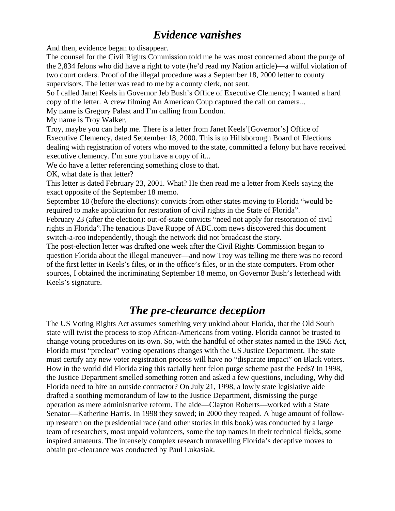#### *Evidence vanishes*

And then, evidence began to disappear.

The counsel for the Civil Rights Commission told me he was most concerned about the purge of the 2,834 felons who did have a right to vote (he'd read my Nation article)—a wilful violation of two court orders. Proof of the illegal procedure was a September 18, 2000 letter to county supervisors. The letter was read to me by a county clerk, not sent.

So I called Janet Keels in Governor Jeb Bush's Office of Executive Clemency; I wanted a hard copy of the letter. A crew filming An American Coup captured the call on camera...

My name is Gregory Palast and I'm calling from London.

My name is Troy Walker.

Troy, maybe you can help me. There is a letter from Janet Keels'[Governor's] Office of Executive Clemency, dated September 18, 2000. This is to Hillsborough Board of Elections dealing with registration of voters who moved to the state, committed a felony but have received executive clemency. I'm sure you have a copy of it...

We do have a letter referencing something close to that.

OK, what date is that letter?

This letter is dated February 23, 2001. What? He then read me a letter from Keels saying the exact opposite of the September 18 memo.

September 18 (before the elections): convicts from other states moving to Florida "would be required to make application for restoration of civil rights in the State of Florida".

February 23 (after the election): out-of-state convicts "need not apply for restoration of civil rights in Florida".The tenacious Dave Ruppe of ABC.com news discovered this document switch-a-roo independently, though the network did not broadcast the story.

The post-election letter was drafted one week after the Civil Rights Commission began to question Florida about the illegal maneuver—and now Troy was telling me there was no record of the first letter in Keels's files, or in the office's files, or in the state computers. From other sources, I obtained the incriminating September 18 memo, on Governor Bush's letterhead with Keels's signature.

#### *The pre-clearance deception*

The US Voting Rights Act assumes something very unkind about Florida, that the Old South state will twist the process to stop African-Americans from voting. Florida cannot be trusted to change voting procedures on its own. So, with the handful of other states named in the 1965 Act, Florida must "preclear" voting operations changes with the US Justice Department. The state must certify any new voter registration process will have no "disparate impact" on Black voters. How in the world did Florida zing this racially bent felon purge scheme past the Feds? In 1998, the Justice Department smelled something rotten and asked a few questions, including, Why did Florida need to hire an outside contractor? On July 21, 1998, a lowly state legislative aide drafted a soothing memorandum of law to the Justice Department, dismissing the purge operation as mere administrative reform. The aide—Clayton Roberts—worked with a State Senator—Katherine Harris. In 1998 they sowed; in 2000 they reaped. A huge amount of followup research on the presidential race (and other stories in this book) was conducted by a large team of researchers, most unpaid volunteers, some the top names in their technical fields, some inspired amateurs. The intensely complex research unravelling Florida's deceptive moves to obtain pre-clearance was conducted by Paul Lukasiak.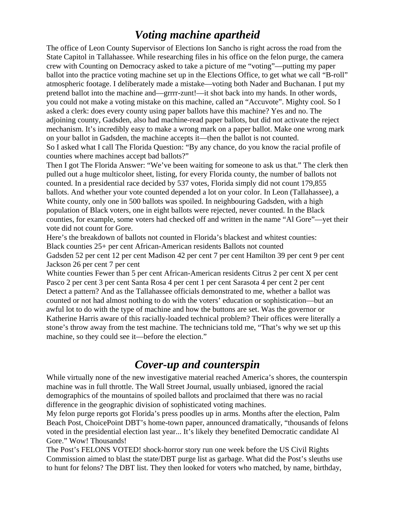#### *Voting machine apartheid*

The office of Leon County Supervisor of Elections Ion Sancho is right across the road from the State Capitol in Tallahassee. While researching files in his office on the felon purge, the camera crew with Counting on Democracy asked to take a picture of me "voting"—putting my paper ballot into the practice voting machine set up in the Elections Office, to get what we call "B-roll" atmospheric footage. I deliberately made a mistake—voting both Nader and Buchanan. I put my pretend ballot into the machine and—grrrr-zunt!—it shot back into my hands. In other words, you could not make a voting mistake on this machine, called an "Accuvote". Mighty cool. So I asked a clerk: does every county using paper ballots have this machine? Yes and no. The adjoining county, Gadsden, also had machine-read paper ballots, but did not activate the reject mechanism. It's incredibly easy to make a wrong mark on a paper ballot. Make one wrong mark on your ballot in Gadsden, the machine accepts it—then the ballot is not counted. So I asked what I call The Florida Question: "By any chance, do you know the racial profile of counties where machines accept bad ballots?"

Then I got The Florida Answer: "We've been waiting for someone to ask us that." The clerk then pulled out a huge multicolor sheet, listing, for every Florida county, the number of ballots not counted. In a presidential race decided by 537 votes, Florida simply did not count 179,855 ballots. And whether your vote counted depended a lot on your color. In Leon (Tallahassee), a White county, only one in 500 ballots was spoiled. In neighbouring Gadsden, with a high population of Black voters, one in eight ballots were rejected, never counted. In the Black counties, for example, some voters had checked off and written in the name "Al Gore"—yet their vote did not count for Gore.

Here's the breakdown of ballots not counted in Florida's blackest and whitest counties: Black counties 25+ per cent African-American residents Ballots not counted Gadsden 52 per cent 12 per cent Madison 42 per cent 7 per cent Hamilton 39 per cent 9 per cent Jackson 26 per cent 7 per cent

White counties Fewer than 5 per cent African-American residents Citrus 2 per cent X per cent Pasco 2 per cent 3 per cent Santa Rosa 4 per cent 1 per cent Sarasota 4 per cent 2 per cent Detect a pattern? And as the Tallahassee officials demonstrated to me, whether a ballot was counted or not had almost nothing to do with the voters' education or sophistication—but an awful lot to do with the type of machine and how the buttons are set. Was the governor or Katherine Harris aware of this racially-loaded technical problem? Their offices were literally a stone's throw away from the test machine. The technicians told me, "That's why we set up this machine, so they could see it—before the election."

#### *Cover-up and counterspin*

While virtually none of the new investigative material reached America's shores, the counterspin machine was in full throttle. The Wall Street Journal, usually unbiased, ignored the racial demographics of the mountains of spoiled ballots and proclaimed that there was no racial difference in the geographic division of sophisticated voting machines.

My felon purge reports got Florida's press poodles up in arms. Months after the election, Palm Beach Post, ChoicePoint DBT's home-town paper, announced dramatically, "thousands of felons voted in the presidential election last year... It's likely they benefited Democratic candidate Al Gore." Wow! Thousands!

The Post's FELONS VOTED! shock-horror story run one week before the US Civil Rights Commission aimed to blast the state/DBT purge list as garbage. What did the Post's sleuths use to hunt for felons? The DBT list. They then looked for voters who matched, by name, birthday,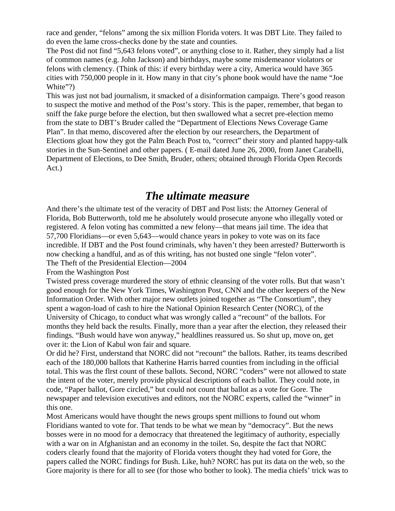race and gender, "felons" among the six million Florida voters. It was DBT Lite. They failed to do even the lame cross-checks done by the state and counties.

The Post did not find "5,643 felons voted", or anything close to it. Rather, they simply had a list of common names (e.g. John Jackson) and birthdays, maybe some misdemeanor violators or felons with clemency. (Think of this: if every birthday were a city, America would have 365 cities with 750,000 people in it. How many in that city's phone book would have the name "Joe White"?)

This was just not bad journalism, it smacked of a disinformation campaign. There's good reason to suspect the motive and method of the Post's story. This is the paper, remember, that began to sniff the fake purge before the election, but then swallowed what a secret pre-election memo from the state to DBT's Bruder called the "Department of Elections News Coverage Game Plan". In that memo, discovered after the election by our researchers, the Department of Elections gloat how they got the Palm Beach Post to, "correct" their story and planted happy-talk stories in the Sun-Sentinel and other papers. ( E-mail dated June 26, 2000, from Janet Carabelli, Department of Elections, to Dee Smith, Bruder, others; obtained through Florida Open Records Act.)

#### *The ultimate measure*

And there's the ultimate test of the veracity of DBT and Post lists: the Attorney General of Florida, Bob Butterworth, told me he absolutely would prosecute anyone who illegally voted or registered. A felon voting has committed a new felony—that means jail time. The idea that 57,700 Floridians—or even 5,643—would chance years in pokey to vote was on its face incredible. If DBT and the Post found criminals, why haven't they been arrested? Butterworth is now checking a handful, and as of this writing, has not busted one single "felon voter". The Theft of the Presidential Election—2004

From the Washington Post

Twisted press coverage murdered the story of ethnic cleansing of the voter rolls. But that wasn't good enough for the New York Times, Washington Post, CNN and the other keepers of the New Information Order. With other major new outlets joined together as "The Consortium", they spent a wagon-load of cash to hire the National Opinion Research Center (NORC), of the University of Chicago, to conduct what was wrongly called a "recount" of the ballots. For months they held back the results. Finally, more than a year after the election, they released their findings. "Bush would have won anyway," healdlines reassured us. So shut up, move on, get over it: the Lion of Kabul won fair and square.

Or did he? First, understand that NORC did not "recount" the ballots. Rather, its teams described each of the 180,000 ballots that Katherine Harris barred counties from including in the official total. This was the flrst count of these ballots. Second, NORC "coders" were not allowed to state the intent of the voter, merely provide physical descriptions of each ballot. They could note, in code, "Paper ballot, Gore circled," but could not count that ballot as a vote for Gore. The newspaper and television executives and editors, not the NORC experts, called the "winner" in this one.

Most Americans would have thought the news groups spent millions to found out whom Floridians wanted to vote for. That tends to be what we mean by "democracy". But the news bosses were in no mood for a democracy that threatened the legitimacy of authority, especially with a war on in Afghanistan and an economy in the toilet. So, despite the fact that NORC coders clearly found that the majority of Florida voters thought they had voted for Gore, the papers called the NORC findings for Bush. Like, huh? NORC has put its data on the web, so the Gore majority is there for all to see (for those who bother to look). The media chiefs' trick was to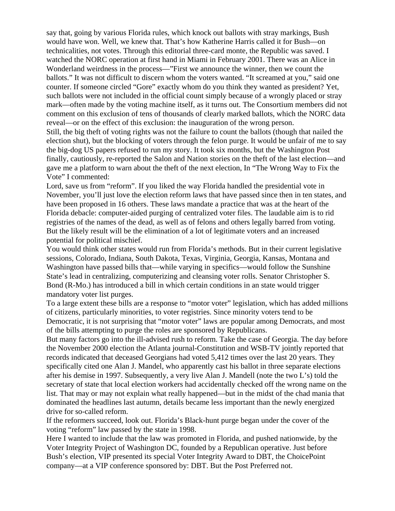say that, going by various Florida rules, which knock out ballots with stray markings, Bush would have won. Well, we knew that. That's how Katherine Harris called it for Bush—on technicalities, not votes. Through this editorial three-card monte, the Republic was saved. I watched the NORC operation at first hand in Miami in February 2001. There was an Alice in Wonderland weirdness in the process—"First we announce the winner, then we count the ballots." It was not difficult to discern whom the voters wanted. "It screamed at you," said one counter. If someone circled "Gore" exactly whom do you think they wanted as president? Yet, such ballots were not included in the official count simply because of a wrongly placed or stray mark—often made by the voting machine itself, as it turns out. The Consortium members did not comment on this exclusion of tens of thousands of clearly marked ballots, which the NORC data reveal—or on the effect of this exclusion: the inauguration of the wrong person.

Still, the big theft of voting rights was not the failure to count the ballots (though that nailed the election shut), but the blocking of voters through the felon purge. It would be unfair of me to say the big-dog US papers refused to run my story. It took six months, but the Washington Post finally, cautiously, re-reported the Salon and Nation stories on the theft of the last election—and gave me a platform to warn about the theft of the next election, In "The Wrong Way to Fix the Vote" I commented:

Lord, save us from "reform". If you liked the way Florida handled the presidential vote in November, you'll just love the election reform laws that have passed since then in ten states, and have been proposed in 16 others. These laws mandate a practice that was at the heart of the Florida debacle: computer-aided purging of centralized voter files. The laudable aim is to rid registries of the names of the dead, as well as of felons and others legally barred from voting. But the likely result will be the elimination of a lot of legitimate voters and an increased potential for political mischief.

You would think other states would run from Florida's methods. But in their current legislative sessions, Colorado, Indiana, South Dakota, Texas, Virginia, Georgia, Kansas, Montana and Washington have passed bills that—while varying in specifics—would follow the Sunshine State's lead in centralizing, computerizing and cleansing voter rolls. Senator Christopher S. Bond (R-Mo.) has introduced a bill in which certain conditions in an state would trigger mandatory voter list purges.

To a large extent these bills are a response to "motor voter" legislation, which has added millions of citizens, particularly minorities, to voter registries. Since minority voters tend to be Democratic, it is not surprising that "motor voter" laws are popular among Democrats, and most of the bills attempting to purge the roles are sponsored by Republicans.

But many factors go into the ill-advised rush to reform. Take the case of Georgia. The day before the November 2000 election the Atlanta journal-Constitution and WSB-TV jointly reported that records indicated that deceased Georgians had voted 5,412 times over the last 20 years. They specifically cited one Alan J. Mandel, who apparently cast his ballot in three separate elections after his demise in 1997. Subsequently, a very live Alan J. Mandell (note the two L's) told the secretary of state that local election workers had accidentally checked off the wrong name on the list. That may or may not explain what really happened—but in the midst of the chad mania that dominated the headlines last autumn, details became less important than the newly energized drive for so-called reform.

If the reformers succeed, look out. Florida's Black-hunt purge began under the cover of the voting "reform" law passed by the state in 1998.

Here I wanted to include that the law was promoted in Florida, and pushed nationwide, by the Voter Integrity Project of Washington DC, founded by a Republican operative. Just before Bush's election, VIP presented its special Voter Integrity Award to DBT, the ChoicePoint company—at a VIP conference sponsored by: DBT. But the Post Preferred not.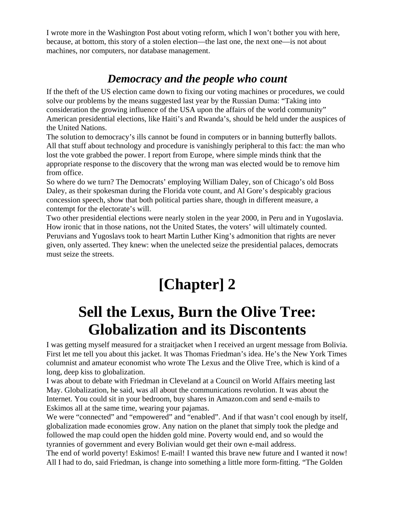I wrote more in the Washington Post about voting reform, which I won't bother you with here, because, at bottom, this story of a stolen election—the last one, the next one—is not about machines, nor computers, nor database management.

#### *Democracy and the people who count*

If the theft of the US election came down to fixing our voting machines or procedures, we could solve our problems by the means suggested last year by the Russian Duma: "Taking into consideration the growing influence of the USA upon the affairs of the world community" American presidential elections, like Haiti's and Rwanda's, should be held under the auspices of the United Nations.

The solution to democracy's ills cannot be found in computers or in banning butterfly ballots. All that stuff about technology and procedure is vanishingly peripheral to this fact: the man who lost the vote grabbed the power. I report from Europe, where simple minds think that the appropriate response to the discovery that the wrong man was elected would be to remove him from office.

So where do we turn? The Democrats' employing William Daley, son of Chicago's old Boss Daley, as their spokesman during the Florida vote count, and Al Gore's despicably gracious concession speech, show that both political parties share, though in different measure, a contempt for the electorate's will.

Two other presidential elections were nearly stolen in the year 2000, in Peru and in Yugoslavia. How ironic that in those nations, not the United States, the voters' will ultimately counted. Peruvians and Yugoslavs took to heart Martin Luther King's admonition that rights are never given, only asserted. They knew: when the unelected seize the presidential palaces, democrats must seize the streets.

## **[Chapter] 2**

## **Sell the Lexus, Burn the Olive Tree: Globalization and its Discontents**

I was getting myself measured for a straitjacket when I received an urgent message from Bolivia. First let me tell you about this jacket. It was Thomas Friedman's idea. He's the New York Times columnist and amateur economist who wrote The Lexus and the Olive Tree, which is kind of a long, deep kiss to globalization.

I was about to debate with Friedman in Cleveland at a Council on World Affairs meeting last May. Globalization, he said, was all about the communications revolution. It was about the Internet. You could sit in your bedroom, buy shares in Amazon.com and send e-mails to Eskimos all at the same time, wearing your pajamas.

We were "connected" and "empowered" and "enabled". And if that wasn't cool enough by itself, globalization made economies grow. Any nation on the planet that simply took the pledge and followed the map could open the hidden gold mine. Poverty would end, and so would the tyrannies of government and every Bolivian would get their own e-mail address.

The end of world poverty! Eskimos! E-mail! I wanted this brave new future and I wanted it now! All I had to do, said Friedman, is change into something a little more form-fitting. "The Golden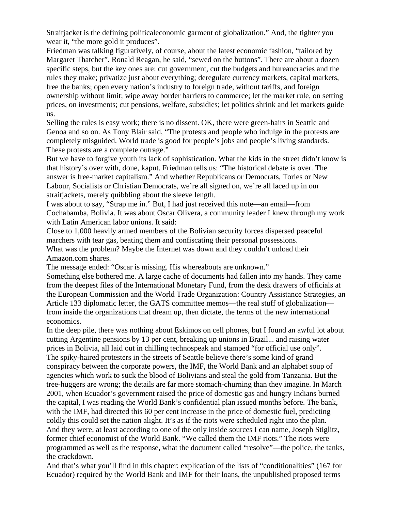Straitjacket is the defining politicaleconomic garment of globalization." And, the tighter you wear it, "the more gold it produces".

Friedman was talking figuratively, of course, about the latest economic fashion, "tailored by Margaret Thatcher". Ronald Reagan, he said, "sewed on the buttons". There are about a dozen specific steps, but the key ones are: cut government, cut the budgets and bureaucracies and the rules they make; privatize just about everything; deregulate currency markets, capital markets, free the banks; open every nation's industry to foreign trade, without tariffs, and foreign ownership without limit; wipe away border barriers to commerce; let the market rule, on setting prices, on investments; cut pensions, welfare, subsidies; let politics shrink and let markets guide us.

Selling the rules is easy work; there is no dissent. OK, there were green-hairs in Seattle and Genoa and so on. As Tony Blair said, "The protests and people who indulge in the protests are completely misguided. World trade is good for people's jobs and people's living standards. These protests are a complete outrage."

But we have to forgive youth its lack of sophistication. What the kids in the street didn't know is that history's over with, done, kaput. Friedman tells us: "The historical debate is over. The answer is free-market capitalism." And whether Republicans or Democrats, Tories or New Labour, Socialists or Christian Democrats, we're all signed on, we're all laced up in our straitjackets, merely quibbling about the sleeve length.

I was about to say, "Strap me in." But, I had just received this note—an email—from Cochabamba, Bolivia. It was about Oscar Olivera, a community leader I knew through my work with Latin American labor unions. It said:

Close to 1,000 heavily armed members of the Bolivian security forces dispersed peaceful marchers with tear gas, beating them and confiscating their personal possessions. What was the problem? Maybe the Internet was down and they couldn't unload their

Amazon.com shares.

The message ended: "Oscar is missing. His whereabouts are unknown."

Something else bothered me. A large cache of documents had fallen into my hands. They came from the deepest files of the International Monetary Fund, from the desk drawers of officials at the European Commission and the World Trade Organization: Country Assistance Strategies, an Article 133 diplomatic letter, the GATS committee memos—the real stuff of globalization from inside the organizations that dream up, then dictate, the terms of the new international economics.

In the deep pile, there was nothing about Eskimos on cell phones, but I found an awful lot about cutting Argentine pensions by 13 per cent, breaking up unions in Brazil... and raising water prices in Bolivia, all laid out in chilling technospeak and stamped "for official use only". The spiky-haired protesters in the streets of Seattle believe there's some kind of grand conspiracy between the corporate powers, the IMF, the World Bank and an alphabet soup of agencies which work to suck the blood of Bolivians and steal the gold from Tanzania. But the tree-huggers are wrong; the details are far more stomach-churning than they imagine. In March 2001, when Ecuador's government raised the price of domestic gas and hungry Indians burned the capital, I was reading the World Bank's confidential plan issued months before. The bank, with the IMF, had directed this 60 per cent increase in the price of domestic fuel, predicting coldly this could set the nation alight. It's as if the riots were scheduled right into the plan. And they were, at least according to one of the only inside sources I can name, Joseph Stiglitz, former chief economist of the World Bank. "We called them the IMF riots." The riots were programmed as well as the response, what the document called "resolve"—the police, the tanks, the crackdown.

And that's what you'll find in this chapter: explication of the lists of "conditionalities" (167 for Ecuador) required by the World Bank and IMF for their loans, the unpublished proposed terms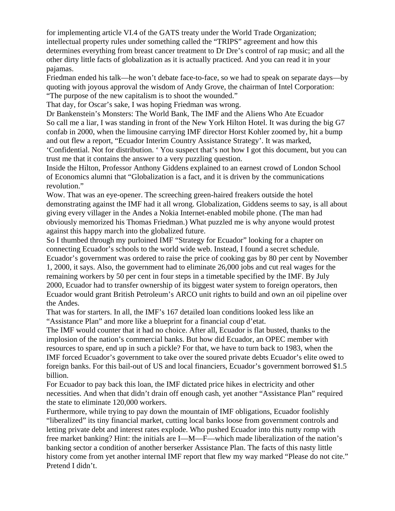for implementing article VI.4 of the GATS treaty under the World Trade Organization; intellectual property rules under something called the "TRIPS" agreement and how this determines everything from breast cancer treatment to Dr Dre's control of rap music; and all the other dirty little facts of globalization as it is actually practiced. And you can read it in your pajamas.

Friedman ended his talk—he won't debate face-to-face, so we had to speak on separate days—by quoting with joyous approval the wisdom of Andy Grove, the chairman of Intel Corporation: "The purpose of the new capitalism is to shoot the wounded."

That day, for Oscar's sake, I was hoping Friedman was wrong.

Dr Bankenstein's Monsters: The World Bank, The IMF and the Aliens Who Ate Ecuador So call me a liar, I was standing in front of the New York Hilton Hotel. It was during the big G7 confab in 2000, when the limousine carrying IMF director Horst Kohler zoomed by, hit a bump and out flew a report, "Ecuador Interim Country Assistance Strategy'. It was marked,

'Confidential. Not for distribution. ' You suspect that's not how I got this document, but you can trust me that it contains the answer to a very puzzling question.

Inside the Hilton, Professor Anthony Giddens explained to an earnest crowd of London School of Economics alumni that "Globalization is a fact, and it is driven by the communications revolution."

Wow. That was an eye-opener. The screeching green-haired freakers outside the hotel demonstrating against the IMF had it all wrong. Globalization, Giddens seems to say, is all about giving every villager in the Andes a Nokia Internet-enabled mobile phone. (The man had obviously memorized his Thomas Friedman.) What puzzled me is why anyone would protest against this happy march into the globalized future.

So I thumbed through my purloined IMF "Strategy for Ecuador" looking for a chapter on connecting Ecuador's schools to the world wide web. Instead, I found a secret schedule. Ecuador's government was ordered to raise the price of cooking gas by 80 per cent by November 1, 2000, it says. Also, the government had to eliminate 26,000 jobs and cut real wages for the

remaining workers by 50 per cent in four steps in a timetable specified by the IMF. By July 2000, Ecuador had to transfer ownership of its biggest water system to foreign operators, then Ecuador would grant British Petroleum's ARCO unit rights to build and own an oil pipeline over the Andes.

That was for starters. In all, the IMF's 167 detailed loan conditions looked less like an "Assistance Plan" and more like a blueprint for a financial coup d'etat.

The IMF would counter that it had no choice. After all, Ecuador is flat busted, thanks to the implosion of the nation's commercial banks. But how did Ecuador, an OPEC member with resources to spare, end up in such a pickle? For that, we have to turn back to 1983, when the IMF forced Ecuador's government to take over the soured private debts Ecuador's elite owed to foreign banks. For this bail-out of US and local financiers, Ecuador's government borrowed \$1.5 billion.

For Ecuador to pay back this loan, the IMF dictated price hikes in electricity and other necessities. And when that didn't drain off enough cash, yet another "Assistance Plan" required the state to eliminate 120,000 workers.

Furthermore, while trying to pay down the mountain of IMF obligations, Ecuador foolishly "liberalized" its tiny financial market, cutting local banks loose from government controls and letting private debt and interest rates explode. Who pushed Ecuador into this nutty romp with free market banking? Hint: the initials are I—M—F—which made liberalization of the nation's banking sector a condition of another berserker Assistance Plan. The facts of this nasty little history come from yet another internal IMF report that flew my way marked "Please do not cite." Pretend I didn't.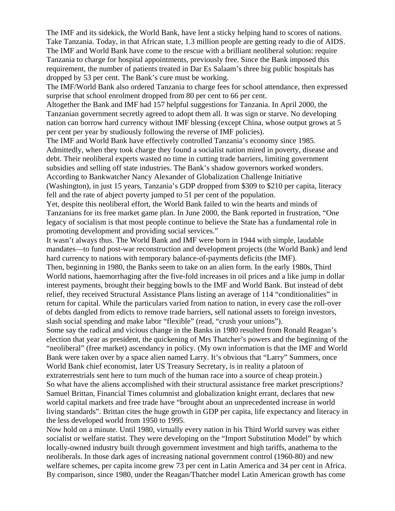The IMF and its sidekick, the World Bank, have lent a sticky helping hand to scores of nations. Take Tanzania. Today, in that African state, 1.3 million people are getting ready to die of AIDS. The IMF and World Bank have come to the rescue with a brilliant neoliberal solution: require Tanzania to charge for hospital appointments, previously free. Since the Bank imposed this requirement, the number of patients treated in Dar Es Salaam's three big public hospitals has dropped by 53 per cent. The Bank's cure must be working.

The IMF/World Bank also ordered Tanzania to charge fees for school attendance, then expressed surprise that school enrolment dropped from 80 per cent to 66 per cent.

Altogether the Bank and IMF had 157 helpful suggestions for Tanzania. In April 2000, the Tanzanian government secretly agreed to adopt them all. It was sign or starve. No developing nation can borrow hard currency without IMF blessing (except China, whose output grows at 5 per cent per year by studiously following the reverse of IMF policies).

The IMF and World Bank have effectively controlled Tanzania's economy since 1985. Admittedly, when they took charge they found a socialist nation mired in poverty, disease and debt. Their neoliberal experts wasted no time in cutting trade barriers, limiting government subsidies and selling off state industries. The Bank's shadow governors worked wonders. According to Bankwatcher Nancy Alexander of Globalization Challenge Initiative (Washington), in just 15 years, Tanzania's GDP dropped from \$309 to \$210 per capita, literacy

fell and the rate of abject poverty jumped to 51 per cent of the population.

Yet, despite this neoliberal effort, the World Bank failed to win the hearts and minds of Tanzanians for its free market game plan. In June 2000, the Bank reported in frustration, "One legacy of socialism is that most people continue to believe the State has a fundamental role in promoting development and providing social services."

It wasn't always thus. The World Bank and IMF were born in 1944 with simple, laudable mandates—to fund post-war reconstruction and development projects (the World Bank) and lend hard currency to nations with temporary balance-of-payments deficits (the IMF).

Then, beginning in 1980, the Banks seem to take on an alien form. In the early 1980s, Third World nations, haemorrhaging after the five-fold increases in oil prices and a like jump in dollar interest payments, brought their begging bowls to the IMF and World Bank. But instead of debt relief, they received Structural Assistance Plans listing an average of 114 "conditionalities" in return for capital. While the particulars varied from nation to nation, in every case the roll-over of debts dangled from edicts to remove trade barriers, sell national assets to foreign investors, slash social spending and make labor "flexible" (read, "crush your unions").

Some say the radical and vicious change in the Banks in 1980 resulted from Ronald Reagan's election that year as president, the quickening of Mrs Thatcher's powers and the beginning of the "neoliberal" (free market) ascendancy in policy. (My own information is that the IMF and World Bank were taken over by a space alien named Larry. It's obvious that "Larry" Summers, once World Bank chief economist, later US Treasury Secretary, is in reality a platoon of extraterrestrials sent here to turn much of the human race into a source of cheap protein.) So what have the aliens accomplished with their structural assistance free market prescriptions? Samuel Brittan, Financial Times columnist and globalization knight errant, declares that new world capital markets and free trade have "brought about an unprecedented increase in world living standards". Brittan cites the huge growth in GDP per capita, life expectancy and literacy in the less developed world from 1950 to 1995.

Now hold on a minute. Until 1980, virtually every nation in his Third World survey was either socialist or welfare statist. They were developing on the "Import Substitution Model" by which locally-owned industry built through government investment and high tariffs, anathema to the neoliberals. In those dark ages of increasing national government control (1960-80) and new welfare schemes, per capita income grew 73 per cent in Latin America and 34 per cent in Africa. By comparison, since 1980, under the Reagan/Thatcher model Latin American growth has come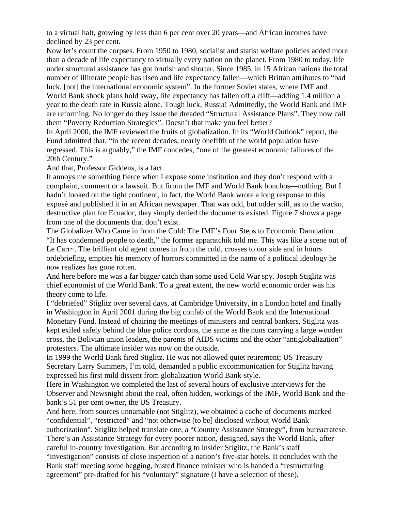to a virtual halt, growing by less than 6 per cent over 20 years—and African incomes have declined by 23 per cent.

Now let's count the corpses. From 1950 to 1980, socialist and statist welfare policies added more than a decade of life expectancy to virtually every nation on the planet. From 1980 to today, life under structural assistance has got brutish and shorter. Since 1985, in 15 African nations the total number of illiterate people has risen and life expectancy fallen—which Brittan attributes to "bad luck, [not] the international economic system". In the former Soviet states, where IMF and World Bank shock plans hold sway, life expectancy has fallen off a cliff—adding 1.4 million a year to the death rate in Russia alone. Tough luck, Russia! Admittedly, the World Bank and IMF are reforming. No longer do they issue the dreaded "Structural Assistance Plans". They now call them "Poverty Reduction Strategies". Doesn't that make you feel better?

In April 2000, the IMF reviewed the fruits of globalization. In its "World Outlook" report, the Fund admitted that, "in the recent decades, nearly onefifth of the world population have regressed. This is arguably," the IMF concedes, "one of the greatest economic failures of the 20th Century."

And that, Professor Giddens, is a fact.

It annoys me something fierce when I expose some institution and they don't respond with a complaint, comment or a lawsuit. But firom the IMF and World Bank honchos—nothing. But I hadn't looked on the tight continent, in fact, the World Bank wrote a long response to this exposé and published it in an African newspaper. That was odd, but odder still, as to the wacko, destructive plan for Ecuador, they simply denied the documents existed. Figure 7 shows a page from one of the documents that don't exist.

The Globalizer Who Came in from the Cold: The IMF's Four Steps to Economic Damnation "It has condemned people to death," the former apparatchik told me. This was like a scene out of Le Carr~. The brilliant old agent comes in from the cold, crosses to our side and in hours ordebrieflng, empties his memory of horrors committed in the name of a political ideology he now realizes has gone rotten.

And here before me was a far bigger catch than some used Cold War spy. Joseph Stiglitz was chief economist of the World Bank. To a great extent, the new world economic order was his theory come to life.

I "debriefed" Stiglitz over several days, at Cambridge University, in a London hotel and finally in Washington in April 2001 during the big confab of the World Bank and the International Monetary Fund. Instead of chairing the meetings of ministers and central bankers, Stiglitz was kept exiled safely behind the blue police cordons, the same as the nuns carrying a large wooden cross, the Bolivian union leaders, the parents of AIDS victims and the other "antiglobalization" protesters. The ultimate insider was now on the outside.

In 1999 the World Bank fired Stiglitz. He was not allowed quiet retirement; US Treasury Secretary Larry Summers, I'm told, demanded a public excommunication for Stiglitz having expressed his first mild dissent from globalization World Bank-style.

Here in Washington we completed the last of several hours of exclusive interviews for the Observer and Newsnight about the real, often hidden, workings of the IMF, World Bank and the bank's 51 per cent owner, the US Treasury.

And here, from sources unnamable (not Stiglitz), we obtained a cache of documents marked "confidential", "restricted" and "not otherwise (to be] disclosed without World Bank authorization". Stiglitz helped translate one, a "Country Assistance Strategy", from bureacratese. There's an Assistance Strategy for every poorer nation, designed, says the World Bank, after careful in-country investigation. But according to insider Stiglitz, the Bank's staff "investigation" consists of close inspection of a nation's five-star hotels. It concludes with the Bank staff meeting some begging, busted finance minister who is handed a "restructuring agreement" pre-drafted for his "voluntary" signature (I have a selection of these).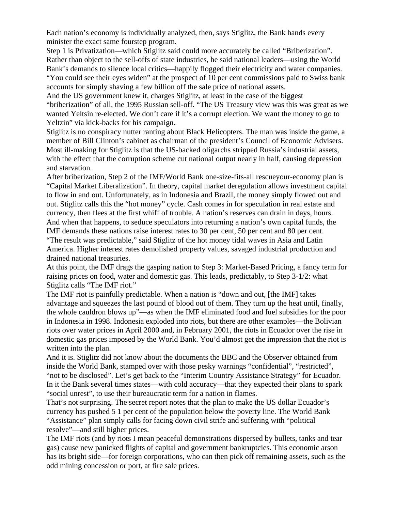Each nation's economy is individually analyzed, then, says Stiglitz, the Bank hands every minister the exact same fourstep program.

Step 1 is Privatization—which Stiglitz said could more accurately be called "Briberization". Rather than object to the sell-offs of state industries, he said national leaders—using the World Bank's demands to silence local critics—happily flogged their electricity and water companies. "You could see their eyes widen" at the prospect of 10 per cent commissions paid to Swiss bank accounts for simply shaving a few billion off the sale price of national assets.

And the US government knew it, charges Stiglitz, at least in the case of the biggest "briberization" of all, the 1995 Russian sell-off. "The US Treasury view was this was great as we wanted Yeltsin re-elected. We don't care if it's a corrupt election. We want the money to go to Yeltzin" via kick-backs for his campaign.

Stiglitz is no conspiracy nutter ranting about Black Helicopters. The man was inside the game, a member of Bill Clinton's cabinet as chairman of the president's Council of Economic Advisers. Most ill-making for Stiglitz is that the US-backed oligarchs stripped Russia's industrial assets, with the effect that the corruption scheme cut national output nearly in half, causing depression and starvation.

After briberization, Step 2 of the IMF/World Bank one-size-fits-all rescueyour-economy plan is "Capital Market Liberalization". In theory, capital market deregulation allows investment capital to flow in and out. Unfortunately, as in Indonesia and Brazil, the money simply flowed out and out. Stiglitz calls this the "hot money" cycle. Cash comes in for speculation in real estate and currency, then flees at the first whiff of trouble. A nation's reserves can drain in days, hours. And when that happens, to seduce speculators into returning a nation's own capital funds, the IMF demands these nations raise interest rates to 30 per cent, 50 per cent and 80 per cent. "The result was predictable," said Stiglitz of the hot money tidal waves in Asia and Latin America. Higher interest rates demolished property values, savaged industrial production and drained national treasuries.

At this point, the IMF drags the gasping nation to Step 3: Market-Based Pricing, a fancy term for raising prices on food, water and domestic gas. This leads, predictably, to Step 3-1/2: what Stiglitz calls "The IMF riot."

The IMF riot is painfully predictable. When a nation is "down and out, [the IMF] takes advantage and squeezes the last pound of blood out of them. They turn up the heat until, finally, the whole cauldron blows up"—as when the IMF eliminated food and fuel subsidies for the poor in Indonesia in 1998. Indonesia exploded into riots, but there are other examples—the Bolivian riots over water prices in April 2000 and, in February 2001, the riots in Ecuador over the rise in domestic gas prices imposed by the World Bank. You'd almost get the impression that the riot is written into the plan.

And it is. Stiglitz did not know about the documents the BBC and the Observer obtained from inside the World Bank, stamped over with those pesky warnings "confidential", "restricted", "not to be disclosed". Let's get back to the "Interim Country Assistance Strategy" for Ecuador. In it the Bank several times states—with cold accuracy—that they expected their plans to spark "social unrest", to use their bureaucratic term for a nation in flames.

That's not surprising. The secret report notes that the plan to make the US dollar Ecuador's currency has pushed 5 1 per cent of the population below the poverty line. The World Bank "Assistance" plan simply calls for facing down civil strife and suffering with "political resolve"—and still higher prices.

The IMF riots (and by riots I mean peaceful demonstrations dispersed by bullets, tanks and tear gas) cause new panicked flights of capital and government bankruptcies. This economic arson has its bright side—for foreign corporations, who can then pick off remaining assets, such as the odd mining concession or port, at fire sale prices.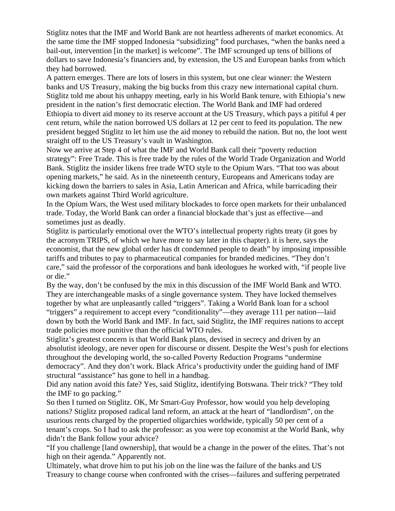Stiglitz notes that the IMF and World Bank are not heartless adherents of market economics. At the same time the IMF stopped Indonesia "subsidizing" food purchases, "when the banks need a bail-out, intervention [in the market] is welcome". The IMF scrounged up tens of billions of dollars to save Indonesia's financiers and, by extension, the US and European banks from which they had borrowed.

A pattern emerges. There are lots of losers in this system, but one clear winner: the Western banks and US Treasury, making the big bucks from this crazy new international capital churn. Stiglitz told me about his unhappy meeting, early in his World Bank tenure, with Ethiopia's new president in the nation's first democratic election. The World Bank and IMF had ordered Ethiopia to divert aid money to its reserve account at the US Treasury, which pays a pitiful 4 per cent return, while the nation borrowed US dollars at 12 per cent to feed its population. The new president begged Stiglitz to let him use the aid money to rebuild the nation. But no, the loot went straight off to the US Treasury's vault in Washington.

Now we arrive at Step 4 of what the IMF and World Bank call their "poverty reduction strategy": Free Trade. This is free trade by the rules of the World Trade Organization and World Bank. Stiglitz the insider likens free trade WTO style to the Opium Wars. "That too was about opening markets," he said. As in the nineteenth century, Europeans and Americans today are kicking down the barriers to sales in Asia, Latin American and Africa, while barricading their own markets against Third World agriculture.

In the Opium Wars, the West used military blockades to force open markets for their unbalanced trade. Today, the World Bank can order a financial blockade that's just as effective—and sometimes just as deadly.

Stiglitz is particularly emotional over the WTO's intellectual property rights treaty (it goes by the acronym TRIPS, of which we have more to say later in this chapter). it is here, says the economist, that the new global order has dt condemned people to death" by imposing impossible tariffs and tributes to pay to pharmaceutical companies for branded medicines. "They don't care," said the professor of the corporations and bank ideologues he worked with, "if people live or die."

By the way, don't be confused by the mix in this discussion of the IMF World Bank and WTO. They are interchangeable masks of a single governance system. They have locked themselves together by what are unpleasantly called "triggers". Taking a World Bank loan for a school "triggers" a requirement to accept every "conditionality"—they average 111 per nation—laid down by both the World Bank and IMF. In fact, said Stiglitz, the IMF requires nations to accept trade policies more punitive than the official WTO rules.

Stiglitz's greatest concern is that World Bank plans, devised in secrecy and driven by an absolutist ideology, are never open for discourse or dissent. Despite the West's push for elections throughout the developing world, the so-called Poverty Reduction Programs "undermine democracy". And they don't work. Black Africa's productivity under the guiding hand of IMF structural "assistance" has gone to hell in a handbag.

Did any nation avoid this fate? Yes, said Stiglitz, identifying Botswana. Their trick? "They told the IMF to go packing."

So then I turned on Stiglitz. OK, Mr Smart-Guy Professor, how would you help developing nations? Stiglitz proposed radical land reform, an attack at the heart of "landlordism", on the usurious rents charged by the propertied oligarchies worldwide, typically 50 per cent of a tenant's crops. So I had to ask the professor: as you were top economist at the World Bank, why didn't the Bank follow your advice?

"If you challenge [land ownership], that would be a change in the power of the elites. That's not high on their agenda." Apparently not.

Ultimately, what drove him to put his job on the line was the failure of the banks and US Treasury to change course when confronted with the crises—failures and suffering perpetrated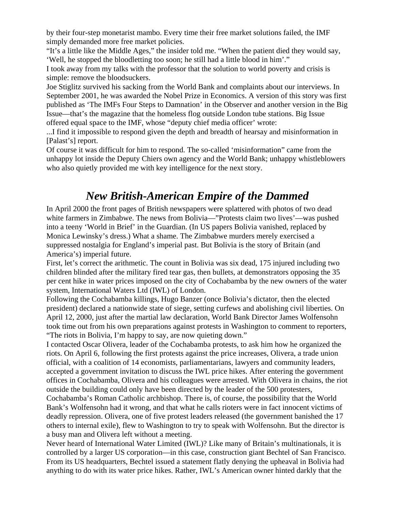by their four-step monetarist mambo. Every time their free market solutions failed, the IMF simply demanded more free market policies.

"It's a little like the Middle Ages," the insider told me. "When the patient died they would say, 'Well, he stopped the bloodletting too soon; he still had a little blood in him'."

I took away from my talks with the professor that the solution to world poverty and crisis is simple: remove the bloodsuckers.

Joe Stiglitz survived his sacking from the World Bank and complaints about our interviews. In September 2001, he was awarded the Nobel Prize in Economics. A version of this story was first published as 'The IMFs Four Steps to Damnation' in the Observer and another version in the Big Issue—that's the magazine that the homeless flog outside London tube stations. Big Issue offered equal space to the IMF, whose "deputy chief media officer' wrote:

...I find it impossible to respond given the depth and breadth of hearsay and misinformation in [Palast's] report.

Of course it was difficult for him to respond. The so-called 'misinformation" came from the unhappy lot inside the Deputy Chiers own agency and the World Bank; unhappy whistleblowers who also quietly provided me with key intelligence for the next story.

### *New British-American Empire of the Dammed*

In April 2000 the front pages of British newspapers were splattered with photos of two dead white farmers in Zimbabwe. The news from Bolivia—"Protests claim two lives'—was pushed into a teeny 'World in Brief' in the Guardian. (In US papers Bolivia vanished, replaced by Monica Lewinsky's dress.) What a shame. The Zimbabwe murders merely exercised a suppressed nostalgia for England's imperial past. But Bolivia is the story of Britain (and America's) imperial future.

First, let's correct the arithmetic. The count in Bolivia was six dead, 175 injured including two children blinded after the military fired tear gas, then bullets, at demonstrators opposing the 35 per cent hike in water prices imposed on the city of Cochabamba by the new owners of the water system, International Waters Ltd (IWL) of London.

Following the Cochabamba killings, Hugo Banzer (once Bolivia's dictator, then the elected president) declared a nationwide state of siege, setting curfews and abolishing civil liberties. On April 12, 2000, just after the martial law declaration, World Bank Director James Wolfensohn took time out from his own preparations against protests in Washington to comment to reporters, "The riots in Bolivia, I'm happy to say, are now quieting down."

I contacted Oscar Olivera, leader of the Cochabamba protests, to ask him how he organized the riots. On April 6, following the first protests against the price increases, Olivera, a trade union official, with a coalition of 14 economists, parliamentarians, lawyers and community leaders, accepted a government invitation to discuss the IWL price hikes. After entering the government offices in Cochabamba, Olivera and his colleagues were arrested. With Olivera in chains, the riot outside the building could only have been directed by the leader of the 500 protesters,

Cochabamba's Roman Catholic archbishop. There is, of course, the possibility that the World Bank's Wolfensohn had it wrong, and that what he calls rioters were in fact innocent victims of deadly repression. Olivera, one of five protest leaders released (the government banished the 17 others to internal exile), flew to Washington to try to speak with Wolfensohn. But the director is a busy man and Olivera left without a meeting.

Never heard of International Water Limited (IWL)? Like many of Britain's multinationals, it is controlled by a larger US corporation—in this case, construction giant Bechtel of San Francisco. From its US headquarters, Bechtel issued a statement flatly denying the upheaval in Bolivia had anything to do with its water price hikes. Rather, IWL's American owner hinted darkly that the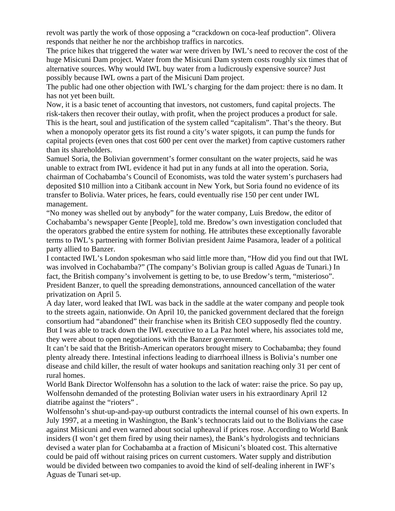revolt was partly the work of those opposing a "crackdown on coca-leaf production". Olivera responds that neither he nor the archbishop traffics in narcotics.

The price hikes that triggered the water war were driven by IWL's need to recover the cost of the huge Misicuni Dam project. Water from the Misicuni Dam system costs roughly six times that of alternative sources. Why would IWL buy water from a ludicrously expensive source? Just possibly because IWL owns a part of the Misicuni Dam project.

The public had one other objection with IWL's charging for the dam project: there is no dam. It has not yet been built.

Now, it is a basic tenet of accounting that investors, not customers, fund capital projects. The risk-takers then recover their outlay, with profit, when the project produces a product for sale. This is the heart, soul and justification of the system called "capitalism". That's the theory. But when a monopoly operator gets its fist round a city's water spigots, it can pump the funds for capital projects (even ones that cost 600 per cent over the market) from captive customers rather than its shareholders.

Samuel Soria, the Bolivian government's former consultant on the water projects, said he was unable to extract from IWL evidence it had put in any funds at all into the operation. Soria, chairman of Cochabamba's Council of Economists, was told the water system's purchasers had deposited \$10 million into a Citibank account in New York, but Soria found no evidence of its transfer to Bolivia. Water prices, he fears, could eventually rise 150 per cent under IWL management.

"No money was shelled out by anybody" for the water company, Luis Bredow, the editor of Cochabamba's newspaper Gente [People], told me. Bredow's own investigation concluded that the operators grabbed the entire system for nothing. He attributes these exceptionally favorable terms to IWL's partnering with former Bolivian president Jaime Pasamora, leader of a political party allied to Banzer.

I contacted IWL's London spokesman who said little more than, "How did you find out that IWL was involved in Cochabamba?" (The company's Bolivian group is called Aguas de Tunari.) In fact, the British company's involvement is getting to be, to use Bredow's term, "misterioso". President Banzer, to quell the spreading demonstrations, announced cancellation of the water privatization on April 5.

A day later, word leaked that IWL was back in the saddle at the water company and people took to the streets again, nationwide. On April 10, the panicked government declared that the foreign consortium had "abandoned" their franchise when its British CEO supposedly fled the country. But I was able to track down the IWL executive to a La Paz hotel where, his associates told me, they were about to open negotiations with the Banzer government.

It can't be said that the British-American operators brought misery to Cochabamba; they found plenty already there. Intestinal infections leading to diarrhoeal illness is Bolivia's number one disease and child killer, the result of water hookups and sanitation reaching only 31 per cent of rural homes.

World Bank Director Wolfensohn has a solution to the lack of water: raise the price. So pay up, Wolfensohn demanded of the protesting Bolivian water users in his extraordinary April 12 diatribe against the "rioters" .

Wolfensohn's shut-up-and-pay-up outburst contradicts the internal counsel of his own experts. In July 1997, at a meeting in Washington, the Bank's technocrats laid out to the Bolivians the case against Misicuni and even warned about social upheaval if prices rose. According to World Bank insiders (I won't get them fired by using their names), the Bank's hydrologists and technicians devised a water plan for Cochabamba at a fraction of Misicuni's bloated cost. This alternative could be paid off without raising prices on current customers. Water supply and distribution would be divided between two companies to avoid the kind of self-dealing inherent in IWF's Aguas de Tunari set-up.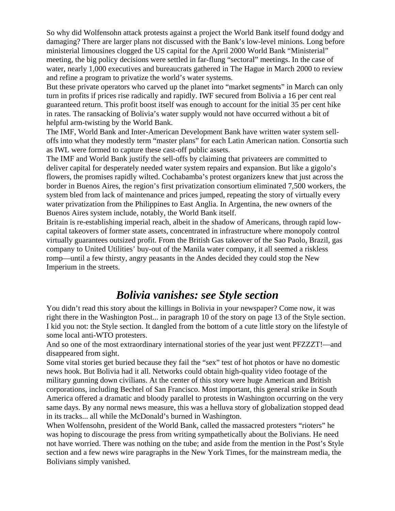So why did Wolfensohn attack protests against a project the World Bank itself found dodgy and damaging? There are larger plans not discussed with the Bank's low-level minions. Long before ministerial limousines clogged the US capital for the April 2000 World Bank "Ministerial" meeting, the big policy decisions were settled in far-flung "sectoral" meetings. In the case of water, nearly 1,000 executives and bureaucrats gathered in The Hague in March 2000 to review and refine a program to privatize the world's water systems.

But these private operators who carved up the planet into "market segments" in March can only turn in profits if prices rise radically and rapidly. IWF secured from Bolivia a 16 per cent real guaranteed return. This profit boost itself was enough to account for the initial 35 per cent hike in rates. The ransacking of Bolivia's water supply would not have occurred without a bit of helpful arm-twisting by the World Bank.

The IMF, World Bank and Inter-American Development Bank have written water system selloffs into what they modestly term "master plans" for each Latin American nation. Consortia such as IWL were formed to capture these cast-off public assets.

The IMF and World Bank justify the sell-offs by claiming that privateers are committed to deliver capital for desperately needed water system repairs and expansion. But like a gigolo's flowers, the promises rapidly wilted. Cochabamba's protest organizers knew that just across the border in Buenos Aires, the region's first privatization consortium eliminated 7,500 workers, the system bled from lack of maintenance and prices jumped, repeating the story of virtually every water privatization from the Philippines to East Anglia. In Argentina, the new owners of the Buenos Aires system include, notably, the World Bank itself.

Britain is re-establishing imperial reach, albeit in the shadow of Americans, through rapid lowcapital takeovers of former state assets, concentrated in infrastructure where monopoly control virtually guarantees outsized profit. From the British Gas takeover of the Sao Paolo, Brazil, gas company to United Utilities' buy-out of the Manila water company, it all seemed a riskless romp—until a few thirsty, angry peasants in the Andes decided they could stop the New Imperium in the streets.

#### *Bolivia vanishes: see Style section*

You didn't read this story about the killings in Bolivia in your newspaper? Come now, it was right there in the Washington Post... in paragraph 10 of the story on page 13 of the Style section. I kid you not: the Style section. It dangled from the bottom of a cute little story on the lifestyle of some local anti-WTO protesters.

And so one of the most extraordinary international stories of the year just went PFZZZT!—and disappeared from sight.

Some vital stories get buried because they fail the "sex" test of hot photos or have no domestic news hook. But Bolivia had it all. Networks could obtain high-quality video footage of the military gunning down civilians. At the center of this story were huge American and British corporations, including Bechtel of San Francisco. Most important, this general strike in South America offered a dramatic and bloody parallel to protests in Washington occurring on the very same days. By any normal news measure, this was a helluva story of globalization stopped dead in its tracks... all while the McDonald's burned in Washington.

When Wolfensohn, president of the World Bank, called the massacred protesters "rioters" he was hoping to discourage the press from writing sympathetically about the Bolivians. He need not have worried. There was nothing on the tube; and aside from the mention in the Post's Style section and a few news wire paragraphs in the New York Times, for the mainstream media, the Bolivians simply vanished.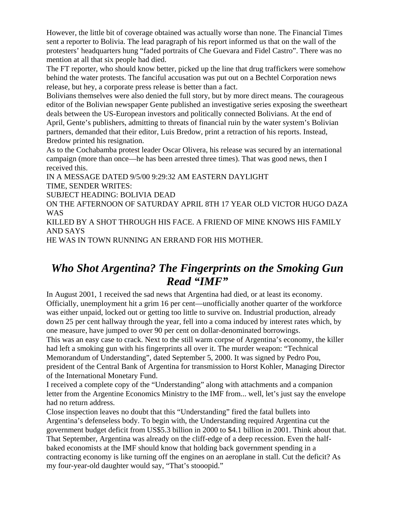However, the little bit of coverage obtained was actually worse than none. The Financial Times sent a reporter to Bolivia. The lead paragraph of his report informed us that on the wall of the protesters' headquarters hung "faded portraits of Che Guevara and Fidel Castro". There was no mention at all that six people had died.

The FT reporter, who should know better, picked up the line that drug traffickers were somehow behind the water protests. The fanciful accusation was put out on a Bechtel Corporation news release, but hey, a corporate press release is better than a fact.

Bolivians themselves were also denied the full story, but by more direct means. The courageous editor of the Bolivian newspaper Gente published an investigative series exposing the sweetheart deals between the US-European investors and politically connected Bolivians. At the end of April, Gente's publishers, admitting to threats of financial ruin by the water system's Bolivian partners, demanded that their editor, Luis Bredow, print a retraction of his reports. Instead, Bredow printed his resignation.

As to the Cochabamba protest leader Oscar Olivera, his release was secured by an international campaign (more than once—he has been arrested three times). That was good news, then I received this.

IN A MESSAGE DATED 9/5/00 9:29:32 AM EASTERN DAYLIGHT TIME, SENDER WRITES:

SUBJECT HEADING: BOLIVIA DEAD

ON THE AFTERNOON OF SATURDAY APRIL 8TH 17 YEAR OLD VICTOR HUGO DAZA WAS

KILLED BY A SHOT THROUGH HIS FACE. A FRIEND OF MINE KNOWS HIS FAMILY AND SAYS

HE WAS IN TOWN RUNNING AN ERRAND FOR HIS MOTHER.

## *Who Shot Argentina? The Fingerprints on the Smoking Gun Read "IMF"*

In August 2001, 1 received the sad news that Argentina had died, or at least its economy. Officially, unemployment hit a grim 16 per cent—unofficially another quarter of the workforce was either unpaid, locked out or getting too little to survive on. Industrial production, already down 25 per cent hallway through the year, fell into a coma induced by interest rates which, by one measure, have jumped to over 90 per cent on dollar-denominated borrowings.

This was an easy case to crack. Next to the still warm corpse of Argentina's economy, the killer had left a smoking gun with his fingerprints all over it. The murder weapon: "Technical Memorandum of Understanding", dated September 5, 2000. It was signed by Pedro Pou, president of the Central Bank of Argentina for transmission to Horst Kohler, Managing Director of the International Monetary Fund.

I received a complete copy of the "Understanding" along with attachments and a companion letter from the Argentine Economics Ministry to the IMF from... well, let's just say the envelope had no return address.

Close inspection leaves no doubt that this "Understanding" fired the fatal bullets into Argentina's defenseless body. To begin with, the Understanding required Argentina cut the government budget deficit from US\$5.3 billion in 2000 to \$4.1 billion in 2001. Think about that. That September, Argentina was already on the cliff-edge of a deep recession. Even the halfbaked economists at the IMF should know that holding back government spending in a contracting economy is like turning off the engines on an aeroplane in stall. Cut the deficit? As my four-year-old daughter would say, "That's stooopid."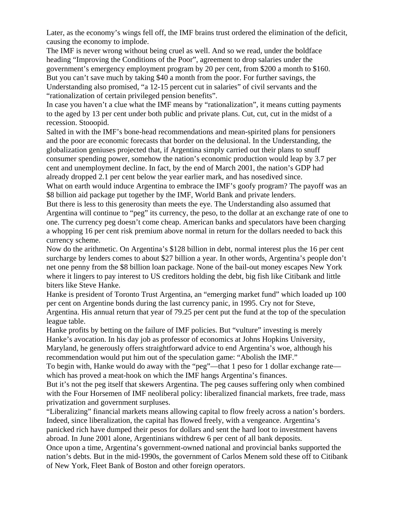Later, as the economy's wings fell off, the IMF brains trust ordered the elimination of the deficit, causing the economy to implode.

The IMF is never wrong without being cruel as well. And so we read, under the boldface heading "Improving the Conditions of the Poor", agreement to drop salaries under the government's emergency employment program by 20 per cent, from \$200 a month to \$160. But you can't save much by taking \$40 a month from the poor. For further savings, the Understanding also promised, "a 12-15 percent cut in salaries" of civil servants and the "rationalization of certain privileged pension benefits".

In case you haven't a clue what the IMF means by "rationalization", it means cutting payments to the aged by 13 per cent under both public and private plans. Cut, cut, cut in the midst of a recession. Stooopid.

Salted in with the IMF's bone-head recommendations and mean-spirited plans for pensioners and the poor are economic forecasts that border on the delusional. In the Understanding, the globalization geniuses projected that, if Argentina simply carried out their plans to snuff consumer spending power, somehow the nation's economic production would leap by 3.7 per cent and unemployment decline. In fact, by the end of March 2001, the nation's GDP had already dropped 2.1 per cent below the year earlier mark, and has nosedived since.

What on earth would induce Argentina to embrace the IMF's goofy program? The payoff was an \$8 billion aid package put together by the IMF, World Bank and private lenders.

But there is less to this generosity than meets the eye. The Understanding also assumed that Argentina will continue to "peg" its currency, the peso, to the dollar at an exchange rate of one to one. The currency peg doesn't come cheap. American banks and speculators have been charging a whopping 16 per cent risk premium above normal in return for the dollars needed to back this currency scheme.

Now do the arithmetic. On Argentina's \$128 billion in debt, normal interest plus the 16 per cent surcharge by lenders comes to about \$27 billion a year. In other words, Argentina's people don't net one penny from the \$8 billion loan package. None of the bail-out money escapes New York where it lingers to pay interest to US creditors holding the debt, big fish like Citibank and little biters like Steve Hanke.

Hanke is president of Toronto Trust Argentina, an "emerging market fund" which loaded up 100 per cent on Argentine bonds during the last currency panic, in 1995. Cry not for Steve, Argentina. His annual return that year of 79.25 per cent put the fund at the top of the speculation league table.

Hanke profits by betting on the failure of IMF policies. But "vulture" investing is merely Hanke's avocation. In his day job as professor of economics at Johns Hopkins University, Maryland, he generously offers straightforward advice to end Argentina's woe, although his recommendation would put him out of the speculation game: "Abolish the IMF."

To begin with, Hanke would do away with the "peg"—that 1 peso for 1 dollar exchange rate which has proved a meat-hook on which the IMF hangs Argentina's finances.

But it's not the peg itself that skewers Argentina. The peg causes suffering only when combined with the Four Horsemen of IMF neoliberal policy: liberalized financial markets, free trade, mass privatization and government surpluses.

"Liberalizing" financial markets means allowing capital to flow freely across a nation's borders. Indeed, since liberalization, the capital has flowed freely, with a vengeance. Argentina's panicked rich have dumped their pesos for dollars and sent the hard loot to investment havens abroad. In June 2001 alone, Argentinians withdrew 6 per cent of all bank deposits.

Once upon a time, Argentina's government-owned national and provincial banks supported the nation's debts. But in the mid-1990s, the government of Carlos Menem sold these off to Citibank of New York, Fleet Bank of Boston and other foreign operators.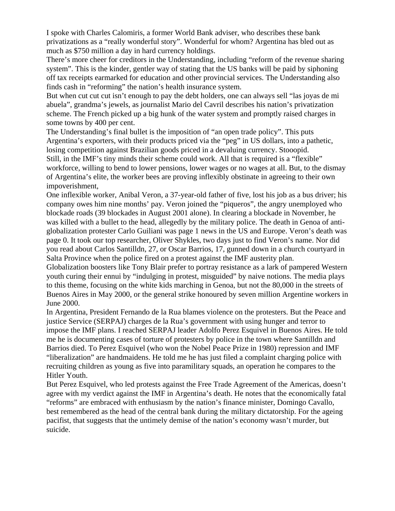I spoke with Charles Calomiris, a former World Bank adviser, who describes these bank privatizations as a "really wonderful story". Wonderful for whom? Argentina has bled out as much as \$750 million a day in hard currency holdings.

There's more cheer for creditors in the Understanding, including "reform of the revenue sharing system". This is the kinder, gentler way of stating that the US banks will be paid by siphoning off tax receipts earmarked for education and other provincial services. The Understanding also finds cash in "reforming" the nation's health insurance system.

But when cut cut cut isn't enough to pay the debt holders, one can always sell "las joyas de mi abuela", grandma's jewels, as journalist Mario del Cavril describes his nation's privatization scheme. The French picked up a big hunk of the water system and promptly raised charges in some towns by 400 per cent.

The Understanding's final bullet is the imposition of "an open trade policy". This puts Argentina's exporters, with their products priced via the "peg" in US dollars, into a pathetic, losing competition against Brazilian goods priced in a devaluing currency. Stooopid.

Still, in the IMF's tiny minds their scheme could work. All that is required is a "flexible" workforce, willing to bend to lower pensions, lower wages or no wages at all. But, to the dismay of Argentina's elite, the worker bees are proving inflexibly obstinate in agreeing to their own impoverishment,

One inflexible worker, Anibal Veron, a 37-year-old father of five, lost his job as a bus driver; his company owes him nine months' pay. Veron joined the "piqueros", the angry unemployed who blockade roads (39 blockades in August 2001 alone). In clearing a blockade in November, he was killed with a bullet to the head, allegedly by the military police. The death in Genoa of antiglobalization protester Carlo Guiliani was page 1 news in the US and Europe. Veron's death was page 0. It took our top researcher, Oliver Shykles, two days just to find Veron's name. Nor did you read about Carlos Santilldn, 27, or Oscar Barrios, 17, gunned down in a church courtyard in Salta Province when the police fired on a protest against the IMF austerity plan.

Globalization boosters like Tony Blair prefer to portray resistance as a lark of pampered Western youth curing their ennui by "indulging in protest, misguided" by naive notions. The media plays to this theme, focusing on the white kids marching in Genoa, but not the 80,000 in the streets of Buenos Aires in May 2000, or the general strike honoured by seven million Argentine workers in June 2000.

In Argentina, President Fernando de la Rua blames violence on the protesters. But the Peace and justice Service (SERPAJ) charges de la Rua's government with using hunger and terror to impose the IMF plans. I reached SERPAJ leader Adolfo Perez Esquivel in Buenos Aires. He told me he is documenting cases of torture of protesters by police in the town where Santilldn and Barrios died. To Perez Esquivel (who won the Nobel Peace Prize in 1980) repression and IMF "liberalization" are handmaidens. He told me he has just filed a complaint charging police with recruiting children as young as five into paramilitary squads, an operation he compares to the Hitler Youth.

But Perez Esquivel, who led protests against the Free Trade Agreement of the Americas, doesn't agree with my verdict against the IMF in Argentina's death. He notes that the economically fatal "reforms" are embraced with enthusiasm by the nation's finance minister, Domingo Cavallo, best remembered as the head of the central bank during the military dictatorship. For the ageing pacifist, that suggests that the untimely demise of the nation's economy wasn't murder, but suicide.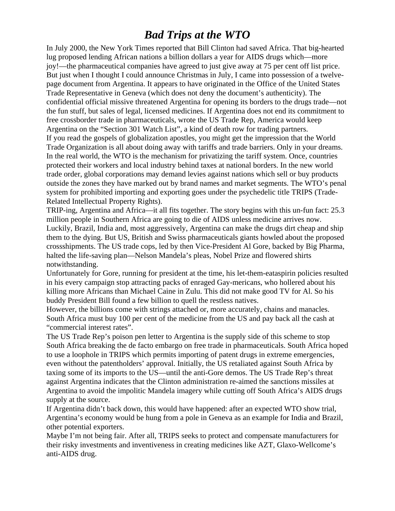## *Bad Trips at the WTO*

In July 2000, the New York Times reported that Bill Clinton had saved Africa. That big-hearted lug proposed lending African nations a billion dollars a year for AIDS drugs which—more joy!—the pharmaceutical companies have agreed to just give away at 75 per cent off list price. But just when I thought I could announce Christmas in July, I came into possession of a twelvepage document from Argentina. It appears to have originated in the Office of the United States Trade Representative in Geneva (which does not deny the document's authenticity). The confidential official missive threatened Argentina for opening its borders to the drugs trade—not the fun stuff, but sales of legal, licensed medicines. If Argentina does not end its commitment to free crossborder trade in pharmaceuticals, wrote the US Trade Rep, America would keep Argentina on the "Section 301 Watch List", a kind of death row for trading partners. If you read the gospels of globalization apostles, you might get the impression that the World Trade Organization is all about doing away with tariffs and trade barriers. Only in your dreams. In the real world, the WTO is the mechanism for privatizing the tariff system. Once, countries protected their workers and local industry behind taxes at national borders. In the new world trade order, global corporations may demand levies against nations which sell or buy products outside the zones they have marked out by brand names and market segments. The WTO's penal system for prohibited importing and exporting goes under the psychedelic title TRIPS (Trade-Related Intellectual Property Rights).

TRIP-ing, Argentina and Africa—it all fits together. The story begins with this un-fun fact: 25.3 million people in Southern Africa are going to die of AIDS unless medicine arrives now. Luckily, Brazil, India and, most aggressively, Argentina can make the drugs dirt cheap and ship them to the dying. But US, British and Swiss pharmaceuticals giants howled about the proposed crossshipments. The US trade cops, led by then Vice-President Al Gore, backed by Big Pharma, halted the life-saving plan—Nelson Mandela's pleas, Nobel Prize and flowered shirts notwithstanding.

Unfortunately for Gore, running for president at the time, his let-them-eataspirin policies resulted in his every campaign stop attracting packs of enraged Gay-mericans, who hollered about his killing more Africans than Michael Caine in Zulu. This did not make good TV for Al. So his buddy President Bill found a few billion to quell the restless natives.

However, the billions come with strings attached or, more accurately, chains and manacles. South Africa must buy 100 per cent of the medicine from the US and pay back all the cash at "commercial interest rates".

The US Trade Rep's poison pen letter to Argentina is the supply side of this scheme to stop South Africa breaking the de facto embargo on free trade in pharmaceuticals. South Africa hoped to use a loophole in TRIPS which permits importing of patent drugs in extreme emergencies, even without the patentholders' approval. Initially, the US retaliated against South Africa by taxing some of its imports to the US—until the anti-Gore demos. The US Trade Rep's threat against Argentina indicates that the Clinton administration re-aimed the sanctions missiles at Argentina to avoid the impolitic Mandela imagery while cutting off South Africa's AIDS drugs supply at the source.

If Argentina didn't back down, this would have happened: after an expected WTO show trial, Argentina's economy would be hung from a pole in Geneva as an example for India and Brazil, other potential exporters.

Maybe I'm not being fair. After all, TRIPS seeks to protect and compensate manufacturers for their risky investments and inventiveness in creating medicines like AZT, Glaxo-Wellcome's anti-AIDS drug.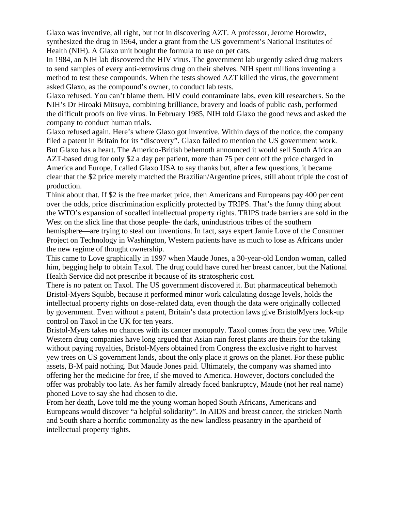Glaxo was inventive, all right, but not in discovering AZT. A professor, Jerome Horowitz, synthesized the drug in 1964, under a grant from the US government's National Institutes of Health (NIH). A Glaxo unit bought the formula to use on pet cats.

In 1984, an NIH lab discovered the HIV virus. The government lab urgently asked drug makers to send samples of every anti-retrovirus drug on their shelves. NIH spent millions inventing a method to test these compounds. When the tests showed AZT killed the virus, the government asked Glaxo, as the compound's owner, to conduct lab tests.

Glaxo refused. You can't blame them. HIV could contaminate labs, even kill researchers. So the NIH's Dr Hiroaki Mitsuya, combining brilliance, bravery and loads of public cash, performed the difficult proofs on live virus. In February 1985, NIH told Glaxo the good news and asked the company to conduct human trials.

Glaxo refused again. Here's where Glaxo got inventive. Within days of the notice, the company filed a patent in Britain for its "discovery". Glaxo failed to mention the US government work. But Glaxo has a heart. The Americo-British behemoth announced it would sell South Africa an AZT-based drug for only \$2 a day per patient, more than 75 per cent off the price charged in America and Europe. I called Glaxo USA to say thanks but, after a few questions, it became clear that the \$2 price merely matched the Brazilian/Argentine prices, still about triple the cost of production.

Think about that. If \$2 is the free market price, then Americans and Europeans pay 400 per cent over the odds, price discrimination explicitly protected by TRIPS. That's the funny thing about the WTO's expansion of socalled intellectual property rights. TRIPS trade barriers are sold in the West on the slick line that those people- the dark, unindustrious tribes of the southern hemisphere—are trying to steal our inventions. In fact, says expert Jamie Love of the Consumer Project on Technology in Washington, Western patients have as much to lose as Africans under the new regime of thought ownership.

This came to Love graphically in 1997 when Maude Jones, a 30-year-old London woman, called him, begging help to obtain Taxol. The drug could have cured her breast cancer, but the National Health Service did not prescribe it because of its stratospheric cost.

There is no patent on Taxol. The US government discovered it. But pharmaceutical behemoth Bristol-Myers Squibb, because it performed minor work calculating dosage levels, holds the intellectual property rights on dose-related data, even though the data were originally collected by government. Even without a patent, Britain's data protection laws give BristolMyers lock-up control on Taxol in the UK for ten years.

Bristol-Myers takes no chances with its cancer monopoly. Taxol comes from the yew tree. While Western drug companies have long argued that Asian rain forest plants are theirs for the taking without paying royalties, Bristol-Myers obtained from Congress the exclusive right to harvest yew trees on US government lands, about the only place it grows on the planet. For these public assets, B-M paid nothing. But Maude Jones paid. Ultimately, the company was shamed into offering her the medicine for free, if she moved to America. However, doctors concluded the offer was probably too late. As her family already faced bankruptcy, Maude (not her real name) phoned Love to say she had chosen to die.

From her death, Love told me the young woman hoped South Africans, Americans and Europeans would discover "a helpful solidarity". In AIDS and breast cancer, the stricken North and South share a horrific commonality as the new landless peasantry in the apartheid of intellectual property rights.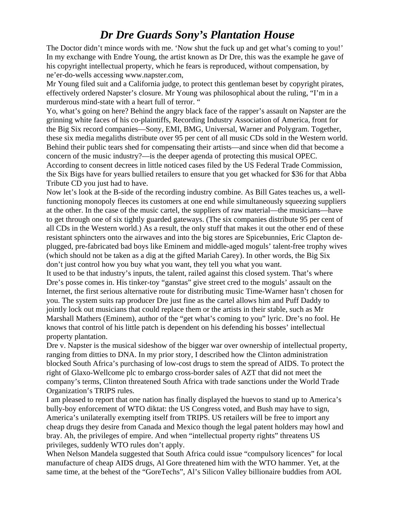#### *Dr Dre Guards Sony's Plantation House*

The Doctor didn't mince words with me. 'Now shut the fuck up and get what's coming to you!' In my exchange with Endre Young, the artist known as Dr Dre, this was the example he gave of his copyright intellectual property, which he fears is reproduced, without compensation, by ne'er-do-wells accessing www.napster.com,

Mr Young filed suit and a California judge, to protect this gentleman beset by copyright pirates, effectively ordered Napster's closure. Mr Young was philosophical about the ruling, "I'm in a murderous mind-state with a heart full of terror. "

Yo, what's going on here? Behind the angry black face of the rapper's assault on Napster are the grinning white faces of his co-plaintiffs, Recording Industry Association of America, front for the Big Six record companies—Sony, EMI, BMG, Universal, Warner and Polygram. Together, these six media megaliths distribute over 95 per cent of all music CDs sold in the Western world. Behind their public tears shed for compensating their artists—and since when did that become a concern of the music industry?—is the deeper agenda of protecting this musical OPEC. According to consent decrees in little noticed cases filed by the US Federal Trade Commission, the Six Bigs have for years bullied retailers to ensure that you get whacked for \$36 for that Abba Tribute CD you just had to have.

Now let's look at the B-side of the recording industry combine. As Bill Gates teaches us, a wellfunctioning monopoly fleeces its customers at one end while simultaneously squeezing suppliers at the other. In the case of the music cartel, the suppliers of raw material—the musicians—have to get through one of six tightly guarded gateways. (The six companies distribute 95 per cent of all CDs in the Western world.) As a result, the only stuff that makes it out the other end of these resistant sphincters onto the airwaves and into the big stores are Spicebunnies, Eric Clapton deplugged, pre-fabricated bad boys like Eminem and middle-aged moguls' talent-free trophy wives (which should not be taken as a dig at the gifted Mariah Carey). In other words, the Big Six don't just control how you buy what you want, they tell you what you want.

It used to be that industry's inputs, the talent, railed against this closed system. That's where Dre's posse comes in. His tinker-toy "ganstas" give street cred to the moguls' assault on the Internet, the first serious alternative route for distributing music Time-Warner hasn't chosen for you. The system suits rap producer Dre just fine as the cartel allows him and Puff Daddy to jointly lock out musicians that could replace them or the artists in their stable, such as Mr Marshall Mathers (Eminem), author of the "get what's coming to you" lyric. Dre's no fool. He knows that control of his little patch is dependent on his defending his bosses' intellectual property plantation.

Dre v. Napster is the musical sideshow of the bigger war over ownership of intellectual property, ranging from ditties to DNA. In my prior story, I described how the Clinton administration blocked South Africa's purchasing of low-cost drugs to stem the spread of AIDS. To protect the right of Glaxo-Wellcome plc to embargo cross-border sales of AZT that did not meet the company's terms, Clinton threatened South Africa with trade sanctions under the World Trade Organization's TRIPS rules.

I am pleased to report that one nation has finally displayed the huevos to stand up to America's bully-boy enforcement of WTO diktat: the US Congress voted, and Bush may have to sign, America's unilaterally exempting itself from TRIPS. US retailers will be free to import any cheap drugs they desire from Canada and Mexico though the legal patent holders may howl and bray. Ah, the privileges of empire. And when "intellectual property rights" threatens US privileges, suddenly WTO rules don't apply.

When Nelson Mandela suggested that South Africa could issue "compulsory licences" for local manufacture of cheap AIDS drugs, Al Gore threatened him with the WTO hammer. Yet, at the same time, at the behest of the "GoreTechs", Al's Silicon Valley billionaire buddies from AOL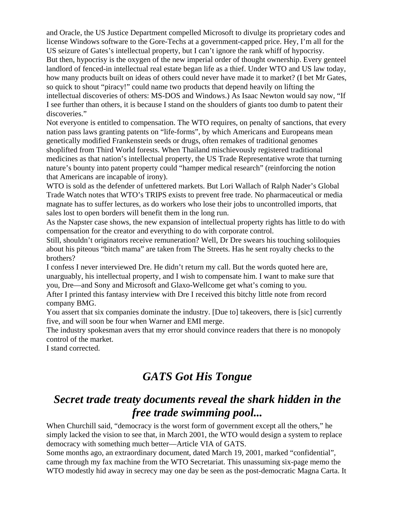and Oracle, the US Justice Department compelled Microsoft to divulge its proprietary codes and license Windows software to the Gore-Techs at a government-capped price. Hey, I'm all for the US seizure of Gates's intellectual property, but I can't ignore the rank whiff of hypocrisy. But then, hypocrisy is the oxygen of the new imperial order of thought ownership. Every genteel landlord of fenced-in intellectual real estate began life as a thief. Under WTO and US law today, how many products built on ideas of others could never have made it to market? (I bet Mr Gates, so quick to shout "piracy!" could name two products that depend heavily on lifting the intellectual discoveries of others: MS-DOS and Windows.) As Isaac Newton would say now, "If I see further than others, it is because I stand on the shoulders of giants too dumb to patent their discoveries."

Not everyone is entitled to compensation. The WTO requires, on penalty of sanctions, that every nation pass laws granting patents on "life-forms", by which Americans and Europeans mean genetically modified Frankenstein seeds or drugs, often remakes of traditional genomes shoplifted from Third World forests. When Thailand mischievously registered traditional medicines as that nation's intellectual property, the US Trade Representative wrote that turning nature's bounty into patent property could "hamper medical research" (reinforcing the notion that Americans are incapable of irony).

WTO is sold as the defender of unfettered markets. But Lori Wallach of Ralph Nader's Global Trade Watch notes that WTO's TRIPS exists to prevent free trade. No pharmaceutical or media magnate has to suffer lectures, as do workers who lose their jobs to uncontrolled imports, that sales lost to open borders will benefit them in the long run.

As the Napster case shows, the new expansion of intellectual property rights has little to do with compensation for the creator and everything to do with corporate control.

Still, shouldn't originators receive remuneration? Well, Dr Dre swears his touching soliloquies about his piteous "bitch mama" are taken from The Streets. Has he sent royalty checks to the brothers?

I confess I never interviewed Dre. He didn't return my call. But the words quoted here are, unarguably, his intellectual property, and I wish to compensate him. I want to make sure that you, Dre—and Sony and Microsoft and Glaxo-Wellcome get what's coming to you.

After I printed this fantasy interview with Dre I received this bitchy little note from record company BMG.

You assert that six companies dominate the industry. [Due to] takeovers, there is [sic] currently five, and will soon be four when Warner and EMI merge.

The industry spokesman avers that my error should convince readers that there is no monopoly control of the market.

I stand corrected.

## *GATS Got His Tongue*

#### *Secret trade treaty documents reveal the shark hidden in the free trade swimming pool...*

When Churchill said, "democracy is the worst form of government except all the others," he simply lacked the vision to see that, in March 2001, the WTO would design a system to replace democracy with something much better—Article VIA of GATS.

Some months ago, an extraordinary document, dated March 19, 2001, marked "confidential", came through my fax machine from the WTO Secretariat. This unassuming six-page memo the WTO modestly hid away in secrecy may one day be seen as the post-democratic Magna Carta. It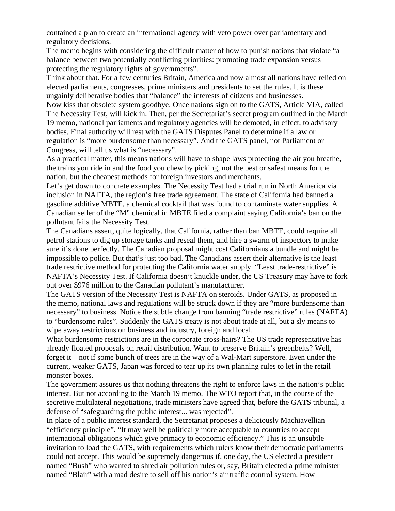contained a plan to create an international agency with veto power over parliamentary and regulatory decisions.

The memo begins with considering the difficult matter of how to punish nations that violate "a balance between two potentially conflicting priorities: promoting trade expansion versus protecting the regulatory rights of governments".

Think about that. For a few centuries Britain, America and now almost all nations have relied on elected parliaments, congresses, prime ministers and presidents to set the rules. It is these ungainly deliberative bodies that "balance" the interests of citizens and businesses.

Now kiss that obsolete system goodbye. Once nations sign on to the GATS, Article VIA, called The Necessity Test, will kick in. Then, per the Secretariat's secret program outlined in the March 19 memo, national parliaments and regulatory agencies will be demoted, in effect, to advisory bodies. Final authority will rest with the GATS Disputes Panel to determine if a law or regulation is "more burdensome than necessary". And the GATS panel, not Parliament or Congress, will tell us what is "necessary".

As a practical matter, this means nations will have to shape laws protecting the air you breathe, the trains you ride in and the food you chew by picking, not the best or safest means for the nation, but the cheapest methods for foreign investors and merchants.

Let's get down to concrete examples. The Necessity Test had a trial run in North America via inclusion in NAFTA, the region's free trade agreement. The state of California had banned a gasoline additive MBTE, a chemical cocktail that was found to contaminate water supplies. A Canadian seller of the "M" chemical in MBTE filed a complaint saying California's ban on the pollutant fails the Necessity Test.

The Canadians assert, quite logically, that California, rather than ban MBTE, could require all petrol stations to dig up storage tanks and reseal them, and hire a swarm of inspectors to make sure it's done perfectly. The Canadian proposal might cost Californians a bundle and might be impossible to police. But that's just too bad. The Canadians assert their alternative is the least trade restrictive method for protecting the California water supply. "Least trade-restrictive" is NAFTA's Necessity Test. If California doesn't knuckle under, the US Treasury may have to fork out over \$976 million to the Canadian pollutant's manufacturer.

The GATS version of the Necessity Test is NAFTA on steroids. Under GATS, as proposed in the memo, national laws and regulations will be struck down if they are "more burdensome than necessary" to business. Notice the subtle change from banning "trade restrictive" rules (NAFTA) to "burdensome rules". Suddenly the GATS treaty is not about trade at all, but a sly means to wipe away restrictions on business and industry, foreign and local.

What burdensome restrictions are in the corporate cross-hairs? The US trade representative has already floated proposals on retail distribution. Want to preserve Britain's greenbelts? Well, forget it—not if some bunch of trees are in the way of a Wal-Mart superstore. Even under the current, weaker GATS, Japan was forced to tear up its own planning rules to let in the retail monster boxes.

The government assures us that nothing threatens the right to enforce laws in the nation's public interest. But not according to the March 19 memo. The WTO report that, in the course of the secretive multilateral negotiations, trade ministers have agreed that, before the GATS tribunal, a defense of "safeguarding the public interest... was rejected".

In place of a public interest standard, the Secretariat proposes a deliciously Machiavellian "efficiency principle". "It may well be politically more acceptable to countries to accept international obligations which give primacy to economic efficiency." This is an unsubtle invitation to load the GATS, with requirements which rulers know their democratic parliaments could not accept. This would be supremely dangerous if, one day, the US elected a president named "Bush" who wanted to shred air pollution rules or, say, Britain elected a prime minister named "Blair" with a mad desire to sell off his nation's air traffic control system. How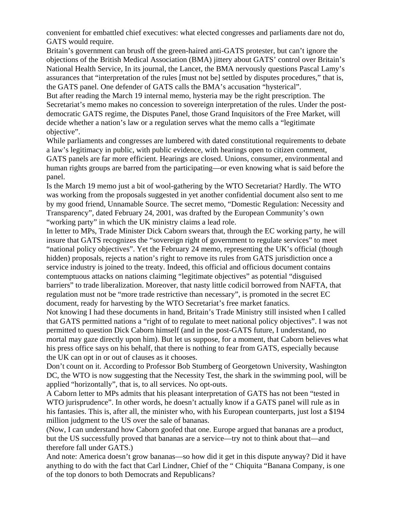convenient for embattled chief executives: what elected congresses and parliaments dare not do, GATS would require.

Britain's government can brush off the green-haired anti-GATS protester, but can't ignore the objections of the British Medical Association (BMA) jittery about GATS' control over Britain's National Health Service, In its journal, the Lancet, the BMA nervously questions Pascal Lamy's assurances that "interpretation of the rules [must not be] settled by disputes procedures," that is, the GATS panel. One defender of GATS calls the BMA's accusation "hysterical".

But after reading the March 19 internal memo, hysteria may be the right prescription. The Secretariat's memo makes no concession to sovereign interpretation of the rules. Under the postdemocratic GATS regime, the Disputes Panel, those Grand Inquisitors of the Free Market, will decide whether a nation's law or a regulation serves what the memo calls a "legitimate objective".

While parliaments and congresses are lumbered with dated constitutional requirements to debate a law's legitimacy in public, with public evidence, with hearings open to citizen comment, GATS panels are far more efficient. Hearings are closed. Unions, consumer, environmental and human rights groups are barred from the participating—or even knowing what is said before the panel.

Is the March 19 memo just a bit of wool-gathering by the WTO Secretariat? Hardly. The WTO was working from the proposals suggested in yet another confidential document also sent to me by my good friend, Unnamable Source. The secret memo, "Domestic Regulation: Necessity and Transparency", dated February 24, 2001, was drafted by the European Community's own "working party" in which the UK ministry claims a lead role.

In letter to MPs, Trade Minister Dick Caborn swears that, through the EC working party, he will insure that GATS recognizes the "sovereign right of government to regulate services" to meet "national policy objectives". Yet the February 24 memo, representing the UK's official (though hidden) proposals, rejects a nation's right to remove its rules from GATS jurisdiction once a service industry is joined to the treaty. Indeed, this official and officious document contains contemptuous attacks on nations claiming "legitimate objectives" as potential "disguised barriers" to trade liberalization. Moreover, that nasty little codicil borrowed from NAFTA, that regulation must not be "more trade restrictive than necessary", is promoted in the secret EC document, ready for harvesting by the WTO Secretariat's free market fanatics.

Not knowing I had these documents in hand, Britain's Trade Ministry still insisted when I called that GATS permitted nations a "right of to regulate to meet national policy objectives". I was not permitted to question Dick Caborn himself (and in the post-GATS future, I understand, no mortal may gaze directly upon him). But let us suppose, for a moment, that Caborn believes what his press office says on his behalf, that there is nothing to fear from GATS, especially because the UK can opt in or out of clauses as it chooses.

Don't count on it. According to Professor Bob Stumberg of Georgetown University, Washington DC, the WTO is now suggesting that the Necessity Test, the shark in the swimming pool, will be applied "horizontally", that is, to all services. No opt-outs.

A Caborn letter to MPs admits that his pleasant interpretation of GATS has not been "tested in WTO jurisprudence". In other words, he doesn't actually know if a GATS panel will rule as in his fantasies. This is, after all, the minister who, with his European counterparts, just lost a \$194 million judgment to the US over the sale of bananas.

(Now, I can understand how Caborn goofed that one. Europe argued that bananas are a product, but the US successfully proved that bananas are a service—try not to think about that—and therefore fall under GATS.)

And note: America doesn't grow bananas—so how did it get in this dispute anyway? Did it have anything to do with the fact that Carl Lindner, Chief of the " Chiquita "Banana Company, is one of the top donors to both Democrats and Republicans?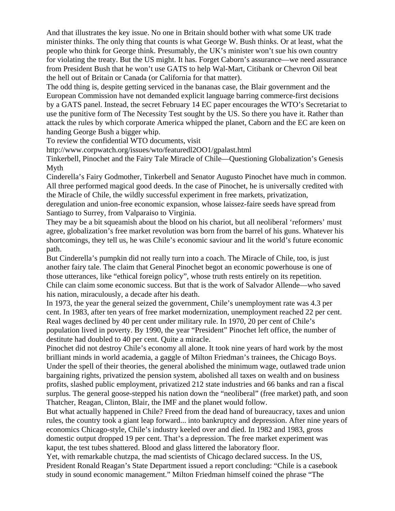And that illustrates the key issue. No one in Britain should bother with what some UK trade minister thinks. The only thing that counts is what George W. Bush thinks. Or at least, what the people who think for George think. Presumably, the UK's minister won't sue his own country for violating the treaty. But the US might. It has. Forget Caborn's assurance—we need assurance from President Bush that he won't use GATS to help Wal-Mart, Citibank or Chevron Oil beat the hell out of Britain or Canada (or California for that matter).

The odd thing is, despite getting serviced in the bananas case, the Blair government and the European Commission have not demanded explicit language barring commerce-first decisions by a GATS panel. Instead, the secret February 14 EC paper encourages the WTO's Secretariat to use the punitive form of The Necessity Test sought by the US. So there you have it. Rather than attack the rules by which corporate America whipped the planet, Caborn and the EC are keen on handing George Bush a bigger whip.

To review the confidential WTO documents, visit

http://www.corpwatch.org/issues/wto/featuredl2OO1/gpalast.html

Tinkerbell, Pinochet and the Fairy Tale Miracle of Chile—Questioning Globalization's Genesis Myth

Cinderella's Fairy Godmother, Tinkerbell and Senator Augusto Pinochet have much in common. All three performed magical good deeds. In the case of Pinochet, he is universally credited with the Miracle of Chile, the wildly successful experiment in free markets, privatization,

deregulation and union-free economic expansion, whose laissez-faire seeds have spread from Santiago to Surrey, from Valparaiso to Virginia.

They may be a bit squeamish about the blood on his chariot, but all neoliberal 'reformers' must agree, globalization's free market revolution was born from the barrel of his guns. Whatever his shortcomings, they tell us, he was Chile's economic saviour and lit the world's future economic path.

But Cinderella's pumpkin did not really turn into a coach. The Miracle of Chile, too, is just another fairy tale. The claim that General Pinochet begot an economic powerhouse is one of those utterances, like "ethical foreign policy", whose truth rests entirely on its repetition. Chile can claim some economic success. But that is the work of Salvador Allende—who saved his nation, miraculously, a decade after his death.

In 1973, the year the general seized the government, Chile's unemployment rate was 4.3 per cent. In 1983, after ten years of free market modernization, unemployment reached 22 per cent. Real wages declined by 40 per cent under military rule. In 1970, 20 per cent of Chile's population lived in poverty. By 1990, the year "President" Pinochet left office, the number of destitute had doubled to 40 per cent. Quite a miracle.

Pinochet did not destroy Chile's economy all alone. It took nine years of hard work by the most brilliant minds in world academia, a gaggle of Milton Friedman's trainees, the Chicago Boys. Under the spell of their theories, the general abolished the minimum wage, outlawed trade union bargaining rights, privatized the pension system, abolished all taxes on wealth and on business profits, slashed public employment, privatized 212 state industries and 66 banks and ran a fiscal surplus. The general goose-stepped his nation down the "neoliberal" (free market) path, and soon Thatcher, Reagan, Clinton, Blair, the IMF and the planet would follow.

But what actually happened in Chile? Freed from the dead hand of bureaucracy, taxes and union rules, the country took a giant leap forward... into bankruptcy and depression. After nine years of economics Chicago-style, Chile's industry keeled over and died. In 1982 and 1983, gross domestic output dropped 19 per cent. That's a depression. The free market experiment was kaput, the test tubes shattered. Blood and glass littered the laboratory floor.

Yet, with remarkable chutzpa, the mad scientists of Chicago declared success. In the US, President Ronald Reagan's State Department issued a report concluding: "Chile is a casebook study in sound economic management." Milton Friedman himself coined the phrase "The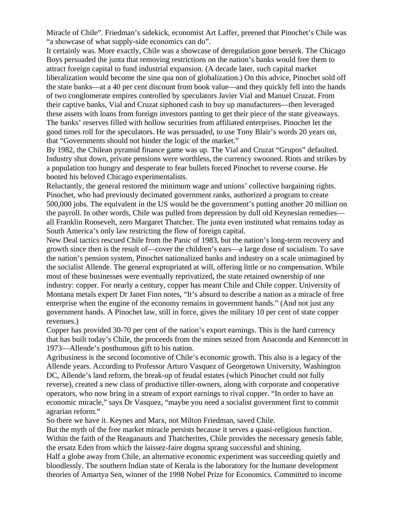Miracle of Chile". Friedman's sidekick, economist Art Laffer, preened that Pinochet's Chile was "a showcase of what supply-side economics can do".

It certainly was. More exactly, Chile was a showcase of deregulation gone berserk. The Chicago Boys persuaded the junta that removing restrictions on the nation's banks would free them to attract foreign capital to fund industrial expansion. (A decade later, such capital market liberalization would become the sine qua non of globalization.) On this advice, Pinochet sold off the state banks—at a 40 per cent discount from book value—and they quickly fell into the hands of two conglomerate empires controlled by speculators Javier Vial and Manuel Cruzat. From their captive banks, Vial and Cruzat siphoned cash to buy up manufacturers—then leveraged these assets with loans from foreign investors panting to get their piece of the state giveaways. The banks' reserves filled with hollow securities from affiliated enterprises. Pinochet let the good times roll for the speculators. He was persuaded, to use Tony Blair's words 20 years on, that "Governments should not hinder the logic of the market."

By 1982, the Chilean pyramid finance game was up. The Vial and Cruzat "Grupos" defaulted. Industry shut down, private pensions were worthless, the currency swooned. Riots and strikes by a population too hungry and desperate to fear bullets forced Pinochet to reverse course. He booted his beloved Chicago experimentalists.

Reluctantly, the general restored the minimum wage and unions' collective bargaining rights. Pinochet, who had previously decimated government ranks, authorized a program to create 500,000 jobs. The equivalent in the US would be the government's putting another 20 million on the payroll. In other words, Chile was pulled from depression by dull old Keynesian remedies all Franklin Roosevelt, zero Margaret Thatcher. The junta even instituted what remains today as South America's only law restricting the flow of foreign capital.

New Deal tactics rescued Chile from the Panic of 1983, but the nation's long-term recovery and growth since then is the result of—cover the children's ears—a large dose of socialism. To save the nation's pension system, Pinochet nationalized banks and industry on a scale unimagined by the socialist Allende. The general expropriated at will, offering little or no compensation. While most of these businesses were eventually reprivatized, the state retained ownership of one industry: copper. For nearly a century, copper has meant Chile and Chile copper. University of Montana metals expert Dr Janet Finn notes, "It's absurd to describe a nation as a miracle of free enterprise when the engine of the economy remains in government hands." (And not just any government hands. A Pinochet law, still in force, gives the military 10 per cent of state copper revenues.)

Copper has provided 30-70 per cent of the nation's export earnings. This is the hard currency that has built today's Chile, the proceeds from the mines seized from Anaconda and Kennecott in 1973—Allende's posthumous gift to his nation.

Agribusiness is the second locomotive of Chile's economic growth. This also is a legacy of the Allende years. According to Professor Arturo Vasquez of Georgetown University, Washington DC, Allende's land reform, the break-up of feudal estates (which Pinochet could not fully reverse), created a new class of productive tiller-owners, along with corporate and cooperative operators, who now bring in a stream of export earnings to rival copper. "In order to have an economic miracle," says Dr Vasquez, "maybe you need a socialist government first to commit agrarian reform."

So there we have it. Keynes and Marx, not Milton Friedman, saved Chile.

But the myth of the free market miracle persists because it serves a quasi-religious function. Within the faith of the Reaganauts and Thatcherites, Chile provides the necessary genesis fable, the ersatz Eden from which the laissez-faire dogma sprang successful and shining.

Half a globe away from Chile, an alternative economic experiment was succeeding quietly and bloodlessly. The southern Indian state of Kerala is the laboratory for the humane development theories of Amartya Sen, winner of the 1998 Nobel Prize for Economics. Committed to income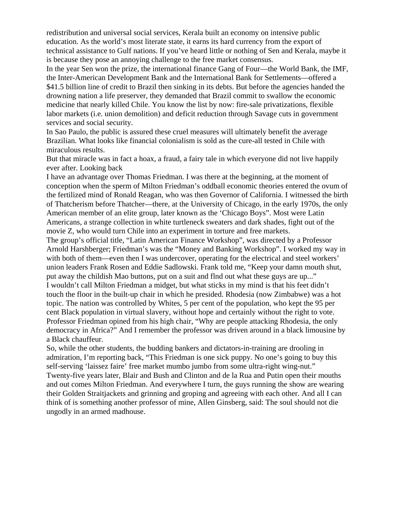redistribution and universal social services, Kerala built an economy on intensive public education. As the world's most literate state, it earns its hard currency from the export of technical assistance to Gulf nations. If you've heard little or nothing of Sen and Kerala, maybe it is because they pose an annoying challenge to the free market consensus.

In the year Sen won the prize, the international finance Gang of Four—the World Bank, the IMF, the Inter-American Development Bank and the International Bank for Settlements—offered a \$41.5 billion line of credit to Brazil then sinking in its debts. But before the agencies handed the drowning nation a life preserver, they demanded that Brazil commit to swallow the economic medicine that nearly killed Chile. You know the list by now: fire-sale privatizations, flexible labor markets (i.e. union demolition) and deficit reduction through Savage cuts in government services and social security.

In Sao Paulo, the public is assured these cruel measures will ultimately benefit the average Brazilian. What looks like financial colonialism is sold as the cure-all tested in Chile with miraculous results.

But that miracle was in fact a hoax, a fraud, a fairy tale in which everyone did not live happily ever after. Looking back

I have an advantage over Thomas Friedman. I was there at the beginning, at the moment of conception when the sperm of Milton Friedman's oddball economic theories entered the ovum of the fertilized mind of Ronald Reagan, who was then Governor of California. I witnessed the birth of Thatcherism before Thatcher—there, at the University of Chicago, in the early 1970s, the only American member of an elite group, later known as the 'Chicago Boys". Most were Latin Americans, a strange collection in white turtleneck sweaters and dark shades, fight out of the movie Z, who would turn Chile into an experiment in torture and free markets.

The group's official title, "Latin American Finance Workshop", was directed by a Professor Arnold Harshberger; Friedman's was the "Money and Banking Workshop". I worked my way in with both of them—even then I was undercover, operating for the electrical and steel workers' union leaders Frank Rosen and Eddie Sadlowski. Frank told me, "Keep your damn mouth shut, put away the childish Mao buttons, put on a suit and flnd out what these guys are up..." I wouldn't call Milton Friedman a midget, but what sticks in my mind is that his feet didn't touch the floor in the built-up chair in which he presided. Rhodesia (now Zimbabwe) was a hot topic. The nation was controlled by Whites, 5 per cent of the population, who kept the 95 per cent Black population in virtual slavery, without hope and certainly without the right to vote. Professor Friedman opined from his high chair, "Why are people attacking Rhodesia, the only democracy in Africa?" And I remember the professor was driven around in a black limousine by a Black chauffeur.

So, while the other students, the budding bankers and dictators-in-training are drooling in admiration, I'm reporting back, "This Friedman is one sick puppy. No one's going to buy this self-serving 'laissez faire' free market mumbo jumbo from some ultra-right wing-nut." Twenty-five years later, Blair and Bush and Clinton and de la Rua and Putin open their mouths and out comes Milton Friedman. And everywhere I turn, the guys running the show are wearing their Golden Straitjackets and grinning and groping and agreeing with each other. And all I can think of is something another professor of mine, Allen Ginsberg, said: The soul should not die ungodly in an armed madhouse.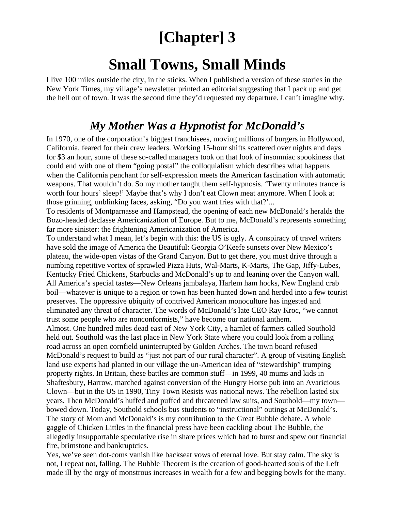# **[Chapter] 3**

## **Small Towns, Small Minds**

I live 100 miles outside the city, in the sticks. When I published a version of these stories in the New York Times, my village's newsletter printed an editorial suggesting that I pack up and get the hell out of town. It was the second time they'd requested my departure. I can't imagine why.

## *My Mother Was a Hypnotist for McDonald's*

In 1970, one of the corporation's biggest franchisees, moving millions of burgers in Hollywood, California, feared for their crew leaders. Working 15-hour shifts scattered over nights and days for \$3 an hour, some of these so-called managers took on that look of insomniac spookiness that could end with one of them "going postal" the colloquialism which describes what happens when the California penchant for self-expression meets the American fascination with automatic weapons. That wouldn't do. So my mother taught them self-hypnosis. 'Twenty minutes trance is worth four hours' sleep!' Maybe that's why I don't eat Clown meat anymore. When I look at those grinning, unblinking faces, asking, "Do you want fries with that?'...

To residents of Montparnasse and Hampstead, the opening of each new McDonald's heralds the Bozo-headed declasse Americanization of Europe. But to me, McDonald's represents something far more sinister: the frightening Americanization of America.

To understand what I mean, let's begin with this: the US is ugly. A conspiracy of travel writers have sold the image of America the Beautiful: Georgia O'Keefe sunsets over New Mexico's plateau, the wide-open vistas of the Grand Canyon. But to get there, you must drive through a numbing repetitive vortex of sprawled Pizza Huts, Wal-Marts, K-Marts, The Gap, Jiffy-Lubes, Kentucky Fried Chickens, Starbucks and McDonald's up to and leaning over the Canyon wall. All America's special tastes—New Orleans jambalaya, Harlem ham hocks, New England crab boil—whatever is unique to a region or town has been hunted down and herded into a few tourist preserves. The oppressive ubiquity of contrived American monoculture has ingested and eliminated any threat of character. The words of McDonald's late CEO Ray Kroc, "we cannot trust some people who are nonconformists," have become our national anthem. Almost. One hundred miles dead east of New York City, a hamlet of farmers called Southold held out. Southold was the last place in New York State where you could look from a rolling road across an open cornfield uninterrupted by Golden Arches. The town board refused McDonald's request to build as "just not part of our rural character". A group of visiting English land use experts had planted in our village the un-American idea of "stewardship" trumping property rights. In Britain, these battles are common stuff—in 1999, 40 mums and kids in Shaftesbury, Harrow, marched against conversion of the Hungry Horse pub into an Avaricious Clown—but in the US in 1990, Tiny Town Resists was national news. The rebellion lasted six years. Then McDonald's huffed and puffed and threatened law suits, and Southold—my town bowed down. Today, Southold schools bus students to "instructional" outings at McDonald's. The story of Mom and McDonald's is my contribution to the Great Bubble debate. A whole gaggle of Chicken Littles in the financial press have been cackling about The Bubble, the allegedly insupportable speculative rise in share prices which had to burst and spew out financial fire, brimstone and bankruptcies.

Yes, we've seen dot-coms vanish like backseat vows of eternal love. But stay calm. The sky is not, I repeat not, falling. The Bubble Theorem is the creation of good-hearted souls of the Left made ill by the orgy of monstrous increases in wealth for a few and begging bowls for the many.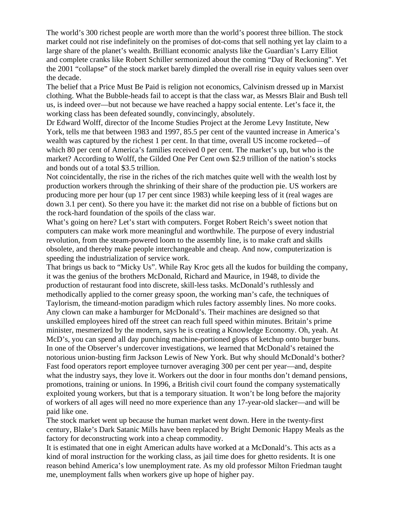The world's 300 richest people are worth more than the world's poorest three billion. The stock market could not rise indefinitely on the promises of dot-coms that sell nothing yet lay claim to a large share of the planet's wealth. Brilliant economic analysts like the Guardian's Larry Elliot and complete cranks like Robert Schiller sermonized about the coming "Day of Reckoning". Yet the 2001 "collapse" of the stock market barely dimpled the overall rise in equity values seen over the decade.

The belief that a Price Must Be Paid is religion not economics, Calvinism dressed up in Marxist clothing. What the Bubble-heads fail to accept is that the class war, as Messrs Blair and Bush tell us, is indeed over—but not because we have reached a happy social entente. Let's face it, the working class has been defeated soundly, convincingly, absolutely.

Dr Edward Wolff, director of the Income Studies Project at the Jerome Levy Institute, New York, tells me that between 1983 and 1997, 85.5 per cent of the vaunted increase in America's wealth was captured by the richest 1 per cent. In that time, overall US income rocketed—of which 80 per cent of America's families received 0 per cent. The market's up, but who is the market? According to Wolff, the Gilded One Per Cent own \$2.9 trillion of the nation's stocks and bonds out of a total \$3.5 trillion.

Not coincidentally, the rise in the riches of the rich matches quite well with the wealth lost by production workers through the shrinking of their share of the production pie. US workers are producing more per hour (up 17 per cent since 1983) while keeping less of it (real wages are down 3.1 per cent). So there you have it: the market did not rise on a bubble of fictions but on the rock-hard foundation of the spoils of the class war.

What's going on here? Let's start with computers. Forget Robert Reich's sweet notion that computers can make work more meaningful and worthwhile. The purpose of every industrial revolution, from the steam-powered loom to the assembly line, is to make craft and skills obsolete, and thereby make people interchangeable and cheap. And now, computerization is speeding the industrialization of service work.

That brings us back to "Micky Us". While Ray Kroc gets all the kudos for building the company, it was the genius of the brothers McDonald, Richard and Maurice, in 1948, to divide the production of restaurant food into discrete, skill-less tasks. McDonald's ruthlessly and methodically applied to the corner greasy spoon, the working man's cafe, the techniques of Taylorism, the timeand-motion paradigm which rules factory assembly lines. No more cooks. Any clown can make a hamburger for McDonald's. Their machines are designed so that unskilled employees hired off the street can reach full speed within minutes. Britain's prime minister, mesmerized by the modern, says he is creating a Knowledge Economy. Oh, yeah. At McD's, you can spend all day punching machine-portioned glops of ketchup onto burger buns. In one of the Observer's undercover investigations, we learned that McDonald's retained the notorious union-busting firm Jackson Lewis of New York. But why should McDonald's bother? Fast food operators report employee turnover averaging 300 per cent per year—and, despite what the industry says, they love it. Workers out the door in four months don't demand pensions, promotions, training or unions. In 1996, a British civil court found the company systematically exploited young workers, but that is a temporary situation. It won't be long before the majority of workers of all ages will need no more experience than any 17-year-old slacker—and will be paid like one.

The stock market went up because the human market went down. Here in the twenty-first century, Blake's Dark Satanic Mills have been replaced by Bright Demonic Happy Meals as the factory for deconstructing work into a cheap commodity.

It is estimated that one in eight American adults have worked at a McDonald's. This acts as a kind of moral instruction for the working class, as jail time does for ghetto residents. It is one reason behind America's low unemployment rate. As my old professor Milton Friedman taught me, unemployment falls when workers give up hope of higher pay.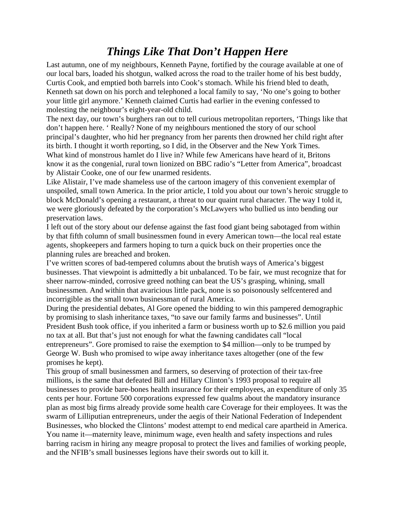## *Things Like That Don't Happen Here*

Last autumn, one of my neighbours, Kenneth Payne, fortified by the courage available at one of our local bars, loaded his shotgun, walked across the road to the trailer home of his best buddy, Curtis Cook, and emptied both barrels into Cook's stomach. While his friend bled to death, Kenneth sat down on his porch and telephoned a local family to say, 'No one's going to bother your little girl anymore.' Kenneth claimed Curtis had earlier in the evening confessed to molesting the neighbour's eight-year-old child.

The next day, our town's burghers ran out to tell curious metropolitan reporters, 'Things like that don't happen here. ' Really? None of my neighbours mentioned the story of our school principal's daughter, who hid her pregnancy from her parents then drowned her child right after its birth. I thought it worth reporting, so I did, in the Observer and the New York Times. What kind of monstrous hamlet do I live in? While few Americans have heard of it, Britons know it as the congenial, rural town lionized on BBC radio's "Letter from America", broadcast by Alistair Cooke, one of our few unarmed residents.

Like Alistair, I've made shameless use of the cartoon imagery of this convenient exemplar of unspoiled, small town America. In the prior article, I told you about our town's heroic struggle to block McDonald's opening a restaurant, a threat to our quaint rural character. The way I told it, we were gloriously defeated by the corporation's McLawyers who bullied us into bending our preservation laws.

I left out of the story about our defense against the fast food giant being sabotaged from within by that fifth column of small businessmen found in every American town—the local real estate agents, shopkeepers and farmers hoping to turn a quick buck on their properties once the planning rules are breached and broken.

I've written scores of bad-tempered columns about the brutish ways of America's biggest businesses. That viewpoint is admittedly a bit unbalanced. To be fair, we must recognize that for sheer narrow-minded, corrosive greed nothing can beat the US's grasping, whining, small businessmen. And within that avaricious little pack, none is so poisonously selfcentered and incorrigible as the small town businessman of rural America.

During the presidential debates, Al Gore opened the bidding to win this pampered demographic by promising to slash inheritance taxes, "to save our family farms and businesses". Until President Bush took office, if you inherited a farm or business worth up to \$2.6 million you paid no tax at all. But that's just not enough for what the fawning candidates call "local entrepreneurs". Gore promised to raise the exemption to \$4 million—only to be trumped by George W. Bush who promised to wipe away inheritance taxes altogether (one of the few promises he kept).

This group of small businessmen and farmers, so deserving of protection of their tax-free millions, is the same that defeated Bill and Hillary Clinton's 1993 proposal to require all businesses to provide bare-bones health insurance for their employees, an expenditure of only 35 cents per hour. Fortune 500 corporations expressed few qualms about the mandatory insurance plan as most big firms already provide some health care Coverage for their employees. It was the swarm of Lilliputian entrepreneurs, under the aegis of their National Federation of Independent Businesses, who blocked the Clintons' modest attempt to end medical care apartheid in America. You name it—maternity leave, minimum wage, even health and safety inspections and rules barring racism in hiring any meagre proposal to protect the lives and families of working people, and the NFIB's small businesses legions have their swords out to kill it.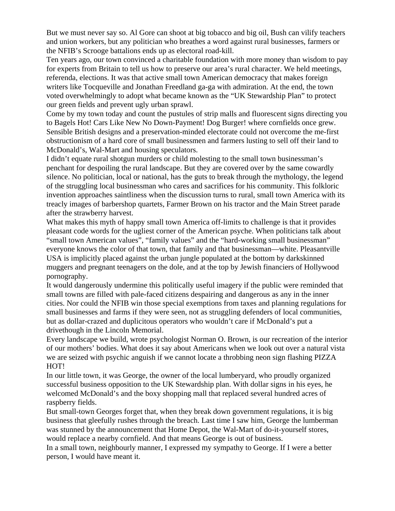But we must never say so. Al Gore can shoot at big tobacco and big oil, Bush can vilify teachers and union workers, but any politician who breathes a word against rural businesses, farmers or the NFIB's Scrooge battalions ends up as electoral road-kill.

Ten years ago, our town convinced a charitable foundation with more money than wisdom to pay for experts from Britain to tell us how to preserve our area's rural character. We held meetings, referenda, elections. It was that active small town American democracy that makes foreign writers like Tocqueville and Jonathan Freedland ga-ga with admiration. At the end, the town voted overwhelmingly to adopt what became known as the "UK Stewardship Plan" to protect our green fields and prevent ugly urban sprawl.

Come by my town today and count the pustules of strip malls and fluorescent signs directing you to Bagels Hot! Cars Like New No Down-Payment! Dog Burger! where cornfields once grew. Sensible British designs and a preservation-minded electorate could not overcome the me-first obstructionism of a hard core of small businessmen and farmers lusting to sell off their land to McDonald's, Wal-Mart and housing speculators.

I didn't equate rural shotgun murders or child molesting to the small town businessman's penchant for despoiling the rural landscape. But they are covered over by the same cowardly silence. No politician, local or national, has the guts to break through the mythology, the legend of the struggling local businessman who cares and sacrifices for his community. This folkloric invention approaches saintliness when the discussion turns to rural, small town America with its treacly images of barbershop quartets, Farmer Brown on his tractor and the Main Street parade after the strawberry harvest.

What makes this myth of happy small town America off-limits to challenge is that it provides pleasant code words for the ugliest corner of the American psyche. When politicians talk about "small town American values", "family values" and the "hard-working small businessman" everyone knows the color of that town, that family and that businessman—white. Pleasantville USA is implicitly placed against the urban jungle populated at the bottom by darkskinned muggers and pregnant teenagers on the dole, and at the top by Jewish financiers of Hollywood pornography.

It would dangerously undermine this politically useful imagery if the public were reminded that small towns are filled with pale-faced citizens despairing and dangerous as any in the inner cities. Nor could the NFIB win those special exemptions from taxes and planning regulations for small businesses and farms if they were seen, not as struggling defenders of local communities, but as dollar-crazed and duplicitous operators who wouldn't care if McDonald's put a drivethough in the Lincoln Memorial.

Every landscape we build, wrote psychologist Norman O. Brown, is our recreation of the interior of our mothers' bodies. What does it say about Americans when we look out over a natural vista we are seized with psychic anguish if we cannot locate a throbbing neon sign flashing PIZZA HOT!

In our little town, it was George, the owner of the local lumberyard, who proudly organized successful business opposition to the UK Stewardship plan. With dollar signs in his eyes, he welcomed McDonald's and the boxy shopping mall that replaced several hundred acres of raspberry fields.

But small-town Georges forget that, when they break down government regulations, it is big business that gleefully rushes through the breach. Last time I saw him, George the lumberman was stunned by the announcement that Home Depot, the Wal-Mart of do-it-yourself stores, would replace a nearby cornfield. And that means George is out of business.

In a small town, neighbourly manner, I expressed my sympathy to George. If I were a better person, I would have meant it.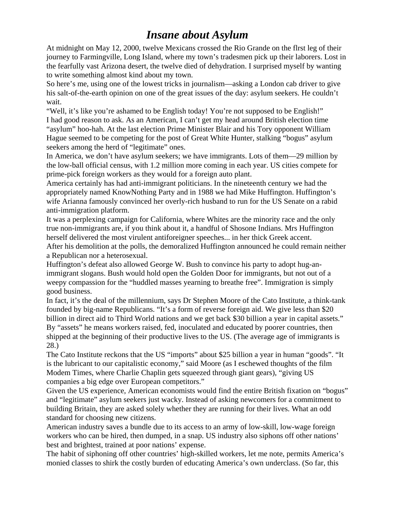#### *Insane about Asylum*

At midnight on May 12, 2000, twelve Mexicans crossed the Rio Grande on the flrst leg of their journey to Farmingville, Long Island, where my town's tradesmen pick up their laborers. Lost in the fearfully vast Arizona desert, the twelve died of dehydration. I surprised myself by wanting to write something almost kind about my town.

So here's me, using one of the lowest tricks in journalism—asking a London cab driver to give his salt-of-the-earth opinion on one of the great issues of the day: asylum seekers. He couldn't wait.

"Well, it's like you're ashamed to be English today! You're not supposed to be English!" I had good reason to ask. As an American, I can't get my head around British election time "asylum" hoo-hah. At the last election Prime Minister Blair and his Tory opponent William Hague seemed to be competing for the post of Great White Hunter, stalking "bogus" asylum seekers among the herd of "legitimate" ones.

In America, we don't have asylum seekers; we have immigrants. Lots of them—29 million by the low-ball official census, with 1.2 million more coming in each year. US cities compete for prime-pick foreign workers as they would for a foreign auto plant.

America certainly has had anti-immigrant politicians. In the nineteenth century we had the appropriately named KnowNothing Party and in 1988 we had Mike Huffington. Huffington's wife Arianna famously convinced her overly-rich husband to run for the US Senate on a rabid anti-immigration platform.

It was a perplexing campaign for California, where Whites are the minority race and the only true non-immigrants are, if you think about it, a handful of Shosone Indians. Mrs Huffington herself delivered the most virulent antiforeigner speeches... in her thick Greek accent.

After his demolition at the polls, the demoralized Huffington announced he could remain neither a Republican nor a heterosexual.

Huffington's defeat also allowed George W. Bush to convince his party to adopt hug-animmigrant slogans. Bush would hold open the Golden Door for immigrants, but not out of a weepy compassion for the "huddled masses yearning to breathe free". Immigration is simply good business.

In fact, it's the deal of the millennium, says Dr Stephen Moore of the Cato Institute, a think-tank founded by big-name Republicans. "It's a form of reverse foreign aid. We give less than \$20 billion in direct aid to Third World nations and we get back \$30 billion a year in capital assets." By "assets" he means workers raised, fed, inoculated and educated by poorer countries, then shipped at the beginning of their productive lives to the US. (The average age of immigrants is 28.)

The Cato Institute reckons that the US "imports" about \$25 billion a year in human "goods". "It is the lubricant to our capitalistic economy," said Moore (as I eschewed thoughts of the film Modem Times, where Charlie Chaplin gets squeezed through giant gears), "giving US companies a big edge over European competitors."

Given the US experience, American economists would find the entire British fixation on "bogus" and "legitimate" asylum seekers just wacky. Instead of asking newcomers for a commitment to building Britain, they are asked solely whether they are running for their lives. What an odd standard for choosing new citizens.

American industry saves a bundle due to its access to an army of low-skill, low-wage foreign workers who can be hired, then dumped, in a snap. US industry also siphons off other nations' best and brightest, trained at poor nations' expense.

The habit of siphoning off other countries' high-skilled workers, let me note, permits America's monied classes to shirk the costly burden of educating America's own underclass. (So far, this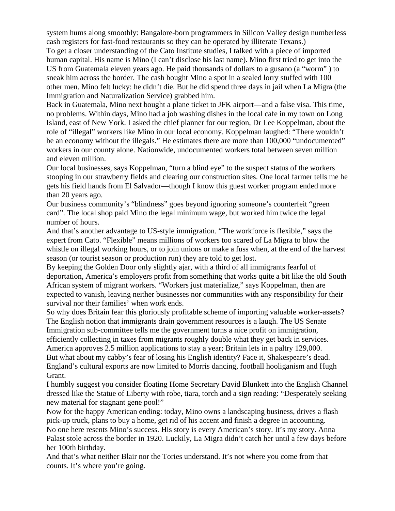system hums along smoothly: Bangalore-born programmers in Silicon Valley design numberless cash registers for fast-food restaurants so they can be operated by illiterate Texans.)

To get a closer understanding of the Cato Institute studies, I talked with a piece of imported human capital. His name is Mino (I can't disclose his last name). Mino first tried to get into the US from Guatemala eleven years ago. He paid thousands of dollars to a gusano (a "worm" ) to sneak him across the border. The cash bought Mino a spot in a sealed lorry stuffed with 100 other men. Mino felt lucky: he didn't die. But he did spend three days in jail when La Migra (the Immigration and Naturalization Service) grabbed him.

Back in Guatemala, Mino next bought a plane ticket to JFK airport—and a false visa. This time, no problems. Within days, Mino had a job washing dishes in the local cafe in my town on Long Island, east of New York. I asked the chief planner for our region, Dr Lee Koppelman, about the role of "illegal" workers like Mino in our local economy. Koppelman laughed: "There wouldn't be an economy without the illegals." He estimates there are more than 100,000 "undocumented" workers in our county alone. Nationwide, undocumented workers total between seven million and eleven million.

Our local businesses, says Koppelman, "turn a blind eye" to the suspect status of the workers stooping in our strawberry fields and clearing our construction sites. One local farmer tells me he gets his field hands from El Salvador—though I know this guest worker program ended more than 20 years ago.

Our business community's "blindness" goes beyond ignoring someone's counterfeit "green card". The local shop paid Mino the legal minimum wage, but worked him twice the legal number of hours.

And that's another advantage to US-style immigration. "The workforce is flexible," says the expert from Cato. "Flexible" means millions of workers too scared of La Migra to blow the whistle on illegal working hours, or to join unions or make a fuss when, at the end of the harvest season (or tourist season or production run) they are told to get lost.

By keeping the Golden Door only slightly ajar, with a third of all immigrants fearful of deportation, America's employers profit from something that works quite a bit like the old South African system of migrant workers. "Workers just materialize," says Koppelman, then are expected to vanish, leaving neither businesses nor communities with any responsibility for their survival nor their families' when work ends.

So why does Britain fear this gloriously profitable scheme of importing valuable worker-assets? The English notion that immigrants drain government resources is a laugh. The US Senate Immigration sub-committee tells me the government turns a nice profit on immigration, efficiently collecting in taxes from migrants roughly double what they get back in services. America approves 2.5 million applications to stay a year; Britain lets in a paltry 129,000. But what about my cabby's fear of losing his English identity? Face it, Shakespeare's dead. England's cultural exports are now limited to Morris dancing, football hooliganism and Hugh

Grant.

I humbly suggest you consider floating Home Secretary David Blunkett into the English Channel dressed like the Statue of Liberty with robe, tiara, torch and a sign reading: "Desperately seeking new material for stagnant gene pool!"

Now for the happy American ending: today, Mino owns a landscaping business, drives a flash pick-up truck, plans to buy a home, get rid of his accent and finish a degree in accounting. No one here resents Mino's success. His story is every American's story. It's my story. Anna Palast stole across the border in 1920. Luckily, La Migra didn't catch her until a few days before her 100th birthday.

And that's what neither Blair nor the Tories understand. It's not where you come from that counts. It's where you're going.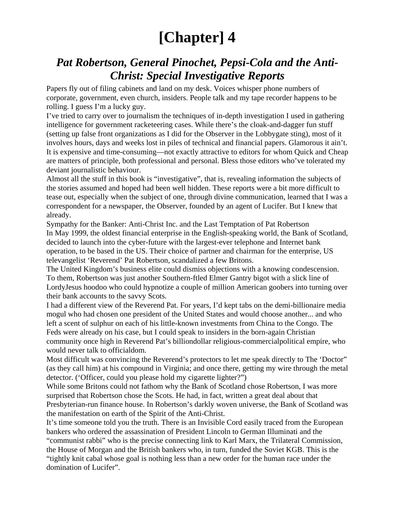## **[Chapter] 4**

#### *Pat Robertson, General Pinochet, Pepsi-Cola and the Anti-Christ: Special Investigative Reports*

Papers fly out of filing cabinets and land on my desk. Voices whisper phone numbers of corporate, government, even church, insiders. People talk and my tape recorder happens to be rolling. I guess I'm a lucky guy.

I've tried to carry over to journalism the techniques of in-depth investigation I used in gathering intelligence for government racketeering cases. While there's the cloak-and-dagger fun stuff (setting up false front organizations as I did for the Observer in the Lobbygate sting), most of it involves hours, days and weeks lost in piles of technical and financial papers. Glamorous it ain't. It is expensive and time-consuming—not exactly attractive to editors for whom Quick and Cheap are matters of principle, both professional and personal. Bless those editors who've tolerated my deviant journalistic behaviour.

Almost all the stuff in this book is "investigative", that is, revealing information the subjects of the stories assumed and hoped had been well hidden. These reports were a bit more difficult to tease out, especially when the subject of one, through divine communication, learned that I was a correspondent for a newspaper, the Observer, founded by an agent of Lucifer. But I knew that already.

Sympathy for the Banker: Anti-Christ Inc. and the Last Temptation of Pat Robertson In May 1999, the oldest financial enterprise in the English-speaking world, the Bank of Scotland, decided to launch into the cyber-future with the largest-ever telephone and Internet bank operation, to be based in the US. Their choice of partner and chairman for the enterprise, US televangelist 'Reverend' Pat Robertson, scandalized a few Britons.

The United Kingdom's business elite could dismiss objections with a knowing condescension. To them, Robertson was just another Southern-ftled Elmer Gantry bigot with a slick line of LordyJesus hoodoo who could hypnotize a couple of million American goobers into turning over their bank accounts to the savvy Scots.

I had a different view of the Reverend Pat. For years, I'd kept tabs on the demi-billionaire media mogul who had chosen one president of the United States and would choose another... and who left a scent of sulphur on each of his little-known investments from China to the Congo. The Feds were already on his case, but I could speak to insiders in the born-again Christian community once high in Reverend Pat's billiondollar religious-commercialpolitical empire, who would never talk to officialdom.

Most difficult was convincing the Reverend's protectors to let me speak directly to The 'Doctor" (as they call him) at his compound in Virginia; and once there, getting my wire through the metal detector. ('Officer, could you please hold my cigarette lighter?")

While some Britons could not fathom why the Bank of Scotland chose Robertson, I was more surprised that Robertson chose the Scots. He had, in fact, written a great deal about that Presbyterian-run finance house. In Robertson's darkly woven universe, the Bank of Scotland was the manifestation on earth of the Spirit of the Anti-Christ.

It's time someone told you the truth. There is an Invisible Cord easily traced from the European bankers who ordered the assassination of President Lincoln to German Illuminati and the "communist rabbi" who is the precise connecting link to Karl Marx, the Trilateral Commission, the House of Morgan and the British bankers who, in turn, funded the Soviet KGB. This is the "tightly knit cabal whose goal is nothing less than a new order for the human race under the domination of Lucifer".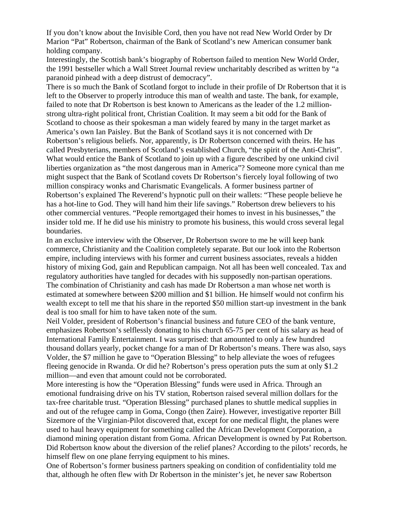If you don't know about the Invisible Cord, then you have not read New World Order by Dr Marion "Pat" Robertson, chairman of the Bank of Scotland's new American consumer bank holding company.

Interestingly, the Scottish bank's biography of Robertson failed to mention New World Order, the 1991 bestseller which a Wall Street Journal review uncharitably described as written by "a paranoid pinhead with a deep distrust of democracy".

There is so much the Bank of Scotland forgot to include in their profile of Dr Robertson that it is left to the Observer to properly introduce this man of wealth and taste. The bank, for example, failed to note that Dr Robertson is best known to Americans as the leader of the 1.2 millionstrong ultra-right political front, Christian Coalition. It may seem a bit odd for the Bank of Scotland to choose as their spokesman a man widely feared by many in the target market as America's own Ian Paisley. But the Bank of Scotland says it is not concerned with Dr Robertson's religious beliefs. Nor, apparently, is Dr Robertson concerned with theirs. He has called Presbyterians, members of Scotland's established Church, "the spirit of the Anti-Christ". What would entice the Bank of Scotland to join up with a figure described by one unkind civil liberties organization as "the most dangerous man in America"? Someone more cynical than me might suspect that the Bank of Scotland covets Dr Robertson's fiercely loyal following of two million conspiracy wonks and Charismatic Evangelicals. A former business partner of Robertson's explained The Reverend's hypnotic pull on their wallets: "These people believe he has a hot-line to God. They will hand him their life savings." Robertson drew believers to his other commercial ventures. "People remortgaged their homes to invest in his businesses," the insider told me. If he did use his ministry to promote his business, this would cross several legal boundaries.

In an exclusive interview with the Observer, Dr Robertson swore to me he will keep bank commerce, Christianity and the Coalition completely separate. But our look into the Robertson empire, including interviews with his former and current business associates, reveals a hidden history of mixing God, gain and Republican campaign. Not all has been well concealed. Tax and regulatory authorities have tangled for decades with his supposedly non-partisan operations. The combination of Christianity and cash has made Dr Robertson a man whose net worth is estimated at somewhere between \$200 million and \$1 billion. He himself would not confirm his wealth except to tell me that his share in the reported \$50 million start-up investment in the bank deal is too small for him to have taken note of the sum.

Neil Volder, president of Robertson's financial business and future CEO of the bank venture, emphasizes Robertson's selflessly donating to his church 65-75 per cent of his salary as head of International Family Entertainment. I was surprised: that amounted to only a few hundred thousand dollars yearly, pocket change for a man of Dr Robertson's means. There was also, says Volder, the \$7 million he gave to "Operation Blessing" to help alleviate the woes of refugees fleeing genocide in Rwanda. Or did he? Robertson's press operation puts the sum at only \$1.2 million—and even that amount could not be corroborated.

More interesting is how the "Operation Blessing" funds were used in Africa. Through an emotional fundraising drive on his TV station, Robertson raised several million dollars for the tax-free charitable trust. "Operation Blessing" purchased planes to shuttle medical supplies in and out of the refugee camp in Goma, Congo (then Zaire). However, investigative reporter Bill Sizemore of the Virginian-Pilot discovered that, except for one medical flight, the planes were used to haul heavy equipment for something called the African Development Corporation, a diamond mining operation distant from Goma. African Development is owned by Pat Robertson. Did Robertson know about the diversion of the relief planes? According to the pilots' records, he himself flew on one plane ferrying equipment to his mines.

One of Robertson's former business partners speaking on condition of confidentiality told me that, although he often flew with Dr Robertson in the minister's jet, he never saw Robertson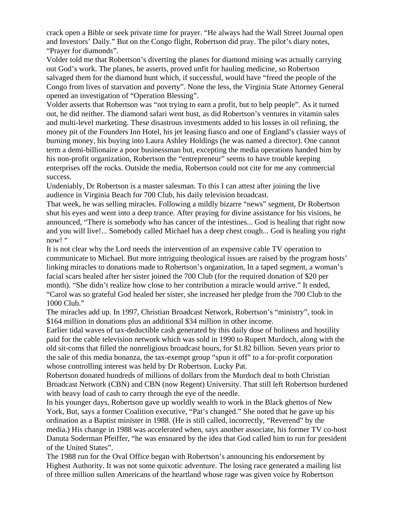crack open a Bible or seek private time for prayer. "He always had the Wall Street Journal open and Investors' Daily." But on the Congo flight, Robertson did pray. The pilot's diary notes, "Prayer for diamonds".

Volder told me that Robertson's diverting the planes for diamond mining was actually carrying out God's work. The planes, he asserts, proved unfit for hauling medicine, so Robertson salvaged them for the diamond hunt which, if successful, would have "freed the people of the Congo from lives of starvation and poverty". None the less, the Virginia State Attorney General opened an investigation of "Operation Blessing".

Volder asserts that Robertson was "not trying to earn a profit, but to help people". As it turned out, he did neither. The diamond safari went bust, as did Robertson's ventures in vitamin sales and multi-level marketing. These disastrous investments added to his losses in oil refining, the money pit of the Founders Inn Hotel, his jet leasing fiasco and one of England's classier ways of burning money, his buying into Laura Ashley Holdings (he was named a director). One cannot term a demi-billionaire a poor businessman but, excepting the media operations handed him by his non-profit organization, Robertson the "entrepreneur" seems to have trouble keeping enterprises off the rocks. Outside the media, Robertson could not cite for me any commercial success.

Undeniably, Dr Robertson is a master salesman. To this I can attest after joining the live audience in Virginia Beach for 700 Club, his daily television broadcast.

That week, he was selling miracles. Following a mildly bizarre "news" segment, Dr Robertson shut his eyes and went into a deep trance. After praying for divine assistance for his visions, he announced, "There is somebody who has cancer of the intestines... God is healing that right now and you will live!... Somebody called Michael has a deep chest cough... God is healing you right now!"

It is not clear why the Lord needs the intervention of an expensive cable TV operation to communicate to Michael. But more intriguing theological issues are raised by the program hosts' linking miracles to donations made to Robertson's organization, In a taped segment, a woman's facial scars healed after her sister joined the 700 Club (for the required donation of \$20 per month). "She didn't realize how close to her contribution a miracle would arrive." It ended, "Carol was so grateful God healed her sister, she increased her pledge from the 700 Club to the 1000 Club."

The miracles add up. In 1997, Christian Broadcast Network, Robertson's "ministry", took in \$164 million in donations plus an additional \$34 million in other income.

Earlier tidal waves of tax-deductible cash generated by this daily dose of holiness and hostility paid for the cable television network which was sold in 1990 to Rupert Murdoch, along with the old sit-coms that filled the nonreligious broadcast hours, for \$1.82 billion. Seven years prior to the sale of this media bonanza, the tax-exempt group "spun it off" to a for-profit corporation whose controlling interest was held by Dr Robertson. Lucky Pat.

Robertson donated hundreds of millions of dollars from the Murdoch deal to both Christian Broadcast Network (CBN) and CBN (now Regent) University. That still left Robertson burdened with heavy load of cash to carry through the eye of the needle.

In his younger days, Robertson gave up worldly wealth to work in the Black ghettos of New York, But, says a former Coalition executive, "Pat's changed." She noted that he gave up his ordination as a Baptist minister in 1988. (He is still called, incorrectly, "Reverend" by the media.) His change in 1988 was accelerated when, says another associate, his former TV co-host Danuta Soderman Pfeiffer, "he was ensnared by the idea that God called him to run for president of the United States".

The 1988 run for the Oval Office began with Robertson's announcing his endorsement by Highest Authority. It was not some quixotic adventure. The losing race generated a mailing list of three million sullen Americans of the heartland whose rage was given voice by Robertson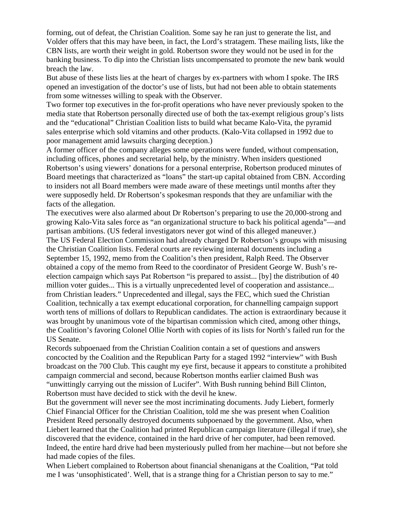forming, out of defeat, the Christian Coalition. Some say he ran just to generate the list, and Volder offers that this may have been, in fact, the Lord's stratagem. These mailing lists, like the CBN lists, are worth their weight in gold. Robertson swore they would not be used in for the banking business. To dip into the Christian lists uncompensated to promote the new bank would breach the law.

But abuse of these lists lies at the heart of charges by ex-partners with whom I spoke. The IRS opened an investigation of the doctor's use of lists, but had not been able to obtain statements from some witnesses willing to speak with the Observer.

Two former top executives in the for-profit operations who have never previously spoken to the media state that Robertson personally directed use of both the tax-exempt religious group's lists and the "educational" Christian Coalition lists to build what became Kalo-Vita, the pyramid sales enterprise which sold vitamins and other products. (Kalo-Vita collapsed in 1992 due to poor management amid lawsuits charging deception.)

A former officer of the company alleges some operations were funded, without compensation, including offices, phones and secretarial help, by the ministry. When insiders questioned Robertson's using viewers' donations for a personal enterprise, Robertson produced minutes of Board meetings that characterized as "loans" the start-up capital obtained from CBN. According to insiders not all Board members were made aware of these meetings until months after they were supposedly held. Dr Robertson's spokesman responds that they are unfamiliar with the facts of the allegation.

The executives were also alarmed about Dr Robertson's preparing to use the 20,000-strong and growing Kalo-Vita sales force as "an organizational structure to back his political agenda"—and partisan ambitions. (US federal investigators never got wind of this alleged maneuver.) The US Federal Election Commission had already charged Dr Robertson's groups with misusing the Christian Coalition lists. Federal courts are reviewing internal documents including a September 15, 1992, memo from the Coalition's then president, Ralph Reed. The Observer obtained a copy of the memo from Reed to the coordinator of President George W. Bush's reelection campaign which says Pat Robertson "is prepared to assist... [by] the distribution of 40 million voter guides... This is a virtually unprecedented level of cooperation and assistance... from Christian leaders." Unprecedented and illegal, says the FEC, which sued the Christian Coalition, technically a tax exempt educational corporation, for channelling campaign support worth tens of millions of dollars to Republican candidates. The action is extraordinary because it was brought by unanimous vote of the bipartisan commission which cited, among other things, the Coalition's favoring Colonel Ollie North with copies of its lists for North's failed run for the US Senate.

Records subpoenaed from the Christian Coalition contain a set of questions and answers concocted by the Coalition and the Republican Party for a staged 1992 "interview" with Bush broadcast on the 700 Club. This caught my eye first, because it appears to constitute a prohibited campaign commercial and second, because Robertson months earlier claimed Bush was "unwittingly carrying out the mission of Lucifer". With Bush running behind Bill Clinton, Robertson must have decided to stick with the devil he knew.

But the government will never see the most incriminating documents. Judy Liebert, formerly Chief Financial Officer for the Christian Coalition, told me she was present when Coalition President Reed personally destroyed documents subpoenaed by the government. Also, when Liebert learned that the Coalition had printed Republican campaign literature (illegal if true), she discovered that the evidence, contained in the hard drive of her computer, had been removed. Indeed, the entire hard drive had been mysteriously pulled from her machine—but not before she had made copies of the files.

When Liebert complained to Robertson about financial shenanigans at the Coalition, "Pat told me I was 'unsophisticated'. Well, that is a strange thing for a Christian person to say to me."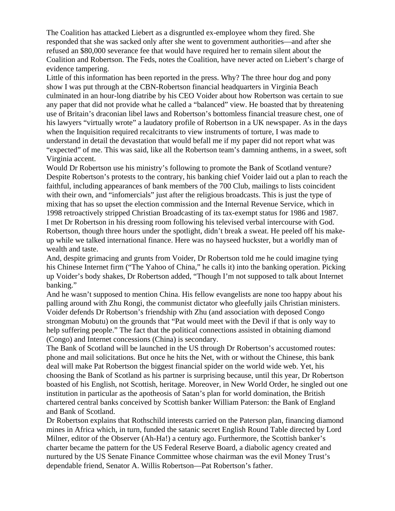The Coalition has attacked Liebert as a disgruntled ex-employee whom they fired. She responded that she was sacked only after she went to government authorities—and after she refused an \$80,000 severance fee that would have required her to remain silent about the Coalition and Robertson. The Feds, notes the Coalition, have never acted on Liebert's charge of evidence tampering.

Little of this information has been reported in the press. Why? The three hour dog and pony show I was put through at the CBN-Robertson financial headquarters in Virginia Beach culminated in an hour-long diatribe by his CEO Voider about how Robertson was certain to sue any paper that did not provide what he called a "balanced" view. He boasted that by threatening use of Britain's draconian libel laws and Robertson's bottomless financial treasure chest, one of his lawyers "virtually wrote" a laudatory profile of Robertson in a UK newspaper. As in the days when the Inquisition required recalcitrants to view instruments of torture, I was made to understand in detail the devastation that would befall me if my paper did not report what was "expected" of me. This was said, like all the Robertson team's damning anthems, in a sweet, soft Virginia accent.

Would Dr Robertson use his ministry's following to promote the Bank of Scotland venture? Despite Robertson's protests to the contrary, his banking chief Voider laid out a plan to reach the faithful, including appearances of bank members of the 700 Club, mailings to lists coincident with their own, and "infomercials" just after the religious broadcasts. This is just the type of mixing that has so upset the election commission and the Internal Revenue Service, which in 1998 retroactively stripped Christian Broadcasting of its tax-exempt status for 1986 and 1987. I met Dr Robertson in his dressing room following his televised verbal intercourse with God. Robertson, though three hours under the spotlight, didn't break a sweat. He peeled off his makeup while we talked international finance. Here was no hayseed huckster, but a worldly man of wealth and taste.

And, despite grimacing and grunts from Voider, Dr Robertson told me he could imagine tying his Chinese Internet firm ("The Yahoo of China," he calls it) into the banking operation. Picking up Voider's body shakes, Dr Robertson added, "Though I'm not supposed to talk about Internet banking."

And he wasn't supposed to mention China. His fellow evangelists are none too happy about his palling around with Zhu Rongi, the communist dictator who gleefully jails Christian ministers. Voider defends Dr Robertson's friendship with Zhu (and association with deposed Congo strongman Mobutu) on the grounds that "Pat would meet with the Devil if that is only way to help suffering people." The fact that the political connections assisted in obtaining diamond (Congo) and Internet concessions (China) is secondary.

The Bank of Scotland will be launched in the US through Dr Robertson's accustomed routes: phone and mail solicitations. But once he hits the Net, with or without the Chinese, this bank deal will make Pat Robertson the biggest financial spider on the world wide web. Yet, his choosing the Bank of Scotland as his partner is surprising because, until this year, Dr Robertson boasted of his English, not Scottish, heritage. Moreover, in New World Order, he singled out one institution in particular as the apotheosis of Satan's plan for world domination, the British chartered central banks conceived by Scottish banker William Paterson: the Bank of England and Bank of Scotland.

Dr Robertson explains that Rothschild interests carried on the Paterson plan, financing diamond mines in Africa which, in turn, funded the satanic secret English Round Table directed by Lord Milner, editor of the Observer (Ah-Ha!) a century ago. Furthermore, the Scottish banker's charter became the pattern for the US Federal Reserve Board, a diabolic agency created and nurtured by the US Senate Finance Committee whose chairman was the evil Money Trust's dependable friend, Senator A. Willis Robertson—Pat Robertson's father.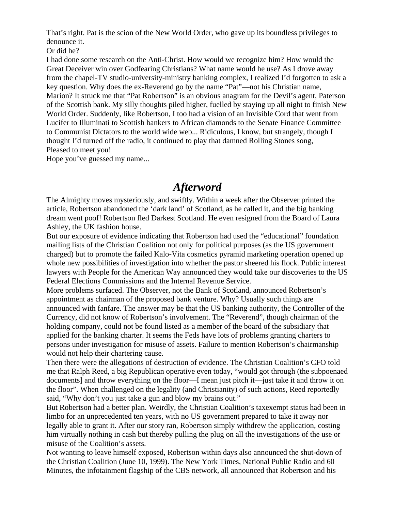That's right. Pat is the scion of the New World Order, who gave up its boundless privileges to denounce it.

Or did he?

I had done some research on the Anti-Christ. How would we recognize him? How would the Great Deceiver win over Godfearing Christians? What name would he use? As I drove away from the chapel-TV studio-university-ministry banking complex, I realized I'd forgotten to ask a key question. Why does the ex-Reverend go by the name "Pat"—not his Christian name, Marion? It struck me that "Pat Robertson" is an obvious anagram for the Devil's agent, Paterson of the Scottish bank. My silly thoughts piled higher, fuelled by staying up all night to finish New World Order. Suddenly, like Robertson, I too had a vision of an Invisible Cord that went from Lucifer to Illuminati to Scottish bankers to African diamonds to the Senate Finance Committee to Communist Dictators to the world wide web... Ridiculous, I know, but strangely, though I thought I'd turned off the radio, it continued to play that damned Rolling Stones song, Pleased to meet you!

Hope you've guessed my name...

## *Afterword*

The Almighty moves mysteriously, and swiftly. Within a week after the Observer printed the article, Robertson abandoned the 'dark land' of Scotland, as he called it, and the big banking dream went poof! Robertson fled Darkest Scotland. He even resigned from the Board of Laura Ashley, the UK fashion house.

But our exposure of evidence indicating that Robertson had used the "educational" foundation mailing lists of the Christian Coalition not only for political purposes (as the US government charged) but to promote the failed Kalo-Vita cosmetics pyramid marketing operation opened up whole new possibilities of investigation into whether the pastor sheered his flock. Public interest lawyers with People for the American Way announced they would take our discoveries to the US Federal Elections Commissions and the Internal Revenue Service.

More problems surfaced. The Observer, not the Bank of Scotland, announced Robertson's appointment as chairman of the proposed bank venture. Why? Usually such things are announced with fanfare. The answer may be that the US banking authority, the Controller of the Currency, did not know of Robertson's involvement. The "Reverend", though chairman of the holding company, could not be found listed as a member of the board of the subsidiary that applied for the banking charter. It seems the Feds have lots of problems granting charters to persons under investigation for misuse of assets. Failure to mention Robertson's chairmanship would not help their chartering cause.

Then there were the allegations of destruction of evidence. The Christian Coalition's CFO told me that Ralph Reed, a big Republican operative even today, "would got through (the subpoenaed documents] and throw everything on the floor—I mean just pitch it—just take it and throw it on the floor". When challenged on the legality (and Christianity) of such actions, Reed reportedly said, "Why don't you just take a gun and blow my brains out."

But Robertson had a better plan. Weirdly, the Christian Coalition's taxexempt status had been in limbo for an unprecedented ten years, with no US government prepared to take it away nor legally able to grant it. After our story ran, Robertson simply withdrew the application, costing him virtually nothing in cash but thereby pulling the plug on all the investigations of the use or misuse of the Coalition's assets.

Not wanting to leave himself exposed, Robertson within days also announced the shut-down of the Christian Coalition (June 10, 1999). The New York Times, National Public Radio and 60 Minutes, the infotainment flagship of the CBS network, all announced that Robertson and his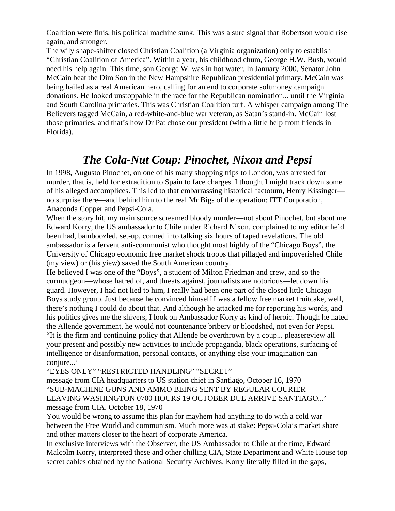Coalition were finis, his political machine sunk. This was a sure signal that Robertson would rise again, and stronger.

The wily shape-shifter closed Christian Coalition (a Virginia organization) only to establish "Christian Coalition of America". Within a year, his childhood chum, George H.W. Bush, would need his help again. This time, son George W. was in hot water. In January 2000, Senator John McCain beat the Dim Son in the New Hampshire Republican presidential primary. McCain was being hailed as a real American hero, calling for an end to corporate softmoney campaign donations. He looked unstoppable in the race for the Republican nomination... until the Virginia and South Carolina primaries. This was Christian Coalition turf. A whisper campaign among The Believers tagged McCain, a red-white-and-blue war veteran, as Satan's stand-in. McCain lost those primaries, and that's how Dr Pat chose our president (with a little help from friends in Florida).

### *The Cola-Nut Coup: Pinochet, Nixon and Pepsi*

In 1998, Augusto Pinochet, on one of his many shopping trips to London, was arrested for murder, that is, held for extradition to Spain to face charges. I thought I might track down some of his alleged accomplices. This led to that embarrassing historical factotum, Henry Kissinger no surprise there—and behind him to the real Mr Bigs of the operation: ITT Corporation, Anaconda Copper and Pepsi-Cola.

When the story hit, my main source screamed bloody murder—not about Pinochet, but about me. Edward Korry, the US ambassador to Chile under Richard Nixon, complained to my editor he'd been had, bamboozled, set-up, conned into talking six hours of taped revelations. The old ambassador is a fervent anti-communist who thought most highly of the "Chicago Boys", the University of Chicago economic free market shock troops that pillaged and impoverished Chile (my view) or (his yiew) saved the South American country.

He believed I was one of the "Boys", a student of Milton Friedman and crew, and so the curmudgeon—whose hatred of, and threats against, journalists are notorious—let down his guard. However, I had not lied to him, I really had been one part of the closed little Chicago Boys study group. Just because he convinced himself I was a fellow free market fruitcake, well, there's nothing I could do about that. And although he attacked me for reporting his words, and his politics gives me the shivers, I look on Ambassador Korry as kind of heroic. Though he hated the Allende government, he would not countenance bribery or bloodshed, not even for Pepsi. "It is the firm and continuing policy that Allende be overthrown by a coup... pleasereview all your present and possibly new activities to include propaganda, black operations, surfacing of intelligence or disinformation, personal contacts, or anything else your imagination can conjure...'

"EYES ONLY" "RESTRICTED HANDLING" "SECRET"

message from CIA headquarters to US station chief in Santiago, October 16, 1970 "SUB-MACHINE GUNS AND AMMO BEING SENT BY REGULAR COURIER LEAVING WASHINGTON 0700 HOURS 19 OCTOBER DUE ARRIVE SANTIAGO...' message from CIA, October 18, 1970

You would be wrong to assume this plan for mayhem had anything to do with a cold war between the Free World and communism. Much more was at stake: Pepsi-Cola's market share and other matters closer to the heart of corporate America.

In exclusive interviews with the Observer, the US Ambassador to Chile at the time, Edward Malcolm Korry, interpreted these and other chilling CIA, State Department and White House top secret cables obtained by the National Security Archives. Korry literally filled in the gaps,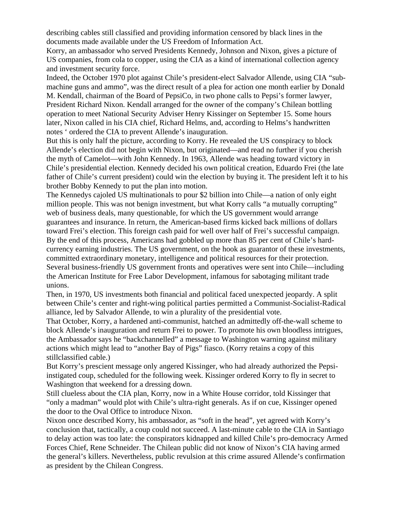describing cables still classified and providing information censored by black lines in the documents made available under the US Freedom of Information Act.

Korry, an ambassador who served Presidents Kennedy, Johnson and Nixon, gives a picture of US companies, from cola to copper, using the CIA as a kind of international collection agency and investment security force.

Indeed, the October 1970 plot against Chile's president-elect Salvador Allende, using CIA "submachine guns and ammo", was the direct result of a plea for action one month earlier by Donald M. Kendall, chairman of the Board of PepsiCo, in two phone calls to Pepsi's former lawyer, President Richard Nixon. Kendall arranged for the owner of the company's Chilean bottling operation to meet National Security Adviser Henry Kissinger on September 15. Some hours later, Nixon called in his CIA chief, Richard Helms, and, according to Helms's handwritten notes ' ordered the CIA to prevent Allende's inauguration.

But this is only half the picture, according to Korry. He revealed the US conspiracy to block Allende's election did not begin with Nixon, but originated—and read no further if you cherish the myth of Camelot—with John Kennedy. In 1963, Allende was heading toward victory in Chile's presidential election. Kennedy decided his own political creation, Eduardo Frei (the late father of Chile's current president) could win the election by buying it. The president left it to his brother Bobby Kennedy to put the plan into motion.

The Kennedys cajoled US multinationals to pour \$2 billion into Chile—a nation of only eight million people. This was not benign investment, but what Korry calls "a mutually corrupting" web of business deals, many questionable, for which the US government would arrange guarantees and insurance. In return, the American-based firms kicked back millions of dollars toward Frei's election. This foreign cash paid for well over half of Frei's successful campaign. By the end of this process, Americans had gobbled up more than 85 per cent of Chile's hardcurrency earning industries. The US government, on the hook as guarantor of these investments, committed extraordinary monetary, intelligence and political resources for their protection. Several business-friendly US government fronts and operatives were sent into Chile—including the American Institute for Free Labor Development, infamous for sabotaging militant trade unions.

Then, in 1970, US investments both financial and political faced unexpected jeopardy. A split between Chile's center and right-wing political parties permitted a Communist-Socialist-Radical alliance, led by Salvador Allende, to win a plurality of the presidential vote.

That October, Korry, a hardened anti-communist, hatched an admittedly off-the-wall scheme to block Allende's inauguration and return Frei to power. To promote his own bloodless intrigues, the Ambassador says he "backchannelled" a message to Washington warning against military actions which might lead to "another Bay of Pigs" fiasco. (Korry retains a copy of this stillclassified cable.)

But Korry's prescient message only angered Kissinger, who had already authorized the Pepsiinstigated coup, scheduled for the following week. Kissinger ordered Korry to fly in secret to Washington that weekend for a dressing down.

Still clueless about the CIA plan, Korry, now in a White House corridor, told Kissinger that "only a madman" would plot with Chile's ultra-right generals. As if on cue, Kissinger opened the door to the Oval Office to introduce Nixon.

Nixon once described Korry, his ambassador, as "soft in the head", yet agreed with Korry's conclusion that, tactically, a coup could not succeed. A last-minute cable to the CIA in Santiago to delay action was too late: the conspirators kidnapped and killed Chile's pro-democracy Armed Forces Chief, Rene Schneider. The Chilean public did not know of Nixon's CIA having armed the general's killers. Nevertheless, public revulsion at this crime assured Allende's confirmation as president by the Chilean Congress.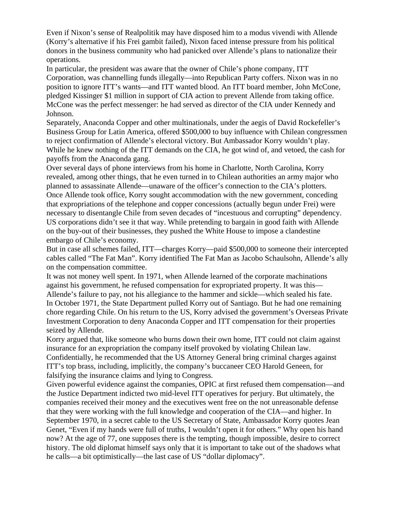Even if Nixon's sense of Realpolitik may have disposed him to a modus vivendi with Allende (Korry's alternative if his Frei gambit failed), Nixon faced intense pressure from his political donors in the business community who had panicked over Allende's plans to nationalize their operations.

In particular, the president was aware that the owner of Chile's phone company, ITT Corporation, was channelling funds illegally—into Republican Party coffers. Nixon was in no position to ignore ITT's wants—and ITT wanted blood. An ITT board member, John McCone, pledged Kissinger \$1 million in support of CIA action to prevent Allende from taking office. McCone was the perfect messenger: he had served as director of the CIA under Kennedy and Johnson.

Separately, Anaconda Copper and other multinationals, under the aegis of David Rockefeller's Business Group for Latin America, offered \$500,000 to buy influence with Chilean congressmen to reject confirmation of Allende's electoral victory. But Ambassador Korry wouldn't play. While he knew nothing of the ITT demands on the CIA, he got wind of, and vetoed, the cash for payoffs from the Anaconda gang.

Over several days of phone interviews from his home in Charlotte, North Carolina, Korry revealed, among other things, that he even turned in to Chilean authorities an army major who planned to assassinate Allende—unaware of the officer's connection to the CIA's plotters. Once Allende took office, Korry sought accommodation with the new government, conceding that expropriations of the telephone and copper concessions (actually begun under Frei) were necessary to disentangle Chile from seven decades of "incestuous and corrupting" dependency. US corporations didn't see it that way. While pretending to bargain in good faith with Allende on the buy-out of their businesses, they pushed the White House to impose a clandestine embargo of Chile's economy.

But in case all schemes failed, ITT—charges Korry—paid \$500,000 to someone their intercepted cables called "The Fat Man". Korry identified The Fat Man as Jacobo Schaulsohn, Allende's ally on the compensation committee.

It was not money well spent. In 1971, when Allende learned of the corporate machinations against his government, he refused compensation for expropriated property. It was this— Allende's failure to pay, not his allegiance to the hammer and sickle—which sealed his fate. In October 1971, the State Department pulled Korry out of Santiago. But he had one remaining chore regarding Chile. On his return to the US, Korry advised the government's Overseas Private Investment Corporation to deny Anaconda Copper and ITT compensation for their properties seized by Allende.

Korry argued that, like someone who burns down their own home, ITT could not claim against insurance for an expropriation the company itself provoked by violating Chilean law. Confidentially, he recommended that the US Attorney General bring criminal charges against ITT's top brass, including, implicitly, the company's buccaneer CEO Harold Geneen, for

falsifying the insurance claims and lying to Congress.

Given powerful evidence against the companies, OPIC at first refused them compensation—and the Justice Department indicted two mid-level ITT operatives for perjury. But ultimately, the companies received their money and the executives went free on the not unreasonable defense that they were working with the full knowledge and cooperation of the CIA—and higher. In September 1970, in a secret cable to the US Secretary of State, Ambassador Korry quotes Jean Genet, "Even if my hands were full of truths, I wouldn't open it for others." Why open his hand now? At the age of 77, one supposes there is the tempting, though impossible, desire to correct history. The old diplomat himself says only that it is important to take out of the shadows what he calls—a bit optimistically—the last case of US "dollar diplomacy".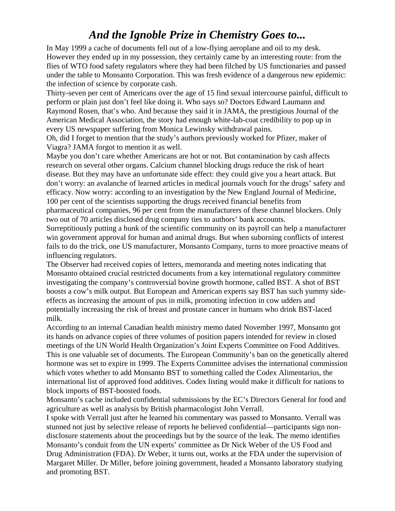### *And the Ignoble Prize in Chemistry Goes to...*

In May 1999 a cache of documents fell out of a low-flying aeroplane and oil to my desk. However they ended up in my possession, they certainly came by an interesting route: from the flies of WTO food safety regulators where they had been filched by US functionaries and passed under the table to Monsanto Corporation. This was fresh evidence of a dangerous new epidemic: the infection of science by corporate cash.

Thirty-seven per cent of Americans over the age of 15 find sexual intercourse painful, difficult to perform or plain just don't feel like doing it. Who says so? Doctors Edward Laumann and Raymond Rosen, that's who. And because they said it in JAMA, the prestigious Journal of the American Medical Association, the story had enough white-lab-coat credibility to pop up in every US newspaper suffering from Monica Lewinsky withdrawal pains.

Oh, did I forget to mention that the study's authors previously worked for Pfizer, maker of Viagra? JAMA forgot to mention it as well.

Maybe you don't care whether Americans are hot or not. But contamination by cash affects research on several other organs. Calcium channel blocking drugs reduce the risk of heart disease. But they may have an unfortunate side effect: they could give you a heart attack. But don't worry: an avalanche of learned articles in medical journals vouch for the drugs' safety and efficacy. Now worry: according to an investigation by the New England Journal of Medicine, 100 per cent of the scientists supporting the drugs received financial benefits from pharmaceutical companies, 96 per cent from the manufacturers of these channel blockers. Only two out of 70 articles disclosed drug company ties to authors' bank accounts.

Surreptitiously putting a hunk of the scientific community on its payroll can help a manufacturer win government approval for human and animal drugs. But when suborning conflicts of interest fails to do the trick, one US manufacturer, Monsanto Company, turns to more proactive means of influencing regulators.

The Observer had received copies of letters, memoranda and meeting notes indicating that Monsanto obtained crucial restricted documents from a key international regulatory committee investigating the company's controversial bovine growth hormone, called BST. A shot of BST boosts a cow's milk output. But European and American experts say BST has such yummy sideeffects as increasing the amount of pus in milk, promoting infection in cow udders and potentially increasing the risk of breast and prostate cancer in humans who drink BST-laced milk.

According to an internal Canadian health ministry memo dated November 1997, Monsanto got its hands on advance copies of three volumes of position papers intended for review in closed meetings of the UN World Health Organization's Joint Experts Committee on Food Additives. This is one valuable set of documents. The European Community's ban on the genetically altered hormone was set to expire in 1999. The Experts Committee advises the international commission which votes whether to add Monsanto BST to something called the Codex Alimentarius, the international list of approved food additives. Codex listing would make it difficult for nations to block imports of BST-boosted foods.

Monsanto's cache included confidential submissions by the EC's Directors General for food and agriculture as well as analysis by British pharmacologist John Verrall.

I spoke with Verrall just after he learned his commentary was passed to Monsanto. Verrall was stunned not just by selective release of reports he believed confidential—participants sign nondisclosure statements about the proceedings but by the source of the leak. The memo identifies Monsanto's conduit from the UN experts' committee as Dr Nick Weber of the US Food and Drug Administration (FDA). Dr Weber, it turns out, works at the FDA under the supervision of Margaret Miller. Dr Miller, before joining government, headed a Monsanto laboratory studying and promoting BST.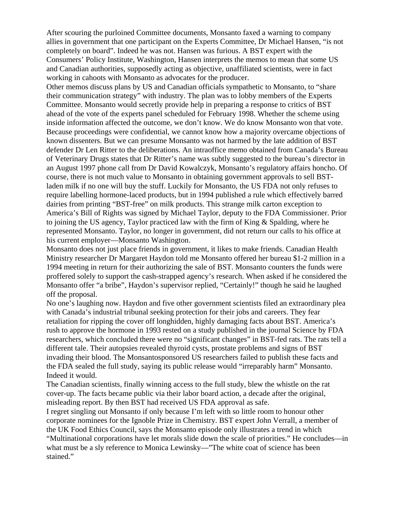After scouring the purloined Committee documents, Monsanto faxed a warning to company allies in government that one participant on the Experts Committee, Dr Michael Hansen, "is not completely on board". Indeed he was not. Hansen was furious. A BST expert with the Consumers' Policy Institute, Washington, Hansen interprets the memos to mean that some US and Canadian authorities, supposedly acting as objective, unaffiliated scientists, were in fact working in cahoots with Monsanto as advocates for the producer.

Other memos discuss plans by US and Canadian officials sympathetic to Monsanto, to "share their communication strategy" with industry. The plan was to lobby members of the Experts Committee. Monsanto would secretly provide help in preparing a response to critics of BST ahead of the vote of the experts panel scheduled for February 1998. Whether the scheme using inside information affected the outcome, we don't know. We do know Monsanto won that vote. Because proceedings were confidential, we cannot know how a majority overcame objections of known dissenters. But we can presume Monsanto was not harmed by the late addition of BST defender Dr Len Ritter to the deliberations. An intraoffice memo obtained from Canada's Bureau of Veterinary Drugs states that Dr Ritter's name was subtly suggested to the bureau's director in an August 1997 phone call from Dr David Kowalczyk, Monsanto's regulatory affairs honcho. Of course, there is not much value to Monsanto in obtaining government approvals to sell BSTladen milk if no one will buy the stuff. Luckily for Monsanto, the US FDA not only refuses to require labelling hormone-laced products, but in 1994 published a rule which effectively barred dairies from printing "BST-free" on milk products. This strange milk carton exception to America's Bill of Rights was signed by Michael Taylor, deputy to the FDA Commissioner. Prior to joining the US agency, Taylor practiced law with the firm of King & Spalding, where he represented Monsanto. Taylor, no longer in government, did not return our calls to his office at his current employer—Monsanto Washington.

Monsanto does not just place friends in government, it likes to make friends. Canadian Health Ministry researcher Dr Margaret Haydon told me Monsanto offered her bureau \$1-2 million in a 1994 meeting in return for their authorizing the sale of BST. Monsanto counters the funds were proffered solely to support the cash-strapped agency's research. When asked if he considered the Monsanto offer "a bribe", Haydon's supervisor replied, "Certainly!" though he said he laughed off the proposal.

No one's laughing now. Haydon and five other government scientists filed an extraordinary plea with Canada's industrial tribunal seeking protection for their jobs and careers. They fear retaliation for ripping the cover off longhidden, highly damaging facts about BST. America's rush to approve the hormone in 1993 rested on a study published in the journal Science by FDA researchers, which concluded there were no "significant changes" in BST-fed rats. The rats tell a different tale. Their autopsies revealed thyroid cysts, prostate problems and signs of BST invading their blood. The Monsantosponsored US researchers failed to publish these facts and the FDA sealed the full study, saying its public release would "irreparably harm" Monsanto. Indeed it would.

The Canadian scientists, finally winning access to the full study, blew the whistle on the rat cover-up. The facts became public via their labor board action, a decade after the original, misleading report. By then BST had received US FDA approval as safe.

I regret singling out Monsanto if only because I'm left with so little room to honour other corporate nominees for the Ignoble Prize in Chemistry. BST expert John Verrall, a member of the UK Food Ethics Council, says the Monsanto episode only illustrates a trend in which "Multinational corporations have let morals slide down the scale of priorities." He concludes—in what must be a sly reference to Monica Lewinsky—"The white coat of science has been stained."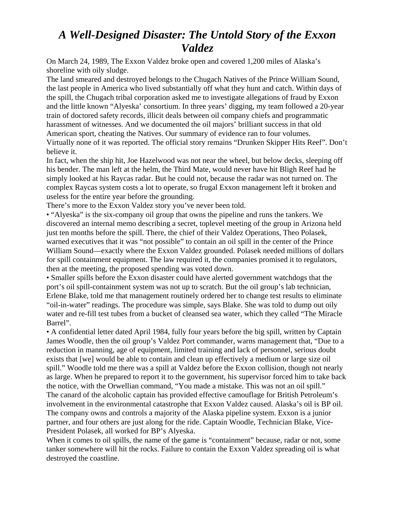### *A Well-Designed Disaster: The Untold Story of the Exxon Valdez*

On March 24, 1989, The Exxon Valdez broke open and covered 1,200 miles of Alaska's shoreline with oily sludge.

The land smeared and destroyed belongs to the Chugach Natives of the Prince William Sound, the last people in America who lived substantially off what they hunt and catch. Within days of the spill, the Chugach tribal corporation asked me to investigate allegations of fraud by Exxon and the little known "Alyeska' consortium. In three years' digging, my team followed a 20-year train of doctored safety records, illicit deals between oil company chiefs and programmatic harassment of witnesses. And we documented the oil majors' brilliant success in that old American sport, cheating the Natives. Our summary of evidence ran to four volumes. Virtually none of it was reported. The official story remains "Drunken Skipper Hits Reef". Don't believe it.

In fact, when the ship hit, Joe Hazelwood was not near the wheel, but below decks, sleeping off his bender. The man left at the helm, the Third Mate, would never have hit Bligh Reef had he simply looked at his Raycas radar. But he could not, because the radar was not turned on. The complex Raycas system costs a lot to operate, so frugal Exxon management left it broken and useless for the entire year before the grounding.

There's more to the Exxon Valdez story you've never been told.

• "Alyeska" is the six-company oil group that owns the pipeline and runs the tankers. We discovered an internal memo describing a secret, toplevel meeting of the group in Arizona held just ten months before the spill. There, the chief of their Valdez Operations, Theo Polasek, warned executives that it was "not possible" to contain an oil spill in the center of the Prince William Sound—exactly where the Exxon Valdez grounded. Polasek needed millions of dollars for spill containment equipment. The law required it, the companies promised it to regulators, then at the meeting, the proposed spending was voted down.

• Smaller spills before the Exxon disaster could have alerted government watchdogs that the port's oil spill-containment system was not up to scratch. But the oil group's lab technician, Erlene Blake, told me that management routinely ordered her to change test results to eliminate "oil-in-water" readings. The procedure was simple, says Blake. She was told to dump out oily water and re-fill test tubes from a bucket of cleansed sea water, which they called "The Miracle Barrel".

• A confidential letter dated April 1984, fully four years before the big spill, written by Captain James Woodle, then the oil group's Valdez Port commander, warns management that, "Due to a reduction in manning, age of equipment, limited training and lack of personnel, serious doubt exists that [we] would be able to contain and clean up effectively a medium or large size oil spill." Woodle told me there was a spill at Valdez before the Exxon collision, though not nearly as large. When he prepared to report it to the government, his supervisor forced him to take back the notice, with the Orwellian command, "You made a mistake. This was not an oil spill." The canard of the alcoholic captain has provided effective camouflage for British Petroleum's involvement in the environmental catastrophe that Exxon Valdez caused. Alaska's oil is BP oil. The company owns and controls a majority of the Alaska pipeline system. Exxon is a junior partner, and four others are just along for the ride. Captain Woodle, Technician Blake, Vice-President Polasek, all worked for BP's Alyeska.

When it comes to oil spills, the name of the game is "containment" because, radar or not, some tanker somewhere will hit the rocks. Failure to contain the Exxon Valdez spreading oil is what destroyed the coastline.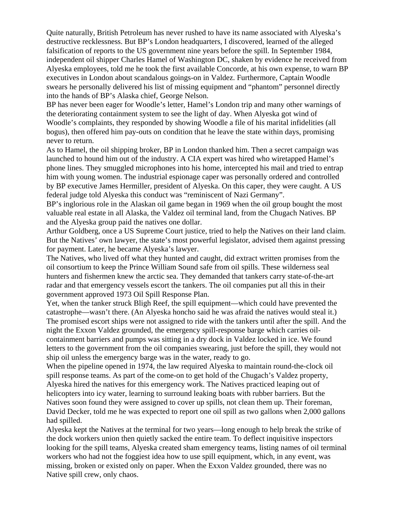Quite naturally, British Petroleum has never rushed to have its name associated with Alyeska's destructive recklessness. But BP's London headquarters, I discovered, learned of the alleged falsification of reports to the US government nine years before the spill. In September 1984, independent oil shipper Charles Hamel of Washington DC, shaken by evidence he received from Alyeska employees, told me he took the first available Concorde, at his own expense, to warn BP executives in London about scandalous goings-on in Valdez. Furthermore, Captain Woodle swears he personally delivered his list of missing equipment and "phantom" personnel directly into the hands of BP's Alaska chief, George Nelson.

BP has never been eager for Woodle's letter, Hamel's London trip and many other warnings of the deteriorating containment system to see the light of day. When Alyeska got wind of Woodle's complaints, they responded by showing Woodle a file of his marital infidelities (all bogus), then offered him pay-outs on condition that he leave the state within days, promising never to return.

As to Hamel, the oil shipping broker, BP in London thanked him. Then a secret campaign was launched to hound him out of the industry. A CIA expert was hired who wiretapped Hamel's phone lines. They smuggled microphones into his home, intercepted his mail and tried to entrap him with young women. The industrial espionage caper was personally ordered and controlled by BP executive James Hermiller, president of Alyeska. On this caper, they were caught. A US federal judge told Alyeska this conduct was "reminiscent of Nazi Germany".

BP's inglorious role in the Alaskan oil game began in 1969 when the oil group bought the most valuable real estate in all Alaska, the Valdez oil terminal land, from the Chugach Natives. BP and the Alyeska group paid the natives one dollar.

Arthur Goldberg, once a US Supreme Court justice, tried to help the Natives on their land claim. But the Natives' own lawyer, the state's most powerful legislator, advised them against pressing for payment. Later, he became Alyeska's lawyer.

The Natives, who lived off what they hunted and caught, did extract written promises from the oil consortium to keep the Prince William Sound safe from oil spills. These wilderness seal hunters and fishermen knew the arctic sea. They demanded that tankers carry state-of-the-art radar and that emergency vessels escort the tankers. The oil companies put all this in their government approved 1973 Oil Spill Response Plan.

Yet, when the tanker struck Bligh Reef, the spill equipment—which could have prevented the catastrophe—wasn't there. (An Alyeska honcho said he was afraid the natives would steal it.) The promised escort ships were not assigned to ride with the tankers until after the spill. And the night the Exxon Valdez grounded, the emergency spill-response barge which carries oilcontainment barriers and pumps was sitting in a dry dock in Valdez locked in ice. We found letters to the government from the oil companies swearing, just before the spill, they would not ship oil unless the emergency barge was in the water, ready to go.

When the pipeline opened in 1974, the law required Alyeska to maintain round-the-clock oil spill response teams. As part of the come-on to get hold of the Chugach's Valdez property, Alyeska hired the natives for this emergency work. The Natives practiced leaping out of helicopters into icy water, learning to surround leaking boats with rubber barriers. But the Natives soon found they were assigned to cover up spills, not clean them up. Their foreman, David Decker, told me he was expected to report one oil spill as two gallons when 2,000 gallons had spilled.

Alyeska kept the Natives at the terminal for two years—long enough to help break the strike of the dock workers union then quietly sacked the entire team. To deflect inquisitive inspectors looking for the spill teams, Alyeska created sham emergency teams, listing names of oil terminal workers who had not the foggiest idea how to use spill equipment, which, in any event, was missing, broken or existed only on paper. When the Exxon Valdez grounded, there was no Native spill crew, only chaos.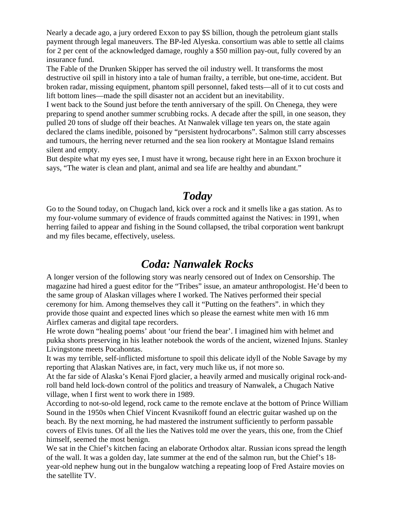Nearly a decade ago, a jury ordered Exxon to pay \$S billion, though the petroleum giant stalls payment through legal maneuvers. The BP-led Alyeska. consortium was able to settle all claims for 2 per cent of the acknowledged damage, roughly a \$50 million pay-out, fully covered by an insurance fund.

The Fable of the Drunken Skipper has served the oil industry well. It transforms the most destructive oil spill in history into a tale of human frailty, a terrible, but one-time, accident. But broken radar, missing equipment, phantom spill personnel, faked tests—all of it to cut costs and lift bottom lines—made the spill disaster not an accident but an inevitability.

I went back to the Sound just before the tenth anniversary of the spill. On Chenega, they were preparing to spend another summer scrubbing rocks. A decade after the spill, in one season, they pulled 20 tons of sludge off their beaches. At Nanwalek village ten years on, the state again declared the clams inedible, poisoned by "persistent hydrocarbons". Salmon still carry abscesses and tumours, the herring never returned and the sea lion rookery at Montague Island remains silent and empty.

But despite what my eyes see, I must have it wrong, because right here in an Exxon brochure it says, "The water is clean and plant, animal and sea life are healthy and abundant."

#### *Today*

Go to the Sound today, on Chugach land, kick over a rock and it smells like a gas station. As to my four-volume summary of evidence of frauds committed against the Natives: in 1991, when herring failed to appear and fishing in the Sound collapsed, the tribal corporation went bankrupt and my files became, effectively, useless.

#### *Coda: Nanwalek Rocks*

A longer version of the following story was nearly censored out of Index on Censorship. The magazine had hired a guest editor for the "Tribes" issue, an amateur anthropologist. He'd been to the same group of Alaskan villages where I worked. The Natives performed their special ceremony for him. Among themselves they call it "Putting on the feathers". in which they provide those quaint and expected lines which so please the earnest white men with 16 mm Airflex cameras and digital tape recorders.

He wrote down "healing poems' about 'our friend the bear'. I imagined him with helmet and pukka shorts preserving in his leather notebook the words of the ancient, wizened Injuns. Stanley Livingstone meets Pocahontas.

It was my terrible, self-inflicted misfortune to spoil this delicate idyll of the Noble Savage by my reporting that Alaskan Natives are, in fact, very much like us, if not more so.

At the far side of Alaska's Kenai Fjord glacier, a heavily armed and musically original rock-androll band held lock-down control of the politics and treasury of Nanwalek, a Chugach Native village, when I first went to work there in 1989.

According to not-so-old legend, rock came to the remote enclave at the bottom of Prince William Sound in the 1950s when Chief Vincent Kvasnikoff found an electric guitar washed up on the beach. By the next morning, he had mastered the instrument sufficiently to perform passable covers of Elvis tunes. Of all the lies the Natives told me over the years, this one, from the Chief himself, seemed the most benign.

We sat in the Chief's kitchen facing an elaborate Orthodox altar. Russian icons spread the length of the wall. It was a golden day, late summer at the end of the salmon run, but the Chief's 18 year-old nephew hung out in the bungalow watching a repeating loop of Fred Astaire movies on the satellite TV.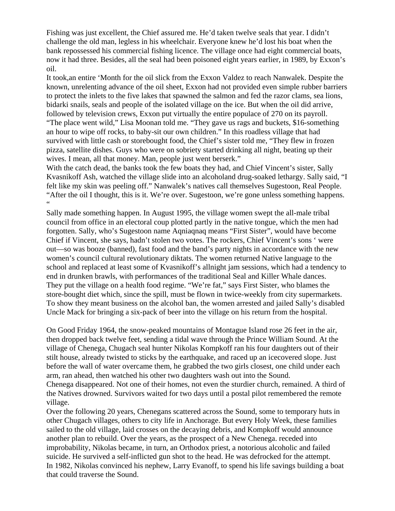Fishing was just excellent, the Chief assured me. He'd taken twelve seals that year. I didn't challenge the old man, legless in his wheelchair. Everyone knew he'd lost his boat when the bank repossessed his commercial fishing licence. The village once had eight commercial boats, now it had three. Besides, all the seal had been poisoned eight years earlier, in 1989, by Exxon's oil.

It took,an entire 'Month for the oil slick from the Exxon Valdez to reach Nanwalek. Despite the known, unrelenting advance of the oil sheet, Exxon had not provided even simple rubber barriers to protect the inlets to the five lakes that spawned the salmon and fed the razor clams, sea lions, bidarki snails, seals and people of the isolated village on the ice. But when the oil did arrive, followed by television crews, Exxon put virtually the entire populace of 270 on its payroll. "The place went wild," Lisa Moonan told me. "They gave us rags and buckets, \$16-something an hour to wipe off rocks, to baby-sit our own children." In this roadless village that had survived with little cash or storebought food, the Chief's sister told me, "They flew in frozen pizza, satellite dishes. Guys who were on sobriety started drinking all night, beating up their wives. I mean, all that money. Man, people just went berserk."

With the catch dead, the banks took the few boats they had, and Chief Vincent's sister, Sally Kvasnikoff Ash, watched the village slide into an alcoholand drug-soaked lethargy. Sally said, "I felt like my skin was peeling off." Nanwalek's natives call themselves Sugestoon, Real People. "After the oil I thought, this is it. We're over. Sugestoon, we're gone unless something happens.  $\zeta$   $\zeta$ 

Sally made something happen. In August 1995, the village women swept the all-male tribal council from office in an electoral coup plotted partly in the native tongue, which the men had forgotten. Sally, who's Sugestoon name Aqniaqnaq means "First Sister", would have become Chief if Vincent, she says, hadn't stolen two votes. The rockers, Chief Vincent's sons ' were out—so was booze (banned), fast food and the band's party nights in accordance with the new women's council cultural revolutionary diktats. The women returned Native language to the school and replaced at least some of Kvasnikoff's allnight jam sessions, which had a tendency to end in drunken brawls, with performances of the traditional Seal and Killer Whale dances. They put the village on a health food regime. "We're fat," says First Sister, who blames the store-bought diet which, since the spill, must be flown in twice-weekly from city supermarkets. To show they meant business on the alcohol ban, the women arrested and jailed Sally's disabled Uncle Mack for bringing a six-pack of beer into the village on his return from the hospital.

On Good Friday 1964, the snow-peaked mountains of Montague Island rose 26 feet in the air, then dropped back twelve feet, sending a tidal wave through the Prince William Sound. At the village of Chenega, Chugach seal hunter Nikolas Kompkoff ran his four daughters out of their stilt house, already twisted to sticks by the earthquake, and raced up an icecovered slope. Just before the wall of water overcame them, he grabbed the two girls closest, one child under each arm, ran ahead, then watched his other two daughters wash out into the Sound.

Chenega disappeared. Not one of their homes, not even the sturdier church, remained. A third of the Natives drowned. Survivors waited for two days until a postal pilot remembered the remote village.

Over the following 20 years, Chenegans scattered across the Sound, some to temporary huts in other Chugach villages, others to city life in Anchorage. But every Holy Week, these families sailed to the old village, laid crosses on the decaying debris, and Kompkoff would announce another plan to rebuild. Over the years, as the prospect of a New Chenega. receded into improbability, Nikolas became, in turn, an Orthodox priest, a notorious alcoholic and failed suicide. He survived a self-inflicted gun shot to the head. He was defrocked for the attempt. In 1982, Nikolas convinced his nephew, Larry Evanoff, to spend his life savings building a boat that could traverse the Sound.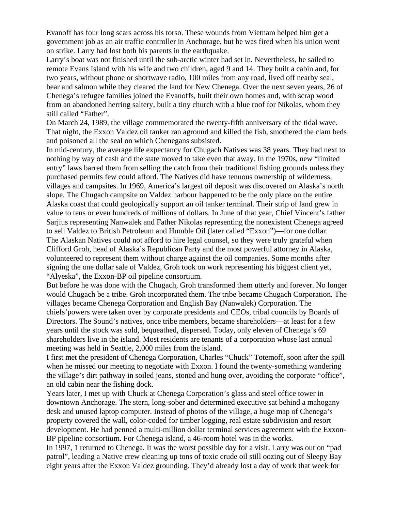Evanoff has four long scars across his torso. These wounds from Vietnam helped him get a government job as an air traffic controller in Anchorage, but he was fired when his union went on strike. Larry had lost both his parents in the earthquake.

Larry's boat was not finished until the sub-arctic winter had set in. Nevertheless, he sailed to remote Evans Island with his wife and two children, aged 9 and 14. They built a cabin and, for two years, without phone or shortwave radio, 100 miles from any road, lived off nearby seal, bear and salmon while they cleared the land for New Chenega. Over the next seven years, 26 of Chenega's refugee families joined the Evanoffs, built their own homes and, with scrap wood from an abandoned herring saltery, built a tiny church with a blue roof for Nikolas, whom they still called "Father".

On March 24, 1989, the village commemorated the twenty-fifth anniversary of the tidal wave. That night, the Exxon Valdez oil tanker ran aground and killed the fish, smothered the clam beds and poisoned all the seal on which Chenegans subsisted.

In mid-century, the average life expectancy for Chugach Natives was 38 years. They had next to nothing by way of cash and the state moved to take even that away. In the 1970s, new "limited entry" laws barred them from selling the catch from their traditional fishing grounds unless they purchased permits few could afford. The Natives did have tenuous ownership of wilderness, villages and campsites. In 1969, America's largest oil deposit was discovered on Alaska's north slope. The Chugach campsite on Valdez harbour happened to be the only place on the entire Alaska coast that could geologically support an oil tanker terminal. Their strip of land grew in value to tens or even hundreds of millions of dollars. In June of that year, Chief Vincent's father Sarjius representing Nanwalek and Father Nikolas representing the nonexistent Chenega agreed to sell Valdez to British Petroleum and Humble Oil (later called "Exxon")—for one dollar. The Alaskan Natives could not afford to hire legal counsel, so they were truly grateful when Clifford Groh, head of Alaska's Republican Party and the most powerful attorney in Alaska, volunteered to represent them without charge against the oil companies. Some months after signing the one dollar sale of Valdez, Groh took on work representing his biggest client yet, "Alyeska", the Exxon-BP oil pipeline consortium.

But before he was done with the Chugach, Groh transformed them utterly and forever. No longer would Chugach be a tribe. Groh incorporated them. The tribe became Chugach Corporation. The villages became Chenega Corporation and English Bay (Nanwalek) Corporation. The chiefs'powers were taken over by corporate presidents and CEOs, tribal councils by Boards of Directors. The Sound's natives, once tribe members, became shareholders—at least for a few years until the stock was sold, bequeathed, dispersed. Today, only eleven of Chenega's 69 shareholders live in the island. Most residents are tenants of a corporation whose last annual meeting was held in Seattle, 2,000 miles from the island.

I first met the president of Chenega Corporation, Charles "Chuck" Totemoff, soon after the spill when he missed our meeting to negotiate with Exxon. I found the twenty-something wandering the village's dirt pathway in soiled jeans, stoned and hung over, avoiding the corporate "office", an old cabin near the fishing dock.

Years later, I met up with Chuck at Chenega Corporation's glass and steel office tower in downtown Anchorage. The stern, long-sober and determined executive sat behind a mahogany desk and unused laptop computer. Instead of photos of the village, a huge map of Chenega's property covered the wall, color-coded for timber logging, real estate subdivision and resort development. He had penned a multi-million dollar terminal services agreement with the Exxon-BP pipeline consortium. For Chenega island, a 46-room hotel was in the works.

In 1997, 1 returned to Chenega. It was the worst possible day for a visit. Larry was out on "pad patrol", leading a Native crew cleaning up tons of toxic crude oil still oozing out of Sleepy Bay eight years after the Exxon Valdez grounding. They'd already lost a day of work that week for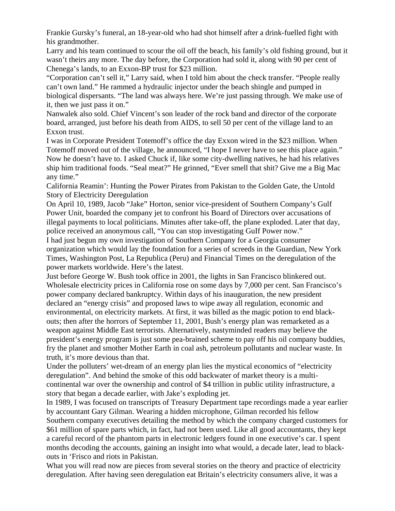Frankie Gursky's funeral, an 18-year-old who had shot himself after a drink-fuelled fight with his grandmother.

Larry and his team continued to scour the oil off the beach, his family's old fishing ground, but it wasn't theirs any more. The day before, the Corporation had sold it, along with 90 per cent of Chenega's lands, to an Exxon-BP trust for \$23 million.

"Corporation can't sell it," Larry said, when I told him about the check transfer. "People really can't own land." He rammed a hydraulic injector under the beach shingle and pumped in biological dispersants. "The land was always here. We're just passing through. We make use of it, then we just pass it on."

Nanwalek also sold. Chief Vincent's son leader of the rock band and director of the corporate board, arranged, just before his death from AIDS, to sell 50 per cent of the village land to an Exxon trust.

I was in Corporate President Totemoff's office the day Exxon wired in the \$23 million. When Totemoff moved out of the village, he announced, "I hope I never have to see this place again." Now he doesn't have to. I asked Chuck if, like some city-dwelling natives, he had his relatives ship him traditional foods. "Seal meat?" He grinned, "Ever smell that shit? Give me a Big Mac any time."

California Reamin': Hunting the Power Pirates from Pakistan to the Golden Gate, the Untold Story of Electricity Deregulation

On April 10, 1989, Jacob "Jake" Horton, senior vice-president of Southern Company's Gulf Power Unit, boarded the company jet to confront his Board of Directors over accusations of illegal payments to local politicians. Minutes after take-off, the plane exploded. Later that day, police received an anonymous call, "You can stop investigating GuIf Power now."

I had just begun my own investigation of Southern Company for a Georgia consumer organization which would lay the foundation for a series of screeds in the Guardian, New York Times, Washington Post, La Republica (Peru) and Financial Times on the deregulation of the power markets worldwide. Here's the latest.

Just before George W. Bush took office in 2001, the lights in San Francisco blinkered out. Wholesale electricity prices in California rose on some days by 7,000 per cent. San Francisco's power company declared bankruptcy. Within days of his inauguration, the new president declared an "energy crisis" and proposed laws to wipe away all regulation, economic and environmental, on electricity markets. At first, it was billed as the magic potion to end blackouts; then after the horrors of September 11, 2001, Bush's energy plan was remarketed as a weapon against Middle East terrorists. Alternatively, nastyminded readers may believe the president's energy program is just some pea-brained scheme to pay off his oil company buddies, fry the planet and smother Mother Earth in coal ash, petroleum pollutants and nuclear waste. In truth, it's more devious than that.

Under the polluters' wet-dream of an energy plan lies the mystical economics of "electricity deregulation". And behind the smoke of this odd backwater of market theory is a multicontinental war over the ownership and control of \$4 trillion in public utility infrastructure, a story that began a decade earlier, with Jake's exploding jet.

In 1989, I was focused on transcripts of Treasury Department tape recordings made a year earlier by accountant Gary Gilman. Wearing a hidden microphone, Gilman recorded his fellow Southern company executives detailing the method by which the company charged customers for \$61 million of spare parts which, in fact, had not been used. Like all good accountants, they kept a careful record of the phantom parts in electronic ledgers found in one executive's car. I spent months decoding the accounts, gaining an insight into what would, a decade later, lead to blackouts in 'Frisco and riots in Pakistan.

What you will read now are pieces from several stories on the theory and practice of electricity deregulation. After having seen deregulation eat Britain's electricity consumers alive, it was a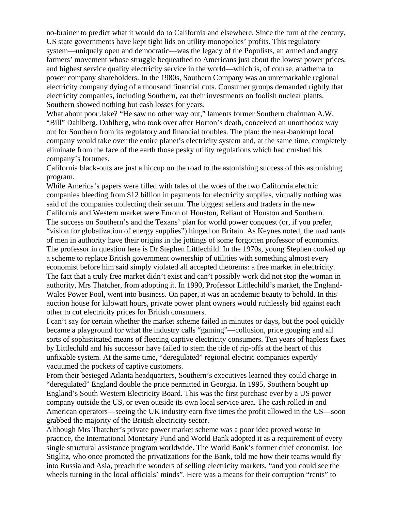no-brainer to predict what it would do to California and elsewhere. Since the turn of the century, US state governments have kept tight lids on utility monopolies' profits. This regulatory system—uniquely open and democratic—was the legacy of the Populists, an armed and angry farmers' movement whose struggle bequeathed to Americans just about the lowest power prices, and highest service quality electricity service in the world—which is, of course, anathema to power company shareholders. In the 1980s, Southern Company was an unremarkable regional electricity company dying of a thousand financial cuts. Consumer groups demanded rightly that electricity companies, including Southern, eat their investments on foolish nuclear plants. Southern showed nothing but cash losses for years.

What about poor Jake? "He saw no other way out," laments former Southern chairman A.W. "Bill" Dahlberg. Dahlberg, who took over after Horton's death, conceived an unorthodox way out for Southern from its regulatory and financial troubles. The plan: the near-bankrupt local company would take over the entire planet's electricity system and, at the same time, completely eliminate from the face of the earth those pesky utility regulations which had crushed his company's fortunes.

California black-outs are just a hiccup on the road to the astonishing success of this astonishing program.

While America's papers were filled with tales of the woes of the two California electric companies bleeding from \$12 billion in payments for electricity supplies, virtually nothing was said of the companies collecting their serum. The biggest sellers and traders in the new California and Western market were Enron of Houston, Reliant of Houston and Southern. The success on Southern's and the Texans' plan for world power conquest (or, if you prefer, "vision for globalization of energy supplies") hinged on Britain. As Keynes noted, the mad rants of men in authority have their origins in the jottings of some forgotten professor of economics. The professor in question here is Dr Stephen Littlechild. In the 1970s, young Stephen cooked up a scheme to replace British government ownership of utilities with something almost every economist before him said simply violated all accepted theorems: a free market in electricity. The fact that a truly free market didn't exist and can't possibly work did not stop the woman in authority, Mrs Thatcher, from adopting it. In 1990, Professor Littlechild's market, the England-Wales Power Pool, went into business. On paper, it was an academic beauty to behold. In this auction house for kilowatt hours, private power plant owners would ruthlessly bid against each other to cut electricity prices for British consumers.

I can't say for certain whether the market scheme failed in minutes or days, but the pool quickly became a playground for what the industry calls "gaming"—collusion, price gouging and all sorts of sophisticated means of fleecing captive electricity consumers. Ten years of hapless fixes by Littlechild and his successor have failed to stem the tide of rip-offs at the heart of this unfixable system. At the same time, "deregulated" regional electric companies expertly vacuumed the pockets of captive customers.

From their besieged Atlanta headquarters, Southern's executives learned they could charge in "deregulated" England double the price permitted in Georgia. In 1995, Southern bought up England's South Western Electricity Board. This was the first purchase ever by a US power company outside the US, or even outside its own local service area. The cash rolled in and American operators—seeing the UK industry earn five times the profit allowed in the US—soon grabbed the majority of the British electricity sector.

Although Mrs Thatcher's private power market scheme was a poor idea proved worse in practice, the International Monetary Fund and World Bank adopted it as a requirement of every single structural assistance program worldwide. The World Bank's former chief economist, Joe Stiglitz, who once promoted the privatizations for the Bank, told me how their teams would fly into Russia and Asia, preach the wonders of selling electricity markets, "and you could see the wheels turning in the local officials' minds". Here was a means for their corruption "rents" to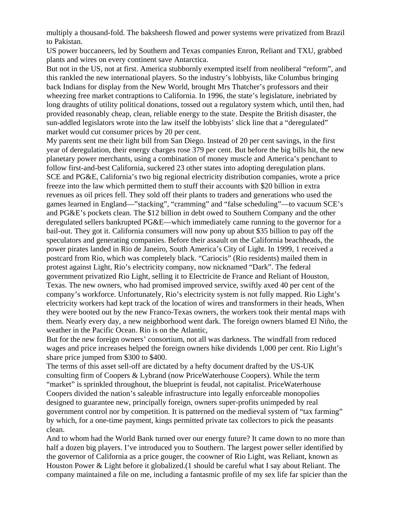multiply a thousand-fold. The baksheesh flowed and power systems were privatized from Brazil to Pakistan.

US power buccaneers, led by Southern and Texas companies Enron, Reliant and TXU, grabbed plants and wires on every continent save Antarctica.

But not in the US, not at first. America stubbornly exempted itself from neoliberal "reform", and this rankled the new international players. So the industry's lobbyists, like Columbus bringing back Indians for display from the New World, brought Mrs Thatcher's professors and their wheezing free market contraptions to California. In 1996, the state's legislature, inebriated by long draughts of utility political donations, tossed out a regulatory system which, until then, had provided reasonably cheap, clean, reliable energy to the state. Despite the British disaster, the sun-addled legislators wrote into the law itself the lobbyists' slick line that a "deregulated" market would cut consumer prices by 20 per cent.

My parents sent me their light bill from San Diego. Instead of 20 per cent savings, in the first year of deregulation, their energy charges rose 379 per cent. But before the big bills hit, the new planetary power merchants, using a combination of money muscle and America's penchant to follow first-and-best California, suckered 23 other states into adopting deregulation plans. SCE and PG&E, California's two big regional electricity distribution companies, wrote a price freeze into the law which permitted them to stuff their accounts with \$20 billion in extra revenues as oil prices fell. They sold off their plants to traders and generations who used the games learned in England—"stacking", "cramming" and "false scheduling"—to vacuum SCE's and PG&E's pockets clean. The \$12 billion in debt owed to Southern Company and the other deregulated sellers bankrupted PG&E—which immediately came running to the governor for a bail-out. They got it. California consumers will now pony up about \$35 billion to pay off the speculators and generating companies. Before their assault on the California beachheads, the power pirates landed in Rio de Janeiro, South America's City of Light. In 1999, 1 received a postcard from Rio, which was completely black. "Cariocis" (Rio residents) mailed them in protest against Light, Rio's electricity company, now nicknamed "Dark". The federal government privatized Rio Light, selling it to Electricite de France and Reliant of Houston, Texas. The new owners, who had promised improved service, swiftly axed 40 per cent of the company's workforce. Unfortunately, Rio's electricity system is not fully mapped. Rio Light's electricity workers had kept track of the location of wires and transformers in their heads, When they were booted out by the new Franco-Texas owners, the workers took their mental maps with them. Nearly every day, a new neighborhood went dark. The foreign owners blamed El Niño, the weather in the Pacific Ocean. Rio is on the Atlantic,

But for the new foreign owners' consortium, not all was darkness. The windfall from reduced wages and price increases helped the foreign owners hike dividends 1,000 per cent. Rio Light's share price jumped from \$300 to \$400.

The terms of this asset sell-off are dictated by a hefty document drafted by the US-UK consulting firm of Coopers & Lybrand (now PriceWaterhouse Coopers). While the term "market" is sprinkled throughout, the blueprint is feudal, not capitalist. PriceWaterhouse Coopers divided the nation's saleable infrastructure into legally enforceable monopolies designed to guarantee new, principally foreign, owners super-profits unimpeded by real government control nor by competition. It is patterned on the medieval system of "tax farming" by which, for a one-time payment, kings permitted private tax collectors to pick the peasants clean.

And to whom had the World Bank turned over our energy future? It came down to no more than half a dozen big players. I've introduced you to Southern. The largest power seller identified by the governor of California as a price gouger, the coowner of Rio Light, was Reliant, known as Houston Power & Light before it globalized.(1 should be careful what I say about Reliant. The company maintained a file on me, including a fantasmic profile of my sex life far spicier than the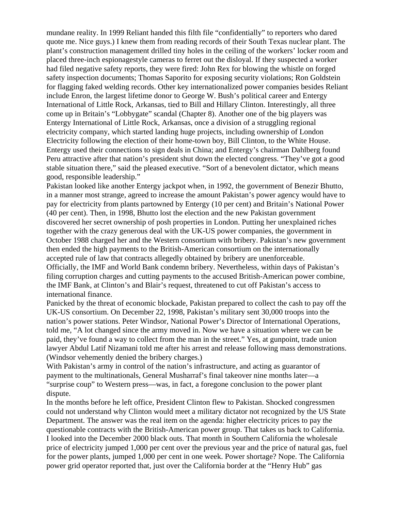mundane reality. In 1999 Reliant handed this filth file "confidentially" to reporters who dared quote me. Nice guys.) I knew them from reading records of their South Texas nuclear plant. The plant's construction management drilled tiny holes in the ceiling of the workers' locker room and placed three-inch espionagestyle cameras to ferret out the disloyal. If they suspected a worker had filed negative safety reports, they were fired: John Rex for blowing the whistle on forged safety inspection documents; Thomas Saporito for exposing security violations; Ron Goldstein for flagging faked welding records. Other key internationalized power companies besides Reliant include Enron, the largest lifetime donor to George W. Bush's political career and Entergy International of Little Rock, Arkansas, tied to Bill and Hillary Clinton. Interestingly, all three come up in Britain's "Lobbygate" scandal (Chapter 8). Another one of the big players was Entergy International of Little Rock, Arkansas, once a division of a struggling regional electricity company, which started landing huge projects, including ownership of London Electricity following the election of their home-town boy, Bill Clinton, to the White House. Entergy used their connections to sign deals in China; and Entergy's chairman Dahlberg found Peru attractive after that nation's president shut down the elected congress. "They've got a good stable situation there," said the pleased executive. "Sort of a benevolent dictator, which means good, responsible leadership."

Pakistan looked like another Entergy jackpot when, in 1992, the government of Benezir Bhutto, in a manner most strange, agreed to increase the amount Pakistan's power agency would have to pay for electricity from plants partowned by Entergy (10 per cent) and Britain's National Power (40 per cent). Then, in 1998, Bhutto lost the election and the new Pakistan government discovered her secret ownership of posh properties in London. Putting her unexplained riches together with the crazy generous deal with the UK-US power companies, the government in October 1988 charged her and the Western consortium with bribery. Pakistan's new government then ended the high payments to the British-American consortium on the internationally accepted rule of law that contracts allegedly obtained by bribery are unenforceable. Officially, the IMF and World Bank condemn bribery. Nevertheless, within days of Pakistan's filing corruption charges and cutting payments to the accused British-American power combine, the IMF Bank, at Clinton's and Blair's request, threatened to cut off Pakistan's access to international finance.

Panicked by the threat of economic blockade, Pakistan prepared to collect the cash to pay off the UK-US consortium. On December 22, 1998, Pakistan's military sent 30,000 troops into the nation's power stations. Peter Windsor, National Power's Director of International Operations, told me, "A lot changed since the army moved in. Now we have a situation where we can be paid, they've found a way to collect from the man in the street." Yes, at gunpoint, trade union lawyer Abdul Latif Nizamani told me after his arrest and release following mass demonstrations. (Windsor vehemently denied the bribery charges.)

With Pakistan's army in control of the nation's infrastructure, and acting as guarantor of payment to the multinationals, General Musharraf's final takeover nine months later—a "surprise coup" to Western press—was, in fact, a foregone conclusion to the power plant dispute.

In the months before he left office, President Clinton flew to Pakistan. Shocked congressmen could not understand why Clinton would meet a military dictator not recognized by the US State Department. The answer was the real item on the agenda: higher electricity prices to pay the questionable contracts with the British-American power group. That takes us back to California. I looked into the December 2000 black outs. That month in Southern California the wholesale price of electricity jumped 1,000 per cent over the previous year and the price of natural gas, fuel for the power plants, jumped 1,000 per cent in one week. Power shortage? Nope. The California power grid operator reported that, just over the California border at the "Henry Hub" gas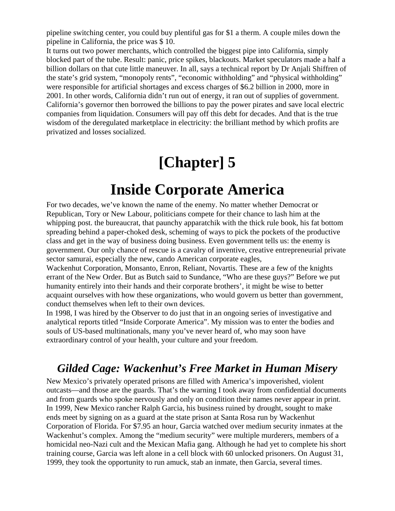pipeline switching center, you could buy plentiful gas for \$1 a therm. A couple miles down the pipeline in California, the price was \$ 10.

It turns out two power merchants, which controlled the biggest pipe into California, simply blocked part of the tube. Result: panic, price spikes, blackouts. Market speculators made a half a billion dollars on that cute little maneuver. In all, says a technical report by Dr Anjali Shiffren of the state's grid system, "monopoly rents", "economic withholding" and "physical withholding" were responsible for artificial shortages and excess charges of \$6.2 billion in 2000, more in 2001. In other words, California didn't run out of energy, it ran out of supplies of government. California's governor then borrowed the billions to pay the power pirates and save local electric companies from liquidation. Consumers will pay off this debt for decades. And that is the true wisdom of the deregulated marketplace in electricity: the brilliant method by which profits are privatized and losses socialized.

## **[Chapter] 5**

### **Inside Corporate America**

For two decades, we've known the name of the enemy. No matter whether Democrat or Republican, Tory or New Labour, politicians compete for their chance to lash him at the whipping post. the bureaucrat, that paunchy apparatchik with the thick rule book, his fat bottom spreading behind a paper-choked desk, scheming of ways to pick the pockets of the productive class and get in the way of business doing business. Even government tells us: the enemy is government. Our only chance of rescue is a cavalry of inventive, creative entrepreneurial private sector samurai, especially the new, cando American corporate eagles,

Wackenhut Corporation, Monsanto, Enron, Reliant, Novartis. These are a few of the knights errant of the New Order. But as Butch said to Sundance, "Who are these guys?" Before we put humanity entirely into their hands and their corporate brothers', it might be wise to better acquaint ourselves with how these organizations, who would govern us better than government, conduct themselves when left to their own devices.

In 1998, I was hired by the Observer to do just that in an ongoing series of investigative and analytical reports titled "Inside Corporate America". My mission was to enter the bodies and souls of US-based multinationals, many you've never heard of, who may soon have extraordinary control of your health, your culture and your freedom.

#### *Gilded Cage: Wackenhut's Free Market in Human Misery*

New Mexico's privately operated prisons are filled with America's impoverished, violent outcasts—and those are the guards. That's the warning I took away from confidential documents and from guards who spoke nervously and only on condition their names never appear in print. In 1999, New Mexico rancher Ralph Garcia, his business ruined by drought, sought to make ends meet by signing on as a guard at the state prison at Santa Rosa run by Wackenhut Corporation of Florida. For \$7.95 an hour, Garcia watched over medium security inmates at the Wackenhut's complex. Among the "medium security" were multiple murderers, members of a homicidal neo-Nazi cult and the Mexican Mafia gang. Although he had yet to complete his short training course, Garcia was left alone in a cell block with 60 unlocked prisoners. On August 31, 1999, they took the opportunity to run amuck, stab an inmate, then Garcia, several times.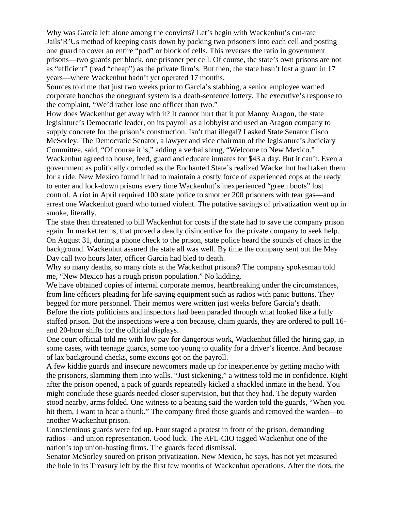Why was Garcia left alone among the convicts? Let's begin with Wackenhut's cut-rate Jails'R'Us method of keeping costs down by packing two prisoners into each cell and posting one guard to cover an entire "pod" or block of cells. This reverses the ratio in government prisons—two guards per block, one prisoner per cell. Of course, the state's own prisons are not as "efficient" (read "cheap") as the private firm's. But then, the state hasn't lost a guard in 17 years—where Wackenhut hadn't yet operated 17 months.

Sources told me that just two weeks prior to Garcia's stabbing, a senior employee warned corporate honchos the oneguard system is a death-sentence lottery. The executive's response to the complaint, "We'd rather lose one officer than two."

How does Wackenhut get away with it? It cannot hurt that it put Manny Aragon, the state legislature's Democratic leader, on its payroll as a lobbyist and used an Aragon company to supply concrete for the prison's construction. Isn't that illegal? I asked State Senator Cisco McSorley. The Democratic Senator, a lawyer and vice chairman of the legislature's Judiciary Committee, said, "Of course it is," adding a verbal shrug, "Welcome to New Mexico." Wackenhut agreed to house, feed, guard and educate inmates for \$43 a day. But it can't. Even a government as politically corroded as the Enchanted State's realized Wackenhut had taken them for a ride. New Mexico found it had to maintain a costly force of experienced cops at the ready to enter and lock-down prisons every time Wackenhut's inexperienced "green boots" lost control. A riot in April required 100 state police to smother 200 prisoners with tear gas—and arrest one Wackenhut guard who turned violent. The putative savings of privatization went up in smoke, literally.

The state then threatened to bill Wackenhut for costs if the state had to save the company prison again. In market terms, that proved a deadly disincentive for the private company to seek help. On August 31, during a phone check to the prison, state police heard the sounds of chaos in the background. Wackenhut assured the state all was well. By time the company sent out the May Day call two hours later, officer Garcia had bled to death.

Why so many deaths, so many riots at the Wackenhut prisons? The company spokesman told me, "New Mexico has a rough prison population." No kidding.

We have obtained copies of internal corporate memos, heartbreaking under the circumstances, from line officers pleading for life-saving equipment such as radios with panic buttons. They begged for more personnel. Their memos were written just weeks before Garcia's death. Before the riots politicians and inspectors had been paraded through what looked like a fully staffed prison. But the inspections were a con because, claim guards, they are ordered to pull 16 and 20-hour shifts for the official displays.

One court official told me with low pay for dangerous work, Wackenhut filled the hiring gap, in some cases, with teenage guards, some too young to qualify for a driver's licence. And because of lax background checks, some excons got on the payroll.

A few kiddie guards and insecure newcomers made up for inexperience by getting macho with the prisoners, slamming them into walls. "Just sickening," a witness told me in confidence. Right after the prison opened, a pack of guards repeatedly kicked a shackled inmate in the head. You might conclude these guards needed closer supervision, but that they had. The deputy warden stood nearby, arms folded. One witness to a beating said the warden told the guards, "When you hit them, I want to hear a thunk." The company fired those guards and removed the warden—to another Wackenhut prison.

Conscientious guards were fed up. Four staged a protest in front of the prison, demanding radios—and union representation. Good luck. The AFL-CIO tagged Wackenhut one of the nation's top union-busting firms. The guards faced dismissal.

Senator McSorley soured on prison privatization. New Mexico, he says, has not yet measured the hole in its Treasury left by the first few months of Wackenhut operations. After the riots, the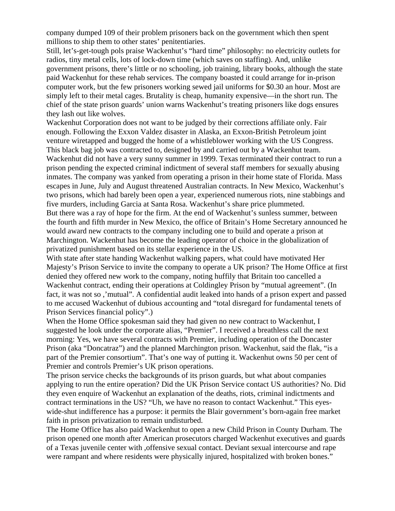company dumped 109 of their problem prisoners back on the government which then spent millions to ship them to other states' penitentiaries.

Still, let's-get-tough pols praise Wackenhut's "hard time" philosophy: no electricity outlets for radios, tiny metal cells, lots of lock-down time (which saves on staffing). And, unlike government prisons, there's little or no schooling, job training, library books, although the state paid Wackenhut for these rehab services. The company boasted it could arrange for in-prison computer work, but the few prisoners working sewed jail uniforms for \$0.30 an hour. Most are simply left to their metal cages. Brutality is cheap, humanity expensive—in the short run. The chief of the state prison guards' union warns Wackenhut's treating prisoners like dogs ensures they lash out like wolves.

Wackenhut Corporation does not want to be judged by their corrections affiliate only. Fair enough. Following the Exxon Valdez disaster in Alaska, an Exxon-British Petroleum joint venture wiretapped and bugged the home of a whistleblower working with the US Congress. This black bag job was contracted to, designed by and carried out by a Wackenhut team. Wackenhut did not have a very sunny summer in 1999. Texas terminated their contract to run a prison pending the expected criminal indictment of several staff members for sexually abusing inmates. The company was yanked from operating a prison in their home state of Florida. Mass escapes in June, July and August threatened Australian contracts. In New Mexico, Wackenhut's two prisons, which had barely been open a year, experienced numerous riots, nine stabbings and five murders, including Garcia at Santa Rosa. Wackenhut's share price plummeted.

But there was a ray of hope for the firm. At the end of Wackenhut's sunless summer, between the fourth and fifth murder in New Mexico, the office of Britain's Home Secretary announced he would award new contracts to the company including one to build and operate a prison at Marchington. Wackenhut has become the leading operator of choice in the globalization of privatized punishment based on its stellar experience in the US.

With state after state handing Wackenhut walking papers, what could have motivated Her Majesty's Prison Service to invite the company to operate a UK prison? The Home Office at first denied they offered new work to the company, noting huffily that Britain too cancelled a Wackenhut contract, ending their operations at Coldingley Prison by "mutual agreement". (In fact, it was not so ,'mutual". A confidential audit leaked into hands of a prison expert and passed to me accused Wackenhut of dubious accounting and "total disregard for fundamental tenets of Prison Services financial policy".)

When the Home Office spokesman said they had given no new contract to Wackenhut, I suggested he look under the corporate alias, "Premier". I received a breathless call the next morning: Yes, we have several contracts with Premier, including operation of the Doncaster Prison (aka "Doncatraz") and the planned Marchington prison. Wackenhut, said the flak, "is a part of the Premier consortium". That's one way of putting it. Wackenhut owns 50 per cent of Premier and controls Premier's UK prison operations.

The prison service checks the backgrounds of its prison guards, but what about companies applying to run the entire operation? Did the UK Prison Service contact US authorities? No. Did they even enquire of Wackenhut an explanation of the deaths, riots, criminal indictments and contract terminations in the US? "Uh, we have no reason to contact Wackenhut." This eyeswide-shut indifference has a purpose: it permits the Blair government's born-again free market faith in prison privatization to remain undisturbed.

The Home Office has also paid Wackenhut to open a new Child Prison in County Durham. The prison opened one month after American prosecutors charged Wackenhut executives and guards of a Texas juvenile center with ,offensive sexual contact. Deviant sexual intercourse and rape were rampant and where residents were physically injured, hospitalized with broken bones."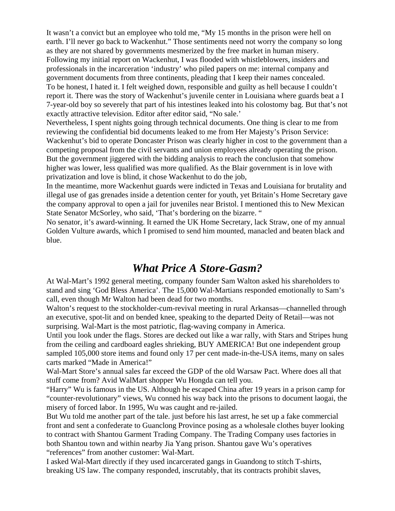It wasn't a convict but an employee who told me, "My 15 months in the prison were hell on earth. I'll never go back to Wackenhut." Those sentiments need not worry the company so long as they are not shared by governments mesmerized by the free market in human misery. Following my initial report on Wackenhut, I was flooded with whistleblowers, insiders and professionals in the incarceration 'industry' who piled papers on me: internal company and government documents from three continents, pleading that I keep their names concealed. To be honest, I hated it. I felt weighed down, responsible and guilty as hell because I couldn't report it. There was the story of Wackenhut's juvenile center in Louisiana where guards beat a I 7-year-old boy so severely that part of his intestines leaked into his colostomy bag. But that's not exactly attractive television. Editor after editor said, "No sale.'

Nevertheless, I spent nights going through technical documents. One thing is clear to me from reviewing the confidential bid documents leaked to me from Her Majesty's Prison Service: Wackenhut's bid to operate Doncaster Prison was clearly higher in cost to the government than a competing proposal from the civil servants and union employees already operating the prison. But the government jiggered with the bidding analysis to reach the conclusion that somehow higher was lower, less qualified was more qualified. As the Blair government is in love with privatization and love is blind, it chose Wackenhut to do the job,

In the meantime, more Wackenhut guards were indicted in Texas and Louisiana for brutality and illegal use of gas grenades inside a detention center for youth, yet Britain's Home Secretary gave the company approval to open a jail for juveniles near Bristol. I mentioned this to New Mexican State Senator McSorley, who said, 'That's bordering on the bizarre. "

No senator, it's award-winning. It earned the UK Home Secretary, lack Straw, one of my annual Golden Vulture awards, which I promised to send him mounted, manacled and beaten black and blue.

#### *What Price A Store-Gasm?*

At Wal-Mart's 1992 general meeting, company founder Sam Walton asked his shareholders to stand and sing 'God Bless America'. The 15,000 Wal-Martians responded emotionally to Sam's call, even though Mr Walton had been dead for two months.

Walton's request to the stockholder-cum-revival meeting in rural Arkansas—channelled through an executive, spot-lit and on bended knee, speaking to the departed Deity of Retail—was not surprising. Wal-Mart is the most patriotic, flag-waving company in America.

Until you look under the flags. Stores are decked out like a war rally, with Stars and Stripes hung from the ceiling and cardboard eagles shrieking, BUY AMERICA! But one independent group sampled 105,000 store items and found only 17 per cent made-in-the-USA items, many on sales carts marked "Made in America!"

Wal-Mart Store's annual sales far exceed the GDP of the old Warsaw Pact. Where does all that stuff come from? Avid WalMart shopper Wu Hongda can tell you.

"Harry" Wu is famous in the US. Although he escaped China after 19 years in a prison camp for "counter-revolutionary" views, Wu conned his way back into the prisons to document laogai, the misery of forced labor. In 1995, Wu was caught and re-jailed.

But Wu told me another part of the tale. just before his last arrest, he set up a fake commercial front and sent a confederate to Guanclong Province posing as a wholesale clothes buyer looking to contract with Shantou Garment Trading Company. The Trading Company uses factories in both Shantou town and within nearby Jia Yang prison. Shantou gave Wu's operatives "references" from another customer: Wal-Mart.

I asked Wal-Mart directly if they used incarcerated gangs in Guandong to stitch T-shirts, breaking US law. The company responded, inscrutably, that its contracts prohibit slaves,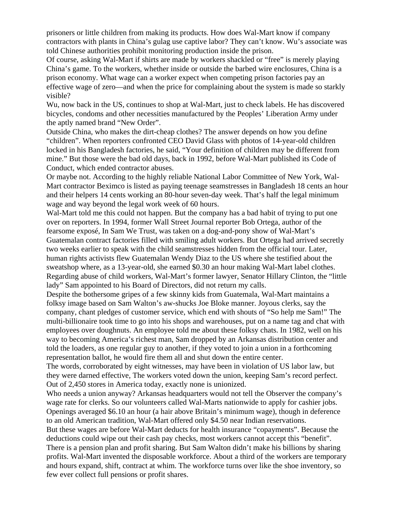prisoners or little children from making its products. How does Wal-Mart know if company contractors with plants in China's gulag use captive labor? They can't know. Wu's associate was told Chinese authorities prohibit monitoring production inside the prison.

Of course, asking Wal-Mart if shirts are made by workers shackled or "free" is merely playing China's game. To the workers, whether inside or outside the barbed wire enclosures, China is a prison economy. What wage can a worker expect when competing prison factories pay an effective wage of zero—and when the price for complaining about the system is made so starkly visible?

Wu, now back in the US, continues to shop at Wal-Mart, just to check labels. He has discovered bicycles, condoms and other necessities manufactured by the Peoples' Liberation Army under the aptly named brand "New Order".

Outside China, who makes the dirt-cheap clothes? The answer depends on how you define "children". When reporters confronted CEO David Glass with photos of 14-year-old children locked in his Bangladesh factories, he said, "Your definition of children may be different from mine." But those were the bad old days, back in 1992, before Wal-Mart published its Code of Conduct, which ended contractor abuses.

Or maybe not. According to the highly reliable National Labor Committee of New York, Wal-Mart contractor Beximco is listed as paying teenage seamstresses in Bangladesh 18 cents an hour and their helpers 14 cents working an 80-hour seven-day week. That's half the legal minimum wage and way beyond the legal work week of 60 hours.

Wal-Mart told me this could not happen. But the company has a bad habit of trying to put one over on reporters. In 1994, former Wall Street Journal reporter Bob Ortega, author of the fearsome exposé, In Sam We Trust, was taken on a dog-and-pony show of Wal-Mart's Guatemalan contract factories filled with smiling adult workers. But Ortega had arrived secretly two weeks earlier to speak with the child seamstresses hidden from the official tour. Later, human rights activists flew Guatemalan Wendy Diaz to the US where she testified about the sweatshop where, as a 13-year-old, she earned \$0.30 an hour making Wal-Mart label clothes. Regarding abuse of child workers, Wal-Mart's former lawyer, Senator Hillary Clinton, the "little lady" Sam appointed to his Board of Directors, did not return my calls.

Despite the bothersome gripes of a few skinny kids from Guatemala, Wal-Mart maintains a folksy image based on Sam Walton's aw-shucks Joe Bloke manner. Joyous clerks, say the company, chant pledges of customer service, which end with shouts of "So help me Sam!" The multi-billionaire took time to go into his shops and warehouses, put on a name tag and chat with employees over doughnuts. An employee told me about these folksy chats. In 1982, well on his way to becoming America's richest man, Sam dropped by an Arkansas distribution center and told the loaders, as one regular guy to another, if they voted to join a union in a forthcoming representation ballot, he would fire them all and shut down the entire center.

The words, corroborated by eight witnesses, may have been in violation of US labor law, but they were darned effective, The workers voted down the union, keeping Sam's record perfect. Out of 2,450 stores in America today, exactly none is unionized.

Who needs a union anyway? Arkansas headquarters would not tell the Observer the company's wage rate for clerks. So our volunteers called Wal-Marts nationwide to apply for cashier jobs. Openings averaged \$6.10 an hour (a hair above Britain's minimum wage), though in deference to an old American tradition, Wal-Mart offered only \$4.50 near Indian reservations.

But these wages are before Wal-Mart deducts for health insurance "copayments". Because the deductions could wipe out their cash pay checks, most workers cannot accept this "benefit". There is a pension plan and profit sharing. But Sam Walton didn't make his billions by sharing profits. Wal-Mart invented the disposable workforce. About a third of the workers are temporary and hours expand, shift, contract at whim. The workforce turns over like the shoe inventory, so few ever collect full pensions or profit shares.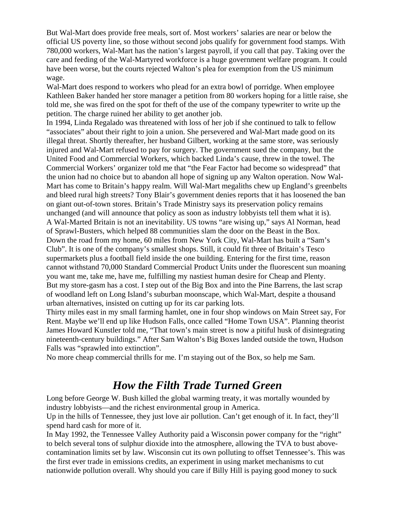But Wal-Mart does provide free meals, sort of. Most workers' salaries are near or below the official US poverty line, so those without second jobs qualify for government food stamps. With 780,000 workers, Wal-Mart has the nation's largest payroll, if you call that pay. Taking over the care and feeding of the Wal-Martyred workforce is a huge government welfare program. It could have been worse, but the courts rejected Walton's plea for exemption from the US minimum wage.

Wal-Mart does respond to workers who plead for an extra bowl of porridge. When employee Kathleen Baker handed her store manager a petition from 80 workers hoping for a little raise, she told me, she was fired on the spot for theft of the use of the company typewriter to write up the petition. The charge ruined her ability to get another job.

In 1994, Linda Regalado was threatened with loss of her job if she continued to talk to fellow "associates" about their right to join a union. She persevered and Wal-Mart made good on its illegal threat. Shortly thereafter, her husband Gilbert, working at the same store, was seriously injured and Wal-Mart refused to pay for surgery. The government sued the company, but the United Food and Commercial Workers, which backed Linda's cause, threw in the towel. The Commercial Workers' organizer told me that "the Fear Factor had become so widespread" that the union had no choice but to abandon all hope of signing up any Walton operation. Now Wal-Mart has come to Britain's happy realm. Will Wal-Mart megaliths chew up England's greenbelts and bleed rural high streets? Tony Blair's government denies reports that it has loosened the ban on giant out-of-town stores. Britain's Trade Ministry says its preservation policy remains unchanged (and will announce that policy as soon as industry lobbyists tell them what it is). A Wal-Marted Britain is not an inevitability. US towns "are wising up," says Al Norman, head of Sprawl-Busters, which helped 88 communities slam the door on the Beast in the Box. Down the road from my home, 60 miles from New York City, Wal-Mart has built a "Sam's Club". It is one of the company's smallest shops. Still, it could fit three of Britain's Tesco supermarkets plus a football field inside the one building. Entering for the first time, reason cannot withstand 70,000 Standard Commercial Product Units under the fluorescent sun moaning you want me, take me, have me, fulfilling my nastiest human desire for Cheap and Plenty. But my store-gasm has a cost. I step out of the Big Box and into the Pine Barrens, the last scrap of woodland left on Long Island's suburban moonscape, which Wal-Mart, despite a thousand urban alternatives, insisted on cutting up for its car parking lots.

Thirty miles east in my small farming hamlet, one in four shop windows on Main Street say, For Rent. Maybe we'll end up like Hudson Falls, once called "Home Town USA". Planning theorist James Howard Kunstler told me, "That town's main street is now a pitiful husk of disintegrating nineteenth-century buildings." After Sam Walton's Big Boxes landed outside the town, Hudson Falls was "sprawled into extinction".

No more cheap commercial thrills for me. I'm staying out of the Box, so help me Sam.

#### *How the Filth Trade Turned Green*

Long before George W. Bush killed the global warming treaty, it was mortally wounded by industry lobbyists—and the richest environmental group in America.

Up in the hills of Tennessee, they just love air pollution. Can't get enough of it. In fact, they'll spend hard cash for more of it.

In May 1992, the Tennessee Valley Authority paid a Wisconsin power company for the "right" to belch several tons of sulphur dioxide into the atmosphere, allowing the TVA to bust abovecontamination limits set by law. Wisconsin cut its own polluting to offset Tennessee's. This was the first ever trade in emissions credits, an experiment in using market mechanisms to cut nationwide pollution overall. Why should you care if Billy Hill is paying good money to suck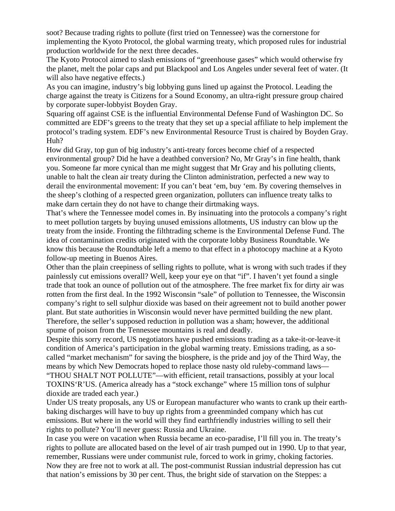soot? Because trading rights to pollute (first tried on Tennessee) was the cornerstone for implementing the Kyoto Protocol, the global warming treaty, which proposed rules for industrial production worldwide for the next three decades.

The Kyoto Protocol aimed to slash emissions of "greenhouse gases" which would otherwise fry the planet, melt the polar caps and put Blackpool and Los Angeles under several feet of water. (It will also have negative effects.

As you can imagine, industry's big lobbying guns lined up against the Protocol. Leading the charge against the treaty is Citizens for a Sound Economy, an ultra-right pressure group chaired by corporate super-lobbyist Boyden Gray.

Squaring off against CSE is the influential Environmental Defense Fund of Washington DC. So committed are EDF's greens to the treaty that they set up a special affiliate to help implement the protocol's trading system. EDF's new Environmental Resource Trust is chaired by Boyden Gray. Huh?

How did Gray, top gun of big industry's anti-treaty forces become chief of a respected environmental group? Did he have a deathbed conversion? No, Mr Gray's in fine health, thank you. Someone far more cynical than me might suggest that Mr Gray and his polluting clients, unable to halt the clean air treaty during the Clinton administration, perfected a new way to derail the environmental movement: If you can't beat 'em, buy 'em. By covering themselves in the sheep's clothing of a respected green organization, polluters can influence treaty talks to make darn certain they do not have to change their dirtmaking ways.

That's where the Tennessee model comes in. By insinuating into the protocols a company's right to meet pollution targets by buying unused emissions allotments, US industry can blow up the treaty from the inside. Fronting the filthtrading scheme is the Environmental Defense Fund. The idea of contamination credits originated with the corporate lobby Business Roundtable. We know this because the Roundtable left a memo to that effect in a photocopy machine at a Kyoto follow-up meeting in Buenos Aires.

Other than the plain creepiness of selling rights to pollute, what is wrong with such trades if they painlessly cut emissions overall? Well, keep your eye on that "if". I haven't yet found a single trade that took an ounce of pollution out of the atmosphere. The free market fix for dirty air was rotten from the first deal. In the 1992 Wisconsin "sale" of pollution to Tennessee, the Wisconsin company's right to sell sulphur dioxide was based on their agreement not to build another power plant. But state authorities in Wisconsin would never have permitted building the new plant. Therefore, the seller's supposed reduction in pollution was a sham; however, the additional spume of poison from the Tennessee mountains is real and deadly.

Despite this sorry record, US negotiators have pushed emissions trading as a take-it-or-leave-it condition of America's participation in the global warming treaty. Emissions trading, as a socalled "market mechanism" for saving the biosphere, is the pride and joy of the Third Way, the means by which New Democrats hoped to replace those nasty old ruleby-command laws— "THOU SHALT NOT POLLUTE"—with efficient, retail transactions, possibly at your local TOXINS'R'US. (America already has a "stock exchange" where 15 million tons of sulphur dioxide are traded each year.)

Under US treaty proposals, any US or European manufacturer who wants to crank up their earthbaking discharges will have to buy up rights from a greenminded company which has cut emissions. But where in the world will they find earthfriendly industries willing to sell their rights to pollute? You'll never guess: Russia and Ukraine.

In case you were on vacation when Russia became an eco-paradise, I'll fill you in. The treaty's rights to pollute are allocated based on the level of air trash pumped out in 1990. Up to that year, remember, Russians were under communist rule, forced to work in grimy, choking factories. Now they are free not to work at all. The post-communist Russian industrial depression has cut that nation's emissions by 30 per cent. Thus, the bright side of starvation on the Steppes: a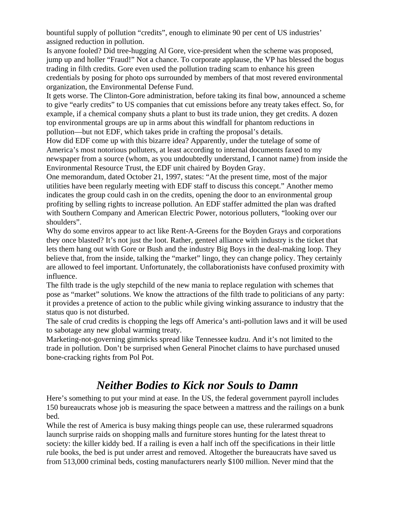bountiful supply of pollution "credits", enough to eliminate 90 per cent of US industries' assigned reduction in pollution.

Is anyone fooled? Did tree-hugging Al Gore, vice-president when the scheme was proposed, jump up and holler "Fraud!" Not a chance. To corporate applause, the VP has blessed the bogus trading in filth credits. Gore even used the pollution trading scam to enhance his green credentials by posing for photo ops surrounded by members of that most revered environmental organization, the Environmental Defense Fund.

It gets worse. The Clinton-Gore administration, before taking its final bow, announced a scheme to give "early credits" to US companies that cut emissions before any treaty takes effect. So, for example, if a chemical company shuts a plant to bust its trade union, they get credits. A dozen top environmental groups are up in arms about this windfall for phantom reductions in pollution—but not EDF, which takes pride in crafting the proposal's details.

How did EDF come up with this bizarre idea? Apparently, under the tutelage of some of America's most notorious polluters, at least according to internal documents faxed to my newspaper from a source (whom, as you undoubtedly understand, I cannot name) from inside the Environmental Resource Trust, the EDF unit chaired by Boyden Gray.

One memorandum, dated October 21, 1997, states: "At the present time, most of the major utilities have been regularly meeting with EDF staff to discuss this concept." Another memo indicates the group could cash in on the credits, opening the door to an environmental group profiting by selling rights to increase pollution. An EDF staffer admitted the plan was drafted with Southern Company and American Electric Power, notorious polluters, "looking over our shoulders".

Why do some enviros appear to act like Rent-A-Greens for the Boyden Grays and corporations they once blasted? It's not just the loot. Rather, genteel alliance with industry is the ticket that lets them hang out with Gore or Bush and the industry Big Boys in the deal-making loop. They believe that, from the inside, talking the "market" lingo, they can change policy. They certainly are allowed to feel important. Unfortunately, the collaborationists have confused proximity with influence.

The filth trade is the ugly stepchild of the new mania to replace regulation with schemes that pose as "market" solutions. We know the attractions of the filth trade to politicians of any party: it provides a pretence of action to the public while giving winking assurance to industry that the status quo is not disturbed.

The sale of crud credits is chopping the legs off America's anti-pollution laws and it will be used to sabotage any new global warming treaty.

Marketing-not-governing gimmicks spread like Tennessee kudzu. And it's not limited to the trade in pollution. Don't be surprised when General Pinochet claims to have purchased unused bone-cracking rights from Pol Pot.

#### *Neither Bodies to Kick nor Souls to Damn*

Here's something to put your mind at ease. In the US, the federal government payroll includes 150 bureaucrats whose job is measuring the space between a mattress and the railings on a bunk bed.

While the rest of America is busy making things people can use, these rulerarmed squadrons launch surprise raids on shopping malls and furniture stores hunting for the latest threat to society: the killer kiddy bed. If a railing is even a half inch off the specifications in their little rule books, the bed is put under arrest and removed. Altogether the bureaucrats have saved us from 513,000 criminal beds, costing manufacturers nearly \$100 million. Never mind that the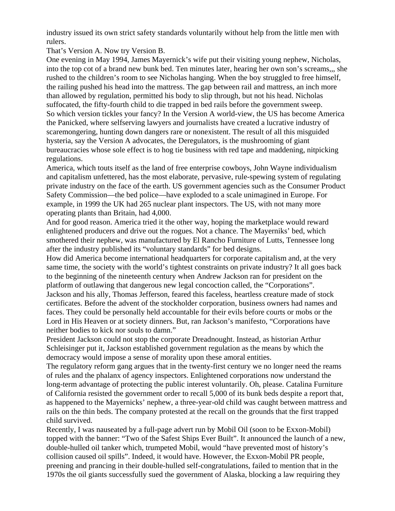industry issued its own strict safety standards voluntarily without help from the little men with rulers.

That's Version A. Now try Version B.

One evening in May 1994, James Mayernick's wife put their visiting young nephew, Nicholas, into the top cot of a brand new bunk bed. Ten minutes later, hearing her own son's screams,,, she rushed to the children's room to see Nicholas hanging. When the boy struggled to free himself, the railing pushed his head into the mattress. The gap between rail and mattress, an inch more than allowed by regulation, permitted his body to slip through, but not his head. Nicholas suffocated, the fifty-fourth child to die trapped in bed rails before the government sweep. So which version tickles your fancy? In the Version A world-view, the US has become America the Panicked, where selfserving lawyers and journalists have created a lucrative industry of scaremongering, hunting down dangers rare or nonexistent. The result of all this misguided hysteria, say the Version A advocates, the Deregulators, is the mushrooming of giant bureaucracies whose sole effect is to hog tie business with red tape and maddening, nitpicking regulations.

America, which touts itself as the land of free enterprise cowboys, John Wayne individualism and capitalism unfettered, has the most elaborate, pervasive, rule-spewing system of regulating private industry on the face of the earth. US government agencies such as the Consumer Product Safety Commission—the bed police—have exploded to a scale unimagined in Europe. For example, in 1999 the UK had 265 nuclear plant inspectors. The US, with not many more operating plants than Britain, had 4,000.

And for good reason. America tried it the other way, hoping the marketplace would reward enlightened producers and drive out the rogues. Not a chance. The Mayerniks' bed, which smothered their nephew, was manufactured by El Rancho Furniture of Lutts, Tennessee long after the industry published its "voluntary standards" for bed designs.

How did America become international headquarters for corporate capitalism and, at the very same time, the society with the world's tightest constraints on private industry? It all goes back to the beginning of the nineteenth century when Andrew Jackson ran for president on the platform of outlawing that dangerous new legal concoction called, the "Corporations". Jackson and his ally, Thomas Jefferson, feared this faceless, heartless creature made of stock certificates. Before the advent of the stockholder corporation, business owners had names and faces. They could be personally held accountable for their evils before courts or mobs or the Lord in His Heaven or at society dinners. But, ran Jackson's manifesto, "Corporations have neither bodies to kick nor souls to damn."

President Jackson could not stop the corporate Dreadnought. Instead, as historian Arthur Schleisinger put it, Jackson established government regulation as the means by which the democracy would impose a sense of morality upon these amoral entities.

The regulatory reform gang argues that in the twenty-first century we no longer need the reams of rules and the phalanx of agency inspectors. Enlightened corporations now understand the long-term advantage of protecting the public interest voluntarily. Oh, please. Catalina Furniture of California resisted the government order to recall 5,000 of its bunk beds despite a report that, as happened to the Mayernicks' nephew, a three-year-old child was caught between mattress and rails on the thin beds. The company protested at the recall on the grounds that the first trapped child survived.

Recently, I was nauseated by a full-page advert run by Mobil Oil (soon to be Exxon-Mobil) topped with the banner: "Two of the Safest Ships Ever Built". It announced the launch of a new, double-hulled oil tanker which, trumpeted Mobil, would "have prevented most of history's collision caused oil spills". Indeed, it would have. However, the Exxon-Mobil PR people, preening and prancing in their double-hulled self-congratulations, failed to mention that in the 1970s the oil giants successfully sued the government of Alaska, blocking a law requiring they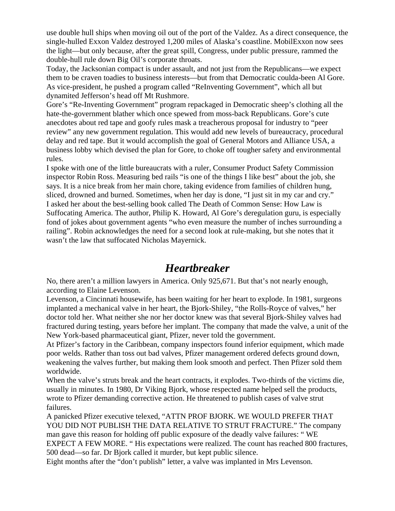use double hull ships when moving oil out of the port of the Valdez. As a direct consequence, the single-hulled Exxon Valdez destroyed 1,200 miles of Alaska's coastline. MobilExxon now sees the light—but only because, after the great spill, Congress, under public pressure, rammed the double-hull rule down Big Oil's corporate throats.

Today, the Jacksonian compact is under assault, and not just from the Republicans—we expect them to be craven toadies to business interests—but from that Democratic coulda-been Al Gore. As vice-president, he pushed a program called "ReInventing Government", which all but dynamited Jefferson's head off Mt Rushmore.

Gore's "Re-Inventing Government" program repackaged in Democratic sheep's clothing all the hate-the-government blather which once spewed from moss-back Republicans. Gore's cute anecdotes about red tape and goofy rules mask a treacherous proposal for industry to "peer review" any new government regulation. This would add new levels of bureaucracy, procedural delay and red tape. But it would accomplish the goal of General Motors and Alliance USA, a business lobby which devised the plan for Gore, to choke off tougher safety and environmental rules.

I spoke with one of the little bureaucrats with a ruler, Consumer Product Safety Commission inspector Robin Ross. Measuring bed rails "is one of the things I like best" about the job, she says. It is a nice break from her main chore, taking evidence from families of children hung, sliced, drowned and burned. Sometimes, when her day is done, "I just sit in my car and cry." I asked her about the best-selling book called The Death of Common Sense: How Law is Suffocating America. The author, Philip K. Howard, Al Gore's deregulation guru, is especially fond of jokes about government agents "who even measure the number of inches surrounding a railing". Robin acknowledges the need for a second look at rule-making, but she notes that it wasn't the law that suffocated Nicholas Mayernick.

#### *Heartbreaker*

No, there aren't a million lawyers in America. Only 925,671. But that's not nearly enough, according to Elaine Levenson.

Levenson, a Cincinnati housewife, has been waiting for her heart to explode. In 1981, surgeons implanted a mechanical valve in her heart, the Bjork-Shiley, "the Rolls-Royce of valves," her doctor told her. What neither she nor her doctor knew was that several Bjork-Shiley valves had fractured during testing, years before her implant. The company that made the valve, a unit of the New York-based pharmaceutical giant, Pfizer, never told the government.

At Pfizer's factory in the Caribbean, company inspectors found inferior equipment, which made poor welds. Rather than toss out bad valves, Pfizer management ordered defects ground down, weakening the valves further, but making them look smooth and perfect. Then Pfizer sold them worldwide.

When the valve's struts break and the heart contracts, it explodes. Two-thirds of the victims die, usually in minutes. In 1980, Dr Viking Bjork, whose respected name helped sell the products, wrote to Pfizer demanding corrective action. He threatened to publish cases of valve strut failures.

A panicked Pfizer executive telexed, "ATTN PROF BJORK. WE WOULD PREFER THAT YOU DID NOT PUBLISH THE DATA RELATIVE TO STRUT FRACTURE." The company man gave this reason for holding off public exposure of the deadly valve failures: " WE EXPECT A FEW MORE. " His expectations were realized. The count has reached 800 fractures, 500 dead—so far. Dr Bjork called it murder, but kept public silence.

Eight months after the "don't publish" letter, a valve was implanted in Mrs Levenson.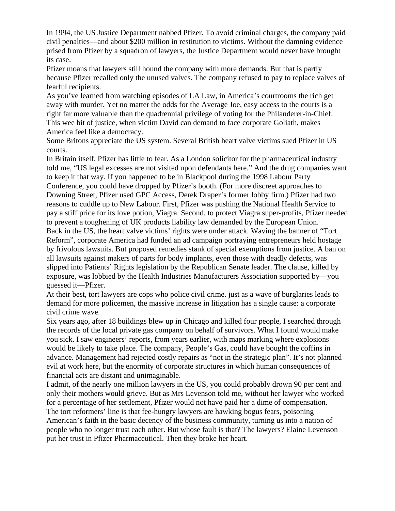In 1994, the US Justice Department nabbed Pfizer. To avoid criminal charges, the company paid civil penalties—and about \$200 million in restitution to victims. Without the damning evidence prised from Pfizer by a squadron of lawyers, the Justice Department would never have brought its case.

Pfizer moans that lawyers still hound the company with more demands. But that is partly because Pfizer recalled only the unused valves. The company refused to pay to replace valves of fearful recipients.

As you've learned from watching episodes of LA Law, in America's courtrooms the rich get away with murder. Yet no matter the odds for the Average Joe, easy access to the courts is a right far more valuable than the quadrennial privilege of voting for the Philanderer-in-Chief. This wee bit of justice, when victim David can demand to face corporate Goliath, makes America feel like a democracy.

Some Britons appreciate the US system. Several British heart valve victims sued Pfizer in US courts.

In Britain itself, Pfizer has little to fear. As a London solicitor for the pharmaceutical industry told me, "US legal excesses are not visited upon defendants here." And the drug companies want to keep it that way. If you happened to be in Blackpool during the 1998 Labour Party Conference, you could have dropped by Pfizer's booth. (For more discreet approaches to Downing Street, Pfizer used GPC Access, Derek Draper's former lobby firm.) Pfizer had two reasons to cuddle up to New Labour. First, Pfizer was pushing the National Health Service to pay a stiff price for its love potion, Viagra. Second, to protect Viagra super-profits, Pfizer needed to prevent a toughening of UK products liability law demanded by the European Union. Back in the US, the heart valve victims' rights were under attack. Waving the banner of "Tort Reform", corporate America had funded an ad campaign portraying entrepreneurs held hostage by frivolous lawsuits. But proposed remedies stank of special exemptions from justice. A ban on all lawsuits against makers of parts for body implants, even those with deadly defects, was slipped into Patients' Rights legislation by the Republican Senate leader. The clause, killed by exposure, was lobbied by the Health Industries Manufacturers Association supported by—you guessed it—Pfizer.

At their best, tort lawyers are cops who police civil crime. just as a wave of burglaries leads to demand for more policemen, the massive increase in litigation has a single cause: a corporate civil crime wave.

Six years ago, after 18 buildings blew up in Chicago and killed four people, I searched through the records of the local private gas company on behalf of survivors. What I found would make you sick. I saw engineers' reports, from years earlier, with maps marking where explosions would be likely to take place. The company, People's Gas, could have bought the coffins in advance. Management had rejected costly repairs as "not in the strategic plan". It's not planned evil at work here, but the enormity of corporate structures in which human consequences of financial acts are distant and unimaginable.

I admit, of the nearly one million lawyers in the US, you could probably drown 90 per cent and only their mothers would grieve. But as Mrs Levenson told me, without her lawyer who worked for a percentage of her settlement, Pfizer would not have paid her a dime of compensation. The tort reformers' line is that fee-hungry lawyers are hawking bogus fears, poisoning American's faith in the basic decency of the business community, turning us into a nation of people who no longer trust each other. But whose fault is that? The lawyers? Elaine Levenson put her trust in Pfizer Pharmaceutical. Then they broke her heart.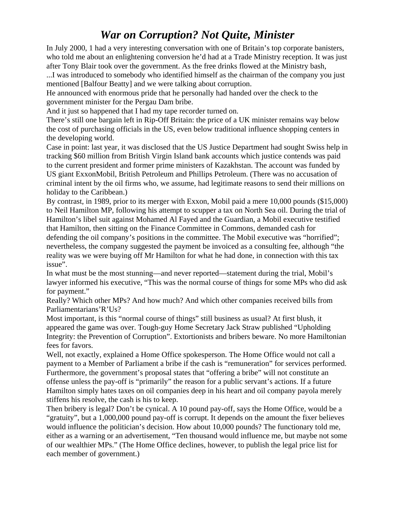### *War on Corruption? Not Quite, Minister*

In July 2000, 1 had a very interesting conversation with one of Britain's top corporate banisters, who told me about an enlightening conversion he'd had at a Trade Ministry reception. It was just after Tony Blair took over the government. As the free drinks flowed at the Ministry bash,

...I was introduced to somebody who identified himself as the chairman of the company you just mentioned [Balfour Beatty] and we were talking about corruption.

He announced with enormous pride that he personally had handed over the check to the government minister for the Pergau Dam bribe.

And it just so happened that I had my tape recorder turned on.

There's still one bargain left in Rip-Off Britain: the price of a UK minister remains way below the cost of purchasing officials in the US, even below traditional influence shopping centers in the developing world.

Case in point: last year, it was disclosed that the US Justice Department had sought Swiss help in tracking \$60 million from British Virgin Island bank accounts which justice contends was paid to the current president and former prime ministers of Kazakhstan. The account was funded by US giant ExxonMobil, British Petroleum and Phillips Petroleum. (There was no accusation of criminal intent by the oil firms who, we assume, had legitimate reasons to send their millions on holiday to the Caribbean.)

By contrast, in 1989, prior to its merger with Exxon, Mobil paid a mere 10,000 pounds (\$15,000) to Neil Hamilton MP, following his attempt to scupper a tax on North Sea oil. During the trial of Hamilton's libel suit against Mohamed Al Fayed and the Guardian, a Mobil executive testified that Hamilton, then sitting on the Finance Committee in Commons, demanded cash for defending the oil company's positions in the committee. The Mobil executive was "horrified"; nevertheless, the company suggested the payment be invoiced as a consulting fee, although "the reality was we were buying off Mr Hamilton for what he had done, in connection with this tax issue".

In what must be the most stunning—and never reported—statement during the trial, Mobil's lawyer informed his executive, "This was the normal course of things for some MPs who did ask for payment."

Really? Which other MPs? And how much? And which other companies received bills from Parliamentarians'R'Us?

Most important, is this "normal course of things" still business as usual? At first blush, it appeared the game was over. Tough-guy Home Secretary Jack Straw published "Upholding Integrity: the Prevention of Corruption". Extortionists and bribers beware. No more Hamiltonian fees for favors.

Well, not exactly, explained a Home Office spokesperson. The Home Office would not call a payment to a Member of Parliament a bribe if the cash is "remuneration" for services performed. Furthermore, the government's proposal states that "offering a bribe" will not constitute an offense unless the pay-off is "primarily" the reason for a public servant's actions. If a future Hamilton simply hates taxes on oil companies deep in his heart and oil company payola merely stiffens his resolve, the cash is his to keep.

Then bribery is legal? Don't be cynical. A 10 pound pay-off, says the Home Office, would be a "gratuity", but a 1,000,000 pound pay-off is corrupt. It depends on the amount the fixer believes would influence the politician's decision. How about 10,000 pounds? The functionary told me, either as a warning or an advertisement, "Ten thousand would influence me, but maybe not some of our wealthier MPs." (The Home Office declines, however, to publish the legal price list for each member of government.)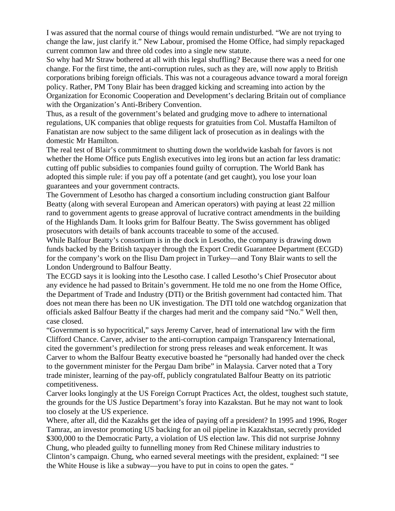I was assured that the normal course of things would remain undisturbed. "We are not trying to change the law, just clarify it." New Labour, promised the Home Office, had simply repackaged current common law and three old codes into a single new statute.

So why had Mr Straw bothered at all with this legal shuffling? Because there was a need for one change. For the first time, the anti-corruption rules, such as they are, will now apply to British corporations bribing foreign officials. This was not a courageous advance toward a moral foreign policy. Rather, PM Tony Blair has been dragged kicking and screaming into action by the Organization for Economic Cooperation and Development's declaring Britain out of compliance with the Organization's Anti-Bribery Convention.

Thus, as a result of the government's belated and grudging move to adhere to international regulations, UK companies that oblige requests for gratuities from Col. Mustaffa Hamilton of Fanatistan are now subject to the same diligent lack of prosecution as in dealings with the domestic Mr Hamilton.

The real test of Blair's commitment to shutting down the worldwide kasbah for favors is not whether the Home Office puts English executives into leg irons but an action far less dramatic: cutting off public subsidies to companies found guilty of corruption. The World Bank has adopted this simple rule: if you pay off a potentate (and get caught), you lose your loan guarantees and your government contracts.

The Government of Lesotho has charged a consortium including construction giant Balfour Beatty (along with several European and American operators) with paying at least 22 million rand to government agents to grease approval of lucrative contract amendments in the building of the Highlands Dam. It looks grim for Balfour Beatty. The Swiss government has obliged prosecutors with details of bank accounts traceable to some of the accused.

While Balfour Beatty's consortium is in the dock in Lesotho, the company is drawing down funds backed by the British taxpayer through the Export Credit Guarantee Department (ECGD) for the company's work on the Ilisu Dam project in Turkey—and Tony Blair wants to sell the London Underground to Balfour Beatty.

The ECGD says it is looking into the Lesotho case. I called Lesotho's Chief Prosecutor about any evidence he had passed to Britain's government. He told me no one from the Home Office, the Department of Trade and Industry (DTI) or the British government had contacted him. That does not mean there has been no UK investigation. The DTI told one watchdog organization that officials asked Balfour Beatty if the charges had merit and the company said "No." Well then, case closed.

"Government is so hypocritical," says Jeremy Carver, head of international law with the firm Clifford Chance. Carver, adviser to the anti-corruption campaign Transparency International, cited the government's predilection for strong press releases and weak enforcement. It was Carver to whom the Balfour Beatty executive boasted he "personally had handed over the check to the government minister for the Pergau Dam bribe" in Malaysia. Carver noted that a Tory trade minister, learning of the pay-off, publicly congratulated Balfour Beatty on its patriotic competitiveness.

Carver looks longingly at the US Foreign Corrupt Practices Act, the oldest, toughest such statute, the grounds for the US Justice Department's foray into Kazakstan. But he may not want to look too closely at the US experience.

Where, after all, did the Kazakhs get the idea of paying off a president? In 1995 and 1996, Roger Tamraz, an investor promoting US backing for an oil pipeline in Kazakhstan, secretly provided \$300,000 to the Democratic Party, a violation of US election law. This did not surprise Johnny Chung, who pleaded guilty to funnelling money from Red Chinese military industries to Clinton's campaign. Chung, who earned several meetings with the president, explained: "I see the White House is like a subway—you have to put in coins to open the gates. "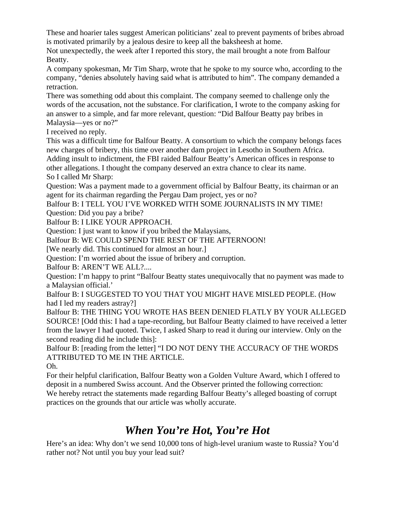These and hoarier tales suggest American politicians' zeal to prevent payments of bribes abroad is motivated primarily by a jealous desire to keep all the baksheesh at home.

Not unexpectedly, the week after I reported this story, the mail brought a note from Balfour Beatty.

A company spokesman, Mr Tim Sharp, wrote that he spoke to my source who, according to the company, "denies absolutely having said what is attributed to him". The company demanded a retraction.

There was something odd about this complaint. The company seemed to challenge only the words of the accusation, not the substance. For clarification, I wrote to the company asking for an answer to a simple, and far more relevant, question: "Did Balfour Beatty pay bribes in Malaysia—yes or no?"

I received no reply.

This was a difficult time for Balfour Beatty. A consortium to which the company belongs faces new charges of bribery, this time over another dam project in Lesotho in Southern Africa. Adding insult to indictment, the FBI raided Balfour Beatty's American offices in response to other allegations. I thought the company deserved an extra chance to clear its name. So I called Mr Sharp:

Question: Was a payment made to a government official by Balfour Beatty, its chairman or an agent for its chairman regarding the Pergau Dam project, yes or no?

Balfour B: I TELL YOU I'VE WORKED WITH SOME JOURNALISTS IN MY TIME! Question: Did you pay a bribe?

Balfour B: I LIKE YOUR APPROACH.

Question: I just want to know if you bribed the Malaysians,

Balfour B: WE COULD SPEND THE REST OF THE AFTERNOON!

[We nearly did. This continued for almost an hour.]

Question: I'm worried about the issue of bribery and corruption.

Balfour B: AREN'T WE ALL?....

Question: I'm happy to print "Balfour Beatty states unequivocally that no payment was made to a Malaysian official.'

Balfour B: I SUGGESTED TO YOU THAT YOU MIGHT HAVE MISLED PEOPLE. (How had I led my readers astray?]

Balfour B: THE THING YOU WROTE HAS BEEN DENIED FLATLY BY YOUR ALLEGED SOURCE! [Odd this: I had a tape-recording, but Balfour Beatty claimed to have received a letter from the lawyer I had quoted. Twice, I asked Sharp to read it during our interview. Only on the second reading did he include this]:

Balfour B: [reading from the letter] "I DO NOT DENY THE ACCURACY OF THE WORDS ATTRIBUTED TO ME IN THE ARTICLE.

Oh.

For their helpful clarification, Balfour Beatty won a Golden Vulture Award, which I offered to deposit in a numbered Swiss account. And the Observer printed the following correction: We hereby retract the statements made regarding Balfour Beatty's alleged boasting of corrupt practices on the grounds that our article was wholly accurate.

### *When You're Hot, You're Hot*

Here's an idea: Why don't we send 10,000 tons of high-level uranium waste to Russia? You'd rather not? Not until you buy your lead suit?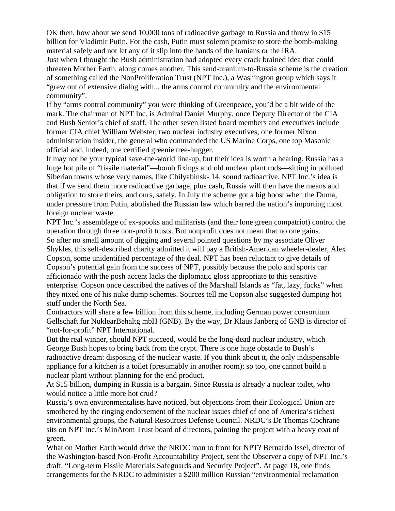OK then, how about we send 10,000 tons of radioactive garbage to Russia and throw in \$15 billion for Vladimir Putin. For the cash, Putin must solemn promise to store the bomb-making material safely and not let any of it slip into the hands of the Iranians or the IRA. Just when I thought the Bush administration had adopted every crack brained idea that could threaten Mother Earth, along comes another. This send-uranium-to-Russia scheme is the creation of something called the NonProliferation Trust (NPT Inc.), a Washington group which says it "grew out of extensive dialog with... the arms control community and the environmental community".

If by "arms control community" you were thinking of Greenpeace, you'd be a bit wide of the mark. The chairman of NPT Inc. is Admiral Daniel Murphy, once Deputy Director of the CIA and Bush Senior's chief of staff. The other seven listed board members and executives include former CIA chief William Webster, two nuclear industry executives, one former Nixon administration insider, the general who commanded the US Marine Corps, one top Masonic official and, indeed, one certified greenie tree-hugger.

It may not be your typical save-the-world line-up, but their idea is worth a hearing. Russia has a huge hot pile of "fissile material"—bomb fixings and old nuclear plant rods—sitting in polluted Siberian towns whose very names, like Chilyabinsk- 14, sound radioactive. NPT Inc.'s idea is that if we send them more radioactive garbage, plus cash, Russia will then have the means and obligation to store theirs, and ours, safely. In July the scheme got a big boost when the Duma, under pressure from Putin, abolished the Russian law which barred the nation's importing most foreign nuclear waste.

NPT Inc.'s assemblage of ex-spooks and militarists (and their lone green compatriot) control the operation through three non-profit trusts. But nonprofit does not mean that no one gains. So after no small amount of digging and several pointed questions by my associate Oliver Shykles, this self-described charity admitted it will pay a British-American wheeler-dealer, Alex Copson, some unidentified percentage of the deal. NPT has been reluctant to give details of Copson's potential gain from the success of NPT, possibly because the polo and sports car afficionado with the posh accent lacks the diplomatic gloss appropriate to this sensitive enterprise. Copson once described the natives of the Marshall Islands as "fat, lazy, fucks" when they nixed one of his nuke dump schemes. Sources tell me Copson also suggested dumping hot stuff under the North Sea.

Contractors will share a few billion from this scheme, including German power consortium Gellschaft fur NuklearBehaltg mbH (GNB). By the way, Dr Klaus Janberg of GNB is director of "not-for-profit" NPT International.

But the real winner, should NPT succeed, would be the long-dead nuclear industry, which George Bush hopes to bring back from the crypt. There is one huge obstacle to Bush's radioactive dream: disposing of the nuclear waste. If you think about it, the only indispensable appliance for a kitchen is a toilet (presumably in another room); so too, one cannot build a nuclear plant without planning for the end product.

At \$15 billion, dumping in Russia is a bargain. Since Russia is already a nuclear toilet, who would notice a little more hot crud?

Russia's own environmentalists have noticed, but objections from their Ecological Union are smothered by the ringing endorsement of the nuclear issues chief of one of America's richest environmental groups, the Natural Resources Defense Council. NRDC's Dr Thomas Cochrane sits on NPT Inc.'s MinAtom Trust board of directors, painting the project with a heavy coat of green.

What on Mother Earth would drive the NRDC man to front for NPT? Bernardo Issel, director of the Washington-based Non-Profit Accountability Project, sent the Observer a copy of NPT Inc.'s draft, "Long-term Fissile Materials Safeguards and Security Project". At page 18, one finds arrangements for the NRDC to administer a \$200 million Russian "environmental reclamation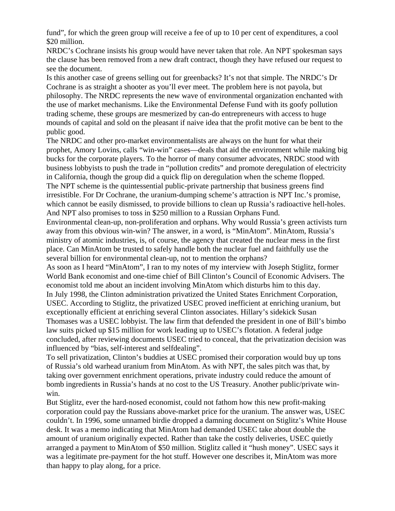fund", for which the green group will receive a fee of up to 10 per cent of expenditures, a cool \$20 million.

NRDC's Cochrane insists his group would have never taken that role. An NPT spokesman says the clause has been removed from a new draft contract, though they have refused our request to see the document.

Is this another case of greens selling out for greenbacks? It's not that simple. The NRDC's Dr Cochrane is as straight a shooter as you'll ever meet. The problem here is not payola, but philosophy. The NRDC represents the new wave of environmental organization enchanted with the use of market mechanisms. Like the Environmental Defense Fund with its goofy pollution trading scheme, these groups are mesmerized by can-do entrepreneurs with access to huge mounds of capital and sold on the pleasant if naive idea that the profit motive can be bent to the public good.

The NRDC and other pro-market environmentalists are always on the hunt for what their prophet, Amory Lovins, calls "win-win" cases—deals that aid the environment while making big bucks for the corporate players. To the horror of many consumer advocates, NRDC stood with business lobbyists to push the trade in "pollution credits" and promote deregulation of electricity in California, though the group did a quick flip on deregulation when the scheme flopped. The NPT scheme is the quintessential public-private partnership that business greens find irresistible. For Dr Cochrane, the uranium-dumping scheme's attraction is NPT Inc.'s promise, which cannot be easily dismissed, to provide billions to clean up Russia's radioactive hell-holes. And NPT also promises to toss in \$250 million to a Russian Orphans Fund.

Environmental clean-up, non-proliferation and orphans. Why would Russia's green activists turn away from this obvious win-win? The answer, in a word, is "MinAtom". MinAtom, Russia's ministry of atomic industries, is, of course, the agency that created the nuclear mess in the first place. Can MinAtom be trusted to safely handle both the nuclear fuel and faithfully use the several billion for environmental clean-up, not to mention the orphans?

As soon as I heard "MinAtom", I ran to my notes of my interview with Joseph Stiglitz, former World Bank economist and one-time chief of Bill Clinton's Council of Economic Advisers. The economist told me about an incident involving MinAtom which disturbs him to this day. In July 1998, the Clinton administration privatized the United States Enrichment Corporation, USEC. According to Stiglitz, the privatized USEC proved inefficient at enriching uranium, but exceptionally efficient at enriching several Clinton associates. Hillary's sidekick Susan Thomases was a USEC lobbyist. The law firm that defended the president in one of Bill's bimbo law suits picked up \$15 million for work leading up to USEC's flotation. A federal judge concluded, after reviewing documents USEC tried to conceal, that the privatization decision was influenced by "bias, self-interest and selfdealing".

To sell privatization, Clinton's buddies at USEC promised their corporation would buy up tons of Russia's old warhead uranium from MinAtom. As with NPT, the sales pitch was that, by taking over government enrichment operations, private industry could reduce the amount of bomb ingredients in Russia's hands at no cost to the US Treasury. Another public/private winwin.

But Stiglitz, ever the hard-nosed economist, could not fathom how this new profit-making corporation could pay the Russians above-market price for the uranium. The answer was, USEC couldn't. In 1996, some unnamed birdie dropped a damning document on Stiglitz's White House desk. It was a memo indicating that MinAtom had demanded USEC take about double the amount of uranium originally expected. Rather than take the costly deliveries, USEC quietly arranged a payment to MinAtom of \$50 million. Stiglitz called it "hush money". USEC says it was a legitimate pre-payment for the hot stuff. However one describes it, MinAtom was more than happy to play along, for a price.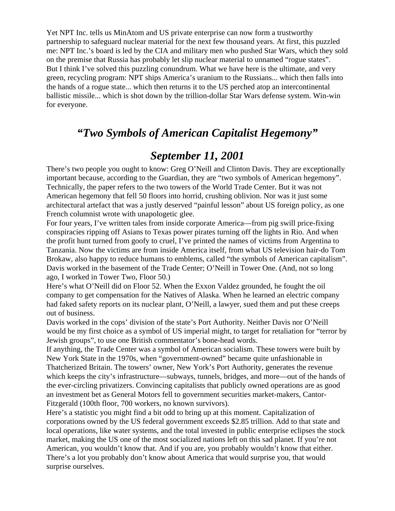Yet NPT Inc. tells us MinAtom and US private enterprise can now form a trustworthy partnership to safeguard nuclear material for the next few thousand years. At first, this puzzled me: NPT Inc.'s board is led by the CIA and military men who pushed Star Wars, which they sold on the premise that Russia has probably let slip nuclear material to unnamed "rogue states". But I think I've solved this puzzling conundrum. What we have here is the ultimate, and very green, recycling program: NPT ships America's uranium to the Russians... which then falls into the hands of a rogue state... which then returns it to the US perched atop an intercontinental ballistic missile... which is shot down by the trillion-dollar Star Wars defense system. Win-win for everyone.

#### *"Two Symbols of American Capitalist Hegemony"*

#### *September 11, 2001*

There's two people you ought to know: Greg O'Neill and Clinton Davis. They are exceptionally important because, according to the Guardian, they are "two symbols of American hegemony". Technically, the paper refers to the two towers of the World Trade Center. But it was not American hegemony that fell 50 floors into horrid, crushing oblivion. Nor was it just some architectural artefact that was a justly deserved "painful lesson" about US foreign policy, as one French columnist wrote with unapologetic glee.

For four years, I've written tales from inside corporate America—from pig swill price-fixing conspiracies ripping off Asians to Texas power pirates turning off the lights in Rio. And when the profit hunt turned from goofy to cruel, I've printed the names of victims from Argentina to Tanzania. Now the victims are from inside America itself, from what US television hair-do Tom Brokaw, also happy to reduce humans to emblems, called "the symbols of American capitalism". Davis worked in the basement of the Trade Center; O'Neill in Tower One. (And, not so long ago, I worked in Tower Two, Floor 50.)

Here's what O'Neill did on Floor 52. When the Exxon Valdez grounded, he fought the oil company to get compensation for the Natives of Alaska. When he learned an electric company had faked safety reports on its nuclear plant, O'Neill, a lawyer, sued them and put these creeps out of business.

Davis worked in the cops' division of the state's Port Authority. Neither Davis nor O'Neill would be my first choice as a symbol of US imperial might, to target for retaliation for "terror by Jewish groups", to use one British commentator's bone-head words.

If anything, the Trade Center was a symbol of American socialism. These towers were built by New York State in the 1970s, when "government-owned" became quite unfashionable in Thatcherized Britain. The towers' owner, New York's Port Authority, generates the revenue which keeps the city's infrastructure—subways, tunnels, bridges, and more—out of the hands of the ever-circling privatizers. Convincing capitalists that publicly owned operations are as good an investment bet as General Motors fell to government securities market-makers, Cantor-Fitzgerald (100th floor, 700 workers, no known survivors).

Here's a statistic you might find a bit odd to bring up at this moment. Capitalization of corporations owned by the US federal government exceeds \$2.85 trillion. Add to that state and local operations, like water systems, and the total invested in public enterprise eclipses the stock market, making the US one of the most socialized nations left on this sad planet. If you're not American, you wouldn't know that. And if you are, you probably wouldn't know that either. There's a lot you probably don't know about America that would surprise you, that would surprise ourselves.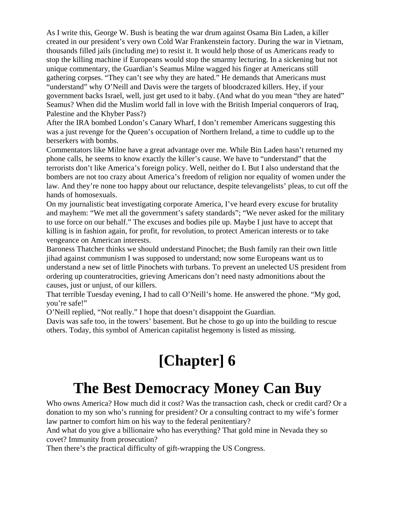As I write this, George W. Bush is beating the war drum against Osama Bin Laden, a killer created in our president's very own Cold War Frankenstein factory. During the war in Vietnam, thousands filled jails (including me) to resist it. It would help those of us Americans ready to stop the killing machine if Europeans would stop the smarmy lecturing. In a sickening but not unique commentary, the Guardian's Seamus Milne wagged his finger at Americans still gathering corpses. "They can't see why they are hated." He demands that Americans must "understand" why O'Neill and Davis were the targets of bloodcrazed killers. Hey, if your government backs Israel, well, just get used to it baby. (And what do you mean "they are hated" Seamus? When did the Muslim world fall in love with the British Imperial conquerors of Iraq, Palestine and the Khyber Pass?)

After the IRA bombed London's Canary Wharf, I don't remember Americans suggesting this was a just revenge for the Queen's occupation of Northern Ireland, a time to cuddle up to the berserkers with bombs.

Commentators like Milne have a great advantage over me. While Bin Laden hasn't returned my phone calls, he seems to know exactly the killer's cause. We have to "understand" that the terrorists don't like America's foreign policy. Well, neither do I. But I also understand that the bombers are not too crazy about America's freedom of religion nor equality of women under the law. And they're none too happy about our reluctance, despite televangelists' pleas, to cut off the hands of homosexuals.

On my journalistic beat investigating corporate America, I've heard every excuse for brutality and mayhem: "We met all the government's safety standards"; "We never asked for the military to use force on our behalf." The excuses and bodies pile up. Maybe I just have to accept that killing is in fashion again, for profit, for revolution, to protect American interests or to take vengeance on American interests.

Baroness Thatcher thinks we should understand Pinochet; the Bush family ran their own little jihad against communism I was supposed to understand; now some Europeans want us to understand a new set of little Pinochets with turbans. To prevent an unelected US president from ordering up counteratrocities, grieving Americans don't need nasty admonitions about the causes, just or unjust, of our killers.

That terrible Tuesday evening, I had to call O'Neill's home. He answered the phone. "My god, you're safe!"

O'Neill replied, "Not really." I hope that doesn't disappoint the Guardian.

Davis was safe too, in the towers' basement. But he chose to go up into the building to rescue others. Today, this symbol of American capitalist hegemony is listed as missing.

# **[Chapter] 6**

### **The Best Democracy Money Can Buy**

Who owns America? How much did it cost? Was the transaction cash, check or credit card? Or a donation to my son who's running for president? Or a consulting contract to my wife's former law partner to comfort him on his way to the federal penitentiary?

And what do you give a billionaire who has everything? That gold mine in Nevada they so covet? Immunity from prosecution?

Then there's the practical difficulty of gift-wrapping the US Congress.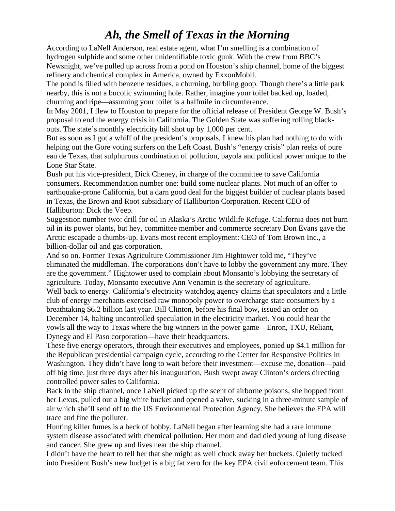#### *Ah, the Smell of Texas in the Morning*

According to LaNell Anderson, real estate agent, what I'm smelling is a combination of hydrogen sulphide and some other unidentifiable toxic gunk. With the crew from BBC's Newsnight, we've pulled up across from a pond on Houston's ship channel, home of the biggest refinery and chemical complex in America, owned by ExxonMobil.

The pond is filled with benzene residues, a churning, burbling goop. Though there's a little park nearby, this is not a bucolic swimming hole. Rather, imagine your toilet backed up, loaded, churning and ripe—assuming your toilet is a halfmile in circumference.

In May 2001, I flew to Houston to prepare for the official release of President George W. Bush's proposal to end the energy crisis in California. The Golden State was suffering rolling blackouts. The state's monthly electricity bill shot up by 1,000 per cent.

But as soon as I got a whiff of the president's proposals, I knew his plan had nothing to do with helping out the Gore voting surfers on the Left Coast. Bush's "energy crisis" plan reeks of pure eau de Texas, that sulphurous combination of pollution, payola and political power unique to the Lone Star State.

Bush put his vice-president, Dick Cheney, in charge of the committee to save California consumers. Recommendation number one: build some nuclear plants. Not much of an offer to earthquake-prone California, but a darn good deal for the biggest builder of nuclear plants based in Texas, the Brown and Root subsidiary of Halliburton Corporation. Recent CEO of Halliburton: Dick the Veep.

Suggestion number two: drill for oil in Alaska's Arctic Wildlife Refuge. California does not burn oil in its power plants, but hey, committee member and commerce secretary Don Evans gave the Arctic escapade a thumbs-up. Evans most recent employment: CEO of Tom Brown Inc., a billion-dollar oil and gas corporation.

And so on. Former Texas Agriculture Commissioner Jim Hightower told me, "They've eliminated the middleman. The corporations don't have to lobby the government any more. They are the government." Hightower used to complain about Monsanto's lobbying the secretary of agriculture. Today, Monsanto executive Ann Venamin is the secretary of agriculture.

Well back to energy. California's electricity watchdog agency claims that speculators and a little club of energy merchants exercised raw monopoly power to overcharge state consumers by a breathtaking \$6.2 billion last year. Bill Clinton, before his final bow, issued an order on December 14, halting uncontrolled speculation in the electricity market. You could hear the yowls all the way to Texas where the big winners in the power game—Enron, TXU, Reliant, Dynegy and El Paso corporation—have their headquarters.

These five energy operators, through their executives and employees, ponied up \$4.1 million for the Republican presidential campaign cycle, according to the Center for Responsive Politics in Washington. They didn't have long to wait before their investment—excuse me, donation—paid off big time. just three days after his inauguration, Bush swept away Clinton's orders directing controlled power sales to California.

Back in the ship channel, once LaNell picked up the scent of airborne poisons, she hopped from her Lexus, pulled out a big white bucket and opened a valve, sucking in a three-minute sample of air which she'll send off to the US Environmental Protection Agency. She believes the EPA will trace and fine the polluter.

Hunting killer fumes is a heck of hobby. LaNell began after learning she had a rare immune system disease associated with chemical pollution. Her mom and dad died young of lung disease and cancer. She grew up and lives near the ship channel.

I didn't have the heart to tell her that she might as well chuck away her buckets. Quietly tucked into President Bush's new budget is a big fat zero for the key EPA civil enforcement team. This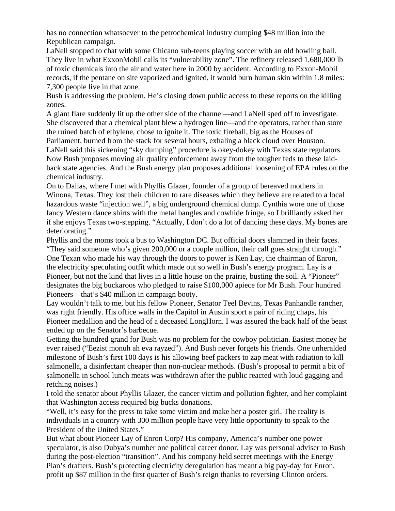has no connection whatsoever to the petrochemical industry dumping \$48 million into the Republican campaign.

LaNell stopped to chat with some Chicano sub-teens playing soccer with an old bowling ball. They live in what ExxonMobil calls its "vulnerability zone". The refinery released 1,680,000 lb of toxic chemicals into the air and water here in 2000 by accident. According to Exxon-Mobil records, if the pentane on site vaporized and ignited, it would burn human skin within 1.8 miles: 7,300 people live in that zone.

Bush is addressing the problem. He's closing down public access to these reports on the killing zones.

A giant flare suddenly lit up the other side of the channel—and LaNell sped off to investigate. She discovered that a chemical plant blew a hydrogen line—and the operators, rather than store the ruined batch of ethylene, chose to ignite it. The toxic fireball, big as the Houses of Parliament, burned from the stack for several hours, exhaling a black cloud over Houston. LaNell said this sickening "sky dumping" procedure is okey-dokey with Texas state regulators.

Now Bush proposes moving air quality enforcement away from the tougher feds to these laidback state agencies. And the Bush energy plan proposes additional loosening of EPA rules on the chemical industry.

On to Dallas, where I met with Phyllis Glazer, founder of a group of bereaved mothers in Winona, Texas. They lost their children to rare diseases which they believe are related to a local hazardous waste "injection well", a big underground chemical dump. Cynthia wore one of those fancy Western dance shirts with the metal bangles and cowhide fringe, so I brilliantly asked her if she enjoys Texas two-stepping. "Actually, I don't do a lot of dancing these days. My bones are deteriorating."

Phyllis and the moms took a bus to Washington DC. But official doors slammed in their faces. "They said someone who's given 200,000 or a couple million, their call goes straight through." One Texan who made his way through the doors to power is Ken Lay, the chairman of Enron, the electricity speculating outfit which made out so well in Bush's energy program. Lay is a Pioneer, but not the kind that lives in a little house on the prairie, busting the soil. A "Pioneer" designates the big buckaroos who pledged to raise \$100,000 apiece for Mr Bush. Four hundred Pioneers—that's \$40 million in campaign booty.

Lay wouldn't talk to me, but his fellow Pioneer, Senator Teel Bevins, Texas Panhandle rancher, was right friendly. His office walls in the Capitol in Austin sport a pair of riding chaps, his Pioneer medallion and the head of a deceased LongHorn. I was assured the back half of the beast ended up on the Senator's barbecue.

Getting the hundred grand for Bush was no problem for the cowboy politician. Easiest money he ever raised ("Eezist monuh ah eva rayzed"). And Bush never forgets his friends. One unheralded milestone of Bush's first 100 days is his allowing beef packers to zap meat with radiation to kill salmonella, a disinfectant cheaper than non-nuclear methods. (Bush's proposal to permit a bit of salmonella in school lunch meats was withdrawn after the public reacted with loud gagging and retching noises.)

I told the senator about Phyllis Glazer, the cancer victim and pollution fighter, and her complaint that Washington access required big bucks donations.

"Well, it's easy for the press to take some victim and make her a poster girl. The reality is individuals in a country with 300 million people have very little opportunity to speak to the President of the United States."

But what about Pioneer Lay of Enron Corp? His company, America's number one power speculator, is also Dubya's number one political career donor. Lay was personal adviser to Bush during the post-election "transition". And his company held secret meetings with the Energy Plan's drafters. Bush's protecting electricity deregulation has meant a big pay-day for Enron, profit up \$87 million in the first quarter of Bush's reign thanks to reversing Clinton orders.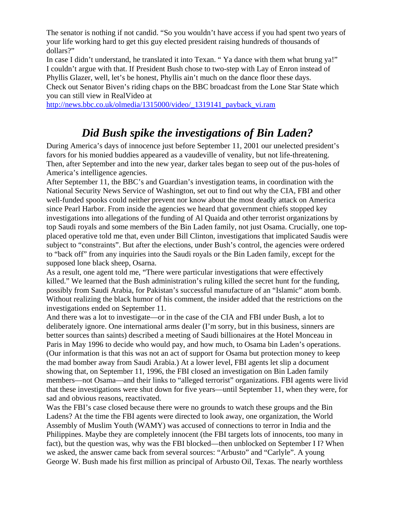The senator is nothing if not candid. "So you wouldn't have access if you had spent two years of your life working hard to get this guy elected president raising hundreds of thousands of dollars?"

In case I didn't understand, he translated it into Texan. " Ya dance with them what brung ya!" I couldn't argue with that. If President Bush chose to two-step with Lay of Enron instead of Phyllis Glazer, well, let's be honest, Phyllis ain't much on the dance floor these days. Check out Senator Biven's riding chaps on the BBC broadcast from the Lone Star State which

you can still view in RealVideo at

http://news.bbc.co.uk/olmedia/1315000/video/\_1319141\_payback\_vi.ram

#### *Did Bush spike the investigations of Bin Laden?*

During America's days of innocence just before September 11, 2001 our unelected president's favors for his monied buddies appeared as a vaudeville of venality, but not life-threatening. Then, after September and into the new year, darker tales began to seep out of the pus-holes of America's intelligence agencies.

After September 11, the BBC's and Guardian's investigation teams, in coordination with the National Security News Service of Washington, set out to find out why the CIA, FBI and other well-funded spooks could neither prevent nor know about the most deadly attack on America since Pearl Harbor. From inside the agencies we heard that government chiefs stopped key investigations into allegations of the funding of Al Quaida and other terrorist organizations by top Saudi royals and some members of the Bin Laden family, not just Osama. Crucially, one topplaced operative told me that, even under Bill Clinton, investigations that implicated Saudis were subject to "constraints". But after the elections, under Bush's control, the agencies were ordered to "back off" from any inquiries into the Saudi royals or the Bin Laden family, except for the supposed lone black sheep, Osarna.

As a result, one agent told me, "There were particular investigations that were effectively killed." We learned that the Bush administration's ruling killed the secret hunt for the funding, possibly from Saudi Arabia, for Pakistan's successful manufacture of an "Islamic" atom bomb. Without realizing the black humor of his comment, the insider added that the restrictions on the investigations ended on September 11.

And there was a lot to investigate—or in the case of the CIA and FBI under Bush, a lot to deliberately ignore. One international arms dealer (I'm sorry, but in this business, sinners are better sources than saints) described a meeting of Saudi billionaires at the Hotel Monceau in Paris in May 1996 to decide who would pay, and how much, to Osama bin Laden's operations. (Our information is that this was not an act of support for Osama but protection money to keep the mad bomber away from Saudi Arabia.) At a lower level, FBI agents let slip a document showing that, on September 11, 1996, the FBI closed an investigation on Bin Laden family members—not Osama—and their links to "alleged terrorist" organizations. FBI agents were livid that these investigations were shut down for five years—until September 11, when they were, for sad and obvious reasons, reactivated.

Was the FBI's case closed because there were no grounds to watch these groups and the Bin Ladens? At the time the FBI agents were directed to look away, one organization, the World Assembly of Muslim Youth (WAMY) was accused of connections to terror in India and the Philippines. Maybe they are completely innocent (the FBI targets lots of innocents, too many in fact), but the question was, why was the FBI blocked—then unblocked on September I I? When we asked, the answer came back from several sources: "Arbusto" and "Carlyle". A young George W. Bush made his first million as principal of Arbusto Oil, Texas. The nearly worthless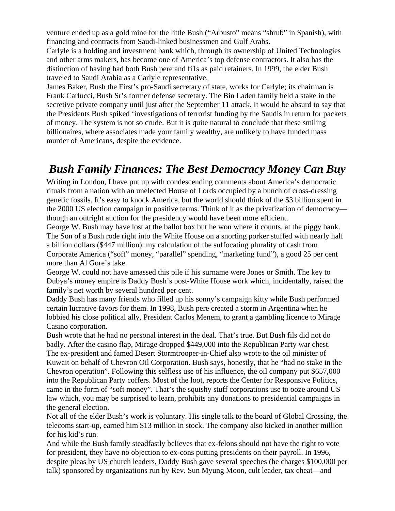venture ended up as a gold mine for the little Bush ("Arbusto" means "shrub" in Spanish), with financing and contracts from Saudi-linked businessmen and Gulf Arabs.

Carlyle is a holding and investment bank which, through its ownership of United Technologies and other arms makers, has become one of America's top defense contractors. It also has the distinction of having had both Bush pere and fi1s as paid retainers. In 1999, the elder Bush traveled to Saudi Arabia as a Carlyle representative.

James Baker, Bush the First's pro-Saudi secretary of state, works for Carlyle; its chairman is Frank Carlucci, Bush Sr's former defense secretary. The Bin Laden family held a stake in the secretive private company until just after the September 11 attack. It would be absurd to say that the Presidents Bush spiked 'investigations of terrorist funding by the Saudis in return for packets of money. The system is not so crude. But it is quite natural to conclude that these smiling billionaires, where associates made your family wealthy, are unlikely to have funded mass murder of Americans, despite the evidence.

#### *Bush Family Finances: The Best Democracy Money Can Buy*

Writing in London, I have put up with condescending comments about America's democratic rituals from a nation with an unelected House of Lords occupied by a bunch of cross-dressing genetic fossils. It's easy to knock America, but the world should think of the \$3 billion spent in the 2000 US election campaign in positive terms. Think of it as the privatization of democracy though an outright auction for the presidency would have been more efficient.

George W. Bush may have lost at the ballot box but he won where it counts, at the piggy bank. The Son of a Bush rode right into the White House on a snorting porker stuffed with nearly half a billion dollars (\$447 million): my calculation of the suffocating plurality of cash from Corporate America ("soft" money, "parallel" spending, "marketing fund"), a good 25 per cent more than Al Gore's take.

George W. could not have amassed this pile if his surname were Jones or Smith. The key to Dubya's money empire is Daddy Bush's post-White House work which, incidentally, raised the family's net worth by several hundred per cent.

Daddy Bush has many friends who filled up his sonny's campaign kitty while Bush performed certain lucrative favors for them. In 1998, Bush pere created a storm in Argentina when he lobbied his close political ally, President Carlos Menem, to grant a gambling licence to Mirage Casino corporation.

Bush wrote that he had no personal interest in the deal. That's true. But Bush fils did not do badly. After the casino flap, Mirage dropped \$449,000 into the Republican Party war chest. The ex-president and famed Desert Stormtrooper-in-Chief also wrote to the oil minister of Kuwait on behalf of Chevron Oil Corporation. Bush says, honestly, that he "had no stake in the Chevron operation". Following this selfless use of his influence, the oil company put \$657,000 into the Republican Party coffers. Most of the loot, reports the Center for Responsive Politics, came in the form of "soft money". That's the squishy stuff corporations use to ooze around US law which, you may be surprised to learn, prohibits any donations to presidential campaigns in the general election.

Not all of the elder Bush's work is voluntary. His single talk to the board of Global Crossing, the telecoms start-up, earned him \$13 million in stock. The company also kicked in another million for his kid's run.

And while the Bush family steadfastly believes that ex-felons should not have the right to vote for president, they have no objection to ex-cons putting presidents on their payroll. In 1996, despite pleas by US church leaders, Daddy Bush gave several speeches (he charges \$100,000 per talk) sponsored by organizations run by Rev. Sun Myung Moon, cult leader, tax cheat—and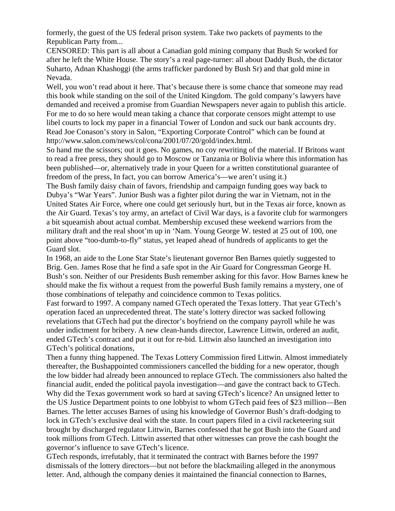formerly, the guest of the US federal prison system. Take two packets of payments to the Republican Party from...

CENSORED: This part is all about a Canadian gold mining company that Bush Sr worked for after he left the White House. The story's a real page-turner: all about Daddy Bush, the dictator Suharto, Adnan Khashoggi (the arms trafficker pardoned by Bush Sr) and that gold mine in Nevada.

Well, you won't read about it here. That's because there is some chance that someone may read this book while standing on the soil of the United Kingdom. The gold company's lawyers have demanded and received a promise from Guardian Newspapers never again to publish this article. For me to do so here would mean taking a chance that corporate censors might attempt to use libel courts to lock my paper in a financial Tower of London and suck our bank accounts dry. Read Joe Conason's story in Salon, "Exporting Corporate Control" which can be found at http://www.salon.com/news/col/cona/2001/07/20/gold/index.html.

So hand me the scissors; out it goes. No games, no coy rewriting of the material. If Britons want to read a free press, they should go to Moscow or Tanzania or Bolivia where this information has been published—or, alternatively trade in your Queen for a written constitutional guarantee of freedom of the press, In fact, you can borrow America's—we aren't using it.)

The Bush family daisy chain of favors, friendship and campaign funding goes way back to Dubya's "War Years". Junior Bush was a fighter pilot during the war in Vietnam, not in the United States Air Force, where one could get seriously hurt, but in the Texas air force, known as the Air Guard. Texas's toy army, an artefact of Civil War days, is a favorite club for warmongers a bit squeamish about actual combat. Membership excused these weekend warriors from the military draft and the real shoot'm up in 'Nam. Young George W. tested at 25 out of 100, one point above "too-dumb-to-fly" status, yet leaped ahead of hundreds of applicants to get the Guard slot.

In 1968, an aide to the Lone Star State's lieutenant governor Ben Barnes quietly suggested to Brig. Gen. James Rose that he find a safe spot in the Air Guard for Congressman George H. Bush's son. Neither of our Presidents Bush remember asking for this favor. How Barnes knew he should make the fix without a request from the powerful Bush family remains a mystery, one of those combinations of telepathy and coincidence common to Texas politics.

Fast forward to 1997. A company named GTech operated the Texas lottery. That year GTech's operation faced an unprecedented threat. The state's lottery director was sacked following revelations that GTech had put the director's boyfriend on the company payroll while he was under indictment for bribery. A new clean-hands director, Lawrence Littwin, ordered an audit, ended GTech's contract and put it out for re-bid. Littwin also launched an investigation into GTech's political donations,

Then a funny thing happened. The Texas Lottery Commission fired Littwin. Almost immediately thereafter, the Bushappointed commissioners cancelled the bidding for a new operator, though the low bidder had already been announced to replace GTech. The commissioners also halted the financial audit, ended the political payola investigation—and gave the contract back to GTech. Why did the Texas government work so hard at saving GTech's licence? An unsigned letter to the US Justice Department points to one lobbyist to whom GTech paid fees of \$23 million—Ben Barnes. The letter accuses Barnes of using his knowledge of Governor Bush's draft-dodging to lock in GTech's exclusive deal with the state. In court papers filed in a civil racketeering suit brought by discharged regulator Littwin, Barnes confessed that he got Bush into the Guard and took millions from GTech. Littwin asserted that other witnesses can prove the cash bought the governor's influence to save GTech's licence.

GTech responds, irrefutably, that it terminated the contract with Barnes before the 1997 dismissals of the lottery directors—but not before the blackmailing alleged in the anonymous letter. And, although the company denies it maintained the financial connection to Barnes,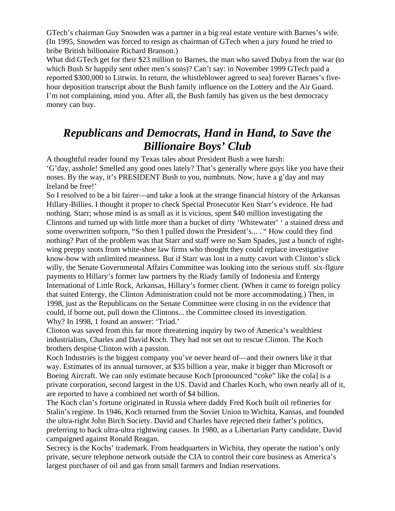GTech's chairman Guy Snowden was a partner in a big real estate venture with Barnes's wife. (In 1995, Snowden was forced to resign as chairman of GTech when a jury found he tried to bribe British billionaire Richard Branson.)

What did GTech get for their \$23 million to Barnes, the man who saved Dubya from the war (to which Bush Sr happily sent other men's sons)? Can't say: in November 1999 GTech paid a reported \$300,000 to Littwin. In return, the whistleblower agreed to sea] forever Barnes's fivehour deposition transcript about the Bush family influence on the Lottery and the Air Guard. I'm not complaining, mind you. After all, the Bush family has given us the best democracy money can buy.

#### *Republicans and Democrats, Hand in Hand, to Save the Billionaire Boys' Club*

A thoughtful reader found my Texas tales about President Bush a wee harsh: 'G'day, asshole! Smelled any good ones lately? That's generally where guys like you have their noses. By the way, it's PRESIDENT Bush to you, numbnuts. Now, have a g'day and may Ireland be free!'

So I resolved to be a bit fairer—and take a look at the strange financial history of the Arkansas Hillary-Billies. I thought it proper to check Special Prosecutor Ken Starr's evidence. He had nothing. Starr; whose mind is as small as it is vicious, spent \$40 million investigating the Clintons and turned up with little more than a bucket of dirty 'Whitewater' ' a stained dress and some overwritten softporn, "So then I pulled down the President's... . " How could they find nothing? Part of the problem was that Starr and staff were no Sam Spades, just a bunch of rightwing preppy snots from white-shoe law firms who thought they could replace investigative know-how with unlimited meanness. But if Starr was lost in a nutty cavort with Clinton's slick willy, the Senate Governmental Affairs Committee was looking into the serious stuff. six-flgure payments to Hillary's former law partners by the Riady family of Indonesia and Entergy International of Little Rock, Arkansas, Hillary's former client. (When it came to foreign policy that suited Entergy, the Clinton Administration could not be more accommodating.) Then, in 1998, just as the Republicans on the Senate Committee were closing in on the evidence that could, if borne out, pull down the Clintons... the Committee closed its investigation. Why? In 1998, 1 found an answer: 'Triad.'

Clinton was saved from this far more threatening inquiry by two of America's wealthiest industrialists, Charles and David Koch. They had not set out to rescue Clinton. The Koch brothers despise Clinton with a passion.

Koch Industries is the biggest company you've never heard of—and their owners like it that way. Estimates of its annual turnover, at \$35 billion a year, make it bigger than Microsoft or Boeing Aircraft. We can only estimate because Koch [pronounced "coke" like the cola] is a private corporation, second largest in the US. David and Charles Koch, who own nearly all of it, are reported to have a combined net worth of \$4 billion.

The Koch clan's fortune originated in Russia where daddy Fred Koch built oil refineries for Stalin's regime. In 1946, Koch returned from the Soviet Union to Wichita, Kansas, and founded the ultra-right John Birch Society. David and Charles have rejected their father's politics, preferring to back ultra-ultra rightwing causes. In 1980, as a Libertarian Party candidate, David campaigned against Ronald Reagan.

Secrecy is the Kochs' trademark. From headquarters in Wichita, they operate the nation's only private, secure telephone network outside the CIA to control their core business as America's largest purchaser of oil and gas from small farmers and Indian reservations.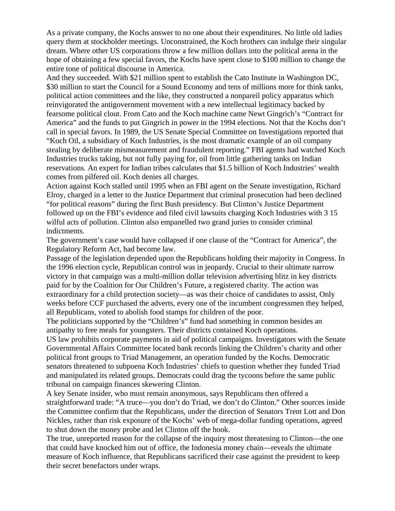As a private company, the Kochs answer to no one about their expenditures. No little old ladies query them at stockholder meetings. Unconstrained, the Koch brothers can indulge their singular dream. Where other US corporations throw a few million dollars into the political arena in the hope of obtaining a few special favors, the Kochs have spent close to \$100 million to change the entire tone of political discourse in America.

And they succeeded. With \$21 million spent to establish the Cato Institute in Washington DC, \$30 million to start the Council for a Sound Economy and tens of millions more for think tanks, political action committees and the like, they constructed a nonpareil policy apparatus which reinvigorated the antigovernment movement with a new intellectual legitimacy backed by fearsome political clout. From Cato and the Koch machine came Newt Gingrich's "Contract for America" and the funds to put Gingrich in power in the 1994 elections. Not that the Kochs don't call in special favors. In 1989, the US Senate Special Committee on Investigations reported that "Koch Oil, a subsidiary of Koch Industries, is the most dramatic example of an oil company stealing by deliberate mismeasurement and fraudulent reporting." FBI agents had watched Koch Industries trucks taking, but not fully paying for, oil from little gathering tanks on Indian reservations. An expert for Indian tribes calculates that \$1.5 billion of Koch Industries' wealth comes from pilfered oil. Koch denies all charges.

Action against Koch stalled until 1995 when an FBI agent on the Senate investigation, Richard Elroy, charged in a letter to the Justice Department that criminal prosecution had been declined "for political reasons" during the first Bush presidency. But Clinton's Justice Department followed up on the FBI's evidence and filed civil lawsuits charging Koch Industries with 3 15 wilful acts of pollution. Clinton also empanelled two grand juries to consider criminal indictments.

The government's case would have collapsed if one clause of the "Contract for America", the Regulatory Reform Act, had become law.

Passage of the legislation depended upon the Republicans holding their majority in Congress. In the 1996 election cycle, Republican control was in jeopardy. Crucial to their ultimate narrow victory in that campaign was a multi-million dollar television advertising blitz in key districts paid for by the Coalition for Our Children's Future, a registered charity. The action was extraordinary for a child protection society—as was their choice of candidates to assist, Only weeks before CCF purchased the adverts, every one of the incumbent congressmen they helped, all Republicans, voted to abolish food stamps for children of the poor.

The politicians supported by the "Children's" fund had something in common besides an antipathy to free meals for youngsters. Their districts contained Koch operations.

US law prohibits corporate payments in aid of political campaigns. Investigators with the Senate Governmental Affairs Committee located bank records linking the Children's charity and other political front groups to Triad Management, an operation funded by the Kochs. Democratic senators threatened to subpoena Koch Industries' chiefs to question whether they funded Triad and manipulated its related groups. Democrats could drag the tycoons before the same public tribunal on campaign finances skewering Clinton.

A key Senate insider, who must remain anonymous, says Republicans then offered a straightforward trade: "A truce—you don't do Triad, we don't do Clinton." Other sources inside the Committee confirm that the Republicans, under the direction of Senators Trent Lott and Don Nickles, rather than risk exposure of the Kochs' web of mega-dollar funding operations, agreed to shut down the money probe and let Clinton off the hook.

The true, unreported reason for the collapse of the inquiry most threatening to Clinton—the one that could have knocked him out of office, the Indonesia money chain—reveals the ultimate measure of Koch influence, that Republicans sacrificed their case against the president to keep their secret benefactors under wraps.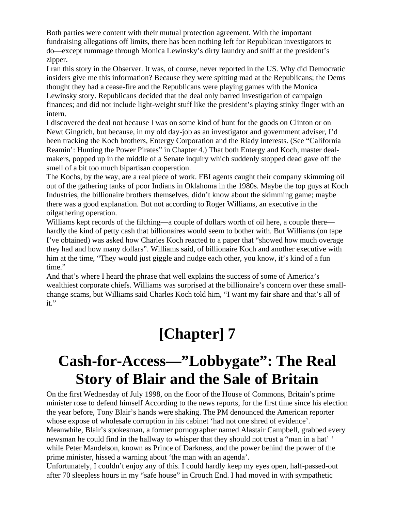Both parties were content with their mutual protection agreement. With the important fundraising allegations off limits, there has been nothing left for Republican investigators to do—except rummage through Monica Lewinsky's dirty laundry and sniff at the president's zipper.

I ran this story in the Observer. It was, of course, never reported in the US. Why did Democratic insiders give me this information? Because they were spitting mad at the Republicans; the Dems thought they had a cease-fire and the Republicans were playing games with the Monica Lewinsky story. Republicans decided that the deal only barred investigation of campaign finances; and did not include light-weight stuff like the president's playing stinky flnger with an intern.

I discovered the deal not because I was on some kind of hunt for the goods on Clinton or on Newt Gingrich, but because, in my old day-job as an investigator and government adviser, I'd been tracking the Koch brothers, Entergy Corporation and the Riady interests. (See "California Reamin': Hunting the Power Pirates" in Chapter 4.) That both Entergy and Koch, master dealmakers, popped up in the middle of a Senate inquiry which suddenly stopped dead gave off the smell of a bit too much bipartisan cooperation.

The Kochs, by the way, are a real piece of work. FBI agents caught their company skimming oil out of the gathering tanks of poor Indians in Oklahoma in the 1980s. Maybe the top guys at Koch Industries, the billionaire brothers themselves, didn't know about the skimming game; maybe there was a good explanation. But not according to Roger Williams, an executive in the oilgathering operation.

Williams kept records of the filching—a couple of dollars worth of oil here, a couple there hardly the kind of petty cash that billionaires would seem to bother with. But Williams (on tape I've obtained) was asked how Charles Koch reacted to a paper that "showed how much overage they had and how many dollars". Williams said, of billionaire Koch and another executive with him at the time, "They would just giggle and nudge each other, you know, it's kind of a fun time."

And that's where I heard the phrase that well explains the success of some of America's wealthiest corporate chiefs. Williams was surprised at the billionaire's concern over these smallchange scams, but Williams said Charles Koch told him, "I want my fair share and that's all of it."

# **[Chapter] 7**

## **Cash-for-Access—"Lobbygate": The Real Story of Blair and the Sale of Britain**

On the first Wednesday of July 1998, on the floor of the House of Commons, Britain's prime minister rose to defend himself According to the news reports, for the first time since his election the year before, Tony Blair's hands were shaking. The PM denounced the American reporter whose expose of wholesale corruption in his cabinet 'had not one shred of evidence'. Meanwhile, Blair's spokesman, a former pornographer named Alastair Campbell, grabbed every

newsman he could find in the hallway to whisper that they should not trust a "man in a hat' ' while Peter Mandelson, known as Prince of Darkness, and the power behind the power of the prime minister, hissed a warning about 'the man with an agenda'.

Unfortunately, I couldn't enjoy any of this. I could hardly keep my eyes open, half-passed-out after 70 sleepless hours in my "safe house" in Crouch End. I had moved in with sympathetic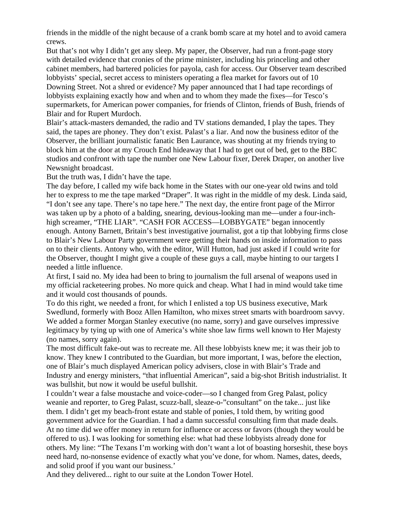friends in the middle of the night because of a crank bomb scare at my hotel and to avoid camera crews.

But that's not why I didn't get any sleep. My paper, the Observer, had run a front-page story with detailed evidence that cronies of the prime minister, including his princeling and other cabinet members, had bartered policies for payola, cash for access. Our Observer team described lobbyists' special, secret access to ministers operating a flea market for favors out of 10 Downing Street. Not a shred or evidence? My paper announced that I had tape recordings of lobbyists explaining exactly how and when and to whom they made the fixes—for Tesco's supermarkets, for American power companies, for friends of Clinton, friends of Bush, friends of Blair and for Rupert Murdoch.

Blair's attack-masters demanded, the radio and TV stations demanded, I play the tapes. They said, the tapes are phoney. They don't exist. Palast's a liar. And now the business editor of the Observer, the brilliant journalistic fanatic Ben Laurance, was shouting at my friends trying to block him at the door at my Crouch End hideaway that I had to get out of bed, get to the BBC studios and confront with tape the number one New Labour fixer, Derek Draper, on another live Newsnight broadcast.

But the truth was, I didn't have the tape.

The day before, I called my wife back home in the States with our one-year old twins and told her to express to me the tape marked "Draper". It was right in the middle of my desk. Linda said, "I don't see any tape. There's no tape here." The next day, the entire front page of the Mirror was taken up by a photo of a balding, snearing, devious-looking man me—under a four-inchhigh screamer, "THE LIAR". "CASH FOR ACCESS—LOBBYGATE" began innocently enough. Antony Barnett, Britain's best investigative journalist, got a tip that lobbying firms close to Blair's New Labour Party government were getting their hands on inside information to pass on to their clients. Antony who, with the editor, Will Hutton, had just asked if I could write for the Observer, thought I might give a couple of these guys a call, maybe hinting to our targets I needed a little influence.

At first, I said no. My idea had been to bring to journalism the full arsenal of weapons used in my official racketeering probes. No more quick and cheap. What I had in mind would take time and it would cost thousands of pounds.

To do this right, we needed a front, for which I enlisted a top US business executive, Mark Swedlund, formerly with Booz Allen Hamilton, who mixes street smarts with boardroom savvy. We added a former Morgan Stanley executive (no name, sorry) and gave ourselves impressive legitimacy by tying up with one of America's white shoe law firms well known to Her Majesty (no names, sorry again).

The most difficult fake-out was to recreate me. All these lobbyists knew me; it was their job to know. They knew I contributed to the Guardian, but more important, I was, before the election, one of Blair's much displayed American policy advisers, close in with Blair's Trade and Industry and energy ministers, "that influential American", said a big-shot British industrialist. It was bullshit, but now it would be useful bullshit.

I couldn't wear a false moustache and voice-coder—so I changed from Greg Palast, policy weanie and reporter, to Greg Palast, scuzz-ball, sleaze-o-"consultant" on the take... just like them. I didn't get my beach-front estate and stable of ponies, I told them, by writing good government advice for the Guardian. I had a damn successful consulting firm that made deals. At no time did we offer money in return for influence or access or favors (though they would be offered to us). I was looking for something else: what had these lobbyists already done for others. My line: "The Texans I'm working with don't want a lot of boasting horseshit, these boys need hard, no-nonsense evidence of exactly what you've done, for whom. Names, dates, deeds, and solid proof if you want our business.'

And they delivered... right to our suite at the London Tower Hotel.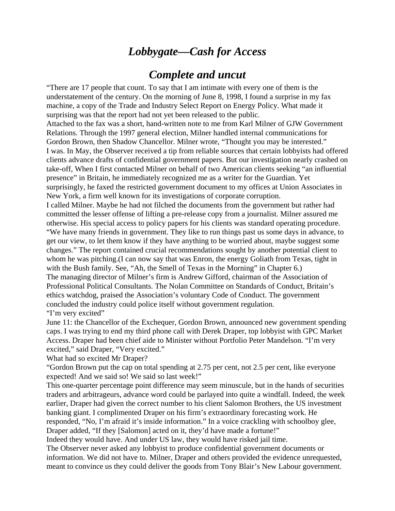#### *Lobbygate—Cash for Access*

#### *Complete and uncut*

"There are 17 people that count. To say that I am intimate with every one of them is the understatement of the century. On the morning of June 8, 1998, I found a surprise in my fax machine, a copy of the Trade and Industry Select Report on Energy Policy. What made it surprising was that the report had not yet been released to the public.

Attached to the fax was a short, hand-written note to me from Karl Milner of GJW Government Relations. Through the 1997 general election, Milner handled internal communications for Gordon Brown, then Shadow Chancellor. Milner wrote, "Thought you may be interested." I was. In May, the Observer received a tip from reliable sources that certain lobbyists had offered clients advance drafts of confidential government papers. But our investigation nearly crashed on take-off, When I first contacted Milner on behalf of two American clients seeking "an influential presence" in Britain, he immediately recognized me as a writer for the Guardian. Yet surprisingly, he faxed the restricted government document to my offices at Union Associates in New York, a firm well known for its investigations of corporate corruption.

I called Milner. Maybe he had not filched the documents from the government but rather had committed the lesser offense of lifting a pre-release copy from a journalist. Milner assured me otherwise. His special access to policy papers for his clients was standard operating procedure. "We have many friends in government. They like to run things past us some days in advance, to get our view, to let them know if they have anything to be worried about, maybe suggest some changes." The report contained crucial recommendations sought by another potential client to whom he was pitching.(I can now say that was Enron, the energy Goliath from Texas, tight in with the Bush family. See, "Ah, the Smell of Texas in the Morning" in Chapter 6.) The managing director of Milner's firm is Andrew Gifford, chairman of the Association of Professional Political Consultants. The Nolan Committee on Standards of Conduct, Britain's ethics watchdog, praised the Association's voluntary Code of Conduct. The government concluded the industry could police itself without government regulation. "I'm very excited"

June 11: the Chancellor of the Exchequer, Gordon Brown, announced new government spending caps. I was trying to end my third phone call with Derek Draper, top lobbyist with GPC Market Access. Draper had been chief aide to Minister without Portfolio Peter Mandelson. "I'm very excited," said Draper, "Very excited."

What had so excited Mr Draper?

"Gordon Brown put the cap on total spending at 2.75 per cent, not 2.5 per cent, like everyone expected! And we said so! We said so last week!"

This one-quarter percentage point difference may seem minuscule, but in the hands of securities traders and arbitrageurs, advance word could be parlayed into quite a windfall. Indeed, the week earlier, Draper had given the correct number to his client Salomon Brothers, the US investment banking giant. I complimented Draper on his firm's extraordinary forecasting work. He responded, "No, I'm afraid it's inside information." In a voice crackling with schoolboy glee, Draper added, "If they [Salomon] acted on it, they'd have made a fortune!"

Indeed they would have. And under US law, they would have risked jail time.

The Observer never asked any lobbyist to produce confidential government documents or information. We did not have to. Milner, Draper and others provided the evidence unrequested, meant to convince us they could deliver the goods from Tony Blair's New Labour government.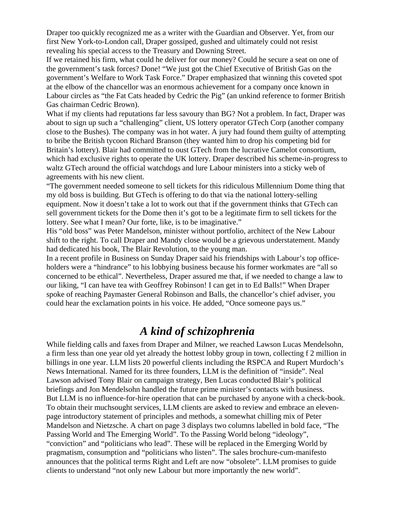Draper too quickly recognized me as a writer with the Guardian and Observer. Yet, from our first New York-to-London call, Draper gossiped, gushed and ultimately could not resist revealing his special access to the Treasury and Downing Street.

If we retained his firm, what could he deliver for our money? Could he secure a seat on one of the government's task forces? Done! "We just got the Chief Executive of British Gas on the government's Welfare to Work Task Force." Draper emphasized that winning this coveted spot at the elbow of the chancellor was an enormous achievement for a company once known in Labour circles as "the Fat Cats headed by Cedric the Pig" (an unkind reference to former British Gas chairman Cedric Brown).

What if my clients had reputations far less savoury than BG? Not a problem. In fact, Draper was about to sign up such a "challenging" client, US lottery operator GTech Corp (another company close to the Bushes). The company was in hot water. A jury had found them guilty of attempting to bribe the British tycoon Richard Branson (they wanted him to drop his competing bid for Britain's lottery). Blair had committed to oust GTech from the lucrative Camelot consortium, which had exclusive rights to operate the UK lottery. Draper described his scheme-in-progress to waltz GTech around the official watchdogs and lure Labour ministers into a sticky web of agreements with his new client.

"The government needed someone to sell tickets for this ridiculous Millennium Dome thing that my old boss is building. But GTech is offering to do that via the national lottery-selling equipment. Now it doesn't take a lot to work out that if the government thinks that GTech can sell government tickets for the Dome then it's got to be a legitimate firm to sell tickets for the lottery. See what I mean? Our forte, like, is to be imaginative."

His "old boss" was Peter Mandelson, minister without portfolio, architect of the New Labour shift to the right. To call Draper and Mandy close would be a grievous understatement. Mandy had dedicated his book, The Blair Revolution, to the young man.

In a recent profile in Business on Sunday Draper said his friendships with Labour's top officeholders were a "hindrance" to his lobbying business because his former workmates are "all so concerned to be ethical". Nevertheless, Draper assured me that, if we needed to change a law to our liking, "I can have tea with Geoffrey Robinson! I can get in to Ed Balls!" When Draper spoke of reaching Paymaster General Robinson and Balls, the chancellor's chief adviser, you could hear the exclamation points in his voice. He added, "Once someone pays us."

## *A kind of schizophrenia*

While fielding calls and faxes from Draper and Milner, we reached Lawson Lucas Mendelsohn, a firm less than one year old yet already the hottest lobby group in town, collecting f 2 million in billings in one year. LLM lists 20 powerful clients including the RSPCA and Rupert Murdoch's News International. Named for its three founders, LLM is the definition of "inside". Neal Lawson advised Tony Blair on campaign strategy, Ben Lucas conducted Blair's political briefings and Jon Mendelsohn handled the future prime minister's contacts with business. But LLM is no influence-for-hire operation that can be purchased by anyone with a check-book. To obtain their muchsought services, LLM clients are asked to review and embrace an elevenpage introductory statement of principles and methods, a somewhat chilling mix of Peter Mandelson and Nietzsche. A chart on page 3 displays two columns labelled in bold face, "The Passing World and The Emerging World". To the Passing World belong "ideology", "conviction" and "politicians who lead". These will be replaced in the Emerging World by pragmatism, consumption and "politicians who listen". The sales brochure-cum-manifesto announces that the political terms Right and Left are now "obsolete". LLM promises to guide clients to understand "not only new Labour but more importantly the new world".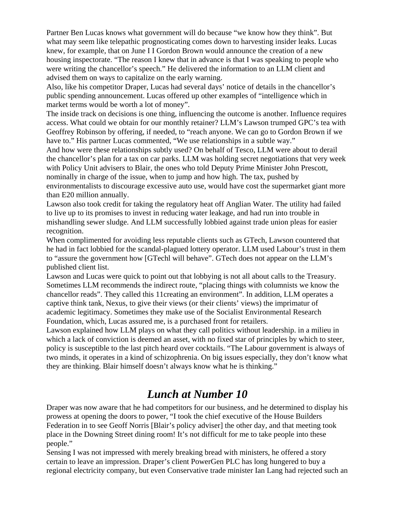Partner Ben Lucas knows what government will do because "we know how they think". But what may seem like telepathic prognosticating comes down to harvesting insider leaks. Lucas knew, for example, that on June I I Gordon Brown would announce the creation of a new housing inspectorate. "The reason I knew that in advance is that I was speaking to people who were writing the chancellor's speech." He delivered the information to an LLM client and advised them on ways to capitalize on the early warning.

Also, like his competitor Draper, Lucas had several days' notice of details in the chancellor's public spending announcement. Lucas offered up other examples of "intelligence which in market terms would be worth a lot of money".

The inside track on decisions is one thing, influencing the outcome is another. Influence requires access. What could we obtain for our monthly retainer? LLM's Lawson trumped GPC's tea with Geoffrey Robinson by offering, if needed, to "reach anyone. We can go to Gordon Brown if we have to." His partner Lucas commented, "We use relationships in a subtle way."

And how were these relationships subtly used? On behalf of Tesco, LLM were about to derail the chancellor's plan for a tax on car parks. LLM was holding secret negotiations that very week with Policy Unit advisers to Blair, the ones who told Deputy Prime Minister John Prescott, nominally in charge of the issue, when to jump and how high. The tax, pushed by environmentalists to discourage excessive auto use, would have cost the supermarket giant more than E20 million annually.

Lawson also took credit for taking the regulatory heat off Anglian Water. The utility had failed to live up to its promises to invest in reducing water leakage, and had run into trouble in mishandling sewer sludge. And LLM successfully lobbied against trade union pleas for easier recognition.

When complimented for avoiding less reputable clients such as GTech, Lawson countered that he had in fact lobbied for the scandal-plagued lottery operator. LLM used Labour's trust in them to "assure the government how [GTechl will behave". GTech does not appear on the LLM's published client list.

Lawson and Lucas were quick to point out that lobbying is not all about calls to the Treasury. Sometimes LLM recommends the indirect route, "placing things with columnists we know the chancellor reads". They called this 11creating an environment". In addition, LLM operates a captive think tank, Nexus, to give their views (or their clients' views) the imprimatur of academic legitimacy. Sometimes they make use of the Socialist Environmental Research Foundation, which, Lucas assured me, is a purchased front for retailers.

Lawson explained how LLM plays on what they call politics without leadership. in a milieu in which a lack of conviction is deemed an asset, with no fixed star of principles by which to steer, policy is susceptible to the last pitch heard over cocktails. "The Labour government is always of two minds, it operates in a kind of schizophrenia. On big issues especially, they don't know what they are thinking. Blair himself doesn't always know what he is thinking."

## *Lunch at Number 10*

Draper was now aware that he had competitors for our business, and he determined to display his prowess at opening the doors to power, "I took the chief executive of the House Builders Federation in to see Geoff Norris [Blair's policy adviser] the other day, and that meeting took place in the Downing Street dining room! It's not difficult for me to take people into these people."

Sensing I was not impressed with merely breaking bread with ministers, he offered a story certain to leave an impression. Draper's client PowerGen PLC has long hungered to buy a regional electricity company, but even Conservative trade minister Ian Lang had rejected such an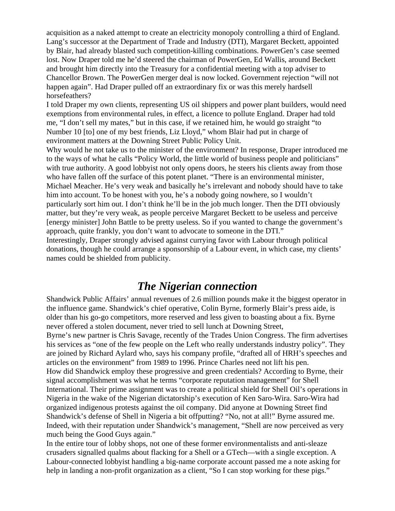acquisition as a naked attempt to create an electricity monopoly controlling a third of England. Lang's successor at the Department of Trade and Industry (DTI), Margaret Beckett, appointed by Blair, had already blasted such competition-killing combinations. PowerGen's case seemed lost. Now Draper told me he'd steered the chairman of PowerGen, Ed Wallis, around Beckett and brought him directly into the Treasury for a confidential meeting with a top adviser to Chancellor Brown. The PowerGen merger deal is now locked. Government rejection "will not happen again". Had Draper pulled off an extraordinary fix or was this merely hardsell horsefeathers?

I told Draper my own clients, representing US oil shippers and power plant builders, would need exemptions from environmental rules, in effect, a licence to pollute England. Draper had told me, "I don't sell my mates," but in this case, if we retained him, he would go straight "to Number 10 [to] one of my best friends, Liz Lloyd," whom Blair had put in charge of environment matters at the Downing Street Public Policy Unit.

Why would he not take us to the minister of the environment? In response, Draper introduced me to the ways of what he calls "Policy World, the little world of business people and politicians" with true authority. A good lobby ist not only opens doors, he steers his clients away from those who have fallen off the surface of this potent planet. "There is an environmental minister, Michael Meacher. He's very weak and basically he's irrelevant and nobody should have to take him into account. To be honest with you, he's a nobody going nowhere, so I wouldn't particularly sort him out. I don't think he'll be in the job much longer. Then the DTI obviously matter, but they're very weak, as people perceive Margaret Beckett to be useless and perceive [energy minister] John Battle to be pretty useless. So if you wanted to change the government's approach, quite frankly, you don't want to advocate to someone in the DTI."

Interestingly, Draper strongly advised against currying favor with Labour through political donations, though he could arrange a sponsorship of a Labour event, in which case, my clients' names could be shielded from publicity.

#### *The Nigerian connection*

Shandwick Public Affairs' annual revenues of 2.6 million pounds make it the biggest operator in the influence game. Shandwick's chief operative, Colin Byrne, formerly Blair's press aide, is older than his go-go competitors, more reserved and less given to boasting about a fix. Byrne never offered a stolen document, never tried to sell lunch at Downing Street,

Byrne's new partner is Chris Savage, recently of the Trades Union Congress. The firm advertises his services as "one of the few people on the Left who really understands industry policy". They are joined by Richard Aylard who, says his company profile, "drafted all of HRH's speeches and articles on the environment" from 1989 to 1996. Prince Charles need not lift his pen. How did Shandwick employ these progressive and green credentials? According to Byrne, their signal accomplishment was what he terms "corporate reputation management" for Shell International. Their prime assignment was to create a political shield for Shell Oil's operations in Nigeria in the wake of the Nigerian dictatorship's execution of Ken Saro-Wira. Saro-Wira had organized indigenous protests against the oil company. Did anyone at Downing Street find Shandwick's defense of Shell in Nigeria a bit offputting? "No, not at all!" Byrne assured me. Indeed, with their reputation under Shandwick's management, "Shell are now perceived as very much being the Good Guys again."

In the entire tour of lobby shops, not one of these former environmentalists and anti-sleaze crusaders signalled qualms about flacking for a Shell or a GTech—with a single exception. A Labour-connected lobbyist handling a big-name corporate account passed me a note asking for help in landing a non-profit organization as a client, "So I can stop working for these pigs."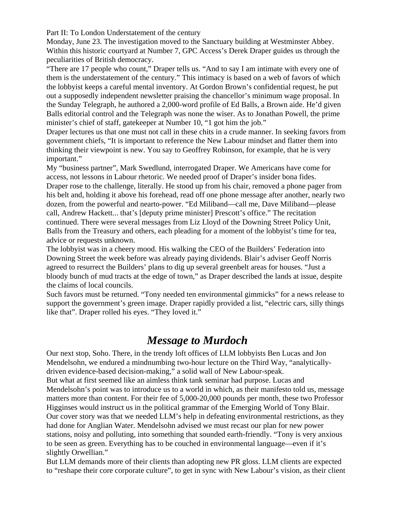Part II: To London Understatement of the century

Monday, June 23. The investigation moved to the Sanctuary building at Westminster Abbey. Within this historic courtyard at Number 7, GPC Access's Derek Draper guides us through the peculiarities of British democracy.

"There are 17 people who count," Draper tells us. "And to say I am intimate with every one of them is the understatement of the century." This intimacy is based on a web of favors of which the lobbyist keeps a careful mental inventory. At Gordon Brown's confidential request, he put out a supposedly independent newsletter praising the chancellor's minimum wage proposal. In the Sunday Telegraph, he authored a 2,000-word profile of Ed Balls, a Brown aide. He'd given Balls editorial control and the Telegraph was none the wiser. As to Jonathan Powell, the prime minister's chief of staff, gatekeeper at Number 10, "1 got him the job."

Draper lectures us that one must not call in these chits in a crude manner. In seeking favors from government chiefs, "It is important to reference the New Labour mindset and flatter them into thinking their viewpoint is new. You say to Geoffrey Robinson, for example, that he is very important."

My "business partner", Mark Swedlund, interrogated Draper. We Americans have come for access, not lessons in Labour rhetoric. We needed proof of Draper's insider bona fides. Draper rose to the challenge, literally. He stood up from his chair, removed a phone pager from his belt and, holding it above his forehead, read off one phone message after another, nearly two dozen, from the powerful and nearto-power. "Ed Miliband—call me, Dave Miliband—please call, Andrew Hackett... that's [deputy prime minister] Prescott's office." The recitation continued. There were several messages from Liz Lloyd of the Downing Street Policy Unit, Balls from the Treasury and others, each pleading for a moment of the lobbyist's time for tea, advice or requests unknown.

The lobbyist was in a cheery mood. His walking the CEO of the Builders' Federation into Downing Street the week before was already paying dividends. Blair's adviser Geoff Norris agreed to resurrect the Builders' plans to dig up several greenbelt areas for houses. "Just a bloody bunch of mud tracts at the edge of town," as Draper described the lands at issue, despite the claims of local councils.

Such favors must be returned. "Tony needed ten environmental gimmicks" for a news release to support the government's green image. Draper rapidly provided a list, "electric cars, silly things like that". Draper rolled his eyes. "They loved it."

#### *Message to Murdoch*

Our next stop, Soho. There, in the trendy loft offices of LLM lobbyists Ben Lucas and Jon Mendelsohn, we endured a mindnumbing two-hour lecture on the Third Way, "analyticallydriven evidence-based decision-making," a solid wall of New Labour-speak.

But what at first seemed like an aimless think tank seminar had purpose. Lucas and Mendelsohn's point was to introduce us to a world in which, as their manifesto told us, message matters more than content. For their fee of 5,000-20,000 pounds per month, these two Professor Higginses would instruct us in the political grammar of the Emerging World of Tony Blair. Our cover story was that we needed LLM's help in defeating environmental restrictions, as they had done for Anglian Water. Mendelsohn advised we must recast our plan for new power stations, noisy and polluting, into something that sounded earth-friendly. "Tony is very anxious to be seen as green. Everything has to be couched in environmental language—even if it's slightly Orwellian."

But LLM demands more of their clients than adopting new PR gloss. LLM clients are expected to "reshape their core corporate culture", to get in sync with New Labour's vision, as their client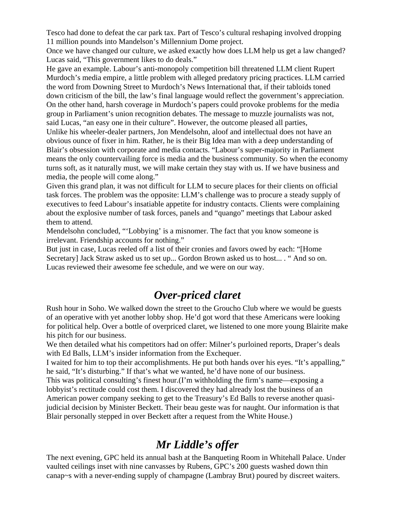Tesco had done to defeat the car park tax. Part of Tesco's cultural reshaping involved dropping 11 million pounds into Mandelson's Millennium Dome project.

Once we have changed our culture, we asked exactly how does LLM help us get a law changed? Lucas said, "This government likes to do deals."

He gave an example. Labour's anti-monopoly competition bill threatened LLM client Rupert Murdoch's media empire, a little problem with alleged predatory pricing practices. LLM carried the word from Downing Street to Murdoch's News International that, if their tabloids toned down criticism of the bill, the law's final language would reflect the government's appreciation. On the other hand, harsh coverage in Murdoch's papers could provoke problems for the media group in Parliament's union recognition debates. The message to muzzle journalists was not, said Lucas, "an easy one in their culture". However, the outcome pleased all parties,

Unlike his wheeler-dealer partners, Jon Mendelsohn, aloof and intellectual does not have an obvious ounce of fixer in him. Rather, he is their Big Idea man with a deep understanding of Blair's obsession with corporate and media contacts. "Labour's super-majority in Parliament means the only countervailing force is media and the business community. So when the economy turns soft, as it naturally must, we will make certain they stay with us. If we have business and media, the people will come along."

Given this grand plan, it was not difficult for LLM to secure places for their clients on official task forces. The problem was the opposite: LLM's challenge was to procure a steady supply of executives to feed Labour's insatiable appetite for industry contacts. Clients were complaining about the explosive number of task forces, panels and "quango" meetings that Labour asked them to attend.

Mendelsohn concluded, "'Lobbying' is a misnomer. The fact that you know someone is irrelevant. Friendship accounts for nothing."

But just in case, Lucas reeled off a list of their cronies and favors owed by each: "[Home Secretary] Jack Straw asked us to set up... Gordon Brown asked us to host... . " And so on. Lucas reviewed their awesome fee schedule, and we were on our way.

## *Over-priced claret*

Rush hour in Soho. We walked down the street to the Groucho Club where we would be guests of an operative with yet another lobby shop. He'd got word that these Americans were looking for political help. Over a bottle of overpriced claret, we listened to one more young Blairite make his pitch for our business.

We then detailed what his competitors had on offer: Milner's purloined reports, Draper's deals with Ed Balls, LLM's insider information from the Exchequer.

I waited for him to top their accomplishments. He put both hands over his eyes. "It's appalling," he said, "It's disturbing." If that's what we wanted, he'd have none of our business.

This was political consulting's finest hour.(I'm withholding the firm's name—exposing a lobbyist's rectitude could cost them. I discovered they had already lost the business of an American power company seeking to get to the Treasury's Ed Balls to reverse another quasijudicial decision by Minister Beckett. Their beau geste was for naught. Our information is that Blair personally stepped in over Beckett after a request from the White House.)

# *Mr Liddle's offer*

The next evening, GPC held its annual bash at the Banqueting Room in Whitehall Palace. Under vaulted ceilings inset with nine canvasses by Rubens, GPC's 200 guests washed down thin canap~s with a never-ending supply of champagne (Lambray Brut) poured by discreet waiters.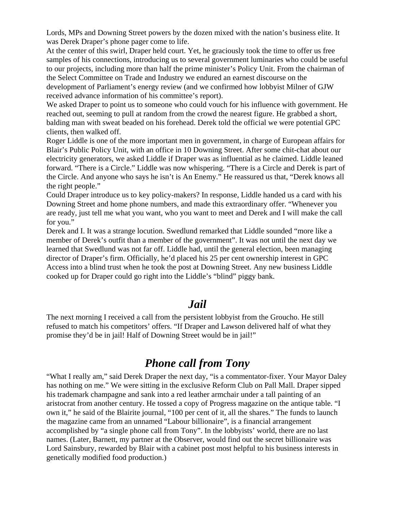Lords, MPs and Downing Street powers by the dozen mixed with the nation's business elite. It was Derek Draper's phone pager come to life.

At the center of this swirl, Draper held court. Yet, he graciously took the time to offer us free samples of his connections, introducing us to several government luminaries who could be useful to our projects, including more than half the prime minister's Policy Unit. From the chairman of the Select Committee on Trade and Industry we endured an earnest discourse on the development of Parliament's energy review (and we confirmed how lobbyist Milner of GJW received advance information of his committee's report).

We asked Draper to point us to someone who could vouch for his influence with government. He reached out, seeming to pull at random from the crowd the nearest figure. He grabbed a short, balding man with sweat beaded on his forehead. Derek told the official we were potential GPC clients, then walked off.

Roger Liddle is one of the more important men in government, in charge of European affairs for Blair's Public Policy Unit, with an office in 10 Downing Street. After some chit-chat about our electricity generators, we asked Liddle if Draper was as influential as he claimed. Liddle leaned forward. "There is a Circle." Liddle was now whispering. "There is a Circle and Derek is part of the Circle. And anyone who says he isn't is An Enemy." He reassured us that, "Derek knows all the right people."

Could Draper introduce us to key policy-makers? In response, Liddle handed us a card with his Downing Street and home phone numbers, and made this extraordinary offer. "Whenever you are ready, just tell me what you want, who you want to meet and Derek and I will make the call for you."

Derek and I. It was a strange locution. Swedlund remarked that Liddle sounded "more like a member of Derek's outfit than a member of the government". It was not until the next day we learned that Swedlund was not far off. Liddle had, until the general election, been managing director of Draper's firm. Officially, he'd placed his 25 per cent ownership interest in GPC Access into a blind trust when he took the post at Downing Street. Any new business Liddle cooked up for Draper could go right into the Liddle's "blind" piggy bank.

#### *Jail*

The next morning I received a call from the persistent lobbyist from the Groucho. He still refused to match his competitors' offers. "If Draper and Lawson delivered half of what they promise they'd be in jail! Half of Downing Street would be in jail!"

## *Phone call from Tony*

"What I really am," said Derek Draper the next day, "is a commentator-fixer. Your Mayor Daley has nothing on me." We were sitting in the exclusive Reform Club on Pall Mall. Draper sipped his trademark champagne and sank into a red leather armchair under a tall painting of an aristocrat from another century. He tossed a copy of Progress magazine on the antique table. "I own it," he said of the Blairite journal, "100 per cent of it, all the shares." The funds to launch the magazine came from an unnamed "Labour billionaire", is a financial arrangement accomplished by "a single phone call from Tony". In the lobbyists' world, there are no last names. (Later, Barnett, my partner at the Observer, would find out the secret billionaire was Lord Sainsbury, rewarded by Blair with a cabinet post most helpful to his business interests in genetically modified food production.)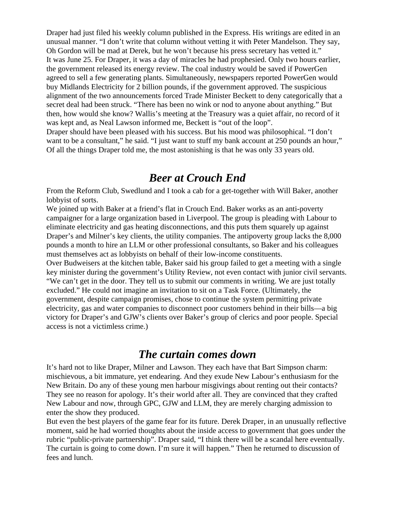Draper had just filed his weekly column published in the Express. His writings are edited in an unusual manner. "I don't write that column without vetting it with Peter Mandelson. They say, Oh Gordon will be mad at Derek, but he won't because his press secretary has vetted it." It was June 25. For Draper, it was a day of miracles he had prophesied. Only two hours earlier, the government released its energy review. The coal industry would be saved if PowerGen agreed to sell a few generating plants. Simultaneously, newspapers reported PowerGen would buy Midlands Electricity for 2 billion pounds, if the government approved. The suspicious alignment of the two announcements forced Trade Minister Beckett to deny categorically that a secret deal had been struck. "There has been no wink or nod to anyone about anything." But then, how would she know? Wallis's meeting at the Treasury was a quiet affair, no record of it was kept and, as Neal Lawson informed me, Beckett is "out of the loop". Draper should have been pleased with his success. But his mood was philosophical. "I don't want to be a consultant," he said. "I just want to stuff my bank account at 250 pounds an hour,"

Of all the things Draper told me, the most astonishing is that he was only 33 years old.

#### *Beer at Crouch End*

From the Reform Club, Swedlund and I took a cab for a get-together with Will Baker, another lobbyist of sorts.

We joined up with Baker at a friend's flat in Crouch End. Baker works as an anti-poverty campaigner for a large organization based in Liverpool. The group is pleading with Labour to eliminate electricity and gas heating disconnections, and this puts them squarely up against Draper's and Milner's key clients, the utility companies. The antipoverty group lacks the 8,000 pounds a month to hire an LLM or other professional consultants, so Baker and his colleagues must themselves act as lobbyists on behalf of their low-income constituents.

Over Budweisers at the kitchen table, Baker said his group failed to get a meeting with a single key minister during the government's Utility Review, not even contact with junior civil servants. "We can't get in the door. They tell us to submit our comments in writing. We are just totally excluded." He could not imagine an invitation to sit on a Task Force. (Ultimately, the government, despite campaign promises, chose to continue the system permitting private electricity, gas and water companies to disconnect poor customers behind in their bills—a big victory for Draper's and GJW's clients over Baker's group of clerics and poor people. Special access is not a victimless crime.)

#### *The curtain comes down*

It's hard not to like Draper, Milner and Lawson. They each have that Bart Simpson charm: mischievous, a bit immature, yet endearing. And they exude New Labour's enthusiasm for the New Britain. Do any of these young men harbour misgivings about renting out their contacts? They see no reason for apology. It's their world after all. They are convinced that they crafted New Labour and now, through GPC, GJW and LLM, they are merely charging admission to enter the show they produced.

But even the best players of the game fear for its future. Derek Draper, in an unusually reflective moment, said he had worried thoughts about the inside access to government that goes under the rubric "public-private partnership". Draper said, "I think there will be a scandal here eventually. The curtain is going to come down. I'm sure it will happen." Then he returned to discussion of fees and lunch.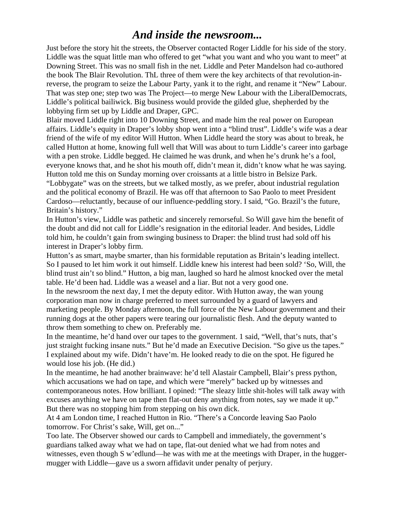#### *And inside the newsroom...*

Just before the story hit the streets, the Observer contacted Roger Liddle for his side of the story. Liddle was the squat little man who offered to get "what you want and who you want to meet" at Downing Street. This was no small fish in the net. Liddle and Peter Mandelson had co-authored the book The Blair Revolution. ThL three of them were the key architects of that revolution-inreverse, the program to seize the Labour Party, yank it to the right, and rename it "New" Labour. That was step one; step two was The Project—to merge New Labour with the LiberalDemocrats, Liddle's political bailiwick. Big business would provide the gilded glue, shepherded by the lobbying firm set up by Liddle and Draper, GPC.

Blair moved Liddle right into 10 Downing Street, and made him the real power on European affairs. Liddle's equity in Draper's lobby shop went into a "blind trust". Liddle's wife was a dear friend of the wife of my editor Will Hutton. When Liddle heard the story was about to break, he called Hutton at home, knowing full well that Will was about to turn Liddle's career into garbage with a pen stroke. Liddle begged. He claimed he was drunk, and when he's drunk he's a fool, everyone knows that, and he shot his mouth off, didn't mean it, didn't know what he was saying. Hutton told me this on Sunday morning over croissants at a little bistro in Belsize Park.

"Lobbygate" was on the streets, but we talked mostly, as we prefer, about industrial regulation and the political economy of Brazil. He was off that afternoon to Sao Paolo to meet President Cardoso—reluctantly, because of our influence-peddling story. I said, "Go. Brazil's the future, Britain's history."

In Hutton's view, Liddle was pathetic and sincerely remorseful. So Will gave him the benefit of the doubt and did not call for Liddle's resignation in the editorial leader. And besides, Liddle told him, he couldn't gain from swinging business to Draper: the blind trust had sold off his interest in Draper's lobby firm.

Hutton's as smart, maybe smarter, than his formidable reputation as Britain's leading intellect. So I paused to let him work it out himself. Liddle knew his interest had been sold? 'So, Will, the blind trust ain't so blind." Hutton, a big man, laughed so hard he almost knocked over the metal table. He'd been had. Liddle was a weasel and a liar. But not a very good one.

In the newsroom the next day, I met the deputy editor. With Hutton away, the wan young corporation man now in charge preferred to meet surrounded by a guard of lawyers and marketing people. By Monday afternoon, the full force of the New Labour government and their running dogs at the other papers were tearing our journalistic flesh. And the deputy wanted to throw them something to chew on. Preferably me.

In the meantime, he'd hand over our tapes to the government. 1 said, "Well, that's nuts, that's just straight fucking insane nuts." But he'd made an Executive Decision. "So give us the tapes." I explained about my wife. Didn't have'm. He looked ready to die on the spot. He figured he would lose his job. (He did.)

In the meantime, he had another brainwave: he'd tell Alastair Campbell, Blair's press python, which accusations we had on tape, and which were "merely" backed up by witnesses and contemporaneous notes. How brilliant. I opined: "The sleazy little shit-holes will talk away with excuses anything we have on tape then flat-out deny anything from notes, say we made it up." But there was no stopping him from stepping on his own dick.

At 4 am London time, I reached Hutton in Rio. "There's a Concorde leaving Sao Paolo tomorrow. For Christ's sake, Will, get on..."

Too late. The Observer showed our cards to Campbell and immediately, the government's guardians talked away what we had on tape, flat-out denied what we had from notes and witnesses, even though S w'edlund—he was with me at the meetings with Draper, in the huggermugger with Liddle—gave us a sworn affidavit under penalty of perjury.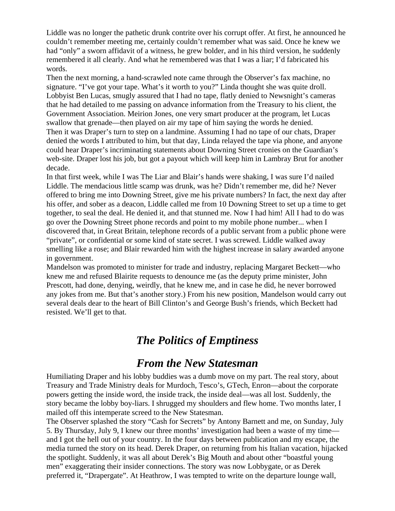Liddle was no longer the pathetic drunk contrite over his corrupt offer. At first, he announced he couldn't remember meeting me, certainly couldn't remember what was said. Once he knew we had "only" a sworn affidavit of a witness, he grew bolder, and in his third version, he suddenly remembered it all clearly. And what he remembered was that I was a liar; I'd fabricated his words.

Then the next morning, a hand-scrawled note came through the Observer's fax machine, no signature. "I've got your tape. What's it worth to you?" Linda thought she was quite droll. Lobbyist Ben Lucas, smugly assured that I had no tape, flatly denied to Newsnight's cameras that he had detailed to me passing on advance information from the Treasury to his client, the Government Association. Meirion Jones, one very smart producer at the program, let Lucas swallow that grenade—then played on air my tape of him saying the words he denied. Then it was Draper's turn to step on a landmine. Assuming I had no tape of our chats, Draper denied the words I attributed to him, but that day, Linda relayed the tape via phone, and anyone could hear Draper's incriminating statements about Downing Street cronies on the Guardian's web-site. Draper lost his job, but got a payout which will keep him in Lambray Brut for another decade.

In that first week, while I was The Liar and Blair's hands were shaking, I was sure I'd nailed Liddle. The mendacious little scamp was drunk, was he? Didn't remember me, did he? Never offered to bring me into Downing Street, give me his private numbers? In fact, the next day after his offer, and sober as a deacon, Liddle called me from 10 Downing Street to set up a time to get together, to seal the deal. He denied it, and that stunned me. Now I had him! All I had to do was go over the Downing Street phone records and point to my mobile phone number... when I discovered that, in Great Britain, telephone records of a public servant from a public phone were "private", or confidential or some kind of state secret. I was screwed. Liddle walked away smelling like a rose; and Blair rewarded him with the highest increase in salary awarded anyone in government.

Mandelson was promoted to minister for trade and industry, replacing Margaret Beckett—who knew me and refused Blairite requests to denounce me (as the deputy prime minister, John Prescott, had done, denying, weirdly, that he knew me, and in case he did, he never borrowed any jokes from me. But that's another story.) From his new position, Mandelson would carry out several deals dear to the heart of Bill Clinton's and George Bush's friends, which Beckett had resisted. We'll get to that.

## *The Politics of Emptiness*

#### *From the New Statesman*

Humiliating Draper and his lobby buddies was a dumb move on my part. The real story, about Treasury and Trade Ministry deals for Murdoch, Tesco's, GTech, Enron—about the corporate powers getting the inside word, the inside track, the inside deal—was all lost. Suddenly, the story became the lobby boy-liars. I shrugged my shoulders and flew home. Two months later, I mailed off this intemperate screed to the New Statesman.

The Observer splashed the story "Cash for Secrets" by Antony Barnett and me, on Sunday, July 5. By Thursday, July 9, I knew our three months' investigation had been a waste of my time and I got the hell out of your country. In the four days between publication and my escape, the media turned the story on its head. Derek Draper, on returning from his Italian vacation, hijacked the spotlight. Suddenly, it was all about Derek's Big Mouth and about other "boastful young men" exaggerating their insider connections. The story was now Lobbygate, or as Derek preferred it, "Drapergate". At Heathrow, I was tempted to write on the departure lounge wall,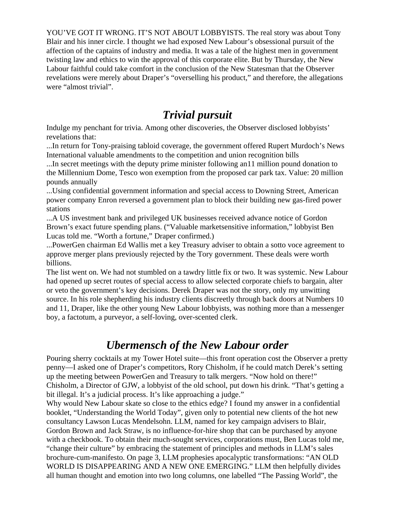YOU'VE GOT IT WRONG. IT'S NOT ABOUT LOBBYISTS. The real story was about Tony Blair and his inner circle. I thought we had exposed New Labour's obsessional pursuit of the affection of the captains of industry and media. It was a tale of the highest men in government twisting law and ethics to win the approval of this corporate elite. But by Thursday, the New Labour faithful could take comfort in the conclusion of the New Statesman that the Observer revelations were merely about Draper's "overselling his product," and therefore, the allegations were "almost trivial".

### *Trivial pursuit*

Indulge my penchant for trivia. Among other discoveries, the Observer disclosed lobbyists' revelations that:

...In return for Tony-praising tabloid coverage, the government offered Rupert Murdoch's News International valuable amendments to the competition and union recognition bills

...In secret meetings with the deputy prime minister following an11 million pound donation to the Millennium Dome, Tesco won exemption from the proposed car park tax. Value: 20 million pounds annually

...Using confidential government information and special access to Downing Street, American power company Enron reversed a government plan to block their building new gas-fired power stations

...A US investment bank and privileged UK businesses received advance notice of Gordon Brown's exact future spending plans. ("Valuable marketsensitive information," lobbyist Ben Lucas told me. "Worth a fortune," Draper confirmed.)

...PowerGen chairman Ed Wallis met a key Treasury adviser to obtain a sotto voce agreement to approve merger plans previously rejected by the Tory government. These deals were worth billions.

The list went on. We had not stumbled on a tawdry little fix or two. It was systemic. New Labour had opened up secret routes of special access to allow selected corporate chiefs to bargain, alter or veto the government's key decisions. Derek Draper was not the story, only my unwitting source. In his role shepherding his industry clients discreetly through back doors at Numbers 10 and 11, Draper, like the other young New Labour lobbyists, was nothing more than a messenger boy, a factotum, a purveyor, a self-loving, over-scented clerk.

## *Ubermensch of the New Labour order*

Pouring sherry cocktails at my Tower Hotel suite—this front operation cost the Observer a pretty penny—I asked one of Draper's competitors, Rory Chisholm, if he could match Derek's setting up the meeting between PowerGen and Treasury to talk mergers. "Now hold on there!" Chisholm, a Director of GJW, a lobbyist of the old school, put down his drink. "That's getting a bit illegal. It's a judicial process. It's like approaching a judge."

Why would New Labour skate so close to the ethics edge? I found my answer in a confidential booklet, "Understanding the World Today", given only to potential new clients of the hot new consultancy Lawson Lucas Mendelsohn. LLM, named for key campaign advisers to Blair, Gordon Brown and Jack Straw, is no influence-for-hire shop that can be purchased by anyone with a checkbook. To obtain their much-sought services, corporations must, Ben Lucas told me, "change their culture" by embracing the statement of principles and methods in LLM's sales brochure-cum-manifesto. On page 3, LLM prophesies apocalyptic transformations: "AN OLD WORLD IS DISAPPEARING AND A NEW ONE EMERGING." LLM then helpfully divides all human thought and emotion into two long columns, one labelled "The Passing World", the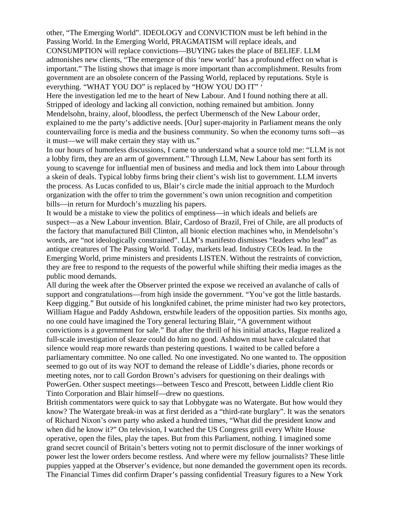other, "The Emerging World". IDEOLOGY and CONVICTION must be left behind in the Passing World. In the Emerging World, PRAGMATISM will replace ideals, and CONSUMPTION will replace convictions—BUYING takes the place of BELIEF. LLM admonishes new clients, "The emergence of this 'new world' has a profound effect on what is important." The listing shows that image is more important than accomplishment. Results from government are an obsolete concern of the Passing World, replaced by reputations. Style is everything. "WHAT YOU DO" is replaced by "HOW YOU DO IT" '

Here the investigation led me to the heart of New Labour. And I found nothing there at all. Stripped of ideology and lacking all conviction, nothing remained but ambition. Jonny Mendelsohn, brainy, aloof, bloodless, the perfect Ubermensch of the New Labour order, explained to me the party's addictive needs. [Our] super-majority in Parliament means the only countervailing force is media and the business community. So when the economy turns soft—as it must—we will make certain they stay with us."

In our hours of humorless discussions, I came to understand what a source told me: "LLM is not a lobby firm, they are an arm of government." Through LLM, New Labour has sent forth its young to scavenge for influential men of business and media and lock them into Labour through a skein of deals. Typical lobby firms bring their client's wish list to government. LLM inverts the process. As Lucas confided to us, Blair's circle made the initial approach to the Murdoch organization with the offer to trim the government's own union recognition and competition bills—in return for Murdoch's muzzling his papers.

It would be a mistake to view the politics of emptiness—in which ideals and beliefs are suspect—as a New Labour invention. Blair, Cardoso of Brazil, Frei of Chile, are all products of the factory that manufactured Bill Clinton, all bionic election machines who, in Mendelsohn's words, are "not ideologically constrained". LLM's manifesto dismisses "leaders who lead" as antique creatures of The Passing World. Today, markets lead. Industry CEOs lead. In the Emerging World, prime ministers and presidents LISTEN. Without the restraints of conviction, they are free to respond to the requests of the powerful while shifting their media images as the public mood demands.

All during the week after the Observer printed the expose we received an avalanche of calls of support and congratulations—from high inside the government. "You've got the little bastards. Keep digging." But outside of his longknifed cabinet, the prime minister had two key protectors, William Hague and Paddy Ashdown, erstwhile leaders of the opposition parties. Six months ago, no one could have imagined the Tory general lecturing Blair, "A government without convictions is a government for sale." But after the thrill of his initial attacks, Hague realized a full-scale investigation of sleaze could do him no good. Ashdown must have calculated that silence would reap more rewards than pestering questions. I waited to be called before a parliamentary committee. No one called. No one investigated. No one wanted to. The opposition seemed to go out of its way NOT to demand the release of Liddle's diaries, phone records or meeting notes, nor to call Gordon Brown's advisers for questioning on their dealings with PowerGen. Other suspect meetings—between Tesco and Prescott, between Liddle client Rio Tinto Corporation and Blair himself—drew no questions.

British commentators were quick to say that Lobbygate was no Watergate. But how would they know? The Watergate break-in was at first derided as a "third-rate burglary". It was the senators of Richard Nixon's own party who asked a hundred times, "What did the president know and when did he know it?" On television, I watched the US Congress grill every White House operative, open the files, play the tapes. But from this Parliament, nothing. I imagined some grand secret council of Britain's betters voting not to permit disclosure of the inner workings of power lest the lower orders become restless. And where were my fellow journalists? These little puppies yapped at the Observer's evidence, but none demanded the government open its records. The Financial Times did confirm Draper's passing confidential Treasury figures to a New York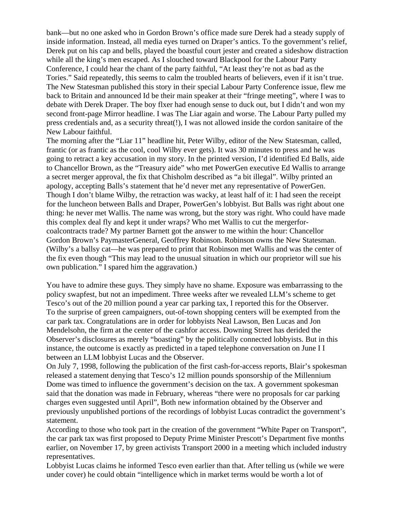bank—but no one asked who in Gordon Brown's office made sure Derek had a steady supply of inside information. Instead, all media eyes turned on Draper's antics. To the government's relief, Derek put on his cap and bells, played the boastful court jester and created a sideshow distraction while all the king's men escaped. As I slouched toward Blackpool for the Labour Party Conference, I could hear the chant of the party faithful, "At least they're not as bad as the Tories." Said repeatedly, this seems to calm the troubled hearts of believers, even if it isn't true. The New Statesman published this story in their special Labour Party Conference issue, flew me back to Britain and announced Id be their main speaker at their "fringe meeting", where I was to debate with Derek Draper. The boy flxer had enough sense to duck out, but I didn't and won my second front-page Mirror headline. I was The Liar again and worse. The Labour Party pulled my press credentials and, as a security threat(!), I was not allowed inside the cordon sanitaire of the New Labour faithful.

The morning after the "Liar 11" headline hit, Peter Wilby, editor of the New Statesman, called, frantic (or as frantic as the cool, cool Wilby ever gets). It was 30 minutes to press and he was going to retract a key accusation in my story. In the printed version, I'd identified Ed Balls, aide to Chancellor Brown, as the "Treasury aide" who met PowerGen executive Ed Wallis to arrange a secret merger approval, the fix that Chisholm described as "a bit illegal". Wilby printed an apology, accepting Balls's statement that he'd never met any representative of PowerGen. Though I don't blame Wilby, the retraction was wacky, at least half of it: I had seen the receipt for the luncheon between Balls and Draper, PowerGen's lobbyist. But Balls was right about one thing: he never met Wallis. The name was wrong, but the story was right. Who could have made this complex deal fly and kept it under wraps? Who met Wallis to cut the mergerforcoalcontracts trade? My partner Barnett got the answer to me within the hour: Chancellor Gordon Brown's PaymasterGeneral, Geoffrey Robinson. Robinson owns the New Statesman. (Wilby's a ballsy cat—he was prepared to print that Robinson met Wallis and was the center of the fix even though "This may lead to the unusual situation in which our proprietor will sue his own publication." I spared him the aggravation.)

You have to admire these guys. They simply have no shame. Exposure was embarrassing to the policy swapfest, but not an impediment. Three weeks after we revealed LLM's scheme to get Tesco's out of the 20 million pound a year car parking tax, I reported this for the Observer. To the surprise of green campaigners, out-of-town shopping centers will be exempted from the car park tax. Congratulations are in order for lobbyists Neal Lawson, Ben Lucas and Jon Mendelsohn, the firm at the center of the cashfor access. Downing Street has derided the Observer's disclosures as merely "boasting" by the politically connected lobbyists. But in this instance, the outcome is exactly as predicted in a taped telephone conversation on June I I between an LLM lobbyist Lucas and the Observer.

On July 7, 1998, following the publication of the first cash-for-access reports, Blair's spokesman released a statement denying that Tesco's 12 million pounds sponsorship of the Millennium Dome was timed to influence the government's decision on the tax. A government spokesman said that the donation was made in February, whereas "there were no proposals for car parking charges even suggested until April", Both new information obtained by the Observer and previously unpublished portions of the recordings of lobbyist Lucas contradict the government's statement.

According to those who took part in the creation of the government "White Paper on Transport", the car park tax was first proposed to Deputy Prime Minister Prescott's Department five months earlier, on November 17, by green activists Transport 2000 in a meeting which included industry representatives.

Lobbyist Lucas claims he informed Tesco even earlier than that. After telling us (while we were under cover) he could obtain "intelligence which in market terms would be worth a lot of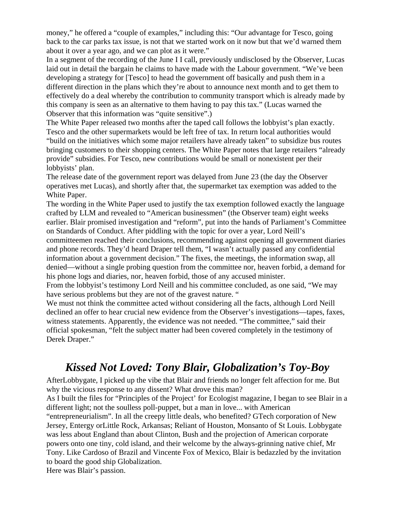money," he offered a "couple of examples," including this: "Our advantage for Tesco, going back to the car parks tax issue, is not that we started work on it now but that we'd warned them about it over a year ago, and we can plot as it were."

In a segment of the recording of the June I I call, previously undisclosed by the Observer, Lucas laid out in detail the bargain he claims to have made with the Labour government. "We've been developing a strategy for [Tesco] to head the government off basically and push them in a different direction in the plans which they're about to announce next month and to get them to effectively do a deal whereby the contribution to community transport which is already made by this company is seen as an alternative to them having to pay this tax." (Lucas warned the Observer that this information was "quite sensitive".)

The White Paper released two months after the taped call follows the lobbyist's plan exactly. Tesco and the other supermarkets would be left free of tax. In return local authorities would "build on the initiatives which some major retailers have already taken" to subsidize bus routes bringing customers to their shopping centers. The White Paper notes that large retailers "already provide" subsidies. For Tesco, new contributions would be small or nonexistent per their lobbyists' plan.

The release date of the government report was delayed from June 23 (the day the Observer operatives met Lucas), and shortly after that, the supermarket tax exemption was added to the White Paper.

The wording in the White Paper used to justify the tax exemption followed exactly the language crafted by LLM and revealed to "American businessmen" (the Observer team) eight weeks earlier. Blair promised investigation and "reform", put into the hands of Parliament's Committee on Standards of Conduct. After piddling with the topic for over a year, Lord Neill's committeemen reached their conclusions, recommending against opening all government diaries

and phone records. They'd heard Draper tell them, "I wasn't actually passed any confidential information about a government decision." The fixes, the meetings, the information swap, all denied—without a single probing question from the committee nor, heaven forbid, a demand for his phone logs and diaries, nor, heaven forbid, those of any accused minister.

From the lobbyist's testimony Lord Neill and his committee concluded, as one said, "We may have serious problems but they are not of the gravest nature. "

We must not think the committee acted without considering all the facts, although Lord Neill declined an offer to hear crucial new evidence from the Observer's investigations—tapes, faxes, witness statements. Apparently, the evidence was not needed. "The committee," said their official spokesman, "felt the subject matter had been covered completely in the testimony of Derek Draper."

## *Kissed Not Loved: Tony Blair, Globalization's Toy-Boy*

AfterLobbygate, I picked up the vibe that Blair and friends no longer felt affection for me. But why the vicious response to any dissent? What drove this man?

As I built the files for "Principles of the Project' for Ecologist magazine, I began to see Blair in a different light; not the soulless poll-puppet, but a man in love... with American

"entrepreneurialism". In all the creepy little deals, who benefited? GTech corporation of New Jersey, Entergy orLittle Rock, Arkansas; Reliant of Houston, Monsanto of St Louis. Lobbygate was less about England than about Clinton, Bush and the projection of American corporate powers onto one tiny, cold island, and their welcome by the always-grinning native chief, Mr Tony. Like Cardoso of Brazil and Vincente Fox of Mexico, Blair is bedazzled by the invitation to board the good ship Globalization.

Here was Blair's passion.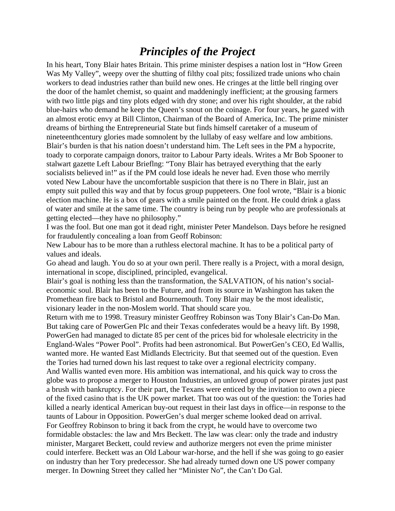## *Principles of the Project*

In his heart, Tony Blair hates Britain. This prime minister despises a nation lost in "How Green Was My Valley", weepy over the shutting of filthy coal pits; fossilized trade unions who chain workers to dead industries rather than build new ones. He cringes at the little bell ringing over the door of the hamlet chemist, so quaint and maddeningly inefficient; at the grousing farmers with two little pigs and tiny plots edged with dry stone; and over his right shoulder, at the rabid blue-hairs who demand he keep the Queen's snout on the coinage. For four years, he gazed with an almost erotic envy at Bill Clinton, Chairman of the Board of America, Inc. The prime minister dreams of birthing the Entrepreneurial State but finds himself caretaker of a museum of nineteenthcentury glories made somnolent by the lullaby of easy welfare and low ambitions. Blair's burden is that his nation doesn't understand him. The Left sees in the PM a hypocrite, toady to corporate campaign donors, traitor to Labour Party ideals. Writes a Mr Bob Spooner to stalwart gazette Left Labour Brieflng: "Tony Blair has betrayed everything that the early socialists believed in!" as if the PM could lose ideals he never had. Even those who merrily voted New Labour have the uncomfortable suspicion that there is no There in Blair, just an empty suit pulled this way and that by focus group puppeteers. One fool wrote, "Blair is a bionic election machine. He is a box of gears with a smile painted on the front. He could drink a glass of water and smile at the same time. The country is being run by people who are professionals at getting elected—they have no philosophy."

I was the fool. But one man got it dead right, minister Peter Mandelson. Days before he resigned for fraudulently concealing a loan from Geoff Robinson:

New Labour has to be more than a ruthless electoral machine. It has to be a political party of values and ideals.

Go ahead and laugh. You do so at your own peril. There really is a Project, with a moral design, international in scope, disciplined, principled, evangelical.

Blair's goal is nothing less than the transformation, the SALVATION, of his nation's socialeconomic soul. Blair has been to the Future, and from its source in Washington has taken the Promethean fire back to Bristol and Bournemouth. Tony Blair may be the most idealistic, visionary leader in the non-Moslem world. That should scare you.

Return with me to 1998. Treasury minister Geoffrey Robinson was Tony Blair's Can-Do Man. But taking care of PowerGen PIc and their Texas confederates would be a heavy lift. By 1998, PowerGen had managed to dictate 85 per cent of the prices bid for wholesale electricity in the England-Wales "Power Pool". Profits had been astronomical. But PowerGen's CEO, Ed Wallis, wanted more. He wanted East Midlands Electricity. But that seemed out of the question. Even the Tories had turned down his last request to take over a regional electricity company.

And Wallis wanted even more. His ambition was international, and his quick way to cross the globe was to propose a merger to Houston Industries, an unloved group of power pirates just past a brush with bankruptcy. For their part, the Texans were enticed by the invitation to own a piece of the fixed casino that is the UK power market. That too was out of the question: the Tories had killed a nearly identical American buy-out request in their last days in office—in response to the taunts of Labour in Opposition. PowerGen's dual merger scheme looked dead on arrival. For Geoffrey Robinson to bring it back from the crypt, he would have to overcome two formidable obstacles: the law and Mrs Beckett. The law was clear: only the trade and industry minister, Margaret Beckett, could review and authorize mergers not even the prime minister could interfere. Beckett was an Old Labour war-horse, and the hell if she was going to go easier on industry than her Tory predecessor. She had already turned down one US power company merger. In Downing Street they called her "Minister No", the Can't Do Gal.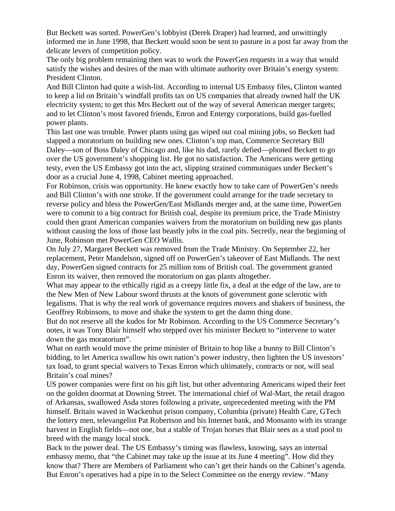But Beckett was sorted. PowerGen's lobbyist (Derek Draper) had learned, and unwittingly informed me in June 1998, that Beckett would soon be sent to pasture in a post far away from the delicate levers of competition policy.

The only big problem remaining then was to work the PowerGen requests in a way that would satisfy the wishes and desires of the man with ultimate authority over Britain's energy system: President Clinton.

And Bill Clinton had quite a wish-list. According to internal US Embassy files, Clinton wanted to keep a lid on Britain's windfall profits tax on US companies that already owned half the UK electricity system; to get this Mrs Beckett out of the way of several American merger targets; and to let Clinton's most favored friends, Enron and Entergy corporations, build gas-fuelled power plants.

This last one was trouble. Power plants using gas wiped out coal mining jobs, so Beckett had slapped a moratorium on building new ones. Clinton's top man, Commerce Secretary Bill Daley—son of Boss Daley of Chicago and, like his dad, rarely defied—phoned Beckett to go over the US government's shopping list. He got no satisfaction. The Americans were getting testy, even the US Embassy got into the act, slipping strained communiques under Beckett's door as a crucial June 4, 1998, Cabinet meeting approached.

For Robinson, crisis was opportunity. He knew exactly how to take care of PowerGen's needs and Bill Clinton's with one stroke. If the government could arrange for the trade secretary to reverse policy and bless the PowerGen/East Midlands merger and, at the same time, PowerGen were to commit to a big contract for British coal, despite its premium price, the Trade Ministry could then grant American companies waivers from the moratorium on building new gas plants without causing the loss of those last beastly jobs in the coal pits. Secretly, near the beginning of June, Robinson met PowerGen CEO Wallis.

On July 27, Margaret Beckett was removed from the Trade Ministry. On September 22, her replacement, Peter Mandelson, signed off on PowerGen's takeover of East Midlands. The next day, PowerGen signed contracts for 25 million tons of British coal. The government granted Enron its waiver, then removed the moratorium on gas plants altogether.

What may appear to the ethically rigid as a creepy little fix, a deal at the edge of the law, are to the New Men of New Labour sword thrusts at the knots of government gone sclerotic with legalisms. That is why the real work of governance requires movers and shakers of business, the Geoffrey Robinsons, to move and shake the system to get the damn thing done.

But do not reserve all the kudos for Mr Robinson. According to the US Commerce Secretary's notes, it was Tony Blair himself who stepped over his minister Beckett to "intervene to water down the gas moratorium".

What on earth would move the prime minister of Britain to hop like a bunny to Bill Clinton's bidding, to let America swallow his own nation's power industry, then lighten the US investors' tax load, to grant special waivers to Texas Enron which ultimately, contracts or not, will seal Britain's coal mines?

US power companies were first on his gift list, but other adventuring Americans wiped their feet on the golden doormat at Downing Street. The international chief of Wal-Mart, the retail dragon of Arkansas, swallowed Asda stores following a private, unprecedented meeting with the PM himself. Britain waved in Wackenhut prison company, Columbia (private) Health Care, GTech the lottery men, televangelist Pat Robertson and his Internet bank, and Monsanto with its strange harvest in English fields—not one, but a stable of Trojan horses that Blair sees as a stud pool to breed with the mangy local stock.

Back to the power deal. The US Embassy's timing was flawless, knowing, says an internal embassy memo, that "the Cabinet may take up the issue at its June 4 meeting". How did they know that? There are Members of Parliament who can't get their hands on the Cabinet's agenda. But Enron's operatives had a pipe in to the Select Committee on the energy review. "Many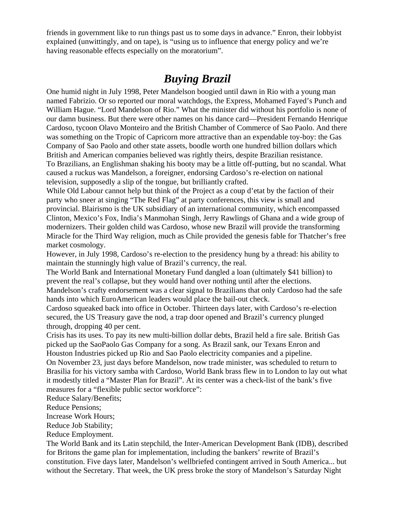friends in government like to run things past us to some days in advance." Enron, their lobbyist explained (unwittingly, and on tape), is "using us to influence that energy policy and we're having reasonable effects especially on the moratorium".

#### *Buying Brazil*

One humid night in July 1998, Peter Mandelson boogied until dawn in Rio with a young man named Fabrizio. Or so reported our moral watchdogs, the Express, Mohamed Fayed's Punch and William Hague. "Lord Mandelson of Rio." What the minister did without his portfolio is none of our damn business. But there were other names on his dance card—President Fernando Henrique Cardoso, tycoon Olavo Monteiro and the British Chamber of Commerce of Sao Paolo. And there was something on the Tropic of Capricorn more attractive than an expendable toy-boy: the Gas Company of Sao Paolo and other state assets, boodle worth one hundred billion dollars which British and American companies believed was rightly theirs, despite Brazilian resistance. To Brazilians, an Englishman shaking his booty may be a little off-putting, but no scandal. What caused a ruckus was Mandelson, a foreigner, endorsing Cardoso's re-election on national television, supposedly a slip of the tongue, but brilliantly crafted.

While Old Labour cannot help but think of the Project as a coup d'etat by the faction of their party who sneer at singing "The Red Flag" at party conferences, this view is small and provincial. Blairismo is the UK subsidiary of an international community, which encompassed Clinton, Mexico's Fox, India's Manmohan Singh, Jerry Rawlings of Ghana and a wide group of modernizers. Their golden child was Cardoso, whose new Brazil will provide the transforming Miracle for the Third Way religion, much as Chile provided the genesis fable for Thatcher's free market cosmology.

However, in July 1998, Cardoso's re-election to the presidency hung by a thread: his ability to maintain the stunningly high value of Brazil's currency, the real.

The World Bank and International Monetary Fund dangled a loan (ultimately \$41 billion) to prevent the real's collapse, but they would hand over nothing until after the elections.

Mandelson's crafty endorsement was a clear signal to Brazilians that only Cardoso had the safe hands into which EuroAmerican leaders would place the bail-out check.

Cardoso squeaked back into office in October. Thirteen days later, with Cardoso's re-election secured, the US Treasury gave the nod, a trap door opened and Brazil's currency plunged through, dropping 40 per cent.

Crisis has its uses. To pay its new multi-billion dollar debts, Brazil held a fire sale. British Gas picked up the SaoPaolo Gas Company for a song. As Brazil sank, our Texans Enron and Houston Industries picked up Rio and Sao Paolo electricity companies and a pipeline.

On November 23, just days before Mandelson, now trade minister, was scheduled to return to Brasilia for his victory samba with Cardoso, World Bank brass flew in to London to lay out what it modestly titled a "Master Plan for Brazil". At its center was a check-list of the bank's five measures for a "flexible public sector workforce":

Reduce Salary/Benefits;

Reduce Pensions;

Increase Work Hours;

Reduce Job Stability;

Reduce Employment.

The World Bank and its Latin stepchild, the Inter-American Development Bank (IDB), described for Britons the game plan for implementation, including the bankers' rewrite of Brazil's constitution. Five days later, Mandelson's wellbriefed contingent arrived in South America... but without the Secretary. That week, the UK press broke the story of Mandelson's Saturday Night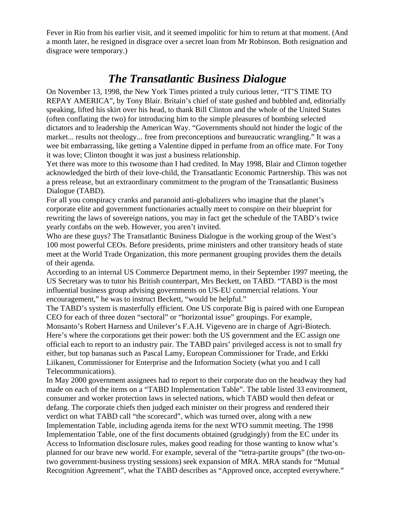Fever in Rio from his earlier visit, and it seemed impolitic for him to return at that moment. (And a month later, he resigned in disgrace over a secret loan from Mr Robinson. Both resignation and disgrace were temporary.)

## *The Transatlantic Business Dialogue*

On November 13, 1998, the New York Times printed a truly curious letter, "IT'S TIME TO REPAY AMERICA", by Tony Blair. Britain's chief of state gushed and bubbled and, editorially speaking, lifted his skirt over his head, to thank Bill Clinton and the whole of the United States (often conflating the two) for introducing him to the simple pleasures of bombing selected dictators and to leadership the American Way. "Governments should not hinder the logic of the market... results not theology... free from preconceptions and bureaucratic wrangling." It was a wee bit embarrassing, like getting a Valentine dipped in perfume from an office mate. For Tony it was love; Clinton thought it was just a business relationship.

Yet there was more to this twosome than I had credited. In May 1998, Blair and Clinton together acknowledged the birth of their love-child, the Transatlantic Economic Partnership. This was not a press release, but an extraordinary commitment to the program of the Transatlantic Business Dialogue (TABD).

For all you conspiracy cranks and paranoid anti-globalizers who imagine that the planet's corporate elite and government functionaries actually meet to conspire on their blueprint for rewriting the laws of sovereign nations, you may in fact get the schedule of the TABD's twice yearly confabs on the web. However, you aren't invited.

Who are these guys? The Transatlantic Business Dialogue is the working group of the West's 100 most powerful CEOs. Before presidents, prime ministers and other transitory heads of state meet at the World Trade Organization, this more permanent grouping provides them the details of their agenda.

According to an internal US Commerce Department memo, in their September 1997 meeting, the US Secretary was to tutor his British counterpart, Mrs Beckett, on TABD. "TABD is the most influential business group advising governments on US-EU commercial relations. Your encouragement," he was to instruct Beckett, "would be helpful."

The TABD's system is masterfully efficient. One US corporate Big is paired with one European CEO for each of three dozen "sectoral" or "horizontal issue" groupings. For example, Monsanto's Robert Harness and Unilever's F.A.H. Vigeveno are in charge of Agri-Biotech. Here's where the corporations get their power: both the US government and the EC assign one official each to report to an industry pair. The TABD pairs' privileged access is not to small fry either, but top bananas such as Pascal Lamy, European Commissioner for Trade, and Erkki Liikanen, Commissioner for Enterprise and the Information Society (what you and I call Telecommunications).

In May 2000 government assignees had to report to their corporate duo on the headway they had made on each of the items on a "TABD Implementation Table". The table listed 33 environment, consumer and worker protection laws in selected nations, which TABD would then defeat or defang. The corporate chiefs then judged each minister on their progress and rendered their verdict on what TABD call "the scorecard", which was turned over, along with a new Implementation Table, including agenda items for the next WTO summit meeting. The 1998 Implementation Table, one of the first documents obtained (grudgingly) from the EC under its Access to Information disclosure rules, makes good reading for those wanting to know what's planned for our brave new world. For example, several of the "tetra-partite groups" (the two-ontwo government-business trysting sessions) seek expansion of MRA. MRA stands for "Mutual Recognition Agreement", what the TABD describes as "Approved once, accepted everywhere."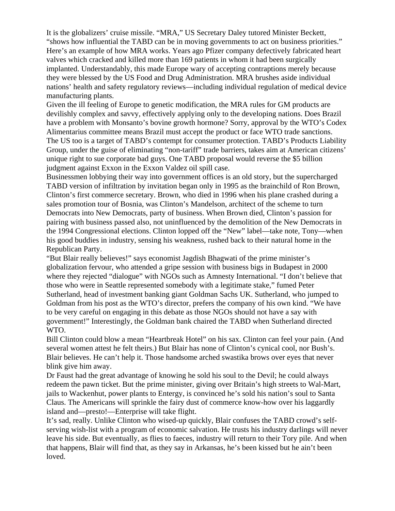It is the globalizers' cruise missile. "MRA," US Secretary Daley tutored Minister Beckett, "shows how influential the TABD can be in moving governments to act on business priorities." Here's an example of how MRA works. Years ago Pfizer company defectively fabricated heart valves which cracked and killed more than 169 patients in whom it had been surgically implanted. Understandably, this made Europe wary of accepting contraptions merely because they were blessed by the US Food and Drug Administration. MRA brushes aside individual nations' health and safety regulatory reviews—including individual regulation of medical device manufacturing plants.

Given the ill feeling of Europe to genetic modification, the MRA rules for GM products are devilishly complex and savvy, effectively applying only to the developing nations. Does Brazil have a problem with Monsanto's bovine growth hormone? Sorry, approval by the WTO's Codex Alimentarius committee means Brazil must accept the product or face WTO trade sanctions. The US too is a target of TABD's contempt for consumer protection. TABD's Products Liability Group, under the guise of eliminating "non-tariff" trade barriers, takes aim at American citizens' unique right to sue corporate bad guys. One TABD proposal would reverse the \$5 billion judgment against Exxon in the Exxon Valdez oil spill case.

Businessmen lobbying their way into government offices is an old story, but the supercharged TABD version of infiltration by invitation began only in 1995 as the brainchild of Ron Brown, Clinton's first commerce secretary. Brown, who died in 1996 when his plane crashed during a sales promotion tour of Bosnia, was Clinton's Mandelson, architect of the scheme to turn Democrats into New Democrats, party of business. When Brown died, Clinton's passion for pairing with business passed also, not uninfluenced by the demolition of the New Democrats in the 1994 Congressional elections. Clinton lopped off the "New" label—take note, Tony—when his good buddies in industry, sensing his weakness, rushed back to their natural home in the Republican Party.

"But Blair really believes!" says economist Jagdish Bhagwati of the prime minister's globalization fervour, who attended a gripe session with business bigs in Budapest in 2000 where they rejected "dialogue" with NGOs such as Amnesty International. "I don't believe that those who were in Seattle represented somebody with a legitimate stake," fumed Peter Sutherland, head of investment banking giant Goldman Sachs UK. Sutherland, who jumped to Goldman from his post as the WTO's director, prefers the company of his own kind. "We have to be very careful on engaging in this debate as those NGOs should not have a say with government!" Interestingly, the Goldman bank chaired the TABD when Sutherland directed WTO.

Bill Clinton could blow a mean "Heartbreak Hotel" on his sax. Clinton can feel your pain. (And several women attest he felt theirs.) But Blair has none of Clinton's cynical cool, nor Bush's. Blair believes. He can't help it. Those handsome arched swastika brows over eyes that never blink give him away.

Dr Faust had the great advantage of knowing he sold his soul to the Devil; he could always redeem the pawn ticket. But the prime minister, giving over Britain's high streets to Wal-Mart, jails to Wackenhut, power plants to Entergy, is convinced he's sold his nation's soul to Santa Claus. The Americans will sprinkle the fairy dust of commerce know-how over his laggardly island and—presto!—Enterprise will take flight.

It's sad, really. Unlike Clinton who wised-up quickly, Blair confuses the TABD crowd's selfserving wish-list with a program of economic salvation. He trusts his industry darlings will never leave his side. But eventually, as flies to faeces, industry will return to their Tory pile. And when that happens, Blair will find that, as they say in Arkansas, he's been kissed but he ain't been loved.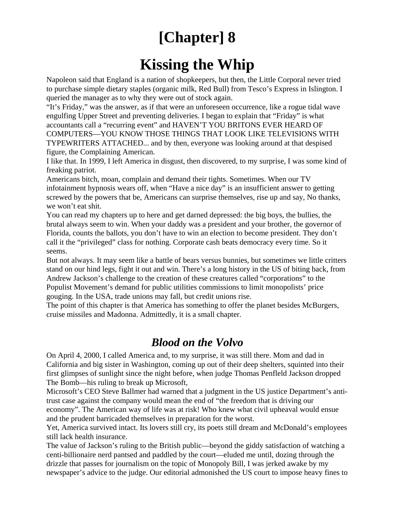# **[Chapter] 8**

# **Kissing the Whip**

Napoleon said that England is a nation of shopkeepers, but then, the Little Corporal never tried to purchase simple dietary staples (organic milk, Red Bull) from Tesco's Express in Islington. I queried the manager as to why they were out of stock again.

"It's Friday," was the answer, as if that were an unforeseen occurrence, like a rogue tidal wave engulfing Upper Street and preventing deliveries. I began to explain that "Friday" is what accountants call a "recurring event" and HAVEN'T YOU BRITONS EVER HEARD OF COMPUTERS—YOU KNOW THOSE THINGS THAT LOOK LIKE TELEVISIONS WITH TYPEWRITERS ATTACHED... and by then, everyone was looking around at that despised figure, the Complaining American.

I like that. In 1999, I left America in disgust, then discovered, to my surprise, I was some kind of freaking patriot.

Americans bitch, moan, complain and demand their tights. Sometimes. When our TV infotainment hypnosis wears off, when "Have a nice day" is an insufficient answer to getting screwed by the powers that be, Americans can surprise themselves, rise up and say, No thanks, we won't eat shit.

You can read my chapters up to here and get darned depressed: the big boys, the bullies, the brutal always seem to win. When your daddy was a president and your brother, the governor of Florida, counts the ballots, you don't have to win an election to become president. They don't call it the "privileged" class for nothing. Corporate cash beats democracy every time. So it seems.

But not always. It may seem like a battle of bears versus bunnies, but sometimes we little critters stand on our hind legs, fight it out and win. There's a long history in the US of biting back, from Andrew Jackson's challenge to the creation of these creatures called "corporations" to the Populist Movement's demand for public utilities commissions to limit monopolists' price gouging. In the USA, trade unions may fall, but credit unions rise.

The point of this chapter is that America has something to offer the planet besides McBurgers, cruise missiles and Madonna. Admittedly, it is a small chapter.

## *Blood on the Volvo*

On April 4, 2000, I called America and, to my surprise, it was still there. Mom and dad in California and big sister in Washington, coming up out of their deep shelters, squinted into their first glimpses of sunlight since the night before, when judge Thomas Penfleld Jackson dropped The Bomb—his ruling to break up Microsoft,

Microsoft's CEO Steve Ballmer had warned that a judgment in the US justice Department's antitrust case against the company would mean the end of "the freedom that is driving our economy". The American way of life was at risk! Who knew what civil upheaval would ensue and the prudent barricaded themselves in preparation for the worst.

Yet, America survived intact. Its lovers still cry, its poets still dream and McDonald's employees still lack health insurance.

The value of Jackson's ruling to the British public—beyond the giddy satisfaction of watching a centi-billionaire nerd pantsed and paddled by the court—eluded me until, dozing through the drizzle that passes for journalism on the topic of Monopoly Bill, I was jerked awake by my newspaper's advice to the judge. Our editorial admonished the US court to impose heavy fines to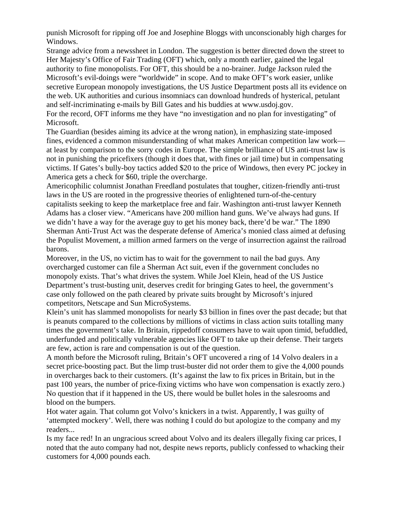punish Microsoft for ripping off Joe and Josephine Bloggs with unconscionably high charges for Windows.

Strange advice from a newssheet in London. The suggestion is better directed down the street to Her Majesty's Office of Fair Trading (OFT) which, only a month earlier, gained the legal authority to fine monopolists. For OFT, this should be a no-brainer. Judge Jackson ruled the Microsoft's evil-doings were "worldwide" in scope. And to make OFT's work easier, unlike secretive European monopoly investigations, the US Justice Department posts all its evidence on the web. UK authorities and curious insomniacs can download hundreds of hysterical, petulant and self-incriminating e-mails by Bill Gates and his buddies at www.usdoj.gov. For the record, OFT informs me they have "no investigation and no plan for investigating" of Microsoft.

The Guardian (besides aiming its advice at the wrong nation), in emphasizing state-imposed fines, evidenced a common misunderstanding of what makes American competition law work at least by comparison to the sorry codes in Europe. The simple brilliance of US anti-trust law is not in punishing the pricefixers (though it does that, with fines or jail time) but in compensating victims. If Gates's bully-boy tactics added \$20 to the price of Windows, then every PC jockey in America gets a check for \$60, triple the overcharge.

Americophilic columnist Jonathan Freedland postulates that tougher, citizen-friendly anti-trust laws in the US are rooted in the progressive theories of enlightened turn-of-the-century capitalists seeking to keep the marketplace free and fair. Washington anti-trust lawyer Kenneth Adams has a closer view. "Americans have 200 million hand guns. We've always had guns. If we didn't have a way for the average guy to get his money back, there'd be war." The 1890 Sherman Anti-Trust Act was the desperate defense of America's monied class aimed at defusing the Populist Movement, a million armed farmers on the verge of insurrection against the railroad barons.

Moreover, in the US, no victim has to wait for the government to nail the bad guys. Any overcharged customer can file a Sherman Act suit, even if the government concludes no monopoly exists. That's what drives the system. While Joel Klein, head of the US Justice Department's trust-busting unit, deserves credit for bringing Gates to heel, the government's case only followed on the path cleared by private suits brought by Microsoft's injured competitors, Netscape and Sun MicroSystems.

Klein's unit has slammed monopolists for nearly \$3 billion in fines over the past decade; but that is peanuts compared to the collections by millions of victims in class action suits totalling many times the government's take. In Britain, rippedoff consumers have to wait upon timid, befuddled, underfunded and politically vulnerable agencies like OFT to take up their defense. Their targets are few, action is rare and compensation is out of the question.

A month before the Microsoft ruling, Britain's OFT uncovered a ring of 14 Volvo dealers in a secret price-boosting pact. But the limp trust-buster did not order them to give the 4,000 pounds in overcharges back to their customers. (It's against the law to fix prices in Britain, but in the past 100 years, the number of price-fixing victims who have won compensation is exactly zero.) No question that if it happened in the US, there would be bullet holes in the salesrooms and blood on the bumpers.

Hot water again. That column got Volvo's knickers in a twist. Apparently, I was guilty of 'attempted mockery'. Well, there was nothing I could do but apologize to the company and my readers...

Is my face red! In an ungracious screed about Volvo and its dealers illegally fixing car prices, I noted that the auto company had not, despite news reports, publicly confessed to whacking their customers for 4,000 pounds each.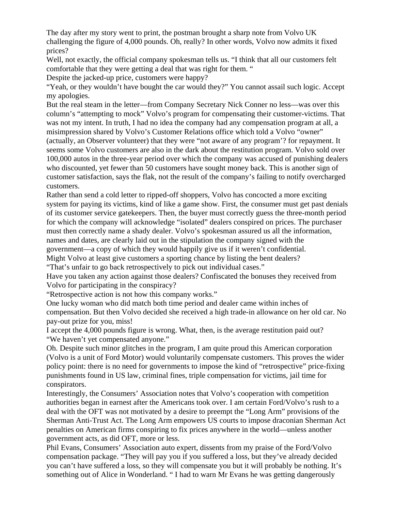The day after my story went to print, the postman brought a sharp note from Volvo UK challenging the figure of 4,000 pounds. Oh, really? In other words, Volvo now admits it fixed prices?

Well, not exactly, the official company spokesman tells us. "I think that all our customers felt comfortable that they were getting a deal that was right for them. "

Despite the jacked-up price, customers were happy?

"Yeah, or they wouldn't have bought the car would they?" You cannot assail such logic. Accept my apologies.

But the real steam in the letter—from Company Secretary Nick Conner no less—was over this column's "attempting to mock" Volvo's program for compensating their customer-victims. That was not my intent. In truth, I had no idea the company had any compensation program at all, a misimpression shared by Volvo's Customer Relations office which told a Volvo "owner" (actually, an Observer volunteer) that they were "not aware of any program'? for repayment. It seems some Volvo customers are also in the dark about the restitution program. Volvo sold over 100,000 autos in the three-year period over which the company was accused of punishing dealers who discounted, yet fewer than 50 customers have sought money back. This is another sign of customer satisfaction, says the flak, not the result of the company's failing to notify overcharged customers.

Rather than send a cold letter to ripped-off shoppers, Volvo has concocted a more exciting system for paying its victims, kind of like a game show. First, the consumer must get past denials of its customer service gatekeepers. Then, the buyer must correctly guess the three-month period for which the company will acknowledge "isolated" dealers conspired on prices. The purchaser must then correctly name a shady dealer. Volvo's spokesman assured us all the information, names and dates, are clearly laid out in the stipulation the company signed with the government—a copy of which they would happily give us if it weren't confidential.

Might Volvo at least give customers a sporting chance by listing the bent dealers? "That's unfair to go back retrospectively to pick out individual cases."

Have you taken any action against those dealers? Confiscated the bonuses they received from

Volvo for participating in the conspiracy?

"Retrospective action is not how this company works."

One lucky woman who did match both time period and dealer came within inches of compensation. But then Volvo decided she received a high trade-in allowance on her old car. No pay-out prize for you, miss!

I accept the 4,000 pounds figure is wrong. What, then, is the average restitution paid out? "We haven't yet compensated anyone."

Oh. Despite such minor glitches in the program, I am quite proud this American corporation (Volvo is a unit of Ford Motor) would voluntarily compensate customers. This proves the wider policy point: there is no need for governments to impose the kind of "retrospective" price-fixing punishments found in US law, criminal fines, triple compensation for victims, jail time for conspirators.

Interestingly, the Consumers' Association notes that Volvo's cooperation with competition authorities began in earnest after the Americans took over. I am certain Ford/Volvo's rush to a deal with the OFT was not motivated by a desire to preempt the "Long Arm" provisions of the Sherman Anti-Trust Act. The Long Arm empowers US courts to impose draconian Sherman Act penalties on American firms conspiring to fix prices anywhere in the world—unless another government acts, as did OFT, more or less.

Phil Evans, Consumers' Association auto expert, dissents from my praise of the Ford/Volvo compensation package. "They will pay you if you suffered a loss, but they've already decided you can't have suffered a loss, so they will compensate you but it will probably be nothing. It's something out of Alice in Wonderland. " I had to warn Mr Evans he was getting dangerously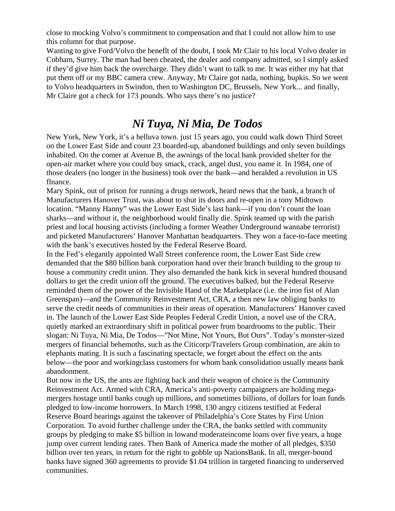close to mocking Volvo's commitment to compensation and that I could not allow him to use this column for that purpose.

Wanting to give Ford/Volvo the beneflt of the doubt, I took Mr Clair to his local Volvo dealer in Cobham, Surrey. The man had been cheated, the dealer and company admitted, so I simply asked if they'd give him back the overcharge. They didn't want to talk to me. It was either my hat that put them off or my BBC camera crew. Anyway, Mr Claire got nada, nothing, bupkis. So we went to Volvo headquarters in Swindon, then to Washington DC, Brussels, New York... and finally, Mr Claire got a check for 173 pounds. Who says there's no justice?

## *Ni Tuya, Ni Mia, De Todos*

New York, New York, it's a helluva town. just 15 years ago, you could walk down Third Street on the Lower East Side and count 23 boarded-up, abandoned buildings and only seven buildings inhabited. On the comer at Avenue B, the awnings of the local bank provided shelter for the open-air market where you could buy smack, crack, angel dust, you name it. In 1984, one of those dealers (no longer in the business) took over the bank—and heralded a revolution in US flnance.

Mary Spink, out of prison for running a drugs network, heard news that the bank, a branch of Manufacturers Hanover Trust, was about to shut its doors and re-open in a tony Midtown location. "Manny Hanny" was the Lower East Side's last bank—if you don't count the loan sharks—and without it, the neighborhood would finally die. Spink teamed up with the parish priest and local housing activists (including a former Weather Underground wannabe terrorist) and picketed Manufacturers' Hanover Manhattan headquarters. They won a face-to-face meeting with the bank's executives hosted by the Federal Reserve Board.

In the Fed's elegantly appointed Wall Street conference room, the Lower East Side crew demanded that the \$80 billion bank corporation hand over their branch building to the group to house a community credit union. They also demanded the bank kick in several hundred thousand dollars to get the credit union off the ground. The executives balked, but the Federal Reserve reminded them of the power of the Invisible Hand of the Marketplace (i.e. the iron fist of Alan Greenspan)—and the Community Reinvestment Act, CRA, a then new law obliging banks to serve the credit needs of communities in their areas of operation. Manufacturers' Hanover caved in. The launch of the Lower East Side Peoples Federal Credit Union, a novel use of the CRA, quietly marked an extraordinary shift in political power from boardrooms to the public. Their slogan: Ni Tuya, Ni Mia, De Todos—"Not Mine, Not Yours, But Ours". Today's monster-sized mergers of financial behemoths, such as the Citicorp/Travelers Group combination, are akin to elephants mating. It is such a fascinating spectacle, we forget about the effect on the ants below—the poor and workingclass customers for whom bank consolidation usually means bank abandonment.

But now in the US, the ants are fighting back and their weapon of choice is the Community Reinvestment Act. Armed with CRA, America's anti-poverty campaigners are holding megamergers hostage until banks cough up millions, and sometimes billions, of dollars for loan funds pledged to low-income borrowers. In March 1998, 130 angry citizens testified at Federal Reserve Board hearings against the takeover of Philadelphia's Core States by First Union Corporation. To avoid further challenge under the CRA, the banks settled with community groups by pledging to make \$5 billion in lowand moderateincome loans over five years, a huge jump over current lending rates. Then Bank of America made the mother of all pledges, \$350 billion over ten years, in return for the right to gobble up NationsBank. In all, merger-bound banks have signed 360 agreements to provide \$1.04 trillion in targeted financing to underserved communities.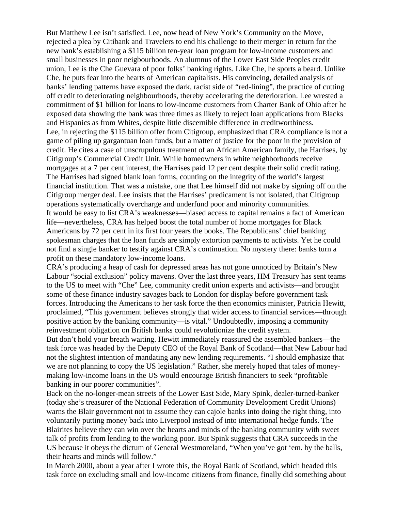But Matthew Lee isn't satisfied. Lee, now head of New York's Community on the Move, rejected a plea by Citibank and Travelers to end his challenge to their merger in return for the new bank's establishing a \$115 billion ten-year loan program for low-income customers and small businesses in poor neigbourhoods. An alumnus of the Lower East Side Peoples credit union, Lee is the Che Guevara of poor folks' banking rights. Like Che, he sports a beard. Unlike Che, he puts fear into the hearts of American capitalists. His convincing, detailed analysis of banks' lending patterns have exposed the dark, racist side of "red-lining", the practice of cutting off credit to deteriorating neighbourhoods, thereby accelerating the deterioration. Lee wrested a commitment of \$1 billion for loans to low-income customers from Charter Bank of Ohio after he exposed data showing the bank was three times as likely to reject loan applications from Blacks and Hispanics as from Whites, despite little discernible difference in creditworthiness. Lee, in rejecting the \$115 billion offer from Citigroup, emphasized that CRA compliance is not a game of piling up gargantuan loan funds, but a matter of justice for the poor in the provision of credit. He cites a case of unscrupulous treatment of an African American family, the Harrises, by Citigroup's Commercial Credit Unit. While homeowners in white neighborhoods receive mortgages at a 7 per cent interest, the Harrises paid 12 per cent despite their solid credit rating. The Harrises had signed blank loan forms, counting on the integrity of the world's largest financial institution. That was a mistake, one that Lee himself did not make by signing off on the Citigroup merger deal. Lee insists that the Harrises' predicament is not isolated, that Citigroup operations systematically overcharge and underfund poor and minority communities. It would be easy to list CRA's weaknesses—biased access to capital remains a fact of American life—nevertheless, CRA has helped boost the total number of home mortgages for Black Americans by 72 per cent in its first four years the books. The Republicans' chief banking spokesman charges that the loan funds are simply extortion payments to activists. Yet he could not find a single banker to testify against CRA's continuation. No mystery there: banks turn a profit on these mandatory low-income loans.

CRA's producing a heap of cash for depressed areas has not gone unnoticed by Britain's New Labour "social exclusion" policy mavens. Over the last three years, HM Treasury has sent teams to the US to meet with "Che" Lee, community credit union experts and activists—and brought some of these finance industry savages back to London for display before government task forces. Introducing the Americans to her task force the then economics minister, Patricia Hewitt, proclaimed, "This government believes strongly that wider access to financial services—through positive action by the banking community—is vital." Undoubtedly, imposing a community reinvestment obligation on British banks could revolutionize the credit system.

But don't hold your breath waiting. Hewitt immediately reassured the assembled bankers—the task force was headed by the Deputy CEO of the Royal Bank of Scotland—that New Labour had not the slightest intention of mandating any new lending requirements. "I should emphasize that we are not planning to copy the US legislation." Rather, she merely hoped that tales of moneymaking low-income loans in the US would encourage British financiers to seek "profitable banking in our poorer communities".

Back on the no-longer-mean streets of the Lower East Side, Mary Spink, dealer-turned-banker (today she's treasurer of the National Federation of Community Development Credit Unions) warns the Blair government not to assume they can cajole banks into doing the right thing, into voluntarily putting money back into Liverpool instead of into international hedge funds. The Blairites believe they can win over the hearts and minds of the banking community with sweet talk of profits from lending to the working poor. But Spink suggests that CRA succeeds in the US because it obeys the dictum of General Westmoreland, "When you've got 'em. by the balls, their hearts and minds will follow."

In March 2000, about a year after I wrote this, the Royal Bank of Scotland, which headed this task force on excluding small and low-income citizens from finance, finally did something about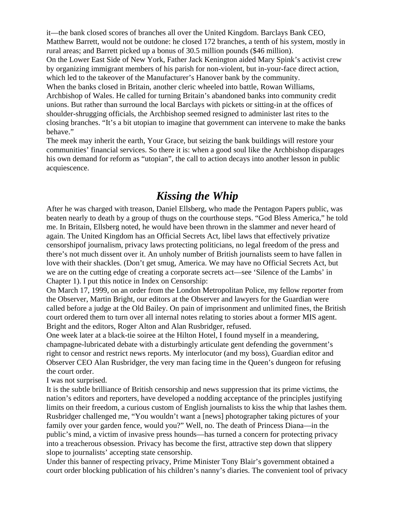it—the bank closed scores of branches all over the United Kingdom. Barclays Bank CEO, Matthew Barrett, would not be outdone: he closed 172 branches, a tenth of his system, mostly in rural areas; and Barrett picked up a bonus of 30.5 million pounds (\$46 million).

On the Lower East Side of New York, Father Jack Kenington aided Mary Spink's activist crew by organizing immigrant members of his parish for non-violent, but in-your-face direct action, which led to the takeover of the Manufacturer's Hanover bank by the community.

When the banks closed in Britain, another cleric wheeled into battle, Rowan Williams, Archbishop of Wales. He called for turning Britain's abandoned banks into community credit unions. But rather than surround the local Barclays with pickets or sitting-in at the offices of shoulder-shrugging officials, the Archbishop seemed resigned to administer last rites to the closing branches. "It's a bit utopian to imagine that government can intervene to make the banks behave."

The meek may inherit the earth, Your Grace, but seizing the bank buildings will restore your communities' financial services. So there it is: when a good soul like the Archbishop disparages his own demand for reform as "utopian", the call to action decays into another lesson in public acquiescence.

#### *Kissing the Whip*

After he was charged with treason, Daniel Ellsberg, who made the Pentagon Papers public, was beaten nearly to death by a group of thugs on the courthouse steps. "God Bless America," he told me. In Britain, Ellsberg noted, he would have been thrown in the slammer and never heard of again. The United Kingdom has an Official Secrets Act, libel laws that effectively privatize censorshipof journalism, privacy laws protecting politicians, no legal freedom of the press and there's not much dissent over it. An unholy number of British journalists seem to have fallen in love with their shackles. (Don't get smug, America. We may have no Official Secrets Act, but we are on the cutting edge of creating a corporate secrets act—see 'Silence of the Lambs' in Chapter 1). I put this notice in Index on Censorship:

On March 17, 1999, on an order from the London Metropolitan Police, my fellow reporter from the Observer, Martin Bright, our editors at the Observer and lawyers for the Guardian were called before a judge at the Old Bailey. On pain of imprisonment and unlimited fines, the British court ordered them to turn over all internal notes relating to stories about a former MIS agent. Bright and the editors, Roger Alton and Alan Rusbridger, refused.

One week later at a black-tie soiree at the Hilton Hotel, I found myself in a meandering, champagne-lubricated debate with a disturbingly articulate gent defending the government's right to censor and restrict news reports. My interlocutor (and my boss), Guardian editor and Observer CEO Alan Rusbridger, the very man facing time in the Queen's dungeon for refusing the court order.

I was not surprised.

It is the subtle brilliance of British censorship and news suppression that its prime victims, the nation's editors and reporters, have developed a nodding acceptance of the principles justifying limits on their freedom, a curious custom of English journalists to kiss the whip that lashes them. Rusbridger challenged me, "You wouldn't want a [news] photographer taking pictures of your family over your garden fence, would you?" Well, no. The death of Princess Diana—in the public's mind, a victim of invasive press hounds—has turned a concern for protecting privacy into a treacherous obsession. Privacy has become the first, attractive step down that slippery slope to journalists' accepting state censorship.

Under this banner of respecting privacy, Prime Minister Tony Blair's government obtained a court order blocking publication of his children's nanny's diaries. The convenient tool of privacy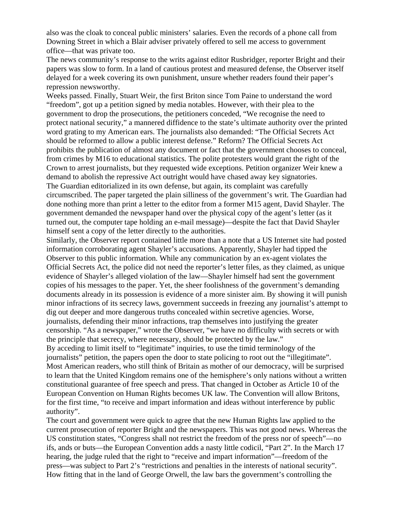also was the cloak to conceal public ministers' salaries. Even the records of a phone call from Downing Street in which a Blair adviser privately offered to sell me access to government office—that was private too.

The news community's response to the writs against editor Rusbridger, reporter Bright and their papers was slow to form. In a land of cautious protest and measured defense, the Observer itself delayed for a week covering its own punishment, unsure whether readers found their paper's repression newsworthy.

Weeks passed. Finally, Stuart Weir, the first Briton since Tom Paine to understand the word "freedom", got up a petition signed by media notables. However, with their plea to the government to drop the prosecutions, the petitioners conceded, "We recognise the need to protect national security," a mannered diffidence to the state's ultimate authority over the printed word grating to my American ears. The journalists also demanded: "The Official Secrets Act should be reformed to allow a public interest defense." Reform? The Official Secrets Act prohibits the publication of almost any document or fact that the government chooses to conceal, from crimes by M16 to educational statistics. The polite protesters would grant the right of the Crown to arrest journalists, but they requested wide exceptions. Petition organizer Weir knew a demand to abolish the repressive Act outright would have chased away key signatories. The Guardian editorialized in its own defense, but again, its complaint was carefully circumscribed. The paper targeted the plain silliness of the government's writ. The Guardian had done nothing more than print a letter to the editor from a former M15 agent, David Shayler. The government demanded the newspaper hand over the physical copy of the agent's letter (as it turned out, the computer tape holding an e-mail message)—despite the fact that David Shayler himself sent a copy of the letter directly to the authorities.

Similarly, the Observer report contained little more than a note that a US Internet site had posted information corroborating agent Shayler's accusations. Apparently, Shayler had tipped the Observer to this public information. While any communication by an ex-agent violates the Official Secrets Act, the police did not need the reporter's letter files, as they claimed, as unique evidence of Shayler's alleged violation of the law—Shayler himself had sent the government copies of his messages to the paper. Yet, the sheer foolishness of the government's demanding documents already in its possession is evidence of a more sinister aim. By showing it will punish minor infractions of its secrecy laws, government succeeds in freezing any journalist's attempt to dig out deeper and more dangerous truths concealed within secretive agencies. Worse, journalists, defending their minor infractions, trap themselves into justifying the greater censorship. "As a newspaper," wrote the Observer, "we have no difficulty with secrets or with the principle that secrecy, where necessary, should be protected by the law." By acceding to limit itself to "legitimate" inquiries, to use the timid terminology of the

journalists" petition, the papers open the door to state policing to root out the "illegitimate". Most American readers, who still think of Britain as mother of our democracy, will be surprised to learn that the United Kingdom remains one of the hemisphere's only nations without a written constitutional guarantee of free speech and press. That changed in October as Article 10 of the European Convention on Human Rights becomes UK law. The Convention will allow Britons, for the first time, "to receive and impart information and ideas without interference by public authority".

The court and government were quick to agree that the new Human Rights law applied to the current prosecution of reporter Bright and the newspapers. This was not good news. Whereas the US constitution states, "Congress shall not restrict the freedom of the press nor of speech"—no ifs, ands or buts—the European Convention adds a nasty little codicil, "Part 2". In the March 17 hearing, the judge ruled that the right to "receive and impart information"—freedom of the press—was subject to Part 2's "restrictions and penalties in the interests of national security". How fitting that in the land of George Orwell, the law bars the government's controlling the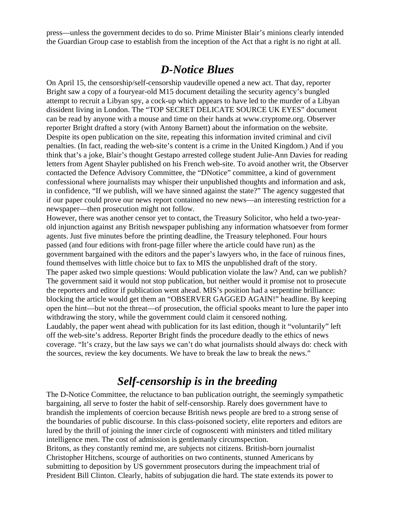press—unless the government decides to do so. Prime Minister Blair's minions clearly intended the Guardian Group case to establish from the inception of the Act that a right is no right at all.

#### *D-Notice Blues*

On April 15, the censorship/self-censorship vaudeville opened a new act. That day, reporter Bright saw a copy of a fouryear-old M15 document detailing the security agency's bungled attempt to recruit a Libyan spy, a cock-up which appears to have led to the murder of a Libyan dissident living in London. The "TOP SECRET DELICATE SOURCE UK EYES" document can be read by anyone with a mouse and time on their hands at www.cryptome.org. Observer reporter Bright drafted a story (with Antony Barnett) about the information on the website. Despite its open publication on the site, repeating this information invited criminal and civil penalties. (In fact, reading the web-site's content is a crime in the United Kingdom.) And if you think that's a joke, Blair's thought Gestapo arrested college student Julie-Ann Davies for reading letters from Agent Shayler published on his French web-site. To avoid another writ, the Observer contacted the Defence Advisory Committee, the "DNotice" committee, a kind of government confessional where journalists may whisper their unpublished thoughts and information and ask, in confidence, "If we publish, will we have sinned against the state?" The agency suggested that if our paper could prove our news report contained no new news—an interesting restriction for a newspaper—then prosecution might not follow.

However, there was another censor yet to contact, the Treasury Solicitor, who held a two-yearold injunction against any British newspaper publishing any information whatsoever from former agents. Just five minutes before the printing deadline, the Treasury telephoned. Four hours passed (and four editions with front-page filler where the article could have run) as the government bargained with the editors and the paper's lawyers who, in the face of ruinous fines, found themselves with little choice but to fax to MIS the unpublished draft of the story. The paper asked two simple questions: Would publication violate the law? And, can we publish? The government said it would not stop publication, but neither would it promise not to prosecute the reporters and editor if publication went ahead. MIS's position had a serpentine brilliance: blocking the article would get them an "OBSERVER GAGGED AGAIN!" headline. By keeping open the hint—but not the threat—of prosecution, the official spooks meant to lure the paper into withdrawing the story, while the government could claim it censored nothing. Laudably, the paper went ahead with publication for its last edition, though it "voluntarily" left off the web-site's address. Reporter Bright finds the procedure deadly to the ethics of news coverage. "It's crazy, but the law says we can't do what journalists should always do: check with the sources, review the key documents. We have to break the law to break the news."

## *Self-censorship is in the breeding*

The D-Notice Committee, the reluctance to ban publication outright, the seemingly sympathetic bargaining, all serve to foster the habit of self-censorship. Rarely does government have to brandish the implements of coercion because British news people are bred to a strong sense of the boundaries of public discourse. In this class-poisoned society, elite reporters and editors are lured by the thrill of joining the inner circle of cognoscenti with ministers and titled military intelligence men. The cost of admission is gentlemanly circumspection. Britons, as they constantly remind me, are subjects not citizens. British-born journalist

Christopher Hitchens, scourge of authorities on two continents, stunned Americans by submitting to deposition by US government prosecutors during the impeachment trial of President Bill Clinton. Clearly, habits of subjugation die hard. The state extends its power to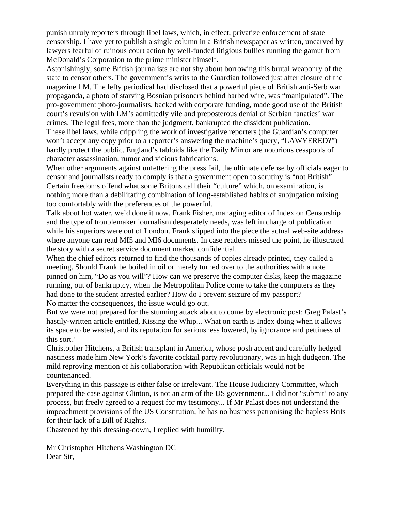punish unruly reporters through libel laws, which, in effect, privatize enforcement of state censorship. I have yet to publish a single column in a British newspaper as written, uncarved by lawyers fearful of ruinous court action by well-funded litigious bullies running the gamut from McDonald's Corporation to the prime minister himself.

Astonishingly, some British journalists are not shy about borrowing this brutal weaponry of the state to censor others. The government's writs to the Guardian followed just after closure of the magazine LM. The lefty periodical had disclosed that a powerful piece of British anti-Serb war propaganda, a photo of starving Bosnian prisoners behind barbed wire, was "manipulated". The pro-government photo-journalists, backed with corporate funding, made good use of the British court's revulsion with LM's admittedly vile and preposterous denial of Serbian fanatics' war crimes. The legal fees, more than the judgment, bankrupted the dissident publication.

These libel laws, while crippling the work of investigative reporters (the Guardian's computer won't accept any copy prior to a reporter's answering the machine's query, "LAWYERED?") hardly protect the public. England's tabloids like the Daily Mirror are notorious cesspools of character assassination, rumor and vicious fabrications.

When other arguments against unfettering the press fail, the ultimate defense by officials eager to censor and journalists ready to comply is that a government open to scrutiny is "not British". Certain freedoms offend what some Britons call their "culture" which, on examination, is nothing more than a debilitating combination of long-established habits of subjugation mixing too comfortably with the preferences of the powerful.

Talk about hot water, we'd done it now. Frank Fisher, managing editor of Index on Censorship and the type of troublemaker journalism desperately needs, was left in charge of publication while his superiors were out of London. Frank slipped into the piece the actual web-site address where anyone can read MI5 and MI6 documents. In case readers missed the point, he illustrated the story with a secret service document marked confidential.

When the chief editors returned to find the thousands of copies already printed, they called a meeting. Should Frank be boiled in oil or merely turned over to the authorities with a note pinned on him, "Do as you will"? How can we preserve the computer disks, keep the magazine running, out of bankruptcy, when the Metropolitan Police come to take the computers as they had done to the student arrested earlier? How do I prevent seizure of my passport? No matter the consequences, the issue would go out.

But we were not prepared for the stunning attack about to come by electronic post: Greg Palast's hastily-written article entitled, Kissing the Whip... What on earth is Index doing when it allows its space to be wasted, and its reputation for seriousness lowered, by ignorance and pettiness of this sort?

Christopher Hitchens, a British transplant in America, whose posh accent and carefully hedged nastiness made him New York's favorite cocktail party revolutionary, was in high dudgeon. The mild reproving mention of his collaboration with Republican officials would not be countenanced.

Everything in this passage is either false or irrelevant. The House Judiciary Committee, which prepared the case against Clinton, is not an arm of the US government... I did not "submit' to any process, but freely agreed to a request for my testimony... If Mr Palast does not understand the impeachment provisions of the US Constitution, he has no business patronising the hapless Brits for their lack of a Bill of Rights.

Chastened by this dressing-down, I replied with humility.

Mr Christopher Hitchens Washington DC Dear Sir,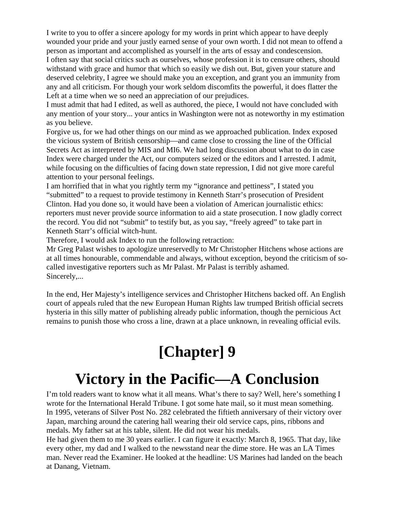I write to you to offer a sincere apology for my words in print which appear to have deeply wounded your pride and your justly earned sense of your own worth. I did not mean to offend a person as important and accomplished as yourself in the arts of essay and condescension. I often say that social critics such as ourselves, whose profession it is to censure others, should withstand with grace and humor that which so easily we dish out. But, given your stature and deserved celebrity, I agree we should make you an exception, and grant you an immunity from any and all criticism. For though your work seldom discomfits the powerful, it does flatter the Left at a time when we so need an appreciation of our prejudices.

I must admit that had I edited, as well as authored, the piece, I would not have concluded with any mention of your story... your antics in Washington were not as noteworthy in my estimation as you believe.

Forgive us, for we had other things on our mind as we approached publication. Index exposed the vicious system of British censorship—and came close to crossing the line of the Official Secrets Act as interpreted by MIS and MI6. We had long discussion about what to do in case Index were charged under the Act, our computers seized or the editors and I arrested. I admit, while focusing on the difficulties of facing down state repression, I did not give more careful attention to your personal feelings.

I am horrified that in what you rightly term my "ignorance and pettiness", I stated you "submitted" to a request to provide testimony in Kenneth Starr's prosecution of President Clinton. Had you done so, it would have been a violation of American journalistic ethics: reporters must never provide source information to aid a state prosecution. I now gladly correct the record. You did not "submit" to testify but, as you say, "freely agreed" to take part in Kenneth Starr's official witch-hunt.

Therefore, I would ask Index to run the following retraction:

Mr Greg Palast wishes to apologize unreservedly to Mr Christopher Hitchens whose actions are at all times honourable, commendable and always, without exception, beyond the criticism of socalled investigative reporters such as Mr Palast. Mr Palast is terribly ashamed. Sincerely,...

In the end, Her Majesty's intelligence services and Christopher Hitchens backed off. An English court of appeals ruled that the new European Human Rights law trumped British official secrets hysteria in this silly matter of publishing already public information, though the pernicious Act remains to punish those who cross a line, drawn at a place unknown, in revealing official evils.

# **[Chapter] 9**

# **Victory in the Pacific—A Conclusion**

I'm told readers want to know what it all means. What's there to say? Well, here's something I wrote for the International Herald Tribune. I got some hate mail, so it must mean something. In 1995, veterans of Silver Post No. 282 celebrated the fiftieth anniversary of their victory over Japan, marching around the catering hall wearing their old service caps, pins, ribbons and medals. My father sat at his table, silent. He did not wear his medals.

He had given them to me 30 years earlier. I can figure it exactly: March 8, 1965. That day, like every other, my dad and I walked to the newsstand near the dime store. He was an LA Times man. Never read the Examiner. He looked at the headline: US Marines had landed on the beach at Danang, Vietnam.